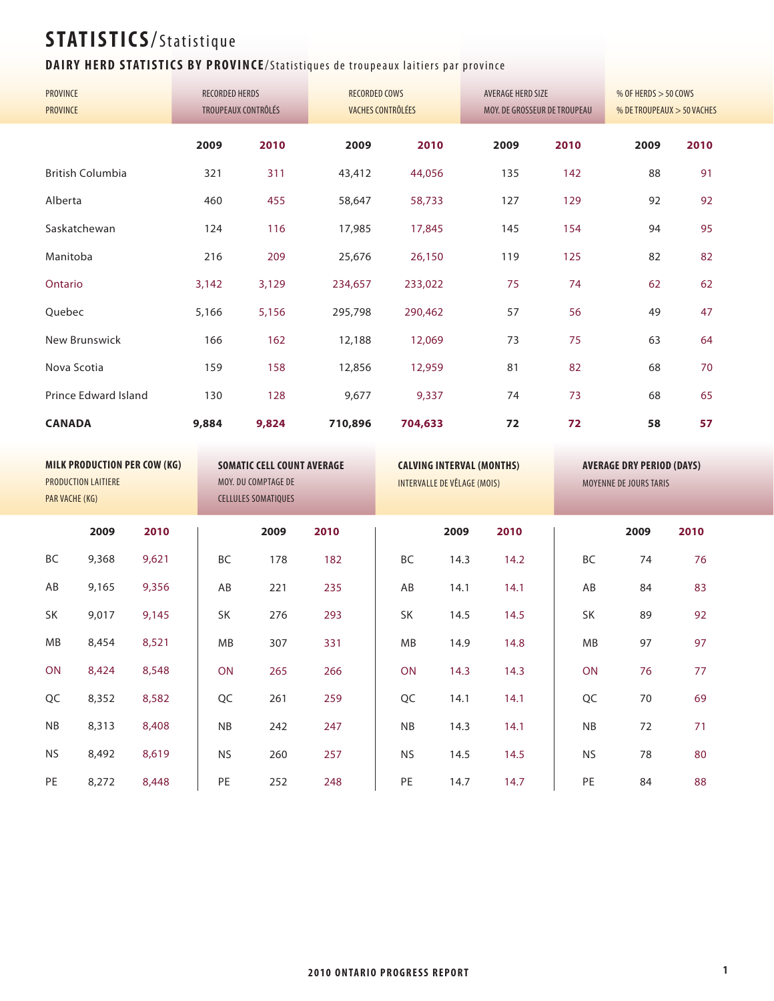#### **DAIRY HERD STATISTICS BY PROVINCE/Statistiques de troupeaux laitiers par province**

| PROVINCE<br><b>PROVINCE</b> | <b>RECORDED HERDS</b> | TROUPEAUX CONTRÔLÉS | <b>RECORDED COWS</b><br>VACHES CONTRÔLÉES |         | AVERAGE HERD SIZE | MOY. DE GROSSEUR DE TROUPEAU | % OF HERDS $>$ 50 COWS<br>% DE TROUPEAUX > 50 VACHES |      |  |  |
|-----------------------------|-----------------------|---------------------|-------------------------------------------|---------|-------------------|------------------------------|------------------------------------------------------|------|--|--|
|                             | 2009                  | 2010                | 2009                                      | 2010    | 2009              | 2010                         | 2009                                                 | 2010 |  |  |
| <b>British Columbia</b>     | 321                   | 311                 | 43,412                                    | 44,056  | 135               | 142                          | 88                                                   | 91   |  |  |
| Alberta                     | 460                   | 455                 | 58,647                                    | 58,733  | 127               | 129                          | 92                                                   | 92   |  |  |
| Saskatchewan                | 124                   | 116                 | 17,985                                    | 17,845  | 145               | 154                          | 94                                                   | 95   |  |  |
| Manitoba                    | 216                   | 209                 | 25,676                                    | 26,150  | 119               | 125                          | 82                                                   | 82   |  |  |
| Ontario                     | 3,142                 | 3,129               | 234,657                                   | 233,022 | 75                | 74                           | 62                                                   | 62   |  |  |
| Quebec                      | 5,166                 | 5,156               | 295,798                                   | 290,462 | 57                | 56                           | 49                                                   | 47   |  |  |
| New Brunswick               | 166                   | 162                 | 12,188                                    | 12,069  | 73                | 75                           | 63                                                   | 64   |  |  |
| Nova Scotia                 | 159                   | 158                 | 12,856                                    | 12,959  | 81                | 82                           | 68                                                   | 70   |  |  |
| Prince Edward Island        | 130                   | 128                 | 9,677                                     | 9,337   | 74                | 73                           | 68                                                   | 65   |  |  |
| <b>CANADA</b>               | 9,884                 | 9,824               | 710,896                                   | 704,633 | 72                | 72                           | 58                                                   | 57   |  |  |
|                             |                       |                     |                                           |         |                   |                              |                                                      |      |  |  |

| PAR VACHE (KG) | PRODUCTION LAITIERE | <b>MILK PRODUCTION PER COW (KG)</b> |           | <b>SOMATIC CELL COUNT AVERAGE</b><br>MOY. DU COMPTAGE DE<br><b>CELLULES SOMATIQUES</b> |      | <b>CALVING INTERVAL (MONTHS)</b><br>INTERVALLE DE VÊLAGE (MOIS) |      |      | MOYENNE DE JOURS TARIS | <b>AVERAGE DRY PERIOD (DAYS)</b> |      |  |
|----------------|---------------------|-------------------------------------|-----------|----------------------------------------------------------------------------------------|------|-----------------------------------------------------------------|------|------|------------------------|----------------------------------|------|--|
|                | 2009                | 2010                                |           | 2009                                                                                   | 2010 |                                                                 | 2009 | 2010 |                        | 2009                             | 2010 |  |
| <b>BC</b>      | 9,368               | 9,621                               | BC        | 178                                                                                    | 182  | BC                                                              | 14.3 | 14.2 | BC                     | 74                               | 76   |  |
| AB             | 9,165               | 9,356                               | AB        | 221                                                                                    | 235  | AB                                                              | 14.1 | 14.1 | AB                     | 84                               | 83   |  |
| <b>SK</b>      | 9,017               | 9,145                               | SK        | 276                                                                                    | 293  | SK                                                              | 14.5 | 14.5 | SK                     | 89                               | 92   |  |
| <b>MB</b>      | 8,454               | 8,521                               | MB        | 307                                                                                    | 331  | MB                                                              | 14.9 | 14.8 | MB                     | 97                               | 97   |  |
| <b>ON</b>      | 8,424               | 8,548                               | ON        | 265                                                                                    | 266  | ON                                                              | 14.3 | 14.3 | ON                     | 76                               | 77   |  |
| QC             | 8,352               | 8,582                               | QC        | 261                                                                                    | 259  | QC                                                              | 14.1 | 14.1 | QC                     | 70                               | 69   |  |
| <b>NB</b>      | 8,313               | 8,408                               | NB        | 242                                                                                    | 247  | NB                                                              | 14.3 | 14.1 | <b>NB</b>              | 72                               | 71   |  |
| <b>NS</b>      | 8,492               | 8,619                               | <b>NS</b> | 260                                                                                    | 257  | <b>NS</b>                                                       | 14.5 | 14.5 | <b>NS</b>              | 78                               | 80   |  |
| PE             | 8,272               | 8,448                               | PE        | 252                                                                                    | 248  | PE                                                              | 14.7 | 14.7 | PE                     | 84                               | 88   |  |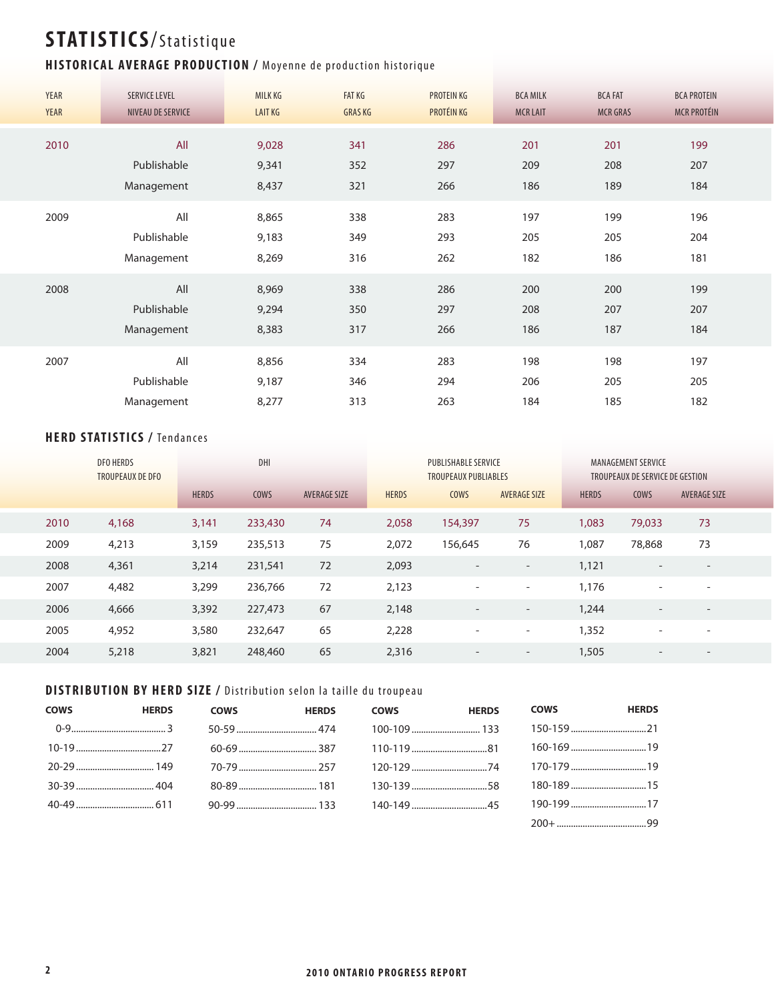#### **HISTORICAL AVERAGE PRODUCTION / Moyenne de production historique**

| <b>YEAR</b> | <b>SERVICE LEVEL</b> | <b>MILK KG</b> | <b>FAT KG</b> | <b>PROTEIN KG</b> | <b>BCA MILK</b> | <b>BCA FAT</b>  | <b>BCA PROTEIN</b> |
|-------------|----------------------|----------------|---------------|-------------------|-----------------|-----------------|--------------------|
| <b>YEAR</b> | NIVEAU DE SERVICE    | <b>LAIT KG</b> | <b>GRASKG</b> | PROTÉIN KG        | <b>MCR LAIT</b> | <b>MCR GRAS</b> | <b>MCR PROTÉIN</b> |
| 2010        | All                  | 9,028          | 341           | 286               | 201             | 201             | 199                |
|             | Publishable          | 9,341          | 352           | 297               | 209             | 208             | 207                |
|             | Management           | 8,437          | 321           | 266               | 186             | 189             | 184                |
| 2009        | All                  | 8,865          | 338           | 283               | 197             | 199             | 196                |
|             | Publishable          | 9,183          | 349           | 293               | 205             | 205             | 204                |
|             | Management           | 8,269          | 316           | 262               | 182             | 186             | 181                |
| 2008        | All                  | 8,969          | 338           | 286               | 200             | 200             | 199                |
|             | Publishable          | 9,294          | 350           | 297               | 208             | 207             | 207                |
|             | Management           | 8,383          | 317           | 266               | 186             | 187             | 184                |
| 2007        | All                  | 8,856          | 334           | 283               | 198             | 198             | 197                |
|             | Publishable          | 9,187          | 346           | 294               | 206             | 205             | 205                |
|             | Management           | 8,277          | 313           | 263               | 184             | 185             | 182                |

#### **HERD STATISTICS / Tendances**

|      | <b>DFO HERDS</b><br><b>TROUPEAUX DE DFO</b> | DHI          |         |                     |              | <b>PUBLISHABLE SERVICE</b><br><b>TROUPEAUX PUBLIABLES</b> |                          | MANAGEMENT SERVICE<br>TROUPEAUX DE SERVICE DE GESTION |                          |                          |
|------|---------------------------------------------|--------------|---------|---------------------|--------------|-----------------------------------------------------------|--------------------------|-------------------------------------------------------|--------------------------|--------------------------|
|      |                                             | <b>HERDS</b> | COWS    | <b>AVERAGE SIZE</b> | <b>HERDS</b> | <b>COWS</b>                                               | <b>AVERAGE SIZE</b>      | <b>HERDS</b>                                          | <b>COWS</b>              | <b>AVERAGE SIZE</b>      |
| 2010 | 4,168                                       | 3,141        | 233,430 | 74                  | 2,058        | 154,397                                                   | 75                       | 1,083                                                 | 79,033                   | 73                       |
| 2009 | 4,213                                       | 3,159        | 235,513 | 75                  | 2,072        | 156,645                                                   | 76                       | 1,087                                                 | 78,868                   | 73                       |
| 2008 | 4,361                                       | 3,214        | 231,541 | 72                  | 2,093        | $\overline{\phantom{a}}$                                  | $\overline{\phantom{a}}$ | 1,121                                                 | $\overline{\phantom{0}}$ |                          |
| 2007 | 4,482                                       | 3,299        | 236,766 | 72                  | 2,123        | $\overline{\phantom{a}}$                                  | $\overline{\phantom{a}}$ | 1,176                                                 | $\overline{\phantom{a}}$ | $\qquad \qquad$          |
| 2006 | 4,666                                       | 3,392        | 227,473 | 67                  | 2,148        | $\overline{\phantom{a}}$                                  | $\overline{\phantom{a}}$ | 1,244                                                 | $\overline{\phantom{a}}$ | $\qquad \qquad$          |
| 2005 | 4,952                                       | 3,580        | 232,647 | 65                  | 2,228        | $\overline{\phantom{a}}$                                  | $\overline{\phantom{a}}$ | 1,352                                                 | $\overline{\phantom{0}}$ | $\overline{\phantom{0}}$ |
| 2004 | 5,218                                       | 3,821        | 248,460 | 65                  | 2,316        | $\overline{\phantom{0}}$                                  | $\overline{\phantom{a}}$ | 1,505                                                 |                          |                          |

#### **DISTRIBUTION BY HERD SIZE / Distribution selon la taille du troupeau**

| <b>COWS</b> | <b>HERDS</b> | <b>COWS</b> | <b>HERDS</b> | <b>COWS</b> | <b>HERDS</b> | <b>COWS</b> | <b>HERDS</b> |
|-------------|--------------|-------------|--------------|-------------|--------------|-------------|--------------|
|             |              |             |              |             |              |             |              |
|             |              |             |              |             |              |             |              |
|             |              |             |              |             |              |             |              |
|             |              |             |              |             |              |             |              |
|             |              |             |              |             |              |             |              |
|             |              |             |              |             |              |             |              |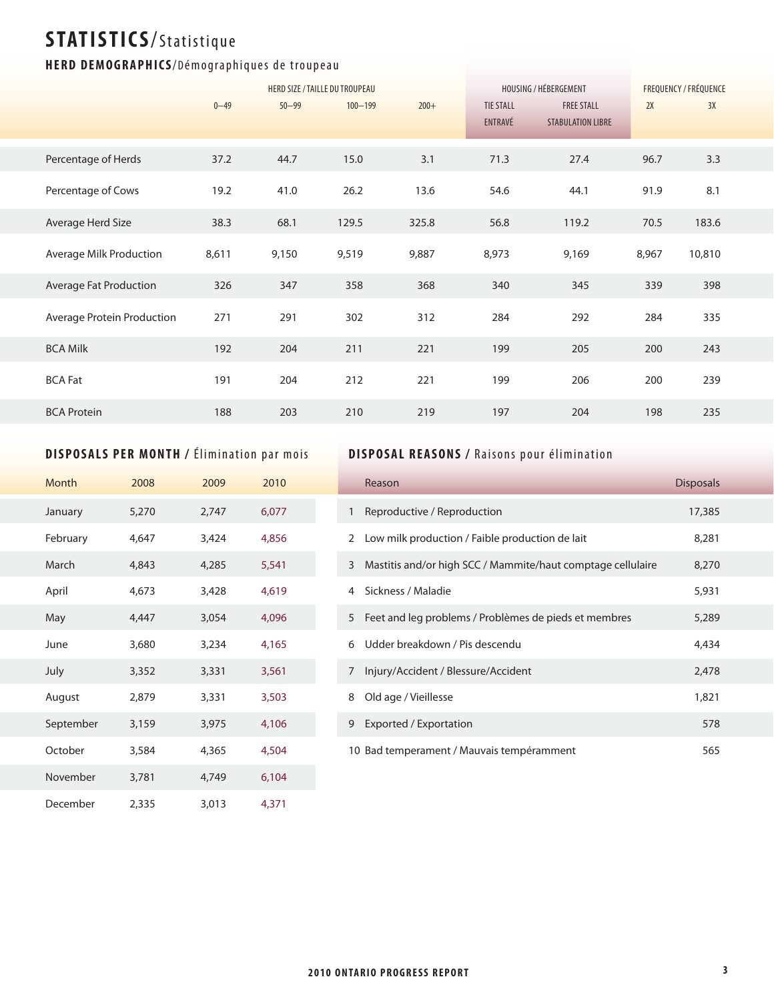#### HERD DEMOGRAPHICS/Démographiques de troupeau

|                            |          |           | HERD SIZE / TAILLE DU TROUPEAU |        |                             | HOUSING / HÉBERGEMENT                         | FREQUENCY / FRÉQUENCE |        |
|----------------------------|----------|-----------|--------------------------------|--------|-----------------------------|-----------------------------------------------|-----------------------|--------|
|                            | $0 - 49$ | $50 - 99$ | $100 - 199$                    | $200+$ | <b>TIE STALL</b><br>ENTRAVÉ | <b>FREE STALL</b><br><b>STABULATION LIBRE</b> | 2X                    | 3X     |
| Percentage of Herds        | 37.2     | 44.7      | 15.0                           | 3.1    | 71.3                        | 27.4                                          | 96.7                  | 3.3    |
| Percentage of Cows         | 19.2     | 41.0      | 26.2                           | 13.6   | 54.6                        | 44.1                                          | 91.9                  | 8.1    |
| Average Herd Size          | 38.3     | 68.1      | 129.5                          | 325.8  | 56.8                        | 119.2                                         | 70.5                  | 183.6  |
| Average Milk Production    | 8,611    | 9,150     | 9,519                          | 9,887  | 8,973                       | 9,169                                         | 8,967                 | 10,810 |
| Average Fat Production     | 326      | 347       | 358                            | 368    | 340                         | 345                                           | 339                   | 398    |
| Average Protein Production | 271      | 291       | 302                            | 312    | 284                         | 292                                           | 284                   | 335    |
| <b>BCA Milk</b>            | 192      | 204       | 211                            | 221    | 199                         | 205                                           | 200                   | 243    |
| <b>BCA Fat</b>             | 191      | 204       | 212                            | 221    | 199                         | 206                                           | 200                   | 239    |
| <b>BCA Protein</b>         | 188      | 203       | 210                            | 219    | 197                         | 204                                           | 198                   | 235    |

#### **DISPOSALS PER MONTH / Élimination par mois**

| Month     | 2008  | 2009  | 2010  |  |
|-----------|-------|-------|-------|--|
| January   | 5,270 | 2,747 | 6,077 |  |
| February  | 4,647 | 3,424 | 4,856 |  |
| March     | 4,843 | 4,285 | 5,541 |  |
| April     | 4,673 | 3,428 | 4,619 |  |
| May       | 4,447 | 3,054 | 4,096 |  |
| June      | 3,680 | 3,234 | 4,165 |  |
| July      | 3,352 | 3,331 | 3,561 |  |
| August    | 2,879 | 3,331 | 3,503 |  |
| September | 3,159 | 3,975 | 4,106 |  |
| October   | 3,584 | 4,365 | 4,504 |  |
| November  | 3,781 | 4,749 | 6,104 |  |
| December  | 2,335 | 3,013 | 4,371 |  |

#### **DISPOSAL REASONS / Raisons pour élimination**

|              | Reason                                                      | <b>Disposals</b> |
|--------------|-------------------------------------------------------------|------------------|
| $\mathbf{1}$ | Reproductive / Reproduction                                 | 17,385           |
| 2            | Low milk production / Faible production de lait             | 8,281            |
| 3            | Mastitis and/or high SCC / Mammite/haut comptage cellulaire | 8,270            |
| 4            | Sickness / Maladie                                          | 5,931            |
| 5            | Feet and leg problems / Problèmes de pieds et membres       | 5,289            |
| 6            | Udder breakdown / Pis descendu                              | 4,434            |
| 7            | Injury/Accident / Blessure/Accident                         | 2,478            |
| 8            | Old age / Vieillesse                                        | 1,821            |
| 9            | Exported / Exportation                                      | 578              |
|              | 10 Bad temperament / Mauvais tempéramment                   | 565              |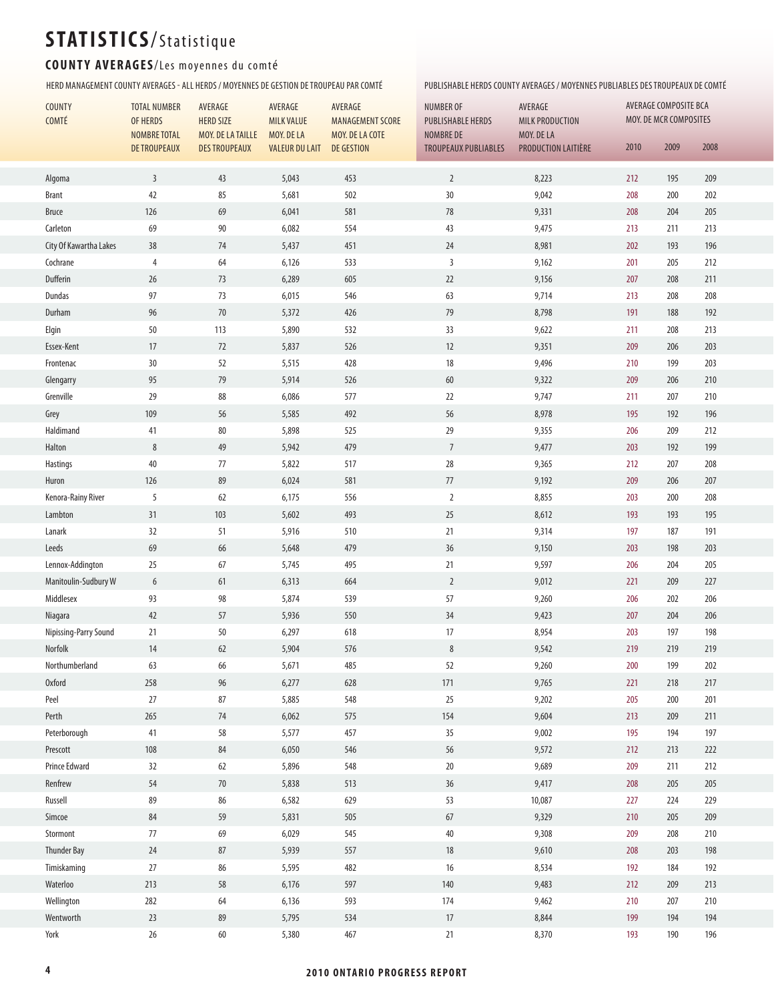#### COUNTY AVERAGES/Les moyennes du comté

HERD MANAGEMENT COUNTY AVERAGES - ALL HERDS / MOYENNES DE GESTION DE TROUPEAU PAR COMTÉ PUBLISHABLE HERDS COUNTY AVERAGES / MOYENNES PUBLIABLES DES TROUPEAUX DE COMTÉ

| COUNTY<br>COMTÉ        | <b>TOTAL NUMBER</b><br>OF HERDS | AVERAGE<br><b>HERD SIZE</b> | AVERAGE<br><b>MILK VALUE</b> | AVERAGE<br><b>MANAGEMENT SCORE</b> | <b>NUMBER OF</b>            | AVERAGE<br><b>PUBLISHABLE HERDS</b><br><b>MILK PRODUCTION</b> |         | AVERAGE COMPOSITE BCA<br>MOY. DE MCR COMPOSITES |      |  |  |
|------------------------|---------------------------------|-----------------------------|------------------------------|------------------------------------|-----------------------------|---------------------------------------------------------------|---------|-------------------------------------------------|------|--|--|
|                        | NOMBRE TOTAL                    | MOY. DE LA TAILLE           | MOY. DE LA                   | MOY. DE LA COTE                    | NOMBRE DE                   | MOY. DE LA                                                    |         |                                                 |      |  |  |
|                        | <b>DE TROUPEAUX</b>             | <b>DES TROUPEAUX</b>        | <b>VALEUR DU LAIT</b>        | DE GESTION                         | <b>TROUPEAUX PUBLIABLES</b> | PRODUCTION LAITIÈRE                                           | 2010    | 2009                                            | 2008 |  |  |
| Algoma                 | $\overline{3}$                  | 43                          | 5,043                        | 453                                | $\overline{2}$              | 8,223                                                         | 212     | 195                                             | 209  |  |  |
| <b>Brant</b>           | 42                              | 85                          | 5,681                        | 502                                | $30\,$                      | 9,042                                                         | 208     | 200                                             | 202  |  |  |
| <b>Bruce</b>           | 126                             | 69                          | 6,041                        | 581                                | 78                          | 9,331                                                         | 208     | 204                                             | 205  |  |  |
| Carleton               | 69                              | $90\,$                      | 6,082                        | 554                                | 43                          | 9,475                                                         | 213     | 211                                             | 213  |  |  |
| City Of Kawartha Lakes | 38                              | 74                          | 5,437                        | 451                                | 24                          | 8,981                                                         | 202     | 193                                             | 196  |  |  |
| Cochrane               | $\overline{4}$                  | 64                          | 6,126                        | 533                                | $\overline{3}$              | 9,162                                                         | 201     | 205                                             | 212  |  |  |
| Dufferin               | 26                              | 73                          | 6,289                        | 605                                | 22                          | 9,156                                                         | 207     | 208                                             | 211  |  |  |
| Dundas                 | 97                              | 73                          | 6,015                        | 546                                | 63                          | 9,714                                                         | 213     | 208                                             | 208  |  |  |
| Durham                 | 96                              | 70                          | 5,372                        | 426                                | 79                          | 8,798                                                         | 191     | 188                                             | 192  |  |  |
| Elgin                  | 50                              | 113                         | 5,890                        | 532                                | 33                          | 9,622                                                         | 211     | 208                                             | 213  |  |  |
| Essex-Kent             | 17                              | 72                          | 5,837                        | 526                                | $12$                        | 9,351                                                         | 209     | 206                                             | 203  |  |  |
| Frontenac              | 30                              | 52                          | 5,515                        | 428                                | $18\,$                      | 9,496                                                         | 210     | 199                                             | 203  |  |  |
| Glengarry              | 95                              | 79                          | 5,914                        | 526                                | 60                          | 9,322                                                         | 209     | 206                                             | 210  |  |  |
| Grenville              | 29                              | 88                          | 6,086                        | 577                                | $22\,$                      | 9,747                                                         | 211     | 207                                             | 210  |  |  |
| Grey                   | 109                             | 56                          | 5,585                        | 492                                | 56                          | 8,978                                                         | 195     | 192                                             | 196  |  |  |
| Haldimand              | 41                              | $80\,$                      | 5,898                        | 525                                | 29                          | 9,355                                                         | 206     | 209                                             | 212  |  |  |
| Halton                 | $\,8\,$                         | 49                          | 5,942                        | 479                                | $\overline{7}$              | 9,477                                                         | 203     | 192                                             | 199  |  |  |
| Hastings               | 40                              | $77$                        | 5,822                        | 517                                | $28\,$                      | 9,365                                                         | 212     | 207                                             | 208  |  |  |
| Huron                  | 126                             | 89                          | 6,024                        | 581                                | $77\,$                      | 9,192                                                         | 209     | 206                                             | 207  |  |  |
| Kenora-Rainy River     | 5                               | 62                          | 6,175                        | 556                                | $\overline{2}$              | 8,855                                                         | 203     | 200                                             | 208  |  |  |
| Lambton                | 31                              | 103                         | 5,602                        | 493                                | 25                          | 8,612                                                         | 193     | 193                                             | 195  |  |  |
| Lanark                 | 32                              | 51                          | 5,916                        | 510                                | 21                          | 9,314                                                         | 197     | 187                                             | 191  |  |  |
| Leeds                  | 69                              | 66                          | 5,648                        | 479                                | 36                          | 9,150                                                         | 203     | 198                                             | 203  |  |  |
| Lennox-Addington       | 25                              | 67                          | 5,745                        | 495                                | 21                          | 9,597                                                         | 206     | 204                                             | 205  |  |  |
| Manitoulin-Sudbury W   | $6\,$                           | 61                          | 6,313                        | 664                                | $\overline{2}$              | 9,012                                                         | 221     | 209                                             | 227  |  |  |
| Middlesex              | 93                              | 98                          | 5,874                        | 539                                | 57                          | 9,260                                                         | 206     | 202                                             | 206  |  |  |
| Niagara                | 42                              | 57                          | 5,936                        | 550                                | 34                          | 9,423                                                         | 207     | 204                                             | 206  |  |  |
| Nipissing-Parry Sound  | 21                              | 50                          | 6,297                        | 618                                | 17                          | 8,954                                                         | 203     | 197                                             | 198  |  |  |
| Norfolk                | 14                              | 62                          | 5,904                        | 576                                | 8                           | 9,542                                                         | 219     | 219                                             | 219  |  |  |
| Northumberland         | 63                              | 66                          | 5,671                        | 485                                | 52                          | 9,260                                                         | $200\,$ | 199                                             | 202  |  |  |
| <b>Oxford</b>          | 258                             | 96                          | 6,277                        | 628                                | 171                         | 9,765                                                         | 221     | 218                                             | 217  |  |  |
| Peel                   | $27\,$                          | $87\,$                      | 5,885                        | 548                                | $25\,$                      | 9,202                                                         | 205     | 200                                             | 201  |  |  |
| Perth                  | 265                             | 74                          | 6,062                        | 575                                | 154                         | 9,604                                                         | 213     | 209                                             | 211  |  |  |
| Peterborough           | 41                              | 58                          | 5,577                        | 457                                | 35                          | 9,002                                                         | 195     | 194                                             | 197  |  |  |
| Prescott               | 108                             | 84                          | 6,050                        | 546                                | 56                          | 9,572                                                         | 212     | 213                                             | 222  |  |  |
| Prince Edward          | 32                              | 62                          | 5,896                        | 548                                | $20\,$                      | 9,689                                                         | 209     | 211                                             | 212  |  |  |
| Renfrew                | 54                              | 70                          | 5,838                        | 513                                | 36                          | 9,417                                                         | 208     | 205                                             | 205  |  |  |
| Russell                | 89                              | 86                          | 6,582                        | 629                                | 53                          | 10,087                                                        | 227     | 224                                             | 229  |  |  |
| Simcoe                 | 84                              | 59                          | 5,831                        | 505                                | 67                          | 9,329                                                         | 210     | 205                                             | 209  |  |  |
| Stormont               | 77                              | 69                          | 6,029                        | 545                                | 40                          | 9,308                                                         | 209     | 208                                             | 210  |  |  |
| <b>Thunder Bay</b>     | 24                              | 87                          | 5,939                        | 557                                | $18$                        | 9,610                                                         | 208     | 203                                             | 198  |  |  |
| Timiskaming            | 27                              | 86                          | 5,595                        | 482                                | 16                          | 8,534                                                         | 192     | 184                                             | 192  |  |  |
| Waterloo               | 213                             | 58                          | 6,176                        | 597                                | 140                         | 9,483                                                         | 212     | 209                                             | 213  |  |  |
| Wellington             | 282                             | 64                          | 6,136                        | 593                                | 174                         | 9,462                                                         | 210     | 207                                             | 210  |  |  |
| Wentworth              | 23                              | 89                          | 5,795                        | 534                                | 17                          | 8,844                                                         | 199     | 194                                             | 194  |  |  |
| York                   | $26\,$                          | 60                          | 5,380                        | 467                                | 21                          | 8,370                                                         | 193     | 190                                             | 196  |  |  |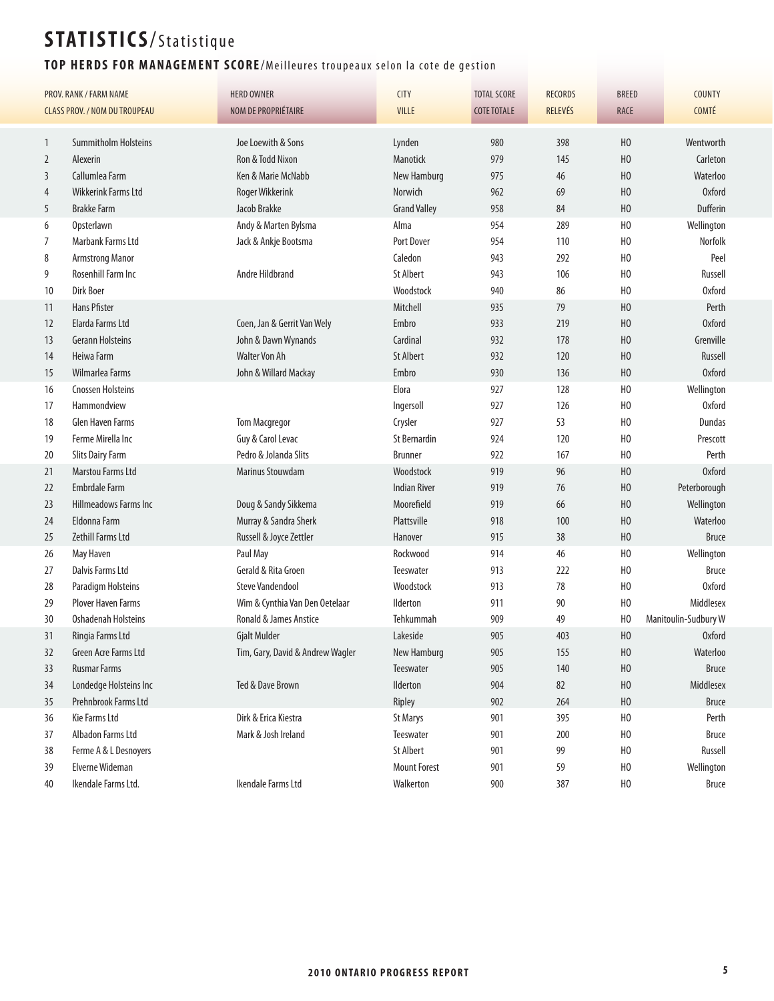### TOP HERDS FOR MANAGEMENT SCORE/Meilleures troupeaux selon la cote de gestion

| <b>PROV. RANK / FARM NAME</b> |                                      | <b>HERD OWNER</b>                 | <b>CITY</b>         | <b>TOTAL SCORE</b> | <b>RECORDS</b> | <b>BREED</b>   | <b>COUNTY</b>        |
|-------------------------------|--------------------------------------|-----------------------------------|---------------------|--------------------|----------------|----------------|----------------------|
|                               | <b>CLASS PROV. / NOM DU TROUPEAU</b> | NOM DE PROPRIÉTAIRE               | <b>VILLE</b>        | <b>COTE TOTALE</b> | <b>RELEVÉS</b> | RACE           | <b>COMTÉ</b>         |
|                               |                                      |                                   |                     |                    |                |                |                      |
| $\mathbf{1}$                  | <b>Summitholm Holsteins</b>          | Joe Loewith & Sons                | Lynden              | 980                | 398            | H <sub>0</sub> | Wentworth            |
| $\overline{2}$                | Alexerin                             | Ron & Todd Nixon                  | <b>Manotick</b>     | 979                | 145            | H <sub>0</sub> | Carleton             |
| 3                             | Callumlea Farm                       | Ken & Marie McNabb                | New Hamburg         | 975                | 46             | H <sub>0</sub> | Waterloo             |
| 4                             | <b>Wikkerink Farms Ltd</b>           | Roger Wikkerink                   | Norwich             | 962                | 69             | H <sub>0</sub> | <b>Oxford</b>        |
| 5                             | <b>Brakke Farm</b>                   | Jacob Brakke                      | <b>Grand Valley</b> | 958                | 84             | H <sub>0</sub> | Dufferin             |
| 6                             | Opsterlawn                           | Andy & Marten Bylsma              | Alma                | 954                | 289            | H <sub>0</sub> | Wellington           |
| 7                             | Marbank Farms Ltd                    | Jack & Ankje Bootsma              | Port Dover          | 954                | 110            | H <sub>0</sub> | <b>Norfolk</b>       |
| 8                             | <b>Armstrong Manor</b>               |                                   | Caledon             | 943                | 292            | H <sub>0</sub> | Peel                 |
| 9                             | Rosenhill Farm Inc                   | Andre Hildbrand                   | <b>St Albert</b>    | 943                | 106            | H <sub>0</sub> | Russell              |
| 10                            | <b>Dirk Boer</b>                     |                                   | Woodstock           | 940                | 86             | H <sub>0</sub> | <b>Oxford</b>        |
| 11                            | <b>Hans Pfister</b>                  |                                   | Mitchell            | 935                | 79             | H <sub>0</sub> | Perth                |
| 12                            | Elarda Farms Ltd                     | Coen, Jan & Gerrit Van Wely       | Embro               | 933                | 219            | H <sub>0</sub> | <b>Oxford</b>        |
| 13                            | <b>Gerann Holsteins</b>              | John & Dawn Wynands               | Cardinal            | 932                | 178            | H <sub>0</sub> | Grenville            |
| 14                            | Heiwa Farm                           | <b>Walter Von Ah</b>              | <b>St Albert</b>    | 932                | 120            | H <sub>0</sub> | Russell              |
| 15                            | Wilmarlea Farms                      | John & Willard Mackay             | Embro               | 930                | 136            | H <sub>0</sub> | <b>Oxford</b>        |
| 16                            | <b>Cnossen Holsteins</b>             |                                   | Elora               | 927                | 128            | H <sub>0</sub> | Wellington           |
| 17                            | Hammondview                          |                                   | Ingersoll           | 927                | 126            | H <sub>0</sub> | <b>Oxford</b>        |
| 18                            | <b>Glen Haven Farms</b>              | <b>Tom Macgregor</b>              | Crysler             | 927                | 53             | H <sub>0</sub> | Dundas               |
| 19                            | Ferme Mirella Inc                    | Guy & Carol Levac                 | <b>St Bernardin</b> | 924                | 120            | H <sub>0</sub> | Prescott             |
| 20                            | <b>Slits Dairy Farm</b>              | Pedro & Jolanda Slits             | <b>Brunner</b>      | 922                | 167            | H <sub>0</sub> | Perth                |
| 21                            | Marstou Farms Ltd                    | Marinus Stouwdam                  | Woodstock           | 919                | 96             | H <sub>0</sub> | <b>Oxford</b>        |
| 22                            | <b>Embrdale Farm</b>                 |                                   | <b>Indian River</b> | 919                | 76             | H <sub>0</sub> | Peterborough         |
| 23                            | Hillmeadows Farms Inc                | Doug & Sandy Sikkema              | Moorefield          | 919                | 66             | H <sub>0</sub> | Wellington           |
| 24                            | Eldonna Farm                         | Murray & Sandra Sherk             | Plattsville         | 918                | 100            | H <sub>0</sub> | Waterloo             |
| 25                            | Zethill Farms Ltd                    | Russell & Joyce Zettler           | Hanover             | 915                | 38             | H <sub>0</sub> | <b>Bruce</b>         |
| 26                            | May Haven                            | Paul May                          | Rockwood            | 914                | 46             | H <sub>0</sub> | Wellington           |
| 27                            | Dalvis Farms Ltd                     | Gerald & Rita Groen               | Teeswater           | 913                | 222            | H <sub>0</sub> | <b>Bruce</b>         |
| 28                            | Paradigm Holsteins                   | <b>Steve Vandendool</b>           | Woodstock           | 913                | 78             | H <sub>0</sub> | <b>Oxford</b>        |
| 29                            | <b>Plover Haven Farms</b>            | Wim & Cynthia Van Den Oetelaar    | Ilderton            | 911                | 90             | H <sub>0</sub> | Middlesex            |
| 30                            | <b>Oshadenah Holsteins</b>           | <b>Ronald &amp; James Anstice</b> | Tehkummah           | 909                | 49             | H <sub>0</sub> | Manitoulin-Sudbury W |
| 31                            | Ringia Farms Ltd                     | <b>Gjalt Mulder</b>               | Lakeside            | 905                | 403            | H <sub>0</sub> | <b>Oxford</b>        |
| 32                            | Green Acre Farms Ltd                 | Tim, Gary, David & Andrew Wagler  | New Hamburg         | 905                | 155            | ${\sf H0}$     | Waterloo             |
| 33                            | <b>Rusmar Farms</b>                  |                                   | Teeswater           | 905                | 140            | H <sub>0</sub> | <b>Bruce</b>         |
| 34                            | Londedge Holsteins Inc               | Ted & Dave Brown                  | Ilderton            | 904                | 82             | H <sub>0</sub> | Middlesex            |
| 35                            | Prehnbrook Farms Ltd                 |                                   | Ripley              | 902                | 264            | H <sub>0</sub> | <b>Bruce</b>         |
| 36                            | Kie Farms Ltd                        | Dirk & Erica Kiestra              | <b>St Marys</b>     | 901                | 395            | H <sub>0</sub> | Perth                |
| 37                            | Albadon Farms Ltd                    | Mark & Josh Ireland               | Teeswater           | 901                | 200            | H <sub>0</sub> | <b>Bruce</b>         |
| 38                            | Ferme A & L Desnoyers                |                                   | St Albert           | 901                | 99             | H <sub>0</sub> | Russell              |
| 39                            | Elverne Wideman                      |                                   | <b>Mount Forest</b> | 901                | 59             | H <sub>0</sub> | Wellington           |
|                               | Ikendale Farms Ltd.                  | Ikendale Farms Ltd                | Walkerton           |                    |                |                |                      |
| 40                            |                                      |                                   |                     | 900                | 387            | H <sub>0</sub> | <b>Bruce</b>         |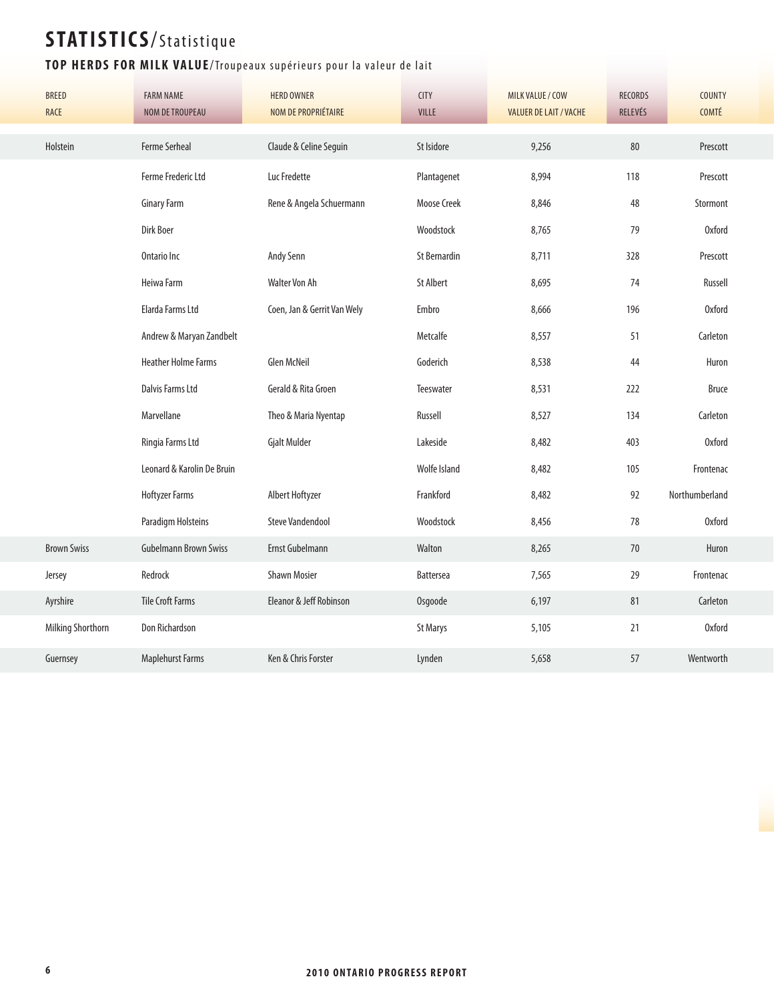#### TOP HERDS FOR MILK VALUE/Troupeaux supérieurs pour la valeur de lait

| <b>BREED</b><br>RACE | <b>FARM NAME</b><br><b>NOM DE TROUPEAU</b> | <b>HERD OWNER</b><br>NOM DE PROPRIÉTAIRE | <b>CITY</b><br><b>VILLE</b> | MILK VALUE / COW<br><b>VALUER DE LAIT / VACHE</b> | <b>RECORDS</b><br>RELEVÉS | <b>COUNTY</b><br>COMTÉ |
|----------------------|--------------------------------------------|------------------------------------------|-----------------------------|---------------------------------------------------|---------------------------|------------------------|
| Holstein             | <b>Ferme Serheal</b>                       | Claude & Celine Seguin                   | St Isidore                  | 9,256                                             | 80                        | Prescott               |
|                      | Ferme Frederic Ltd                         | Luc Fredette                             | Plantagenet                 | 8,994                                             | 118                       | Prescott               |
|                      | <b>Ginary Farm</b>                         | Rene & Angela Schuermann                 | <b>Moose Creek</b>          | 8,846                                             | 48                        | Stormont               |
|                      | Dirk Boer                                  |                                          | Woodstock                   | 8,765                                             | 79                        | <b>Oxford</b>          |
|                      | Ontario Inc                                | Andy Senn                                | <b>St Bernardin</b>         | 8,711                                             | 328                       | Prescott               |
|                      | Heiwa Farm                                 | Walter Von Ah                            | <b>St Albert</b>            | 8,695                                             | 74                        | Russell                |
|                      | Elarda Farms Ltd                           | Coen, Jan & Gerrit Van Wely              | Embro                       | 8,666                                             | 196                       | <b>Oxford</b>          |
|                      | Andrew & Maryan Zandbelt                   |                                          | Metcalfe                    | 8,557                                             | 51                        | Carleton               |
|                      | <b>Heather Holme Farms</b>                 | <b>Glen McNeil</b>                       | Goderich                    | 8,538                                             | 44                        | Huron                  |
|                      | <b>Dalvis Farms Ltd</b>                    | Gerald & Rita Groen                      | Teeswater                   | 8,531                                             | 222                       | <b>Bruce</b>           |
|                      | Marvellane                                 | Theo & Maria Nyentap                     | Russell                     | 8,527                                             | 134                       | Carleton               |
|                      | Ringia Farms Ltd                           | <b>Gjalt Mulder</b>                      | Lakeside                    | 8,482                                             | 403                       | <b>Oxford</b>          |
|                      | Leonard & Karolin De Bruin                 |                                          | Wolfe Island                | 8,482                                             | 105                       | Frontenac              |
|                      | <b>Hoftyzer Farms</b>                      | Albert Hoftyzer                          | Frankford                   | 8,482                                             | 92                        | Northumberland         |
|                      | Paradigm Holsteins                         | <b>Steve Vandendool</b>                  | Woodstock                   | 8,456                                             | 78                        | <b>Oxford</b>          |
| <b>Brown Swiss</b>   | <b>Gubelmann Brown Swiss</b>               | Ernst Gubelmann                          | Walton                      | 8,265                                             | 70                        | Huron                  |
| Jersey               | Redrock                                    | <b>Shawn Mosier</b>                      | Battersea                   | 7,565                                             | 29                        | Frontenac              |
| Ayrshire             | <b>Tile Croft Farms</b>                    | Eleanor & Jeff Robinson                  | Osgoode                     | 6,197                                             | 81                        | Carleton               |
| Milking Shorthorn    | Don Richardson                             |                                          | <b>St Marys</b>             | 5,105                                             | 21                        | <b>Oxford</b>          |
| Guernsey             | <b>Maplehurst Farms</b>                    | Ken & Chris Forster                      | Lynden                      | 5,658                                             | 57                        | Wentworth              |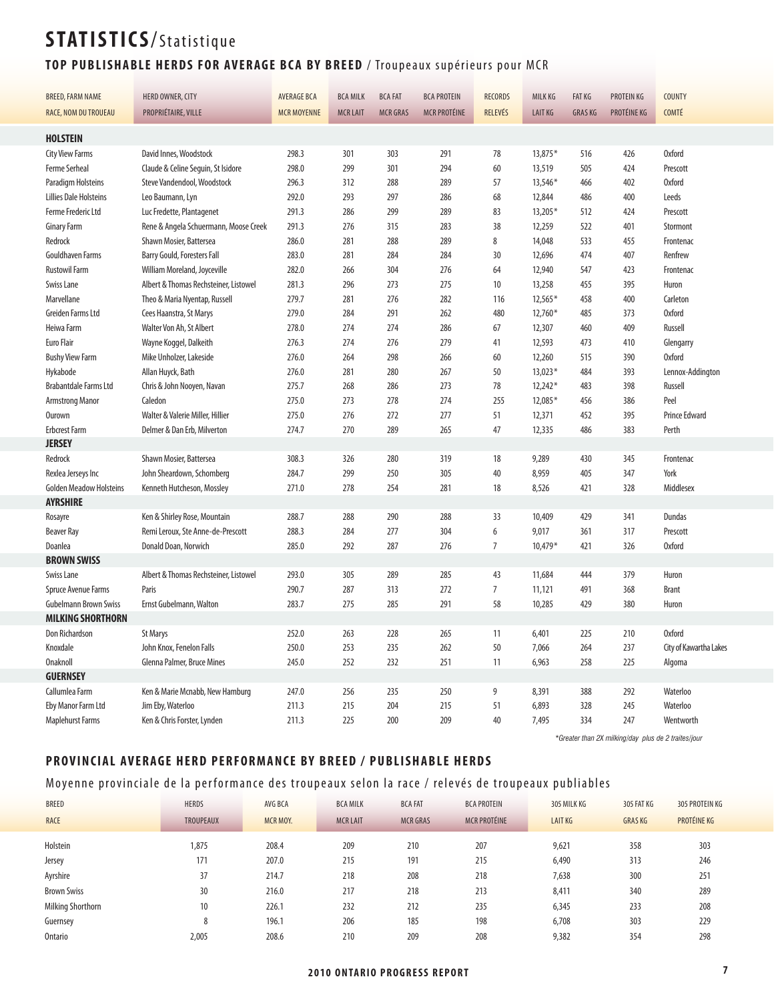#### TOP PUBLISHABLE HERDS FOR AVERAGE BCA BY BREED / Troupeaux supérieurs pour MCR

| <b>BREED, FARM NAME</b>        | HERD OWNER, CITY                      | <b>AVERAGE BCA</b> | <b>BCA MILK</b> | <b>BCA FAT</b>  | <b>BCA PROTEIN</b>  | <b>RECORDS</b> | <b>MILK KG</b> | <b>FAT KG</b> | PROTEIN KG                                          | <b>COUNTY</b>          |
|--------------------------------|---------------------------------------|--------------------|-----------------|-----------------|---------------------|----------------|----------------|---------------|-----------------------------------------------------|------------------------|
|                                |                                       |                    | <b>MCR LAIT</b> | <b>MCR GRAS</b> |                     | RELEVÉS        | <b>LAIT KG</b> |               | PROTÉINE KG                                         | <b>COMTÉ</b>           |
| RACE, NOM DU TROUEAU           | PROPRIÉTAIRE, VILLE                   | <b>MCR MOYENNE</b> |                 |                 | <b>MCR PROTÉINE</b> |                |                | <b>GRASKG</b> |                                                     |                        |
| <b>HOLSTEIN</b>                |                                       |                    |                 |                 |                     |                |                |               |                                                     |                        |
| <b>City View Farms</b>         | David Innes, Woodstock                | 298.3              | 301             | 303             | 291                 | 78             | 13,875*        | 516           | 426                                                 | <b>Oxford</b>          |
| Ferme Serheal                  | Claude & Celine Seguin, St Isidore    | 298.0              | 299             | 301             | 294                 | 60             | 13,519         | 505           | 424                                                 | Prescott               |
| Paradigm Holsteins             | Steve Vandendool, Woodstock           | 296.3              | 312             | 288             | 289                 | 57             | 13,546*        | 466           | 402                                                 | <b>Oxford</b>          |
| <b>Lillies Dale Holsteins</b>  | Leo Baumann, Lyn                      | 292.0              | 293             | 297             | 286                 | 68             | 12,844         | 486           | 400                                                 | Leeds                  |
| <b>Ferme Frederic Ltd</b>      | Luc Fredette, Plantagenet             | 291.3              | 286             | 299             | 289                 | 83             | 13,205*        | 512           | 424                                                 | Prescott               |
| <b>Ginary Farm</b>             | Rene & Angela Schuermann, Moose Creek | 291.3              | 276             | 315             | 283                 | 38             | 12,259         | 522           | 401                                                 | Stormont               |
| Redrock                        | Shawn Mosier, Battersea               | 286.0              | 281             | 288             | 289                 | 8              | 14,048         | 533           | 455                                                 | Frontenac              |
| <b>Gouldhaven Farms</b>        | Barry Gould, Foresters Fall           | 283.0              | 281             | 284             | 284                 | 30             | 12,696         | 474           | 407                                                 | Renfrew                |
| <b>Rustowil Farm</b>           | William Moreland, Joyceville          | 282.0              | 266             | 304             | 276                 | 64             | 12,940         | 547           | 423                                                 | Frontenac              |
| Swiss Lane                     | Albert & Thomas Rechsteiner, Listowel | 281.3              | 296             | 273             | 275                 | 10             | 13,258         | 455           | 395                                                 | Huron                  |
| Marvellane                     | Theo & Maria Nyentap, Russell         | 279.7              | 281             | 276             | 282                 | 116            | $12,565*$      | 458           | 400                                                 | Carleton               |
| Greiden Farms Ltd              | Cees Haanstra, St Marys               | 279.0              | 284             | 291             | 262                 | 480            | $12,760*$      | 485           | 373                                                 | <b>Oxford</b>          |
| Heiwa Farm                     | Walter Von Ah, St Albert              | 278.0              | 274             | 274             | 286                 | 67             | 12,307         | 460           | 409                                                 | Russell                |
| Euro Flair                     | Wayne Koggel, Dalkeith                | 276.3              | 274             | 276             | 279                 | 41             | 12,593         | 473           | 410                                                 | Glengarry              |
| <b>Bushy View Farm</b>         | Mike Unholzer, Lakeside               | 276.0              | 264             | 298             | 266                 | 60             | 12,260         | 515           | 390                                                 | <b>Oxford</b>          |
| Hykabode                       | Allan Huyck, Bath                     | 276.0              | 281             | 280             | 267                 | 50             | $13,023*$      | 484           | 393                                                 | Lennox-Addington       |
| <b>Brabantdale Farms Ltd</b>   | Chris & John Nooyen, Navan            | 275.7              | 268             | 286             | 273                 | 78             | $12,242*$      | 483           | 398                                                 | Russell                |
| <b>Armstrong Manor</b>         | Caledon                               | 275.0              | 273             | 278             | 274                 | 255            | 12,085*        | 456           | 386                                                 | Peel                   |
| <b>Ourown</b>                  | Walter & Valerie Miller, Hillier      | 275.0              | 276             | 272             | 277                 | 51             | 12,371         | 452           | 395                                                 | <b>Prince Edward</b>   |
| <b>Erbcrest Farm</b>           | Delmer & Dan Erb, Milverton           | 274.7              | 270             | 289             | 265                 | 47             | 12,335         | 486           | 383                                                 | Perth                  |
| <b>JERSEY</b>                  |                                       |                    |                 |                 |                     |                |                |               |                                                     |                        |
| Redrock                        | Shawn Mosier, Battersea               | 308.3              | 326             | 280             | 319                 | 18             | 9,289          | 430           | 345                                                 | Frontenac              |
| Rexlea Jerseys Inc             | John Sheardown, Schomberg             | 284.7              | 299             | 250             | 305                 | 40             | 8,959          | 405           | 347                                                 | York                   |
| <b>Golden Meadow Holsteins</b> | Kenneth Hutcheson, Mossley            | 271.0              | 278             | 254             | 281                 | 18             | 8,526          | 421           | 328                                                 | Middlesex              |
| <b>AYRSHIRE</b>                |                                       |                    |                 |                 |                     |                |                |               |                                                     |                        |
| Rosayre                        | Ken & Shirley Rose, Mountain          | 288.7              | 288             | 290             | 288                 | 33             | 10,409         | 429           | 341                                                 | Dundas                 |
| <b>Beaver Ray</b>              | Remi Leroux, Ste Anne-de-Prescott     | 288.3              | 284             | 277             | 304                 | 6              | 9,017          | 361           | 317                                                 | Prescott               |
| Doanlea                        | Donald Doan, Norwich                  | 285.0              | 292             | 287             | 276                 | $\overline{7}$ | $10,479*$      | 421           | 326                                                 | <b>Oxford</b>          |
| <b>BROWN SWISS</b>             |                                       |                    |                 |                 |                     |                |                |               |                                                     |                        |
| Swiss Lane                     | Albert & Thomas Rechsteiner, Listowel | 293.0              | 305             | 289             | 285                 | 43             | 11,684         | 444           | 379                                                 | Huron                  |
| Spruce Avenue Farms            | Paris                                 | 290.7              | 287             | 313             | 272                 | $\overline{7}$ | 11,121         | 491           | 368                                                 | <b>Brant</b>           |
| <b>Gubelmann Brown Swiss</b>   | Ernst Gubelmann, Walton               | 283.7              | 275             | 285             | 291                 | 58             | 10,285         | 429           | 380                                                 | Huron                  |
| <b>MILKING SHORTHORN</b>       |                                       |                    |                 |                 |                     |                |                |               |                                                     |                        |
| Don Richardson                 | <b>St Marys</b>                       | 252.0              | 263             | 228             | 265                 | 11             | 6,401          | 225           | 210                                                 | <b>Oxford</b>          |
| Knoxdale                       | John Knox, Fenelon Falls              | 250.0              | 253             | 235             | 262                 | 50             | 7,066          | 264           | 237                                                 | City of Kawartha Lakes |
| <b>Onaknoll</b>                | Glenna Palmer, Bruce Mines            | 245.0              | 252             | 232             | 251                 | 11             | 6,963          | 258           | 225                                                 | Algoma                 |
| <b>GUERNSEY</b>                |                                       |                    |                 |                 |                     |                |                |               |                                                     |                        |
| Callumlea Farm                 | Ken & Marie Mcnabb, New Hamburg       | 247.0              | 256             | 235             | 250                 | 9              | 8,391          | 388           | 292                                                 | Waterloo               |
| Eby Manor Farm Ltd             | Jim Eby, Waterloo                     | 211.3              | 215             | 204             | 215                 | 51             | 6,893          | 328           | 245                                                 | Waterloo               |
| <b>Maplehurst Farms</b>        | Ken & Chris Forster, Lynden           | 211.3              | 225             | 200             | 209                 | 40             | 7,495          | 334           | 247                                                 | Wentworth              |
|                                |                                       |                    |                 |                 |                     |                |                |               | *Greater than 2X milking/day plus de 2 traites/jour |                        |

#### **PROVINCIAL AVERAGE HERD PERFORMANCE BY BREED / PUBLISHABLE HERDS**

#### Moyenne provinciale de la performance des troupeaux selon la race / relevés de troupeaux publiables

| <b>BREED</b>             | <b>HERDS</b>     | AVG BCA         | <b>BCA MILK</b> | <b>BCA FAT</b>  | <b>BCA PROTEIN</b>  | 305 MILK KG    | 305 FAT KG    | 305 PROTEIN KG |
|--------------------------|------------------|-----------------|-----------------|-----------------|---------------------|----------------|---------------|----------------|
| <b>RACE</b>              | <b>TROUPEAUX</b> | <b>MCR MOY.</b> | <b>MCR LAIT</b> | <b>MCR GRAS</b> | <b>MCR PROTÉINE</b> | <b>LAIT KG</b> | <b>GRASKG</b> | PROTÉINE KG    |
| Holstein                 | 1,875            | 208.4           | 209             | 210             | 207                 | 9,621          | 358           | 303            |
| Jersey                   | 171              | 207.0           | 215             | 191             | 215                 | 6,490          | 313           | 246            |
| Ayrshire                 | 37               | 214.7           | 218             | 208             | 218                 | 7,638          | 300           | 251            |
| <b>Brown Swiss</b>       | 30               | 216.0           | 217             | 218             | 213                 | 8,411          | 340           | 289            |
| <b>Milking Shorthorn</b> | 10               | 226.1           | 232             | 212             | 235                 | 6,345          | 233           | 208            |
| Guernsey                 | 8                | 196.1           | 206             | 185             | 198                 | 6,708          | 303           | 229            |
| Ontario                  | 2,005            | 208.6           | 210             | 209             | 208                 | 9,382          | 354           | 298            |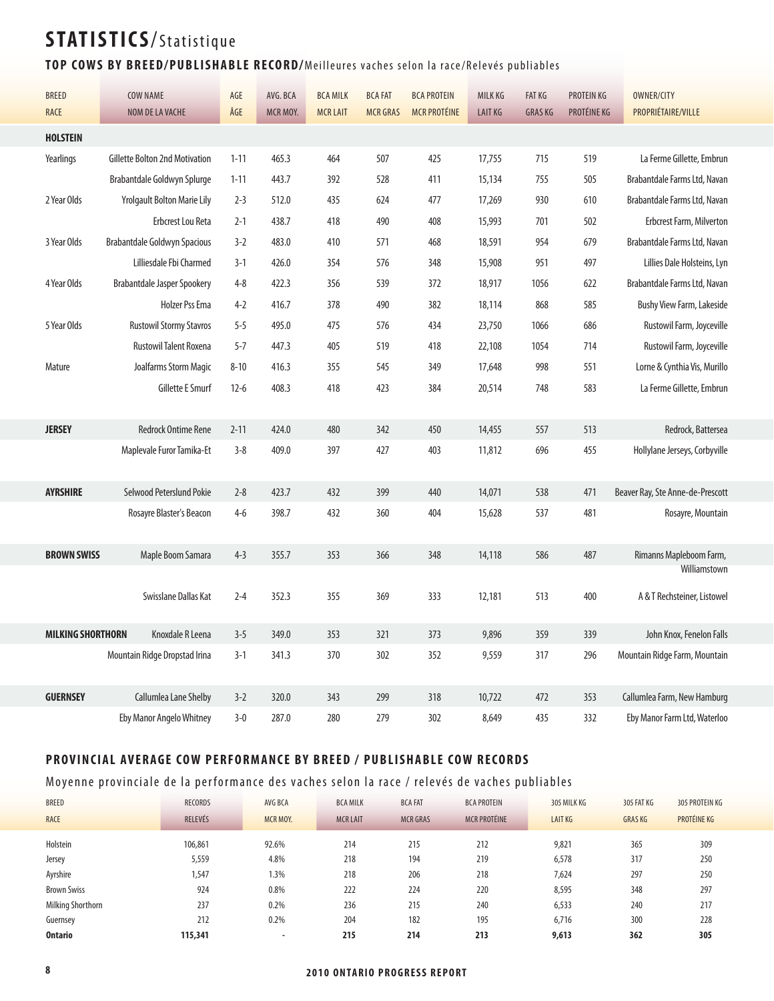#### TOP COWS BY BREED/PUBLISHABLE RECORD/Meilleures vaches selon la race/Relevés publiables

| <b>BREED</b>             | COW NAME                              | $AGE$    | AVG. BCA | <b>BCA MILK</b> | <b>BCA FAT</b>  | <b>BCA PROTEIN</b>  | MILK KG        | <b>FAT KG</b> | PROTEIN KG  | OWNER/CITY                       |
|--------------------------|---------------------------------------|----------|----------|-----------------|-----------------|---------------------|----------------|---------------|-------------|----------------------------------|
| RACE                     | NOM DE LA VACHE                       | ÂGE      | MCR MOY. | <b>MCR LAIT</b> | <b>MCR GRAS</b> | <b>MCR PROTÉINE</b> | <b>LAIT KG</b> | <b>GRASKG</b> | PROTÉINE KG | PROPRIÉTAIRE/VILLE               |
| <b>HOLSTEIN</b>          |                                       |          |          |                 |                 |                     |                |               |             |                                  |
| Yearlings                | <b>Gillette Bolton 2nd Motivation</b> | $1 - 11$ | 465.3    | 464             | 507             | 425                 | 17,755         | 715           | 519         | La Ferme Gillette, Embrun        |
|                          | Brabantdale Goldwyn Splurge           | $1 - 11$ | 443.7    | 392             | 528             | 411                 | 15,134         | 755           | 505         | Brabantdale Farms Ltd, Navan     |
| 2 Year Olds              | <b>Yrolgault Bolton Marie Lily</b>    | $2 - 3$  | 512.0    | 435             | 624             | 477                 | 17,269         | 930           | 610         | Brabantdale Farms Ltd, Navan     |
|                          | Erbcrest Lou Reta                     | $2 - 1$  | 438.7    | 418             | 490             | 408                 | 15,993         | 701           | 502         | <b>Erbcrest Farm, Milverton</b>  |
| 3 Year Olds              | <b>Brabantdale Goldwyn Spacious</b>   | $3-2$    | 483.0    | 410             | 571             | 468                 | 18,591         | 954           | 679         | Brabantdale Farms Ltd, Navan     |
|                          | Lilliesdale Fbi Charmed               | $3-1$    | 426.0    | 354             | 576             | 348                 | 15,908         | 951           | 497         | Lillies Dale Holsteins, Lyn      |
| 4 Year Olds              | Brabantdale Jasper Spookery           | $4 - 8$  | 422.3    | 356             | 539             | 372                 | 18,917         | 1056          | 622         | Brabantdale Farms Ltd, Navan     |
|                          | <b>Holzer Pss Ema</b>                 | $4 - 2$  | 416.7    | 378             | 490             | 382                 | 18,114         | 868           | 585         | Bushy View Farm, Lakeside        |
| 5 Year Olds              | <b>Rustowil Stormy Stavros</b>        | $5 - 5$  | 495.0    | 475             | 576             | 434                 | 23,750         | 1066          | 686         | Rustowil Farm, Joyceville        |
|                          | <b>Rustowil Talent Roxena</b>         | $5 - 7$  | 447.3    | 405             | 519             | 418                 | 22,108         | 1054          | 714         | Rustowil Farm, Joyceville        |
| Mature                   | Joalfarms Storm Magic                 | $8 - 10$ | 416.3    | 355             | 545             | 349                 | 17,648         | 998           | 551         | Lorne & Cynthia Vis, Murillo     |
|                          | Gillette E Smurf                      | $12-6$   | 408.3    | 418             | 423             | 384                 | 20,514         | 748           | 583         | La Ferme Gillette, Embrun        |
|                          |                                       |          |          |                 |                 |                     |                |               |             |                                  |
| <b>JERSEY</b>            | <b>Redrock Ontime Rene</b>            | $2 - 11$ | 424.0    | 480             | 342             | 450                 | 14,455         | 557           | 513         | Redrock, Battersea               |
|                          | Maplevale Furor Tamika-Et             | $3 - 8$  | 409.0    | 397             | 427             | 403                 | 11,812         | 696           | 455         | Hollylane Jerseys, Corbyville    |
|                          |                                       |          |          |                 |                 |                     |                |               |             |                                  |
| <b>AYRSHIRE</b>          | Selwood Peterslund Pokie              | $2 - 8$  | 423.7    | 432             | 399             | 440                 | 14,071         | 538           | 471         | Beaver Ray, Ste Anne-de-Prescott |
|                          | Rosayre Blaster's Beacon              | $4-6$    | 398.7    | 432             | 360             | 404                 | 15,628         | 537           | 481         | Rosayre, Mountain                |
|                          |                                       |          |          |                 |                 |                     |                |               |             |                                  |
| <b>BROWN SWISS</b>       | Maple Boom Samara                     | $4 - 3$  | 355.7    | 353             | 366             | 348                 | 14,118         | 586           | 487         | Rimanns Mapleboom Farm,          |
|                          |                                       |          |          |                 |                 |                     |                |               |             | Williamstown                     |
|                          | Swisslane Dallas Kat                  | $2 - 4$  | 352.3    | 355             | 369             | 333                 | 12,181         | 513           | 400         | A & T Rechsteiner, Listowel      |
|                          |                                       |          |          |                 |                 |                     |                |               |             |                                  |
| <b>MILKING SHORTHORN</b> | Knoxdale R Leena                      | $3 - 5$  | 349.0    | 353             | 321             | 373                 | 9,896          | 359           | 339         | John Knox, Fenelon Falls         |
|                          | Mountain Ridge Dropstad Irina         | $3-1$    | 341.3    | 370             | 302             | 352                 | 9,559          | 317           | 296         | Mountain Ridge Farm, Mountain    |
|                          |                                       |          |          |                 |                 |                     |                |               |             |                                  |
| <b>GUERNSEY</b>          | Callumlea Lane Shelby                 | $3-2$    | 320.0    | 343             | 299             | 318                 | 10,722         | 472           | 353         | Callumlea Farm, New Hamburg      |
|                          | Eby Manor Angelo Whitney              | $3 - 0$  | 287.0    | 280             | 279             | 302                 | 8,649          | 435           | 332         | Eby Manor Farm Ltd, Waterloo     |

#### **PROVINCIAL AVERAGE COW PERFORMANCE BY BREED / PUBLISHABLE COW RECORDS**

Moyenne provinciale de la performance des vaches selon la race / relevés de vaches publiables

| <b>BREED</b>       | RECORDS | AVG BCA                  | <b>BCA MILK</b> | <b>BCA FAT</b>  | <b>BCA PROTEIN</b>  | 305 MILK KG    | 305 FAT KG    | 305 PROTEIN KG |
|--------------------|---------|--------------------------|-----------------|-----------------|---------------------|----------------|---------------|----------------|
| RACE               | RELEVÉS | MCR MOY.                 | <b>MCR LAIT</b> | <b>MCR GRAS</b> | <b>MCR PROTÉINE</b> | <b>LAIT KG</b> | <b>GRASKG</b> | PROTÉINE KG    |
| Holstein           | 106,861 | 92.6%                    | 214             | 215             | 212                 | 9,821          | 365           | 309            |
| Jersey             | 5,559   | 4.8%                     | 218             | 194             | 219                 | 6,578          | 317           | 250            |
| Ayrshire           | 1,547   | 1.3%                     | 218             | 206             | 218                 | 7,624          | 297           | 250            |
| <b>Brown Swiss</b> | 924     | 0.8%                     | 222             | 224             | 220                 | 8,595          | 348           | 297            |
| Milking Shorthorn  | 237     | 0.2%                     | 236             | 215             | 240                 | 6,533          | 240           | 217            |
| Guernsey           | 212     | 0.2%                     | 204             | 182             | 195                 | 6,716          | 300           | 228            |
| <b>Ontario</b>     | 115,341 | $\overline{\phantom{a}}$ | 215             | 214             | 213                 | 9,613          | 362           | 305            |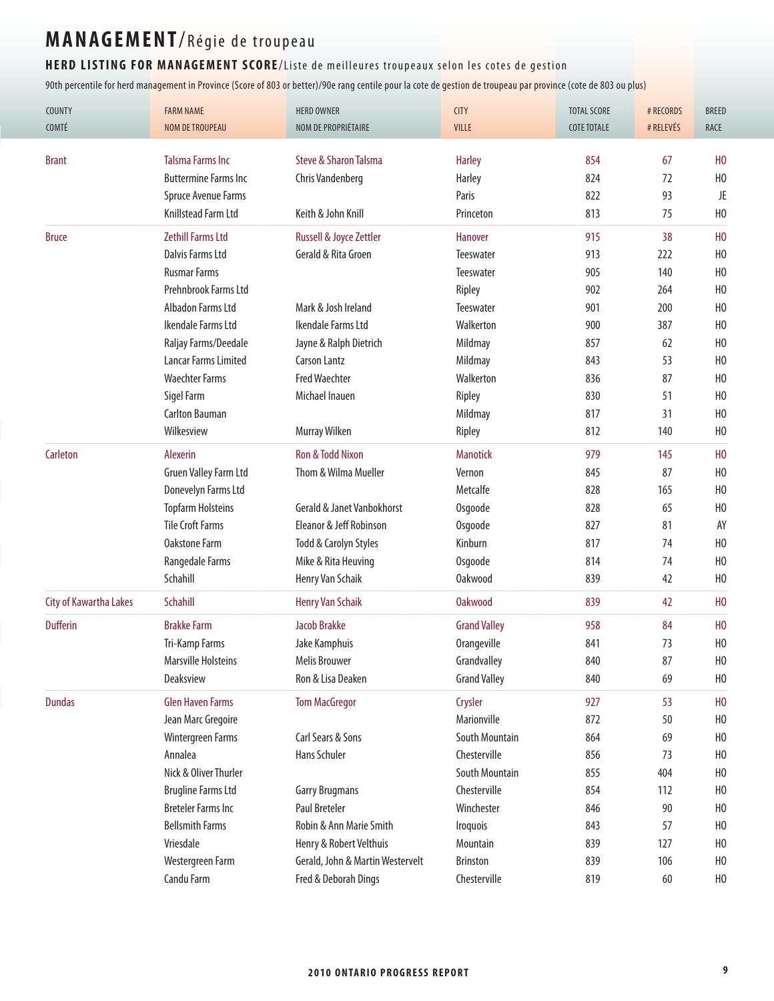#### HERD LISTING FOR MANAGEMENT SCORE/Liste de meilleures troupeaux selon les cotes de gestion

| <b>COUNTY</b><br>COMTÉ        | <b>FARM NAME</b><br><b>NOM DE TROUPEAU</b> | <b>HERD OWNER</b><br>NOM DE PROPRIÉTAIRE | <b>CITY</b><br>VILLE  | <b>TOTAL SCORE</b><br><b>COTE TOTALE</b> | # RECORDS<br># RELEVÉS | <b>BREED</b><br><b>RACE</b> |
|-------------------------------|--------------------------------------------|------------------------------------------|-----------------------|------------------------------------------|------------------------|-----------------------------|
|                               |                                            |                                          |                       |                                          |                        |                             |
| <b>Brant</b>                  | <b>Talsma Farms Inc</b>                    | Steve & Sharon Talsma                    | <b>Harley</b>         | 854                                      | 67                     | H <sub>0</sub>              |
|                               | <b>Buttermine Farms Inc</b>                | Chris Vandenberg                         | Harley                | 824                                      | 72                     | H <sub>0</sub>              |
|                               | Spruce Avenue Farms                        |                                          | Paris                 | 822                                      | 93                     | JE                          |
|                               | Knillstead Farm Ltd                        | Keith & John Knill                       | Princeton             | 813                                      | 75                     | H <sub>0</sub>              |
| <b>Bruce</b>                  | <b>Zethill Farms Ltd</b>                   | Russell & Joyce Zettler                  | Hanover               | 915                                      | 38                     | H <sub>0</sub>              |
|                               | Dalvis Farms Ltd                           | Gerald & Rita Groen                      | Teeswater             | 913                                      | 222                    | H <sub>0</sub>              |
|                               | <b>Rusmar Farms</b>                        |                                          | Teeswater             | 905                                      | 140                    | H <sub>0</sub>              |
|                               | Prehnbrook Farms Ltd                       |                                          | Ripley                | 902                                      | 264                    | H <sub>0</sub>              |
|                               | Albadon Farms Ltd                          | Mark & Josh Ireland                      | Teeswater             | 901                                      | 200                    | H <sub>0</sub>              |
|                               | Ikendale Farms Ltd                         | Ikendale Farms Ltd                       | Walkerton             | 900                                      | 387                    | H <sub>0</sub>              |
|                               | Raljay Farms/Deedale                       | Jayne & Ralph Dietrich                   | Mildmay               | 857                                      | 62                     | H <sub>0</sub>              |
|                               | <b>Lancar Farms Limited</b>                | <b>Carson Lantz</b>                      | Mildmay               | 843                                      | 53                     | H <sub>0</sub>              |
|                               | <b>Waechter Farms</b>                      | <b>Fred Waechter</b>                     | Walkerton             | 836                                      | 87                     | H <sub>0</sub>              |
|                               | Sigel Farm                                 | Michael Inauen                           | Ripley                | 830                                      | 51                     | H <sub>0</sub>              |
|                               | <b>Carlton Bauman</b>                      |                                          | Mildmay               | 817                                      | 31                     | H <sub>0</sub>              |
|                               | Wilkesview                                 | Murray Wilken                            | Ripley                | 812                                      | 140                    | H <sub>0</sub>              |
| Carleton                      | Alexerin                                   | Ron & Todd Nixon                         | <b>Manotick</b>       | 979                                      | 145                    | H <sub>0</sub>              |
|                               | Gruen Valley Farm Ltd                      | Thom & Wilma Mueller                     | Vernon                | 845                                      | 87                     | H <sub>0</sub>              |
|                               | Donevelyn Farms Ltd                        |                                          | Metcalfe              | 828                                      | 165                    | H <sub>0</sub>              |
|                               | <b>Topfarm Holsteins</b>                   | <b>Gerald &amp; Janet Vanbokhorst</b>    | Osgoode               | 828                                      | 65                     | H <sub>0</sub>              |
|                               | <b>Tile Croft Farms</b>                    | Eleanor & Jeff Robinson                  | Osgoode               | 827                                      | 81                     | AY                          |
|                               | <b>Oakstone Farm</b>                       | Todd & Carolyn Styles                    | Kinburn               | 817                                      | 74                     | H <sub>0</sub>              |
|                               | Rangedale Farms                            | Mike & Rita Heuving                      | Osgoode               | 814                                      | 74                     | H <sub>0</sub>              |
|                               | Schahill                                   | Henry Van Schaik                         | <b>Oakwood</b>        | 839                                      | 42                     | H <sub>0</sub>              |
| <b>City of Kawartha Lakes</b> | Schahill                                   | <b>Henry Van Schaik</b>                  | <b>Oakwood</b>        | 839                                      | 42                     | H <sub>0</sub>              |
| <b>Dufferin</b>               | <b>Brakke Farm</b>                         | <b>Jacob Brakke</b>                      | <b>Grand Valley</b>   | 958                                      | 84                     | H <sub>0</sub>              |
|                               | Tri-Kamp Farms                             | Jake Kamphuis                            | Orangeville           | 841                                      | 73                     | H <sub>0</sub>              |
|                               | <b>Marsville Holsteins</b>                 | <b>Melis Brouwer</b>                     | Grandvalley           | 840                                      | 87                     | H <sub>0</sub>              |
|                               | Deaksview                                  | Ron & Lisa Deaken                        | <b>Grand Valley</b>   | 840                                      | 69                     | H <sub>0</sub>              |
| <b>Dundas</b>                 | <b>Glen Haven Farms</b>                    | <b>Tom MacGregor</b>                     | Crysler               | 927                                      | 53                     | H <sub>0</sub>              |
|                               | Jean Marc Gregoire                         |                                          | Marionville           | 872                                      | 50                     | H <sub>0</sub>              |
|                               | Wintergreen Farms                          | Carl Sears & Sons                        | <b>South Mountain</b> | 864                                      | 69                     | H <sub>0</sub>              |
|                               | Annalea                                    | Hans Schuler                             | Chesterville          | 856                                      | 73                     | H <sub>0</sub>              |
|                               | Nick & Oliver Thurler                      |                                          | South Mountain        | 855                                      | 404                    | H <sub>0</sub>              |
|                               | <b>Brugline Farms Ltd</b>                  | <b>Garry Brugmans</b>                    | Chesterville          | 854                                      | 112                    | H <sub>0</sub>              |
|                               | <b>Breteler Farms Inc</b>                  | <b>Paul Breteler</b>                     | Winchester            | 846                                      | 90                     | H <sub>0</sub>              |
|                               | <b>Bellsmith Farms</b>                     | Robin & Ann Marie Smith                  | Iroquois              | 843                                      | 57                     | H <sub>0</sub>              |
|                               | Vriesdale                                  | Henry & Robert Velthuis                  | Mountain              | 839                                      | 127                    | H <sub>0</sub>              |
|                               | Westergreen Farm                           | Gerald, John & Martin Westervelt         | Brinston              | 839                                      | 106                    | H <sub>0</sub>              |
|                               | Candu Farm                                 | Fred & Deborah Dings                     | Chesterville          | 819                                      | 60                     | H <sub>0</sub>              |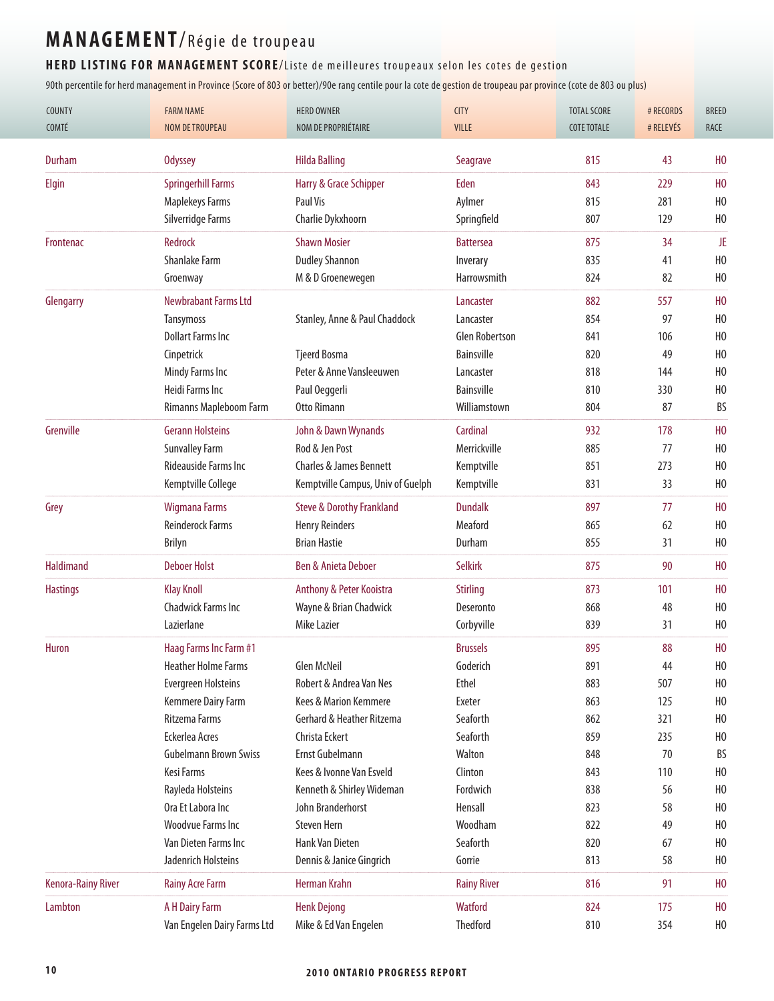#### HERD LISTING FOR MANAGEMENT SCORE/Liste de meilleures troupeaux selon les cotes de gestion

| COUNTY<br>COMTÉ           | <b>FARM NAME</b><br><b>NOM DE TROUPEAU</b> | <b>HERD OWNER</b><br>NOM DE PROPRIÉTAIRE | <b>CITY</b><br><b>VILLE</b> | <b>TOTAL SCORE</b><br><b>COTE TOTALE</b> | # RECORDS<br># RELEVÉS | <b>BREED</b><br>RACE |
|---------------------------|--------------------------------------------|------------------------------------------|-----------------------------|------------------------------------------|------------------------|----------------------|
|                           |                                            |                                          |                             |                                          |                        |                      |
| <b>Durham</b>             | <b>Odyssey</b>                             | <b>Hilda Balling</b>                     | Seagrave                    | 815                                      | 43                     | H <sub>0</sub>       |
| Elgin                     | <b>Springerhill Farms</b>                  | Harry & Grace Schipper                   | Eden                        | 843                                      | 229                    | H <sub>0</sub>       |
|                           | <b>Maplekeys Farms</b>                     | Paul Vis                                 | Aylmer                      | 815                                      | 281                    | H <sub>0</sub>       |
|                           | Silverridge Farms                          | Charlie Dykxhoorn                        | Springfield                 | 807                                      | 129                    | H <sub>0</sub>       |
| Frontenac                 | <b>Redrock</b>                             | <b>Shawn Mosier</b>                      | <b>Battersea</b>            | 875                                      | 34                     | JE                   |
|                           | <b>Shanlake Farm</b>                       | <b>Dudley Shannon</b>                    | Inverary                    | 835                                      | 41                     | H <sub>0</sub>       |
|                           | Groenway                                   | M & D Groenewegen                        | Harrowsmith                 | 824                                      | 82                     | H <sub>0</sub>       |
| Glengarry                 | <b>Newbrabant Farms Ltd</b>                |                                          | Lancaster                   | 882                                      | 557                    | H <sub>0</sub>       |
|                           | <b>Tansymoss</b>                           | Stanley, Anne & Paul Chaddock            | Lancaster                   | 854                                      | 97                     | H <sub>0</sub>       |
|                           | <b>Dollart Farms Inc</b>                   |                                          | <b>Glen Robertson</b>       | 841                                      | 106                    | H <sub>0</sub>       |
|                           | Cinpetrick                                 | <b>Tjeerd Bosma</b>                      | <b>Bainsville</b>           | 820                                      | 49                     | H <sub>0</sub>       |
|                           | Mindy Farms Inc                            | Peter & Anne Vansleeuwen                 | Lancaster                   | 818                                      | 144                    | H <sub>0</sub>       |
|                           | Heidi Farms Inc                            | Paul Oeggerli                            | <b>Bainsville</b>           | 810                                      | 330                    | H <sub>0</sub>       |
|                           | Rimanns Mapleboom Farm                     | Otto Rimann                              | Williamstown                | 804                                      | 87                     | BS                   |
| Grenville                 | <b>Gerann Holsteins</b>                    | John & Dawn Wynands                      | Cardinal                    | 932                                      | 178                    | H <sub>0</sub>       |
|                           | <b>Sunvalley Farm</b>                      | Rod & Jen Post                           | Merrickville                | 885                                      | 77                     | H <sub>0</sub>       |
|                           | <b>Rideauside Farms Inc.</b>               | <b>Charles &amp; James Bennett</b>       | Kemptville                  | 851                                      | 273                    | H <sub>0</sub>       |
|                           | Kemptville College                         | Kemptville Campus, Univ of Guelph        | Kemptville                  | 831                                      | 33                     | H <sub>0</sub>       |
| Grey                      | <b>Wigmana Farms</b>                       | <b>Steve &amp; Dorothy Frankland</b>     | <b>Dundalk</b>              | 897                                      | 77                     | H <sub>0</sub>       |
|                           | <b>Reinderock Farms</b>                    | <b>Henry Reinders</b>                    | Meaford                     | 865                                      | 62                     | H <sub>0</sub>       |
|                           | <b>Brilyn</b>                              | <b>Brian Hastie</b>                      | Durham                      | 855                                      | 31                     | H <sub>0</sub>       |
| <b>Haldimand</b>          | <b>Deboer Holst</b>                        | Ben & Anieta Deboer                      | <b>Selkirk</b>              | 875                                      | 90                     | H <sub>0</sub>       |
| <b>Hastings</b>           | <b>Klay Knoll</b>                          | Anthony & Peter Kooistra                 | <b>Stirling</b>             | 873                                      | 101                    | H <sub>0</sub>       |
|                           | Chadwick Farms Inc                         | Wayne & Brian Chadwick                   | Deseronto                   | 868                                      | 48                     | H <sub>0</sub>       |
|                           | Lazierlane                                 | Mike Lazier                              | Corbyville                  | 839                                      | 31                     | H <sub>0</sub>       |
| <b>Huron</b>              | Haag Farms Inc Farm #1                     |                                          | <b>Brussels</b>             | 895                                      | 88                     | H <sub>0</sub>       |
|                           | <b>Heather Holme Farms</b>                 | <b>Glen McNeil</b>                       | Goderich                    | 891                                      | 44                     | H <sub>0</sub>       |
|                           | <b>Evergreen Holsteins</b>                 | Robert & Andrea Van Nes                  | <b>Ethel</b>                | 883                                      | 507                    | H <sub>0</sub>       |
|                           | Kemmere Dairy Farm                         | Kees & Marion Kemmere                    | Exeter                      | 863                                      | 125                    | H <sub>0</sub>       |
|                           | Ritzema Farms                              | Gerhard & Heather Ritzema                | Seaforth                    | 862                                      | 321                    | H <sub>0</sub>       |
|                           | Eckerlea Acres                             | Christa Eckert                           | Seaforth                    | 859                                      | 235                    | H <sub>0</sub>       |
|                           | <b>Gubelmann Brown Swiss</b>               | Ernst Gubelmann                          | Walton                      | 848                                      | 70                     | BS                   |
|                           | Kesi Farms                                 | Kees & Ivonne Van Esveld                 | Clinton                     | 843                                      | 110                    | H <sub>0</sub>       |
|                           | Rayleda Holsteins                          | Kenneth & Shirley Wideman                | Fordwich                    | 838                                      | 56                     | H <sub>0</sub>       |
|                           | Ora Et Labora Inc                          | John Branderhorst                        | Hensall                     | 823                                      | 58                     | H <sub>0</sub>       |
|                           | <b>Woodvue Farms Inc</b>                   | <b>Steven Hern</b>                       | Woodham                     | 822                                      | 49                     | H <sub>0</sub>       |
|                           | Van Dieten Farms Inc                       | Hank Van Dieten                          | Seaforth                    | 820                                      | 67                     | H <sub>0</sub>       |
|                           | Jadenrich Holsteins                        | Dennis & Janice Gingrich                 | Gorrie                      | 813                                      | 58                     | H <sub>0</sub>       |
| <b>Kenora-Rainy River</b> | <b>Rainy Acre Farm</b>                     | Herman Krahn                             | <b>Rainy River</b>          | 816                                      | 91                     | H <sub>0</sub>       |
| Lambton                   | A H Dairy Farm                             | <b>Henk Dejong</b>                       | Watford                     | 824                                      | 175                    | H <sub>0</sub>       |
|                           | Van Engelen Dairy Farms Ltd                | Mike & Ed Van Engelen                    | Thedford                    | 810                                      | 354                    | H <sub>0</sub>       |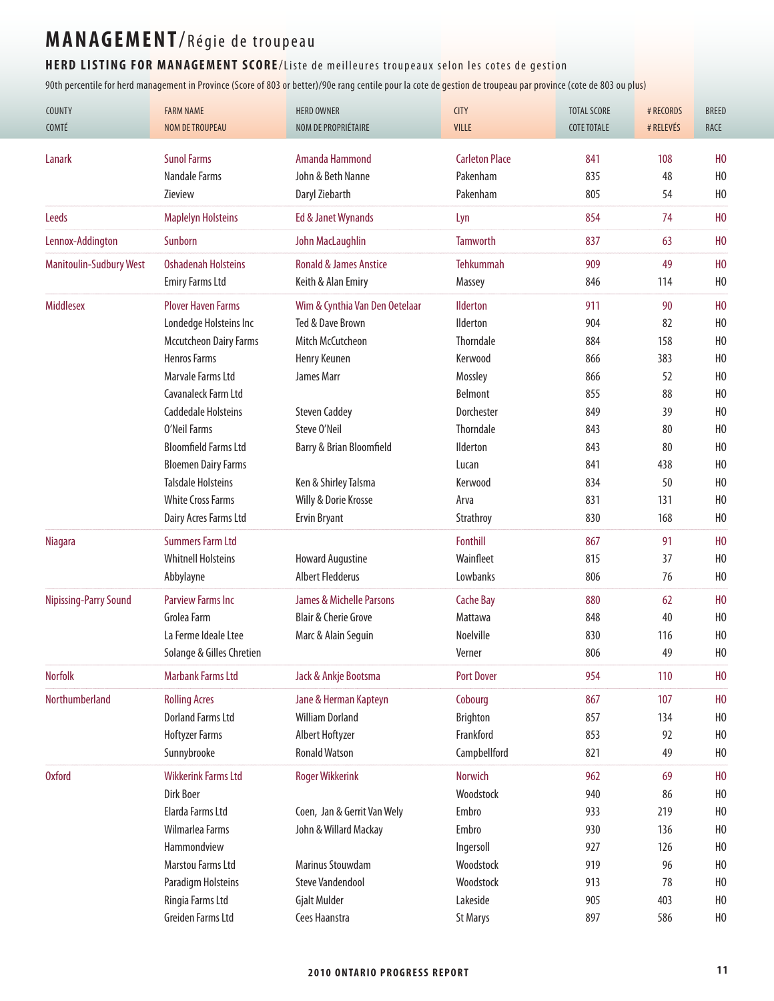#### HERD LISTING FOR MANAGEMENT SCORE/Liste de meilleures troupeaux selon les cotes de gestion

| COUNTY<br>COMTÉ                | <b>FARM NAME</b><br><b>NOM DE TROUPEAU</b> | <b>HERD OWNER</b><br>NOM DE PROPRIÉTAIRE | <b>CITY</b><br>VILLE  | <b>TOTAL SCORE</b><br><b>COTE TOTALE</b> | # RECORDS<br># RELEVÉS | <b>BREED</b><br>RACE |
|--------------------------------|--------------------------------------------|------------------------------------------|-----------------------|------------------------------------------|------------------------|----------------------|
| Lanark                         | <b>Sunol Farms</b>                         | Amanda Hammond                           | <b>Carleton Place</b> | 841                                      | 108                    | H <sub>0</sub>       |
|                                | <b>Nandale Farms</b>                       | John & Beth Nanne                        | Pakenham              | 835                                      | 48                     | H <sub>0</sub>       |
|                                | Zieview                                    | Daryl Ziebarth                           | Pakenham              | 805                                      | 54                     | H <sub>0</sub>       |
| <b>Leeds</b>                   | <b>Maplelyn Holsteins</b>                  | Ed & Janet Wynands                       | Lyn                   | 854                                      | 74                     | H <sub>0</sub>       |
|                                | Sunborn                                    | John MacLaughlin                         | <b>Tamworth</b>       | 837                                      | 63                     | H <sub>0</sub>       |
| Lennox-Addington               |                                            |                                          |                       |                                          |                        |                      |
| <b>Manitoulin-Sudbury West</b> | <b>Oshadenah Holsteins</b>                 | <b>Ronald &amp; James Anstice</b>        | Tehkummah             | 909                                      | 49                     | H <sub>0</sub>       |
|                                | <b>Emiry Farms Ltd</b>                     | Keith & Alan Emiry                       | Massey                | 846                                      | 114                    | H <sub>0</sub>       |
| <b>Middlesex</b>               | <b>Plover Haven Farms</b>                  | Wim & Cynthia Van Den Oetelaar           | <b>Ilderton</b>       | 911                                      | 90                     | H <sub>0</sub>       |
|                                | Londedge Holsteins Inc                     | Ted & Dave Brown                         | <b>Ilderton</b>       | 904                                      | 82                     | H <sub>0</sub>       |
|                                | <b>Mccutcheon Dairy Farms</b>              | Mitch McCutcheon                         | <b>Thorndale</b>      | 884                                      | 158                    | H <sub>0</sub>       |
|                                | <b>Henros Farms</b>                        | Henry Keunen                             | Kerwood               | 866                                      | 383                    | H <sub>0</sub>       |
|                                | Marvale Farms Ltd                          | James Marr                               | Mossley               | 866                                      | 52                     | H <sub>0</sub>       |
|                                | Cavanaleck Farm Ltd                        |                                          | Belmont               | 855                                      | 88                     | H <sub>0</sub>       |
|                                | <b>Caddedale Holsteins</b>                 | <b>Steven Caddey</b>                     | Dorchester            | 849                                      | 39                     | H <sub>0</sub>       |
|                                | O'Neil Farms                               | Steve O'Neil                             | <b>Thorndale</b>      | 843                                      | 80                     | H <sub>0</sub>       |
|                                | <b>Bloomfield Farms Ltd</b>                | Barry & Brian Bloomfield                 | <b>Ilderton</b>       | 843                                      | 80                     | H <sub>0</sub>       |
|                                | <b>Bloemen Dairy Farms</b>                 |                                          | Lucan                 | 841                                      | 438                    | H <sub>0</sub>       |
|                                | <b>Talsdale Holsteins</b>                  | Ken & Shirley Talsma                     | Kerwood               | 834                                      | 50                     | H <sub>0</sub>       |
|                                | <b>White Cross Farms</b>                   | Willy & Dorie Krosse                     | Arva                  | 831                                      | 131                    | H <sub>0</sub>       |
|                                | Dairy Acres Farms Ltd                      | Ervin Bryant                             | Strathroy             | 830                                      | 168                    | H <sub>0</sub>       |
| <b>Niagara</b>                 | <b>Summers Farm Ltd</b>                    |                                          | Fonthill              | 867                                      | 91                     | H <sub>0</sub>       |
|                                | <b>Whitnell Holsteins</b>                  | <b>Howard Augustine</b>                  | Wainfleet             | 815                                      | 37                     | H <sub>0</sub>       |
|                                | Abbylayne                                  | <b>Albert Fledderus</b>                  | Lowbanks              | 806                                      | 76                     | H <sub>0</sub>       |
| <b>Nipissing-Parry Sound</b>   | <b>Parview Farms Inc</b>                   | <b>James &amp; Michelle Parsons</b>      | <b>Cache Bay</b>      | 880                                      | 62                     | H <sub>0</sub>       |
|                                | Grolea Farm                                | <b>Blair &amp; Cherie Grove</b>          | Mattawa               | 848                                      | 40                     | H <sub>0</sub>       |
|                                | La Ferme Ideale Ltee                       | Marc & Alain Seguin                      | Noelville             | 830                                      | 116                    | H <sub>0</sub>       |
|                                | Solange & Gilles Chretien                  |                                          | Verner                | 806                                      | 49                     | H <sub>0</sub>       |
| <b>Norfolk</b>                 | <b>Marbank Farms Ltd</b>                   | Jack & Ankje Bootsma                     | <b>Port Dover</b>     | 954                                      | 110                    | H <sub>0</sub>       |
| Northumberland                 | <b>Rolling Acres</b>                       | Jane & Herman Kapteyn                    | Cobourg               | 867                                      | 107                    | H <sub>0</sub>       |
|                                | <b>Dorland Farms Ltd</b>                   | <b>William Dorland</b>                   | Brighton              | 857                                      | 134                    | H <sub>0</sub>       |
|                                | <b>Hoftyzer Farms</b>                      | Albert Hoftyzer                          | Frankford             | 853                                      | 92                     | H <sub>0</sub>       |
|                                | Sunnybrooke                                | <b>Ronald Watson</b>                     | Campbellford          | 821                                      | 49                     | H <sub>0</sub>       |
| <b>Oxford</b>                  | <b>Wikkerink Farms Ltd</b>                 | <b>Roger Wikkerink</b>                   | <b>Norwich</b>        | 962                                      | 69                     | H <sub>0</sub>       |
|                                | Dirk Boer                                  |                                          | Woodstock             | 940                                      | 86                     | H <sub>0</sub>       |
|                                | Elarda Farms Ltd                           | Coen, Jan & Gerrit Van Wely              | Embro                 | 933                                      | 219                    | H <sub>0</sub>       |
|                                | Wilmarlea Farms                            | John & Willard Mackay                    | Embro                 | 930                                      | 136                    | H <sub>0</sub>       |
|                                | Hammondview                                |                                          | Ingersoll             | 927                                      | 126                    | H <sub>0</sub>       |
|                                | Marstou Farms Ltd                          | Marinus Stouwdam                         | Woodstock             | 919                                      | 96                     | H <sub>0</sub>       |
|                                | Paradigm Holsteins                         | <b>Steve Vandendool</b>                  | Woodstock             | 913                                      | 78                     | H <sub>0</sub>       |
|                                | Ringia Farms Ltd                           | Gjalt Mulder                             | Lakeside              | 905                                      | 403                    | H <sub>0</sub>       |
|                                | Greiden Farms Ltd                          | Cees Haanstra                            | <b>St Marys</b>       | 897                                      | 586                    | H <sub>0</sub>       |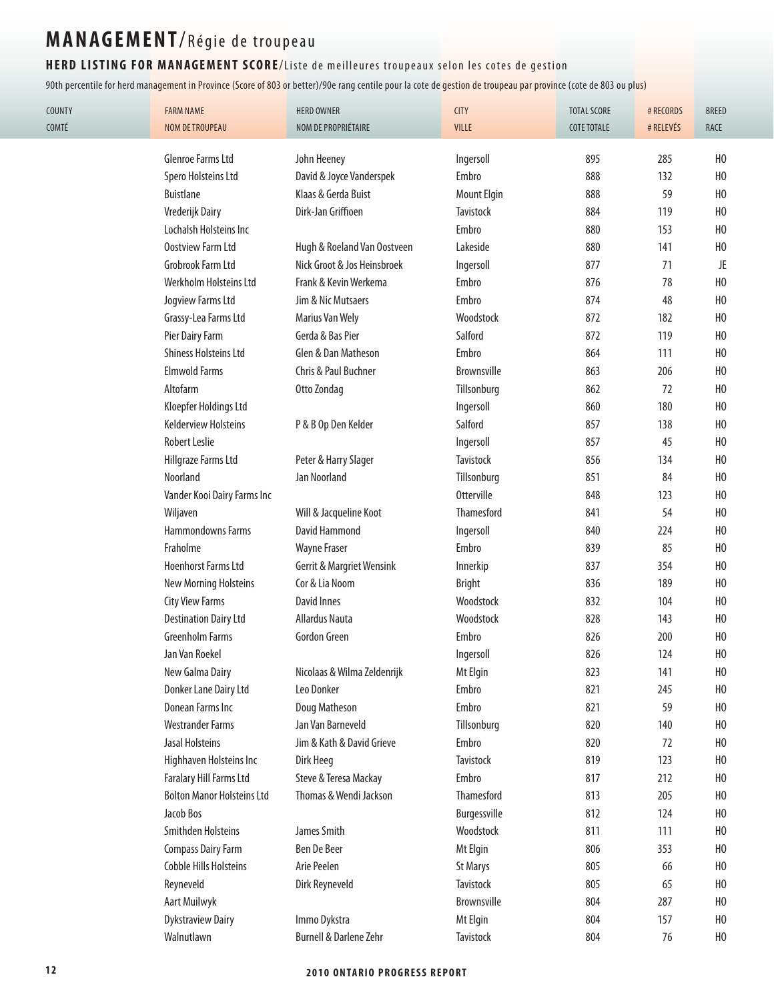#### HERD LISTING FOR MANAGEMENT SCORE/Liste de meilleures troupeaux selon les cotes de gestion

| <b>COUNTY</b><br>COMTÉ | <b>FARM NAME</b><br><b>NOM DE TROUPEAU</b> | <b>HERD OWNER</b><br>NOM DE PROPRIÉTAIRE | <b>CITY</b><br>VILLE | <b>TOTAL SCORE</b><br><b>COTE TOTALE</b> | # RECORDS<br># RELEVÉS | <b>BREED</b><br>RACE |
|------------------------|--------------------------------------------|------------------------------------------|----------------------|------------------------------------------|------------------------|----------------------|
|                        |                                            |                                          |                      |                                          |                        |                      |
|                        | Glenroe Farms Ltd                          | John Heeney                              | Ingersoll            | 895                                      | 285                    | H <sub>0</sub>       |
|                        | Spero Holsteins Ltd                        | David & Joyce Vanderspek                 | Embro                | 888                                      | 132                    | H <sub>0</sub>       |
|                        | <b>Buistlane</b>                           | Klaas & Gerda Buist                      | <b>Mount Elgin</b>   | 888                                      | 59                     | H <sub>0</sub>       |
|                        | Vrederijk Dairy                            | Dirk-Jan Griffioen                       | Tavistock            | 884                                      | 119                    | H <sub>0</sub>       |
|                        | Lochalsh Holsteins Inc                     |                                          | Embro                | 880                                      | 153                    | H <sub>0</sub>       |
|                        | Oostview Farm Ltd                          | Hugh & Roeland Van Oostveen              | Lakeside             | 880                                      | 141                    | H <sub>0</sub>       |
|                        | Grobrook Farm Ltd                          | Nick Groot & Jos Heinsbroek              | Ingersoll            | 877                                      | 71                     | JE                   |
|                        | Werkholm Holsteins Ltd                     | Frank & Kevin Werkema                    | Embro                | 876                                      | 78                     | H <sub>0</sub>       |
|                        | Jogview Farms Ltd                          | Jim & Nic Mutsaers                       | Embro                | 874                                      | 48                     | H <sub>0</sub>       |
|                        | Grassy-Lea Farms Ltd                       | <b>Marius Van Wely</b>                   | Woodstock            | 872                                      | 182                    | H <sub>0</sub>       |
|                        | Pier Dairy Farm                            | Gerda & Bas Pier                         | Salford              | 872                                      | 119                    | H <sub>0</sub>       |
|                        | <b>Shiness Holsteins Ltd</b>               | Glen & Dan Matheson                      | Embro                | 864                                      | 111                    | H <sub>0</sub>       |
|                        | <b>Elmwold Farms</b>                       | Chris & Paul Buchner                     | Brownsville          | 863                                      | 206                    | H <sub>0</sub>       |
|                        | Altofarm                                   | Otto Zondag                              | Tillsonburg          | 862                                      | 72                     | H <sub>0</sub>       |
|                        | Kloepfer Holdings Ltd                      |                                          | Ingersoll            | 860                                      | 180                    | H <sub>0</sub>       |
|                        | <b>Kelderview Holsteins</b>                | P & B Op Den Kelder                      | Salford              | 857                                      | 138                    | H <sub>0</sub>       |
|                        | <b>Robert Leslie</b>                       |                                          | Ingersoll            | 857                                      | 45                     | H <sub>0</sub>       |
|                        | Hillgraze Farms Ltd                        | Peter & Harry Slager                     | Tavistock            | 856                                      | 134                    | H <sub>0</sub>       |
|                        | Noorland                                   | Jan Noorland                             | Tillsonburg          | 851                                      | 84                     | H <sub>0</sub>       |
|                        | Vander Kooi Dairy Farms Inc                |                                          | <b>Otterville</b>    | 848                                      | 123                    | H <sub>0</sub>       |
|                        | Wiljaven                                   | Will & Jacqueline Koot                   | Thamesford           | 841                                      | 54                     | H <sub>0</sub>       |
|                        | Hammondowns Farms                          | David Hammond                            | Ingersoll            | 840                                      | 224                    | H <sub>0</sub>       |
|                        | Fraholme                                   | <b>Wayne Fraser</b>                      | Embro                | 839                                      | 85                     | H <sub>0</sub>       |
|                        | <b>Hoenhorst Farms Ltd</b>                 | Gerrit & Margriet Wensink                | Innerkip             | 837                                      | 354                    | H <sub>0</sub>       |
|                        | <b>New Morning Holsteins</b>               | Cor & Lia Noom                           | <b>Bright</b>        | 836                                      | 189                    | H <sub>0</sub>       |
|                        | <b>City View Farms</b>                     | <b>David Innes</b>                       | Woodstock            | 832                                      | 104                    | H <sub>0</sub>       |
|                        | <b>Destination Dairy Ltd</b>               | <b>Allardus Nauta</b>                    | Woodstock            | 828                                      | 143                    | H <sub>0</sub>       |
|                        | <b>Greenholm Farms</b>                     | Gordon Green                             | Embro                | 826                                      | 200                    | H <sub>0</sub>       |
|                        | Jan Van Roekel                             |                                          | Ingersoll            | 826                                      | 124                    | H <sub>0</sub>       |
|                        | New Galma Dairy                            | Nicolaas & Wilma Zeldenrijk              | Mt Elgin             | 823                                      | 141                    | H <sub>0</sub>       |
|                        | Donker Lane Dairy Ltd                      | Leo Donker                               | Embro                | 821                                      | 245                    | H <sub>0</sub>       |
|                        | Donean Farms Inc                           | Doug Matheson                            | Embro                | 821                                      | 59                     | H <sub>0</sub>       |
|                        | <b>Westrander Farms</b>                    | Jan Van Barneveld                        | Tillsonburg          | 820                                      | 140                    | H <sub>0</sub>       |
|                        | Jasal Holsteins                            | Jim & Kath & David Grieve                | Embro                | 820                                      | 72                     | H <sub>0</sub>       |
|                        | Highhaven Holsteins Inc                    | Dirk Heeg                                | Tavistock            | 819                                      | 123                    | H <sub>0</sub>       |
|                        | Faralary Hill Farms Ltd                    | Steve & Teresa Mackay                    | Embro                | 817                                      | 212                    | H <sub>0</sub>       |
|                        | <b>Bolton Manor Holsteins Ltd</b>          | Thomas & Wendi Jackson                   | Thamesford           | 813                                      | 205                    | H <sub>0</sub>       |
|                        | Jacob Bos                                  |                                          | Burgessville         | 812                                      | 124                    | H <sub>0</sub>       |
|                        | Smithden Holsteins                         | James Smith                              | Woodstock            | 811                                      | 111                    | H <sub>0</sub>       |
|                        | <b>Compass Dairy Farm</b>                  | Ben De Beer                              | Mt Elgin             | 806                                      | 353                    | H <sub>0</sub>       |
|                        | <b>Cobble Hills Holsteins</b>              | Arie Peelen                              | <b>St Marys</b>      | 805                                      | 66                     | H <sub>0</sub>       |
|                        | Reyneveld                                  | Dirk Reyneveld                           | Tavistock            | 805                                      | 65                     | H <sub>0</sub>       |
|                        | <b>Aart Muilwyk</b>                        |                                          | Brownsville          | 804                                      | 287                    | H <sub>0</sub>       |
|                        | <b>Dykstraview Dairy</b>                   | Immo Dykstra                             | Mt Elgin             | 804                                      | 157                    | H <sub>0</sub>       |
|                        | Walnutlawn                                 | Burnell & Darlene Zehr                   | Tavistock            | 804                                      | 76                     | H <sub>0</sub>       |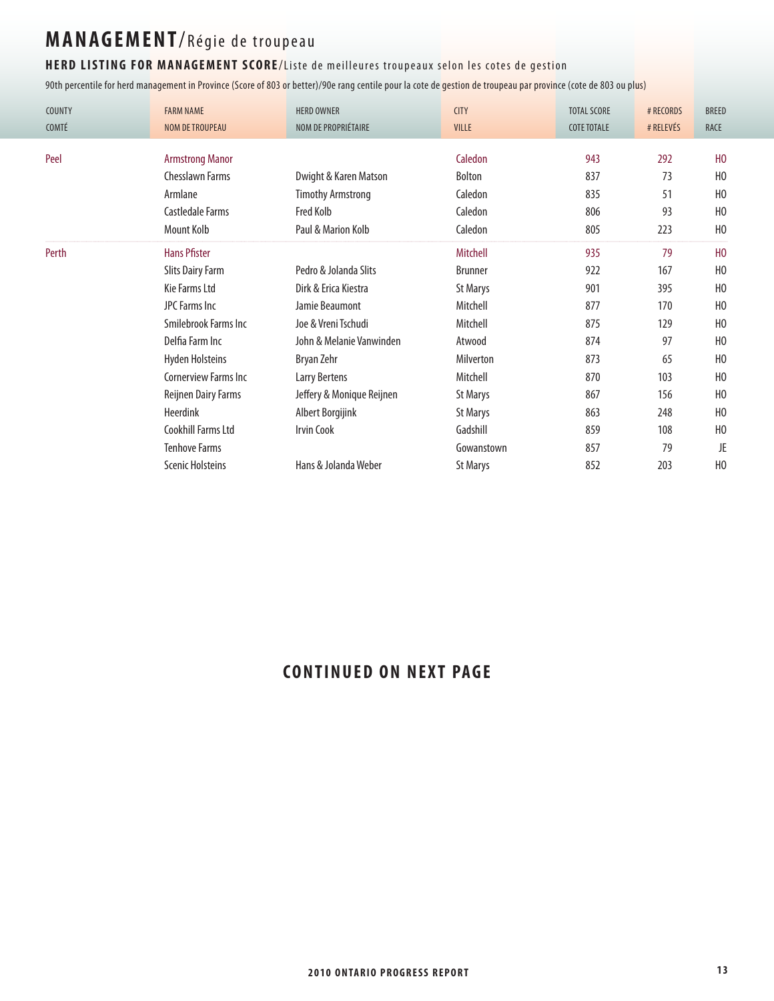#### HERD LISTING FOR MANAGEMENT SCORE/Liste de meilleures troupeaux selon les cotes de gestion

90th percentile for herd management in Province (Score of 803 or better)/90e rang centile pour la cote de gestion de troupeau par province (cote de 803 ou plus)

| <b>COUNTY</b><br>COMTÉ | <b>FARM NAME</b><br><b>NOM DE TROUPEAU</b> | <b>HERD OWNER</b><br>NOM DE PROPRIÉTAIRE | <b>CITY</b><br><b>VILLE</b> | <b>TOTAL SCORE</b><br><b>COTE TOTALE</b> | # RECORDS<br># RELEVÉS | <b>BREED</b><br><b>RACE</b> |
|------------------------|--------------------------------------------|------------------------------------------|-----------------------------|------------------------------------------|------------------------|-----------------------------|
|                        |                                            |                                          |                             |                                          |                        |                             |
| Peel                   | <b>Armstrong Manor</b>                     |                                          | Caledon                     | 943                                      | 292                    | H <sub>0</sub>              |
|                        | <b>Chesslawn Farms</b>                     | Dwight & Karen Matson                    | Bolton                      | 837                                      | 73                     | H <sub>0</sub>              |
|                        | Armlane                                    | <b>Timothy Armstrong</b>                 | Caledon                     | 835                                      | 51                     | H <sub>0</sub>              |
|                        | Castledale Farms                           | Fred Kolb                                | Caledon                     | 806                                      | 93                     | H <sub>0</sub>              |
|                        | Mount Kolb                                 | Paul & Marion Kolb                       | Caledon                     | 805                                      | 223                    | H <sub>0</sub>              |
| Perth                  | <b>Hans Pfister</b>                        |                                          | Mitchell                    | 935                                      | 79                     | H <sub>0</sub>              |
|                        | <b>Slits Dairy Farm</b>                    | Pedro & Jolanda Slits                    | <b>Brunner</b>              | 922                                      | 167                    | H <sub>0</sub>              |
|                        | Kie Farms Ltd                              | Dirk & Erica Kiestra                     | <b>St Marys</b>             | 901                                      | 395                    | H <sub>0</sub>              |
|                        | JPC Farms Inc                              | Jamie Beaumont                           | Mitchell                    | 877                                      | 170                    | H <sub>0</sub>              |
|                        | Smilebrook Farms Inc                       | Joe & Vreni Tschudi                      | Mitchell                    | 875                                      | 129                    | H <sub>0</sub>              |
|                        | Delfia Farm Inc                            | John & Melanie Vanwinden                 | Atwood                      | 874                                      | 97                     | H <sub>0</sub>              |
|                        | <b>Hyden Holsteins</b>                     | Bryan Zehr                               | Milverton                   | 873                                      | 65                     | H <sub>0</sub>              |
|                        | <b>Cornerview Farms Inc.</b>               | Larry Bertens                            | Mitchell                    | 870                                      | 103                    | H <sub>0</sub>              |
|                        | Reijnen Dairy Farms                        | Jeffery & Monique Reijnen                | <b>St Marys</b>             | 867                                      | 156                    | H <sub>0</sub>              |
|                        | Heerdink                                   | Albert Borgijink                         | <b>St Marys</b>             | 863                                      | 248                    | H <sub>0</sub>              |
|                        | Cookhill Farms Ltd                         | <b>Irvin Cook</b>                        | Gadshill                    | 859                                      | 108                    | H <sub>0</sub>              |
|                        | <b>Tenhove Farms</b>                       |                                          | Gowanstown                  | 857                                      | 79                     | JE                          |
|                        | <b>Scenic Holsteins</b>                    | Hans & Jolanda Weber                     | <b>St Marys</b>             | 852                                      | 203                    | H <sub>0</sub>              |

### **CONTINUED ON NEXT PAGE**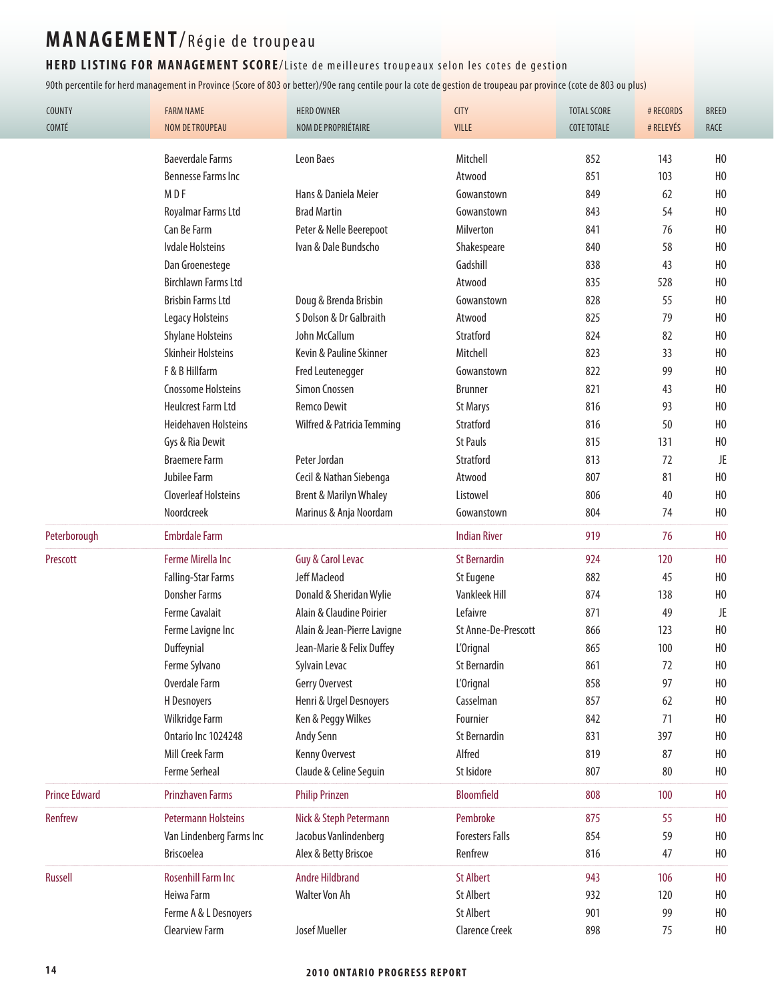#### HERD LISTING FOR MANAGEMENT SCORE/Liste de meilleures troupeaux selon les cotes de gestion

| COUNTY<br>COMTÉ      | <b>FARM NAME</b><br><b>NOM DE TROUPEAU</b> | <b>HERD OWNER</b><br>NOM DE PROPRIÉTAIRE | <b>CITY</b><br>VILLE   | <b>TOTAL SCORE</b><br><b>COTE TOTALE</b> | # RECORDS<br># RELEVÉS | <b>BREED</b><br><b>RACE</b> |
|----------------------|--------------------------------------------|------------------------------------------|------------------------|------------------------------------------|------------------------|-----------------------------|
|                      |                                            |                                          |                        |                                          |                        |                             |
|                      | <b>Baeverdale Farms</b>                    | Leon Baes                                | Mitchell               | 852                                      | 143                    | H <sub>0</sub>              |
|                      | <b>Bennesse Farms Inc</b>                  |                                          | Atwood                 | 851                                      | 103                    | H <sub>0</sub>              |
|                      | M D F                                      | Hans & Daniela Meier                     | Gowanstown             | 849                                      | 62                     | H <sub>0</sub>              |
|                      | Royalmar Farms Ltd                         | <b>Brad Martin</b>                       | Gowanstown             | 843                                      | 54                     | H <sub>0</sub>              |
|                      | Can Be Farm                                | Peter & Nelle Beerepoot                  | Milverton              | 841                                      | 76                     | H <sub>0</sub>              |
|                      | <b>Ivdale Holsteins</b>                    | Ivan & Dale Bundscho                     | Shakespeare            | 840                                      | 58                     | H <sub>0</sub>              |
|                      | Dan Groenestege                            |                                          | Gadshill               | 838                                      | 43                     | H <sub>0</sub>              |
|                      | <b>Birchlawn Farms Ltd</b>                 |                                          | Atwood                 | 835                                      | 528                    | H <sub>0</sub>              |
|                      | <b>Brisbin Farms Ltd</b>                   | Doug & Brenda Brisbin                    | Gowanstown             | 828                                      | 55                     | H <sub>0</sub>              |
|                      | Legacy Holsteins                           | S Dolson & Dr Galbraith                  | Atwood                 | 825                                      | 79                     | H <sub>0</sub>              |
|                      | <b>Shylane Holsteins</b>                   | John McCallum                            | Stratford              | 824                                      | 82                     | H <sub>0</sub>              |
|                      | <b>Skinheir Holsteins</b>                  | Kevin & Pauline Skinner                  | Mitchell               | 823                                      | 33                     | H <sub>0</sub>              |
|                      | F & B Hillfarm                             | <b>Fred Leutenegger</b>                  | Gowanstown             | 822                                      | 99                     | H <sub>0</sub>              |
|                      | <b>Cnossome Holsteins</b>                  | Simon Cnossen                            | <b>Brunner</b>         | 821                                      | 43                     | H <sub>0</sub>              |
|                      | <b>Heulcrest Farm Ltd</b>                  | <b>Remco Dewit</b>                       | <b>St Marys</b>        | 816                                      | 93                     | H <sub>0</sub>              |
|                      | <b>Heidehaven Holsteins</b>                | Wilfred & Patricia Temming               | Stratford              | 816                                      | 50                     | H <sub>0</sub>              |
|                      | Gys & Ria Dewit                            |                                          | <b>St Pauls</b>        | 815                                      | 131                    | H <sub>0</sub>              |
|                      | <b>Braemere Farm</b>                       | Peter Jordan                             | Stratford              | 813                                      | 72                     | JE                          |
|                      | Jubilee Farm                               | Cecil & Nathan Siebenga                  | Atwood                 | 807                                      | 81                     | H <sub>0</sub>              |
|                      | <b>Cloverleaf Holsteins</b>                | <b>Brent &amp; Marilyn Whaley</b>        | Listowel               | 806                                      | 40                     | H <sub>0</sub>              |
|                      | Noordcreek                                 | Marinus & Anja Noordam                   | Gowanstown             | 804                                      | 74                     | H <sub>0</sub>              |
| Peterborough         | <b>Embrdale Farm</b>                       |                                          | <b>Indian River</b>    | 919                                      | 76                     | H <sub>0</sub>              |
| Prescott             | Ferme Mirella Inc                          | Guy & Carol Levac                        | <b>St Bernardin</b>    | 924                                      | 120                    | H <sub>0</sub>              |
|                      | Falling-Star Farms                         | Jeff Macleod                             | St Eugene              | 882                                      | 45                     | H <sub>0</sub>              |
|                      | <b>Donsher Farms</b>                       | Donald & Sheridan Wylie                  | Vankleek Hill          | 874                                      | 138                    | H <sub>0</sub>              |
|                      | <b>Ferme Cavalait</b>                      | Alain & Claudine Poirier                 | Lefaivre               | 871                                      | 49                     | JE                          |
|                      | Ferme Lavigne Inc                          | Alain & Jean-Pierre Lavigne              | St Anne-De-Prescott    | 866                                      | 123                    | H <sub>0</sub>              |
|                      | Duffeynial                                 | Jean-Marie & Felix Duffey                | L'Orignal              | 865                                      | 100                    | H <sub>0</sub>              |
|                      | Ferme Sylvano                              | Sylvain Levac                            | St Bernardin           | 861                                      | 72                     | H <sub>0</sub>              |
|                      | Overdale Farm                              | Gerry Overvest                           | L'Orignal              | 858                                      | 97                     | H <sub>0</sub>              |
|                      | H Desnoyers                                | Henri & Urgel Desnoyers                  | Casselman              | 857                                      | 62                     | H <sub>0</sub>              |
|                      | Wilkridge Farm                             | Ken & Peggy Wilkes                       | Fournier               | 842                                      | 71                     | H <sub>0</sub>              |
|                      | Ontario Inc 1024248                        | Andy Senn                                | <b>St Bernardin</b>    | 831                                      | 397                    | H <sub>0</sub>              |
|                      | Mill Creek Farm                            | Kenny Overvest                           | Alfred                 | 819                                      | 87                     | H <sub>0</sub>              |
|                      | Ferme Serheal                              | Claude & Celine Seguin                   | St Isidore             | 807                                      | 80                     | H <sub>0</sub>              |
| <b>Prince Edward</b> | <b>Prinzhaven Farms</b>                    | <b>Philip Prinzen</b>                    | <b>Bloomfield</b>      | 808                                      | 100                    | H <sub>0</sub>              |
| Renfrew              | <b>Petermann Holsteins</b>                 | Nick & Steph Petermann                   | Pembroke               | 875                                      | 55                     | H <sub>0</sub>              |
|                      | Van Lindenberg Farms Inc                   | Jacobus Vanlindenberg                    | <b>Foresters Falls</b> | 854                                      | 59                     | H <sub>0</sub>              |
|                      | <b>Briscoelea</b>                          | Alex & Betty Briscoe                     | Renfrew                | 816                                      | 47                     | H <sub>0</sub>              |
| Russell              | <b>Rosenhill Farm Inc</b>                  | <b>Andre Hildbrand</b>                   | <b>St Albert</b>       | 943                                      | 106                    | H <sub>0</sub>              |
|                      | Heiwa Farm                                 | <b>Walter Von Ah</b>                     | <b>St Albert</b>       | 932                                      | 120                    | H <sub>0</sub>              |
|                      |                                            |                                          |                        |                                          |                        |                             |
|                      | Ferme A & L Desnoyers                      |                                          | <b>St Albert</b>       | 901                                      | 99                     | H <sub>0</sub>              |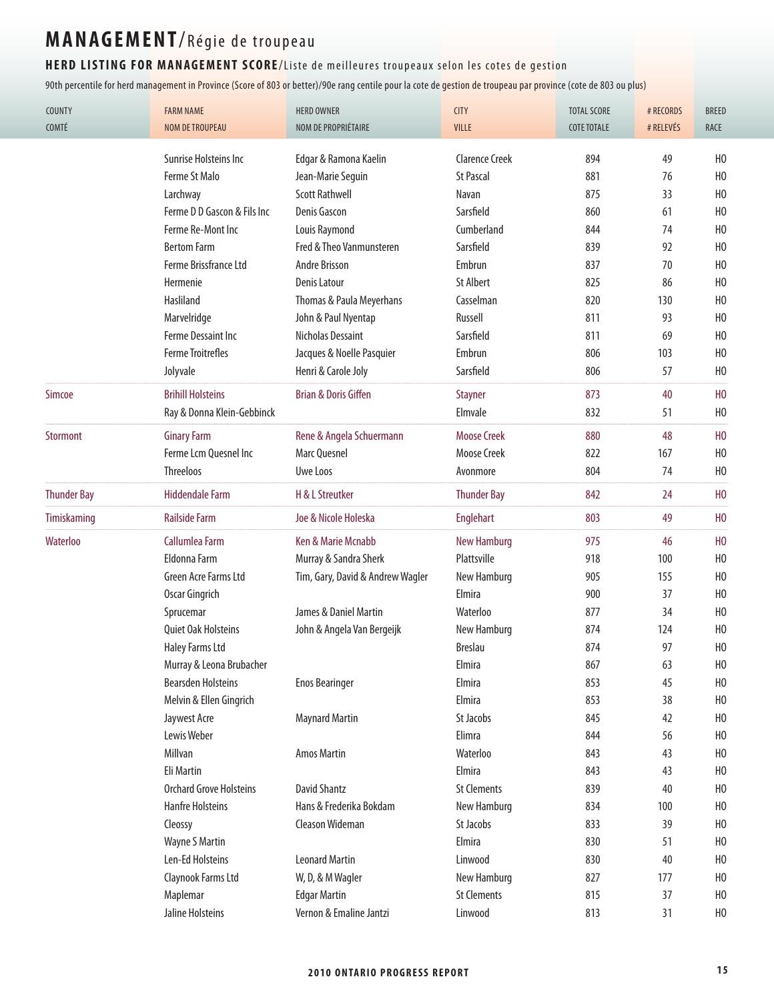#### HERD LISTING FOR MANAGEMENT SCORE/Liste de meilleures troupeaux selon les cotes de gestion

| <b>COUNTY</b>      | <b>FARM NAME</b>               | <b>HERD OWNER</b>                | <b>CITY</b>               | <b>TOTAL SCORE</b> | # RECORDS | <b>BREED</b>   |
|--------------------|--------------------------------|----------------------------------|---------------------------|--------------------|-----------|----------------|
| COMTÉ              | <b>NOM DE TROUPEAU</b>         | NOM DE PROPRIÉTAIRE              | <b>VILLE</b>              | <b>COTE TOTALE</b> | # RELEVÉS | RACE           |
|                    | Sunrise Holsteins Inc          | Edgar & Ramona Kaelin            | <b>Clarence Creek</b>     | 894                | 49        | H <sub>0</sub> |
|                    | Ferme St Malo                  | Jean-Marie Seguin                | <b>St Pascal</b>          | 881                | 76        | H <sub>0</sub> |
|                    | Larchway                       | <b>Scott Rathwell</b>            | Navan                     | 875                | 33        | H <sub>0</sub> |
|                    | Ferme D D Gascon & Fils Inc    | Denis Gascon                     | Sarsfield                 | 860                | 61        | H <sub>0</sub> |
|                    | Ferme Re-Mont Inc              | Louis Raymond                    | Cumberland                | 844                | 74        | H <sub>0</sub> |
|                    | <b>Bertom Farm</b>             | Fred & Theo Vanmunsteren         | Sarsfield                 | 839                | 92        | H <sub>0</sub> |
|                    | Ferme Brissfrance Ltd          | Andre Brisson                    | Embrun                    | 837                | 70        | H <sub>0</sub> |
|                    | Hermenie                       | <b>Denis Latour</b>              | <b>St Albert</b>          | 825                | 86        | H <sub>0</sub> |
|                    | Hasliland                      | Thomas & Paula Meyerhans         | Casselman                 | 820                | 130       | H <sub>0</sub> |
|                    | Marvelridge                    | John & Paul Nyentap              | Russell                   | 811                | 93        | H <sub>0</sub> |
|                    | Ferme Dessaint Inc             | Nicholas Dessaint                | Sarsfield                 | 811                | 69        | H <sub>0</sub> |
|                    | <b>Ferme Troitrefles</b>       | Jacques & Noelle Pasquier        | Embrun                    | 806                | 103       | H <sub>0</sub> |
|                    | Jolyvale                       | Henri & Carole Joly              | Sarsfield                 | 806                | 57        | H <sub>0</sub> |
| Simcoe             | <b>Brihill Holsteins</b>       | <b>Brian &amp; Doris Giffen</b>  |                           | 873                | 40        | H <sub>0</sub> |
|                    | Ray & Donna Klein-Gebbinck     |                                  | <b>Stayner</b><br>Elmvale | 832                | 51        | H <sub>0</sub> |
|                    |                                |                                  |                           |                    |           |                |
| <b>Stormont</b>    | <b>Ginary Farm</b>             | Rene & Angela Schuermann         | <b>Moose Creek</b>        | 880                | 48        | H <sub>0</sub> |
|                    | Ferme Lcm Quesnel Inc          | Marc Quesnel                     | <b>Moose Creek</b>        | 822                | 167       | H <sub>0</sub> |
|                    | <b>Threeloos</b>               | Uwe Loos                         | Avonmore                  | 804                | 74        | H <sub>0</sub> |
| <b>Thunder Bay</b> | <b>Hiddendale Farm</b>         | H & L Streutker                  | <b>Thunder Bay</b>        | 842                | 24        | H <sub>0</sub> |
| <b>Timiskaming</b> | <b>Railside Farm</b>           | Joe & Nicole Holeska             | Englehart                 | 803                | 49        | H <sub>0</sub> |
| Waterloo           | Callumlea Farm                 | Ken & Marie Mcnabb               | <b>New Hamburg</b>        | 975                | 46        | H <sub>0</sub> |
|                    | Eldonna Farm                   | Murray & Sandra Sherk            | Plattsville               | 918                | 100       | H <sub>0</sub> |
|                    | Green Acre Farms Ltd           | Tim, Gary, David & Andrew Wagler | New Hamburg               | 905                | 155       | H <sub>0</sub> |
|                    | Oscar Gingrich                 |                                  | Elmira                    | 900                | 37        | H <sub>0</sub> |
|                    | Sprucemar                      | James & Daniel Martin            | Waterloo                  | 877                | 34        | H <sub>0</sub> |
|                    | Quiet Oak Holsteins            | John & Angela Van Bergeijk       | New Hamburg               | 874                | 124       | H <sub>0</sub> |
|                    | <b>Haley Farms Ltd</b>         |                                  | <b>Breslau</b>            | 874                | 97        | H <sub>0</sub> |
|                    | Murray & Leona Brubacher       |                                  | Elmira                    | 867                | 63        | H <sub>0</sub> |
|                    | <b>Bearsden Holsteins</b>      | <b>Enos Bearinger</b>            | Elmira                    | 853                | 45        | H <sub>0</sub> |
|                    | Melvin & Ellen Gingrich        |                                  | Elmira                    | 853                | 38        | H <sub>0</sub> |
|                    | Jaywest Acre                   | <b>Maynard Martin</b>            | St Jacobs                 | 845                | 42        | H <sub>0</sub> |
|                    | Lewis Weber                    |                                  | Elimra                    | 844                | 56        | H <sub>0</sub> |
|                    | Millvan                        | <b>Amos Martin</b>               | Waterloo                  | 843                | 43        | H <sub>0</sub> |
|                    | Eli Martin                     |                                  | Elmira                    | 843                | 43        | H <sub>0</sub> |
|                    | <b>Orchard Grove Holsteins</b> | <b>David Shantz</b>              | <b>St Clements</b>        | 839                | 40        | H <sub>0</sub> |
|                    | <b>Hanfre Holsteins</b>        | Hans & Frederika Bokdam          | New Hamburg               | 834                | 100       | H <sub>0</sub> |
|                    | Cleossy                        | Cleason Wideman                  | St Jacobs                 | 833                | 39        | H <sub>0</sub> |
|                    | Wayne S Martin                 |                                  | Elmira                    | 830                | 51        | H <sub>0</sub> |
|                    | Len-Ed Holsteins               | <b>Leonard Martin</b>            | Linwood                   | 830                | 40        | H <sub>0</sub> |
|                    | Claynook Farms Ltd             | W, D, & M Wagler                 | New Hamburg               | 827                | 177       | H <sub>0</sub> |
|                    | Maplemar                       | <b>Edgar Martin</b>              | <b>St Clements</b>        | 815                | 37        | H <sub>0</sub> |
|                    | Jaline Holsteins               | Vernon & Emaline Jantzi          | Linwood                   | 813                | 31        | H <sub>0</sub> |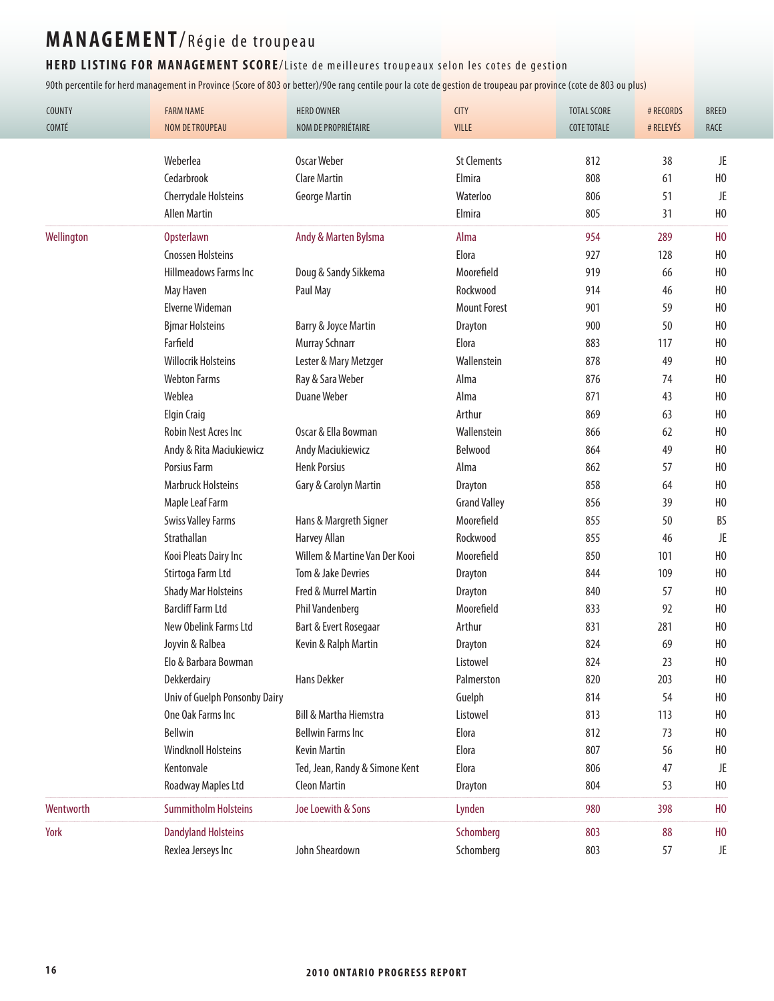#### HERD LISTING FOR MANAGEMENT SCORE/Liste de meilleures troupeaux selon les cotes de gestion

| COUNTY<br>COMTÉ | <b>FARM NAME</b><br><b>NOM DE TROUPEAU</b> | <b>HERD OWNER</b><br>NOM DE PROPRIÉTAIRE | <b>CITY</b><br>VILLE | <b>TOTAL SCORE</b><br><b>COTE TOTALE</b> | # RECORDS<br># RELEVÉS | <b>BREED</b><br>RACE |
|-----------------|--------------------------------------------|------------------------------------------|----------------------|------------------------------------------|------------------------|----------------------|
|                 | Weberlea                                   | <b>Oscar Weber</b>                       | <b>St Clements</b>   | 812                                      | 38                     | JE                   |
|                 | Cedarbrook                                 | <b>Clare Martin</b>                      | Elmira               | 808                                      | 61                     | H <sub>0</sub>       |
|                 | <b>Cherrydale Holsteins</b>                | <b>George Martin</b>                     | Waterloo             | 806                                      | 51                     | JE                   |
|                 | <b>Allen Martin</b>                        |                                          | Elmira               | 805                                      | 31                     | H <sub>0</sub>       |
| Wellington      | <b>Opsterlawn</b>                          | Andy & Marten Bylsma                     | Alma                 | 954                                      | 289                    | H <sub>0</sub>       |
|                 | <b>Cnossen Holsteins</b>                   |                                          | Elora                | 927                                      | 128                    | H <sub>0</sub>       |
|                 | <b>Hillmeadows Farms Inc.</b>              | Doug & Sandy Sikkema                     | Moorefield           | 919                                      | 66                     | H <sub>0</sub>       |
|                 | May Haven                                  | Paul May                                 | Rockwood             | 914                                      | 46                     | H <sub>0</sub>       |
|                 | Elverne Wideman                            |                                          | <b>Mount Forest</b>  | 901                                      | 59                     | H <sub>0</sub>       |
|                 | <b>Bjmar Holsteins</b>                     | Barry & Joyce Martin                     | Drayton              | 900                                      | 50                     | H <sub>0</sub>       |
|                 | Farfield                                   | Murray Schnarr                           | Elora                | 883                                      | 117                    | H <sub>0</sub>       |
|                 | <b>Willocrik Holsteins</b>                 | Lester & Mary Metzger                    | Wallenstein          | 878                                      | 49                     | H <sub>0</sub>       |
|                 | <b>Webton Farms</b>                        | Ray & Sara Weber                         | Alma                 | 876                                      | 74                     | H <sub>0</sub>       |
|                 |                                            | <b>Duane Weber</b>                       |                      |                                          |                        |                      |
|                 | Weblea                                     |                                          | Alma<br>Arthur       | 871                                      | 43                     | H <sub>0</sub>       |
|                 | <b>Elgin Craig</b>                         |                                          |                      | 869                                      | 63                     | H <sub>0</sub>       |
|                 | Robin Nest Acres Inc                       | Oscar & Ella Bowman                      | Wallenstein          | 866                                      | 62                     | H <sub>0</sub>       |
|                 | Andy & Rita Maciukiewicz                   | Andy Maciukiewicz                        | Belwood              | 864                                      | 49                     | H <sub>0</sub>       |
|                 | Porsius Farm                               | <b>Henk Porsius</b>                      | Alma                 | 862                                      | 57                     | H <sub>0</sub>       |
|                 | <b>Marbruck Holsteins</b>                  | Gary & Carolyn Martin                    | <b>Drayton</b>       | 858                                      | 64                     | H <sub>0</sub>       |
|                 | Maple Leaf Farm                            |                                          | <b>Grand Valley</b>  | 856                                      | 39                     | H <sub>0</sub>       |
|                 | <b>Swiss Valley Farms</b>                  | Hans & Margreth Signer                   | Moorefield           | 855                                      | 50                     | BS                   |
|                 | Strathallan                                | <b>Harvey Allan</b>                      | Rockwood             | 855                                      | 46                     | JE                   |
|                 | Kooi Pleats Dairy Inc                      | Willem & Martine Van Der Kooi            | Moorefield           | 850                                      | 101                    | H <sub>0</sub>       |
|                 | Stirtoga Farm Ltd                          | Tom & Jake Devries                       | Drayton              | 844                                      | 109                    | H <sub>0</sub>       |
|                 | <b>Shady Mar Holsteins</b>                 | Fred & Murrel Martin                     | <b>Drayton</b>       | 840                                      | 57                     | H <sub>0</sub>       |
|                 | <b>Barcliff Farm Ltd</b>                   | <b>Phil Vandenberg</b>                   | Moorefield           | 833                                      | 92                     | H <sub>0</sub>       |
|                 | New Obelink Farms Ltd                      | Bart & Evert Rosegaar                    | Arthur               | 831                                      | 281                    | H <sub>0</sub>       |
|                 | Joyvin & Ralbea                            | Kevin & Ralph Martin                     | <b>Drayton</b>       | 824                                      | 69                     | H <sub>0</sub>       |
|                 | Elo & Barbara Bowman                       |                                          | Listowel             | 824                                      | 23                     | H <sub>0</sub>       |
|                 | Dekkerdairy                                | Hans Dekker                              | Palmerston           | 820                                      | 203                    | H <sub>0</sub>       |
|                 | Univ of Guelph Ponsonby Dairy              |                                          | Guelph               | 814                                      | 54                     | H <sub>0</sub>       |
|                 | One Oak Farms Inc                          | <b>Bill &amp; Martha Hiemstra</b>        | Listowel             | 813                                      | 113                    | H <sub>0</sub>       |
|                 | Bellwin                                    | <b>Bellwin Farms Inc</b>                 | Elora                | 812                                      | 73                     | H <sub>0</sub>       |
|                 | <b>Windknoll Holsteins</b>                 | <b>Kevin Martin</b>                      | Elora                | 807                                      | 56                     | H <sub>0</sub>       |
|                 | Kentonvale                                 | Ted, Jean, Randy & Simone Kent           | Elora                | 806                                      | 47                     | JE                   |
|                 | <b>Roadway Maples Ltd</b>                  | <b>Cleon Martin</b>                      | Drayton              | 804                                      | 53                     | H <sub>0</sub>       |
| Wentworth       | <b>Summitholm Holsteins</b>                | Joe Loewith & Sons                       | Lynden               | 980                                      | 398                    | H <sub>0</sub>       |
| York            | <b>Dandyland Holsteins</b>                 |                                          | Schomberg            | 803                                      | 88                     | H <sub>0</sub>       |
|                 | Rexlea Jerseys Inc                         | John Sheardown                           | Schomberg            | 803                                      | 57                     | JE                   |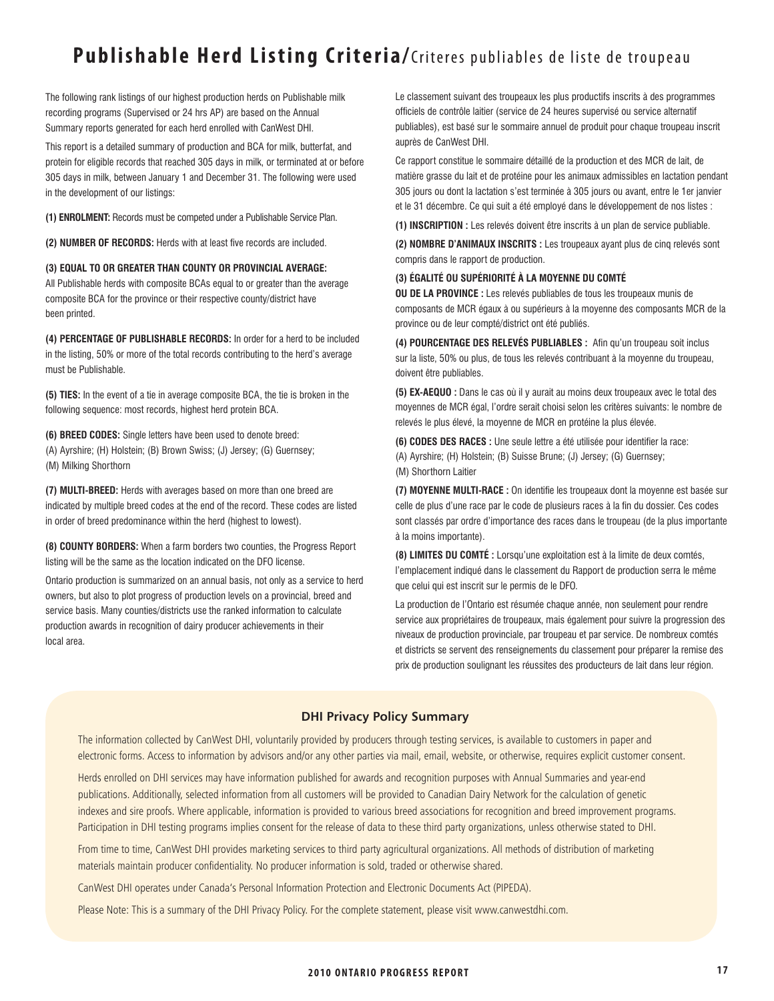### **Publishable Herd Listing Criteria/**Criteres publiables de liste de troupeau

The following rank listings of our highest production herds on Publishable milk recording programs (Supervised or 24 hrs AP) are based on the Annual Summary reports generated for each herd enrolled with CanWest DHI.

This report is a detailed summary of production and BCA for milk, butterfat, and protein for eligible records that reached 305 days in milk, or terminated at or before 305 days in milk, between January 1 and December 31. The following were used in the development of our listings:

**(1) ENROLMENT:** Records must be competed under a Publishable Service Plan.

**(2) NUMBER OF RECORDS:** Herds with at least five records are included.

#### **(3) EQUAL TO OR GREATER THAN COUNTY OR PROVINCIAL AVERAGE:**

All Publishable herds with composite BCAs equal to or greater than the average composite BCA for the province or their respective county/district have been printed.

**(4) PERCENTAGE OF PUBLISHABLE RECORDS:** In order for a herd to be included in the listing, 50% or more of the total records contributing to the herd's average must be Publishable.

**(5) TIES:** In the event of a tie in average composite BCA, the tie is broken in the following sequence: most records, highest herd protein BCA.

**(6) BREED CODES:** Single letters have been used to denote breed: (A) Ayrshire; (H) Holstein; (B) Brown Swiss; (J) Jersey; (G) Guernsey; (M) Milking Shorthorn

**(7) MULTI-BREED:** Herds with averages based on more than one breed are indicated by multiple breed codes at the end of the record. These codes are listed in order of breed predominance within the herd (highest to lowest).

**(8) COUNTY BORDERS:** When a farm borders two counties, the Progress Report listing will be the same as the location indicated on the DFO license.

Ontario production is summarized on an annual basis, not only as a service to herd owners, but also to plot progress of production levels on a provincial, breed and service basis. Many counties/districts use the ranked information to calculate production awards in recognition of dairy producer achievements in their local area.

Le classement suivant des troupeaux les plus productifs inscrits à des programmes officiels de contrôle laitier (service de 24 heures supervisé ou service alternatif publiables), est basé sur le sommaire annuel de produit pour chaque troupeau inscrit auprès de CanWest DHI.

Ce rapport constitue le sommaire détaillé de la production et des MCR de lait, de matière grasse du lait et de protéine pour les animaux admissibles en lactation pendant 305 jours ou dont la lactation s'est terminée à 305 jours ou avant, entre le 1er janvier et le 31 décembre. Ce qui suit a été employé dans le développement de nos listes :

**(1) INSCRIPTION :** Les relevés doivent être inscrits à un plan de service publiable.

**(2) NOMBRE D'ANIMAUX INSCRITS :** Les troupeaux ayant plus de cinq relevés sont compris dans le rapport de production.

#### **(3) ÉGALITÉ OU SUPÉRIORITÉ À LA MOYENNE DU COMTÉ**

**OU DE LA PROVINCE :** Les relevés publiables de tous les troupeaux munis de composants de MCR égaux à ou supérieurs à la moyenne des composants MCR de la province ou de leur compté/district ont été publiés.

**(4) POURCENTAGE DES RELEVÉS PUBLIABLES :** Afin qu'un troupeau soit inclus sur la liste, 50% ou plus, de tous les relevés contribuant à la moyenne du troupeau, doivent être publiables.

**(5) EX-AEQUO :** Dans le cas où il y aurait au moins deux troupeaux avec le total des moyennes de MCR égal, l'ordre serait choisi selon les critères suivants: le nombre de relevés le plus élevé, la moyenne de MCR en protéine la plus élevée.

**(6) CODES DES RACES :** Une seule lettre a été utilisée pour identifier la race: (A) Ayrshire; (H) Holstein; (B) Suisse Brune; (J) Jersey; (G) Guernsey; (M) Shorthorn Laitier

**(7) MOYENNE MULTI-RACE :** On identifie les troupeaux dont la moyenne est basée sur celle de plus d'une race par le code de plusieurs races à la fin du dossier. Ces codes sont classés par ordre d'importance des races dans le troupeau (de la plus importante à la moins importante).

**(8) LIMITES DU COMTÉ :** Lorsqu'une exploitation est à la limite de deux comtés, l'emplacement indiqué dans le classement du Rapport de production serra le même que celui qui est inscrit sur le permis de le DFO.

La production de l'Ontario est résumée chaque année, non seulement pour rendre service aux propriétaires de troupeaux, mais également pour suivre la progression des niveaux de production provinciale, par troupeau et par service. De nombreux comtés et districts se servent des renseignements du classement pour préparer la remise des prix de production soulignant les réussites des producteurs de lait dans leur région.

#### **DHI Privacy Policy Summary**

The information collected by CanWest DHI, voluntarily provided by producers through testing services, is available to customers in paper and electronic forms. Access to information by advisors and/or any other parties via mail, email, website, or otherwise, requires explicit customer consent.

Herds enrolled on DHI services may have information published for awards and recognition purposes with Annual Summaries and year-end publications. Additionally, selected information from all customers will be provided to Canadian Dairy Network for the calculation of genetic indexes and sire proofs. Where applicable, information is provided to various breed associations for recognition and breed improvement programs. Participation in DHI testing programs implies consent for the release of data to these third party organizations, unless otherwise stated to DHI.

From time to time, CanWest DHI provides marketing services to third party agricultural organizations. All methods of distribution of marketing materials maintain producer confidentiality. No producer information is sold, traded or otherwise shared.

CanWest DHI operates under Canada's Personal Information Protection and Electronic Documents Act (PIPEDA).

Please Note: This is a summary of the DHI Privacy Policy. For the complete statement, please visit www.canwestdhi.com.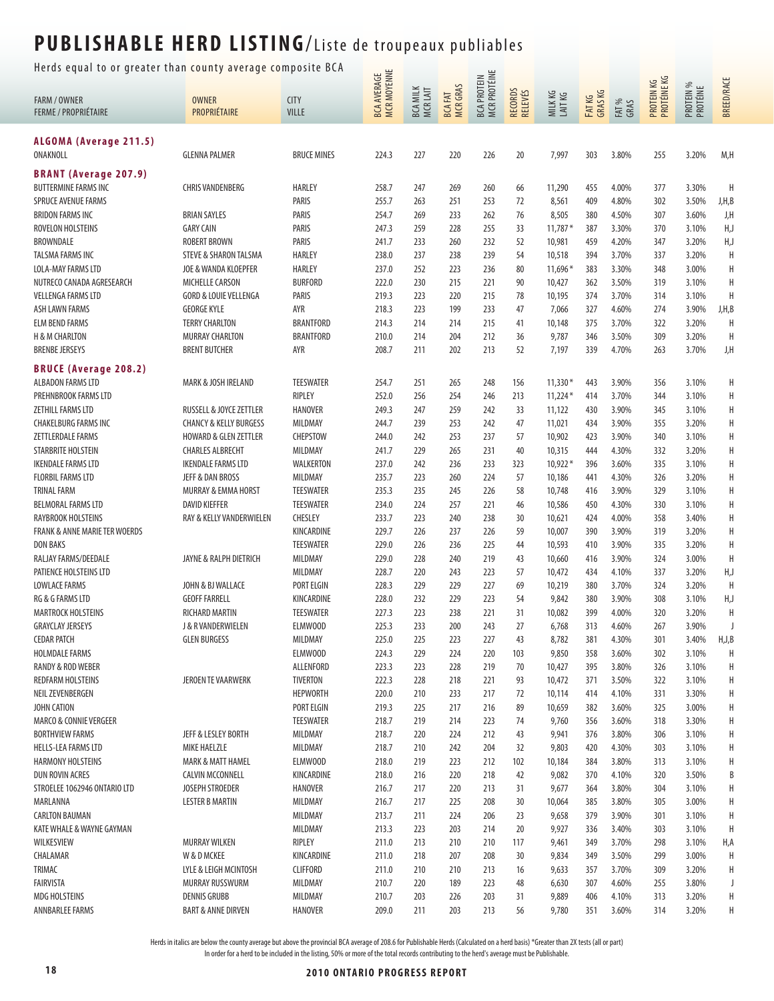Herds equal to or greater than county average composite BCA  $\frac{u}{u}$ 

| ncrus equar to or greater than county average compo         |                                                         |                                |                                    |                             |                     |                             |                    |                  |                  |                |                           |                       |                   |
|-------------------------------------------------------------|---------------------------------------------------------|--------------------------------|------------------------------------|-----------------------------|---------------------|-----------------------------|--------------------|------------------|------------------|----------------|---------------------------|-----------------------|-------------------|
| <b>FARM / OWNER</b><br><b>FERME / PROPRIÉTAIRE</b>          | <b>OWNER</b><br>PROPRIÉTAIRE                            | <b>CITY</b><br>VILLE           | <b>BCA AVERAGE<br/>MCR MOYENNE</b> | <b>BCA MILK</b><br>MCR LAIT | BCA FAT<br>MCR GRAS | BCA PROTEIN<br>MCR PROTÉINE | RECORDS<br>RELEVÉS | MILKKG<br>LAITKG | FATKG<br>GRAS KG | FAT %<br>GRAS  | PROTEIN KG<br>PROTÉINE KG | PROTEIN %<br>PROTÉINE | <b>BREED/RACE</b> |
| ALGOMA (Average 211.5)<br>ONAKNOLL                          | <b>GLENNA PALMER</b>                                    | <b>BRUCE MINES</b>             | 224.3                              | 227                         | 220                 | 226                         | 20                 | 7,997            | 303              | 3.80%          | 255                       | 3.20%                 | M,H               |
|                                                             |                                                         |                                |                                    |                             |                     |                             |                    |                  |                  |                |                           |                       |                   |
| <b>BRANT (Average 207.9)</b>                                |                                                         |                                |                                    |                             |                     |                             |                    |                  |                  |                |                           |                       | H                 |
| <b>BUTTERMINE FARMS INC</b>                                 | <b>CHRIS VANDENBERG</b>                                 | HARLEY<br>PARIS                | 258.7<br>255.7                     | 247                         | 269                 | 260                         | 66                 | 11,290           | 455              | 4.00%          | 377                       | 3.30%                 |                   |
| <b>SPRUCE AVENUE FARMS</b><br><b>BRIDON FARMS INC</b>       | <b>BRIAN SAYLES</b>                                     | PARIS                          | 254.7                              | 263<br>269                  | 251<br>233          | 253<br>262                  | 72<br>76           | 8,561<br>8,505   | 409<br>380       | 4.80%<br>4.50% | 302<br>307                | 3.50%<br>3.60%        | J,H,B<br>J,H      |
| ROVELON HOLSTEINS                                           | <b>GARY CAIN</b>                                        | PARIS                          | 247.3                              | 259                         | 228                 | 255                         | 33                 | $11,787*$        | 387              | 3.30%          | 370                       | 3.10%                 | H,J               |
| BROWNDALE                                                   | <b>ROBERT BROWN</b>                                     | <b>PARIS</b>                   | 241.7                              | 233                         | 260                 | 232                         | 52                 | 10,981           | 459              | 4.20%          | 347                       | 3.20%                 | H,J               |
| TALSMA FARMS INC                                            | <b>STEVE &amp; SHARON TALSMA</b>                        | HARLEY                         | 238.0                              | 237                         | 238                 | 239                         | 54                 | 10,518           | 394              | 3.70%          | 337                       | 3.20%                 | H                 |
| LOLA-MAY FARMS LTD                                          | JOE & WANDA KLOEPFER                                    | HARLEY                         | 237.0                              | 252                         | 223                 | 236                         | 80                 | $11,696*$        | 383              | 3.30%          | 348                       | 3.00%                 | H                 |
| NUTRECO CANADA AGRESEARCH                                   | <b>MICHELLE CARSON</b>                                  | <b>BURFORD</b>                 | 222.0                              | 230                         | 215                 | 221                         | 90                 | 10,427           | 362              | 3.50%          | 319                       | 3.10%                 | H                 |
| <b>VELLENGA FARMS LTD</b>                                   | <b>GORD &amp; LOUIE VELLENGA</b>                        | PARIS                          | 219.3                              | 223                         | 220                 | 215                         | 78                 | 10,195           | 374              | 3.70%          | 314                       | 3.10%                 | H                 |
| <b>ASH LAWN FARMS</b>                                       | <b>GEORGE KYLE</b>                                      | AYR                            | 218.3                              | 223                         | 199                 | 233                         | 47                 | 7,066            | 327              | 4.60%          | 274                       | 3.90%                 | J,H,B             |
| <b>ELM BEND FARMS</b>                                       | <b>TERRY CHARLTON</b>                                   | <b>BRANTFORD</b>               | 214.3                              | 214                         | 214                 | 215                         | 41                 | 10,148           | 375              | 3.70%          | 322                       | 3.20%                 | H                 |
| H & M CHARLTON                                              | MURRAY CHARLTON                                         | <b>BRANTFORD</b>               | 210.0                              | 214                         | 204                 | 212                         | 36                 | 9,787            | 346              | 3.50%          | 309                       | 3.20%                 | H                 |
| <b>BRENBE JERSEYS</b>                                       | <b>BRENT BUTCHER</b>                                    | AYR                            | 208.7                              | 211                         | 202                 | 213                         | 52                 | 7,197            | 339              | 4.70%          | 263                       | 3.70%                 | J,H               |
| <b>BRUCE (Average 208.2)</b>                                |                                                         |                                |                                    |                             |                     |                             |                    |                  |                  |                |                           |                       |                   |
| ALBADON FARMS LTD                                           | MARK & JOSH IRELAND                                     | <b>TEESWATER</b>               | 254.7                              | 251                         | 265                 | 248                         | 156                | $11,330*$        | 443              | 3.90%          | 356                       | 3.10%                 | H                 |
| PREHNBROOK FARMS LTD                                        |                                                         | RIPLEY                         | 252.0                              | 256                         | 254                 | 246                         | 213                | $11,224*$        | 414              | 3.70%          | 344                       | 3.10%                 | H                 |
| ZETHILL FARMS LTD                                           | RUSSELL & JOYCE ZETTLER                                 | <b>HANOVER</b>                 | 249.3                              | 247                         | 259                 | 242                         | 33                 | 11,122           | 430              | 3.90%          | 345                       | 3.10%                 | H                 |
| <b>CHAKELBURG FARMS INC</b>                                 | <b>CHANCY &amp; KELLY BURGESS</b>                       | MILDMAY                        | 244.7                              | 239                         | 253                 | 242                         | 47                 | 11,021           | 434              | 3.90%          | 355                       | 3.20%                 | Н                 |
| ZETTLERDALE FARMS                                           | <b>HOWARD &amp; GLEN ZETTLER</b>                        | <b>CHEPSTOW</b>                | 244.0                              | 242                         | 253                 | 237                         | 57                 | 10,902           | 423              | 3.90%          | 340                       | 3.10%                 | Н                 |
| STARBRITE HOLSTEIN                                          | <b>CHARLES ALBRECHT</b>                                 | MILDMAY                        | 241.7                              | 229                         | 265                 | 231                         | 40                 | 10,315           | 444              | 4.30%          | 332                       | 3.20%                 | H                 |
| <b>IKENDALE FARMS LTD</b>                                   | <b>IKENDALE FARMS LTD</b>                               | WALKERTON                      | 237.0                              | 242                         | 236                 | 233                         | 323                | $10,922*$        | 396              | 3.60%          | 335                       | 3.10%                 | H                 |
| <b>FLORBIL FARMS LTD</b>                                    | JEFF & DAN BROSS                                        | MILDMAY                        | 235.7                              | 223                         | 260                 | 224                         | 57                 | 10,186           | 441              | 4.30%          | 326                       | 3.20%                 | H                 |
| <b>TRINAL FARM</b>                                          | MURRAY & EMMA HORST                                     | <b>TEESWATER</b>               | 235.3                              | 235                         | 245                 | 226                         | 58                 | 10,748           | 416              | 3.90%          | 329                       | 3.10%                 | H                 |
| <b>BELMORAL FARMS LTD</b>                                   | DAVID KIEFFER                                           | <b>TEESWATER</b>               | 234.0                              | 224                         | 257                 | 221                         | 46                 | 10,586           | 450              | 4.30%          | 330                       | 3.10%                 | H                 |
| RAYBROOK HOLSTEINS                                          | RAY & KELLY VANDERWIELEN                                | CHESLEY                        | 233.7                              | 223                         | 240                 | 238                         | 30                 | 10,621           | 424              | 4.00%          | 358                       | 3.40%                 | H                 |
| <b>FRANK &amp; ANNE MARIE TER WOERDS</b><br><b>DON BAKS</b> |                                                         | KINCARDINE<br><b>TEESWATER</b> | 229.7<br>229.0                     | 226<br>226                  | 237<br>236          | 226<br>225                  | 59<br>44           | 10,007<br>10,593 | 390<br>410       | 3.90%<br>3.90% | 319<br>335                | 3.20%<br>3.20%        | H<br>H            |
| RALJAY FARMS/DEEDALE                                        | JAYNE & RALPH DIETRICH                                  | MILDMAY                        | 229.0                              | 228                         | 240                 | 219                         | 43                 | 10,660           | 416              | 3.90%          | 324                       | 3.00%                 | H                 |
| PATIENCE HOLSTEINS LTD                                      |                                                         | MILDMAY                        | 228.7                              | 220                         | 243                 | 223                         | 57                 | 10,472           | 434              | 4.10%          | 337                       | 3.20%                 | H,J               |
| <b>LOWLACE FARMS</b>                                        | JOHN & BJ WALLACE                                       | <b>PORT ELGIN</b>              | 228.3                              | 229                         | 229                 | 227                         | 69                 | 10,219           | 380              | 3.70%          | 324                       | 3.20%                 | H                 |
| RG & G FARMS LTD                                            | <b>GEOFF FARRELL</b>                                    | KINCARDINE                     | 228.0                              | 232                         | 229                 | 223                         | 54                 | 9,842            | 380              | 3.90%          | 308                       | 3.10%                 | H,J               |
| <b>MARTROCK HOLSTEINS</b>                                   | <b>RICHARD MARTIN</b>                                   | <b>TEESWATER</b>               | 227.3                              | 223                         | 238                 | 221                         | 31                 | 10,082           | 399              | 4.00%          | 320                       | 3.20%                 | H                 |
| <b>GRAYCLAY JERSEYS</b>                                     | J & R VANDERWIELEN                                      | ELMWOOD                        | 225.3                              | 233                         | 200                 | 243                         | 27                 | 6,768            | 313              | 4.60%          | 267                       | 3.90%                 |                   |
| <b>CEDAR PATCH</b>                                          | <b>GLEN BURGESS</b>                                     | MILDMAY                        | 225.0                              | 225                         | 223                 | 227                         | 43                 | 8,782            | 381              | 4.30%          | 301                       | 3.40%                 | H,J,B             |
| <b>HOLMDALE FARMS</b>                                       |                                                         | ELMW00D                        | 224.3                              | 229                         | 224                 | 220                         | 103                | 9,850            | 358              | 3.60%          | 302                       | 3.10%                 | H                 |
| RANDY & ROD WEBER                                           |                                                         | ALLENFORD                      | 223.3                              | 223                         | 228                 | 219                         | 70                 | 10,427           | 395              | 3.80%          | 326                       | 3.10%                 | H                 |
| REDFARM HOLSTEINS                                           | <b>JEROEN TE VAARWERK</b>                               | TIVERTON                       | 222.3                              | 228                         | 218                 | 221                         | 93                 | 10,472           | 371              | 3.50%          | 322                       | 3.10%                 | H                 |
| NEIL ZEVENBERGEN                                            |                                                         | <b>HEPWORTH</b>                | 220.0                              | 210                         | 233                 | 217                         | 72                 | 10,114           | 414              | 4.10%          | 331                       | 3.30%                 | Н                 |
| JOHN CATION                                                 |                                                         | PORT ELGIN                     | 219.3                              | 225                         | 217                 | 216                         | 89                 | 10,659           | 382              | 3.60%          | 325                       | 3.00%                 | H                 |
| <b>MARCO &amp; CONNIE VERGEER</b>                           |                                                         | <b>TEESWATER</b>               | 218.7                              | 219                         | 214                 | 223                         | 74                 | 9,760            | 356              | 3.60%          | 318                       | 3.30%                 | Н                 |
| <b>BORTHVIEW FARMS</b>                                      | JEFF & LESLEY BORTH                                     | MILDMAY                        | 218.7                              | 220                         | 224                 | 212                         | 43                 | 9,941            | 376              | 3.80%          | 306                       | 3.10%                 | Η                 |
| <b>HELLS-LEA FARMS LTD</b>                                  | <b>MIKE HAELZLE</b>                                     | MILDMAY                        | 218.7                              | 210                         | 242                 | 204                         | 32                 | 9,803            | 420              | 4.30%          | 303                       | 3.10%                 | Н                 |
| HARMONY HOLSTEINS<br>DUN ROVIN ACRES                        | <b>MARK &amp; MATT HAMEL</b><br><b>CALVIN MCCONNELL</b> | <b>ELMWOOD</b><br>KINCARDINE   | 218.0<br>218.0                     | 219<br>216                  | 223<br>220          | 212<br>218                  | 102<br>42          | 10,184<br>9,082  | 384<br>370       | 3.80%<br>4.10% | 313<br>320                | 3.10%<br>3.50%        | H<br>B            |
| STROELEE 1062946 ONTARIO LTD                                | JOSEPH STROEDER                                         | <b>HANOVER</b>                 | 216.7                              | 217                         | 220                 | 213                         | 31                 | 9,677            | 364              | 3.80%          | 304                       | 3.10%                 | H                 |
| MARLANNA                                                    | <b>LESTER B MARTIN</b>                                  | MILDMAY                        | 216.7                              | 217                         | 225                 | 208                         | 30                 | 10,064           | 385              | 3.80%          | 305                       | 3.00%                 | H                 |
| <b>CARLTON BAUMAN</b>                                       |                                                         | MILDMAY                        | 213.7                              | 211                         | 224                 | 206                         | 23                 | 9,658            | 379              | 3.90%          | 301                       | 3.10%                 | H                 |
| KATE WHALE & WAYNE GAYMAN                                   |                                                         | MILDMAY                        | 213.3                              | 223                         | 203                 | 214                         | 20                 | 9,927            | 336              | 3.40%          | 303                       | 3.10%                 | H                 |
| WILKESVIEW                                                  | <b>MURRAY WILKEN</b>                                    | RIPLEY                         | 211.0                              | 213                         | 210                 | 210                         | 117                | 9,461            | 349              | 3.70%          | 298                       | 3.10%                 | H,A               |
| CHALAMAR                                                    | W & D MCKEE                                             | KINCARDINE                     | 211.0                              | 218                         | 207                 | 208                         | 30                 | 9,834            | 349              | 3.50%          | 299                       | 3.00%                 | H                 |
| TRIMAC                                                      | LYLE & LEIGH MCINTOSH                                   | <b>CLIFFORD</b>                | 211.0                              | 210                         | 210                 | 213                         | 16                 | 9,633            | 357              | 3.70%          | 309                       | 3.20%                 | Η                 |
| FAIRVISTA                                                   | MURRAY RUSSWURM                                         | MILDMAY                        | 210.7                              | 220                         | 189                 | 223                         | 48                 | 6,630            | 307              | 4.60%          | 255                       | 3.80%                 | J                 |
| <b>MDG HOLSTEINS</b>                                        | <b>DENNIS GRUBB</b>                                     | MILDMAY                        | 210.7                              | 203                         | 226                 | 203                         | 31                 | 9,889            | 406              | 4.10%          | 313                       | 3.20%                 | H                 |
| ANNBARLEE FARMS                                             | <b>BART &amp; ANNE DIRVEN</b>                           | <b>HANOVER</b>                 | 209.0                              | 211                         | 203                 | 213                         | 56                 | 9,780            | 351              | 3.60%          | 314                       | 3.20%                 | Η                 |
|                                                             |                                                         |                                |                                    |                             |                     |                             |                    |                  |                  |                |                           |                       |                   |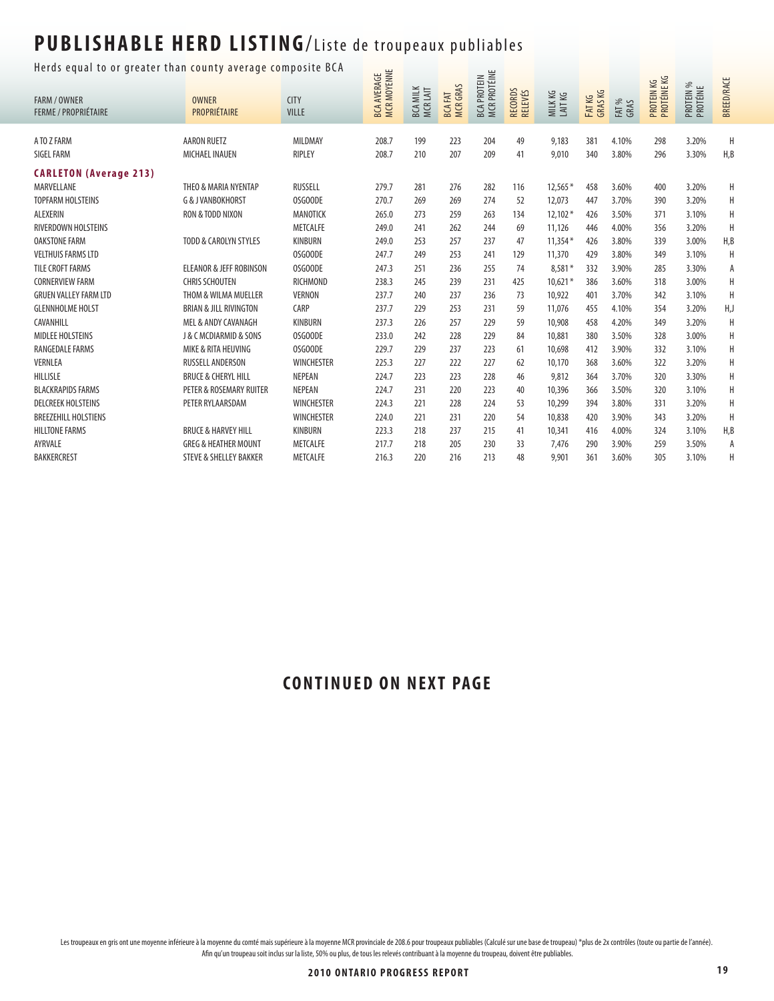Herds equal to or greater than county average composite BCA يونيا الله عليه الله عليه الله عليه الله عليه الله

| nerus equar to or greater than county average composite ben |                                       |                   | <b>MCR MOYENNE</b><br><b>BCA AVERAGE</b> |                 |                     | <b>MCR PROTÉINE</b><br><b>BCA PROTEIN</b> |                    |                    |                   |               | PROTEIN KG<br>PROTÉINE KG |                       | <b>BREED/RACE</b> |
|-------------------------------------------------------------|---------------------------------------|-------------------|------------------------------------------|-----------------|---------------------|-------------------------------------------|--------------------|--------------------|-------------------|---------------|---------------------------|-----------------------|-------------------|
| <b>FARM / OWNER</b>                                         | <b>OWNER</b>                          | <b>CITY</b>       |                                          | <b>BCA MILK</b> |                     |                                           |                    | MILK KG<br>LAIT KG |                   |               |                           | PROTEIN %<br>PROTÉINE |                   |
| <b>FERME / PROPRIÉTAIRE</b>                                 | PROPRIÉTAIRE                          | <b>VILLE</b>      |                                          | MCRLAIT         | BCA FAT<br>MCR GRAS |                                           | RECORDS<br>RELEVÉS |                    | FAT KG<br>GRAS KG | FAT %<br>GRAS |                           |                       |                   |
| A TO Z FARM                                                 | <b>AARON RUETZ</b>                    | MILDMAY           | 208.7                                    | 199             | 223                 | 204                                       | 49                 | 9,183              | 381               | 4.10%         | 298                       | 3.20%                 | Η                 |
| <b>SIGEL FARM</b>                                           | MICHAEL INAUEN                        | RIPLEY            | 208.7                                    | 210             | 207                 | 209                                       | 41                 | 9,010              | 340               | 3.80%         | 296                       | 3.30%                 | H, B              |
| <b>CARLETON (Average 213)</b>                               |                                       |                   |                                          |                 |                     |                                           |                    |                    |                   |               |                           |                       |                   |
| MARVELLANE                                                  | THEO & MARIA NYENTAP                  | RUSSELL           | 279.7                                    | 281             | 276                 | 282                                       | 116                | $12,565*$          | 458               | 3.60%         | 400                       | 3.20%                 | Η                 |
| <b>TOPFARM HOLSTEINS</b>                                    | <b>G &amp; J VANBOKHORST</b>          | OSGOODE           | 270.7                                    | 269             | 269                 | 274                                       | 52                 | 12,073             | 447               | 3.70%         | 390                       | 3.20%                 | Η                 |
| ALEXERIN                                                    | RON & TODD NIXON                      | MANOTICK          | 265.0                                    | 273             | 259                 | 263                                       | 134                | $12,102*$          | 426               | 3.50%         | 371                       | 3.10%                 | Η                 |
| RIVERDOWN HOLSTEINS                                         |                                       | <b>METCALFE</b>   | 249.0                                    | 241             | 262                 | 244                                       | 69                 | 11,126             | 446               | 4.00%         | 356                       | 3.20%                 | H                 |
| <b>OAKSTONE FARM</b>                                        | <b>TODD &amp; CAROLYN STYLES</b>      | <b>KINBURN</b>    | 249.0                                    | 253             | 257                 | 237                                       | 47                 | $11.354*$          | 426               | 3.80%         | 339                       | 3.00%                 | H,B               |
| <b>VELTHUIS FARMS LTD</b>                                   |                                       | OSGOODE           | 247.7                                    | 249             | 253                 | 241                                       | 129                | 11,370             | 429               | 3.80%         | 349                       | 3.10%                 | H                 |
| <b>TILE CROFT FARMS</b>                                     | <b>ELEANOR &amp; JEFF ROBINSON</b>    | OSGOODE           | 247.3                                    | 251             | 236                 | 255                                       | 74                 | $8,581*$           | 332               | 3.90%         | 285                       | 3.30%                 | А                 |
| <b>CORNERVIEW FARM</b>                                      | <b>CHRIS SCHOUTEN</b>                 | RICHMOND          | 238.3                                    | 245             | 239                 | 231                                       | 425                | $10.621*$          | 386               | 3.60%         | 318                       | 3.00%                 | H                 |
| <b>GRUEN VALLEY FARM LTD</b>                                | THOM & WILMA MUELLER                  | <b>VERNON</b>     | 237.7                                    | 240             | 237                 | 236                                       | 73                 | 10,922             | 401               | 3.70%         | 342                       | 3.10%                 | Η                 |
| <b>GLENNHOLME HOLST</b>                                     | <b>BRIAN &amp; JILL RIVINGTON</b>     | CARP              | 237.7                                    | 229             | 253                 | 231                                       | 59                 | 11,076             | 455               | 4.10%         | 354                       | 3.20%                 | H,J               |
| CAVANHILL                                                   | MEL & ANDY CAVANAGH                   | KINBURN           | 237.3                                    | 226             | 257                 | 229                                       | 59                 | 10,908             | 458               | 4.20%         | 349                       | 3.20%                 | Η                 |
| <b>MIDLEE HOLSTEINS</b>                                     | <b>J &amp; C MCDIARMID &amp; SONS</b> | OSGOODE           | 233.0                                    | 242             | 228                 | 229                                       | 84                 | 10,881             | 380               | 3.50%         | 328                       | 3.00%                 | Η                 |
| RANGEDALE FARMS                                             | MIKE & RITA HEUVING                   | OSGOODE           | 229.7                                    | 229             | 237                 | 223                                       | 61                 | 10.698             | 412               | 3.90%         | 332                       | 3.10%                 | Η                 |
| <b>VERNLEA</b>                                              | <b>RUSSELL ANDERSON</b>               | <b>WINCHESTER</b> | 225.3                                    | 227             | 222                 | 227                                       | 62                 | 10,170             | 368               | 3.60%         | 322                       | 3.20%                 | Н                 |
| HILLISLE                                                    | <b>BRUCE &amp; CHERYL HILL</b>        | NEPEAN            | 224.7                                    | 223             | 223                 | 228                                       | 46                 | 9,812              | 364               | 3.70%         | 320                       | 3.30%                 | Н                 |
| <b>BLACKRAPIDS FARMS</b>                                    | PETER & ROSEMARY RUITER               | <b>NEPEAN</b>     | 224.7                                    | 231             | 220                 | 223                                       | 40                 | 10,396             | 366               | 3.50%         | 320                       | 3.10%                 | Η                 |
| <b>DELCREEK HOLSTEINS</b>                                   | PETER RYLAARSDAM                      | <b>WINCHESTER</b> | 224.3                                    | 221             | 228                 | 224                                       | 53                 | 10,299             | 394               | 3.80%         | 331                       | 3.20%                 | Н                 |
| <b>BREEZEHILL HOLSTIENS</b>                                 |                                       | <b>WINCHESTER</b> | 224.0                                    | 221             | 231                 | 220                                       | 54                 | 10,838             | 420               | 3.90%         | 343                       | 3.20%                 | Н                 |
| <b>HILLTONE FARMS</b>                                       | <b>BRUCE &amp; HARVEY HILL</b>        | KINBURN           | 223.3                                    | 218             | 237                 | 215                                       | 41                 | 10,341             | 416               | 4.00%         | 324                       | 3.10%                 | H, B              |
| AYRVALE                                                     | <b>GREG &amp; HEATHER MOUNT</b>       | <b>METCALFE</b>   | 217.7                                    | 218             | 205                 | 230                                       | 33                 | 7,476              | 290               | 3.90%         | 259                       | 3.50%                 | A                 |
| <b>BAKKERCREST</b>                                          | <b>STEVE &amp; SHELLEY BAKKER</b>     | METCALFE          | 216.3                                    | 220             | 216                 | 213                                       | 48                 | 9,901              | 361               | 3.60%         | 305                       | 3.10%                 | Η                 |
|                                                             |                                       |                   |                                          |                 |                     |                                           |                    |                    |                   |               |                           |                       |                   |

#### **CONTINUED ON NEXT PAGE**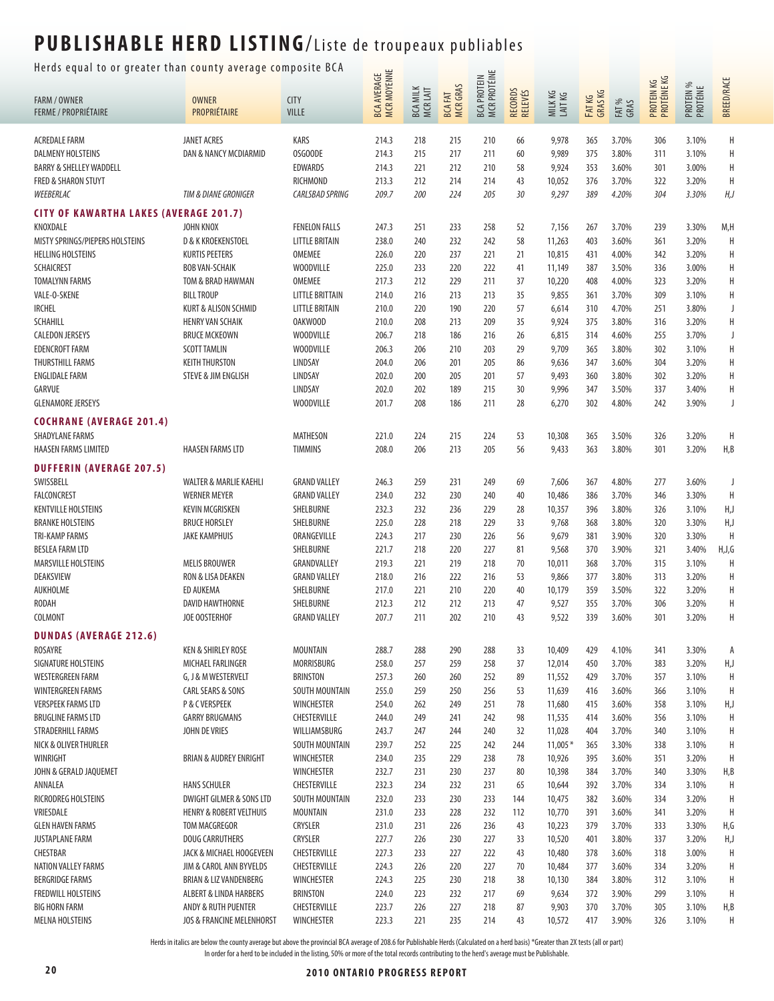Herds equal to or greater than county average composite BCA  $\frac{1}{\cdots}$ 

| nerus equar to or greater than county average composite ben |                                          | BCA AVERAGE<br>MCR MOYENNE               |                |                             | <b>MCR PROTÉINE</b>             |                    |                    |                  |                  | PROTEIN KG<br>PROTÉINE KG |            |                       |                   |
|-------------------------------------------------------------|------------------------------------------|------------------------------------------|----------------|-----------------------------|---------------------------------|--------------------|--------------------|------------------|------------------|---------------------------|------------|-----------------------|-------------------|
| <b>FARM / OWNER</b>                                         | <b>OWNER</b>                             | <b>CITY</b>                              |                | <b>BCA MILK</b><br>MCR LAIT | <b>MCRGRAS</b><br><b>BCAFAT</b> | <b>BCA PROTEIN</b> | RECORDS<br>RELEVÉS | MILKKG<br>LAITKG | FATKG<br>GRAS KG |                           |            | PROTEIN %<br>PROTÉINE | <b>BREED/RACE</b> |
| <b>FERME / PROPRIÉTAIRE</b>                                 | PROPRIÉTAIRE                             | VILLE                                    |                |                             |                                 |                    |                    |                  |                  | FAT %<br>GRAS             |            |                       |                   |
| <b>ACREDALE FARM</b>                                        | <b>JANET ACRES</b>                       | KARS                                     | 214.3          | 218                         | 215                             | 210                |                    | 9,978            | 365              | 3.70%                     |            | 3.10%                 | Η                 |
| <b>DALMENY HOLSTEINS</b>                                    | DAN & NANCY MCDIARMID                    | OSGOODE                                  | 214.3          | 215                         | 217                             | 211                | 66<br>60           | 9,989            | 375              | 3.80%                     | 306<br>311 | 3.10%                 | Η                 |
| <b>BARRY &amp; SHELLEY WADDELL</b>                          |                                          | <b>EDWARDS</b>                           | 214.3          | 221                         | 212                             | 210                | 58                 | 9,924            | 353              | 3.60%                     | 301        | 3.00%                 | Н                 |
| <b>FRED &amp; SHARON STUYT</b>                              |                                          | RICHMOND                                 | 213.3          | 212                         | 214                             | 214                | 43                 | 10,052           | 376              | 3.70%                     | 322        | 3.20%                 | Η                 |
| WEEBERLAC                                                   | TIM & DIANE GRONIGER                     | CARLSBAD SPRING                          | 209.7          | 200                         | 224                             | 205                | 30                 | 9,297            | 389              | 4.20%                     | 304        | 3.30%                 | H, J              |
| <b>CITY OF KAWARTHA LAKES (AVERAGE 201.7)</b>               |                                          |                                          |                |                             |                                 |                    |                    |                  |                  |                           |            |                       |                   |
| KNOXDALE                                                    | <b>JOHN KNOX</b>                         | <b>FENELON FALLS</b>                     | 247.3          | 251                         | 233                             | 258                | 52                 | 7,156            | 267              | 3.70%                     | 239        | 3.30%                 | M,H               |
| MISTY SPRINGS/PIEPERS HOLSTEINS                             | <b>D &amp; K KROEKENSTOEL</b>            | <b>LITTLE BRITAIN</b>                    | 238.0          | 240                         | 232                             | 242                | 58                 | 11,263           | 403              | 3.60%                     | 361        | 3.20%                 | H                 |
| <b>HELLING HOLSTEINS</b>                                    | <b>KURTIS PEETERS</b>                    | OMEMEE                                   | 226.0          | 220                         | 237                             | 221                | 21                 | 10,815           | 431              | 4.00%                     | 342        | 3.20%                 | Η                 |
| <b>SCHAICREST</b>                                           | <b>BOB VAN-SCHAIK</b>                    | <b>WOODVILLE</b>                         | 225.0          | 233                         | 220                             | 222                | 41                 | 11,149           | 387              | 3.50%                     | 336        | 3.00%                 | Н                 |
| <b>TOMALYNN FARMS</b>                                       | TOM & BRAD HAWMAN                        | OMEMEE                                   | 217.3          | 212                         | 229                             | 211                | 37                 | 10,220           | 408              | 4.00%                     | 323        | 3.20%                 | Η                 |
| VALE-O-SKENE                                                | <b>BILL TROUP</b>                        | <b>LITTLE BRITTAIN</b>                   | 214.0          | 216                         | 213                             | 213                | 35                 | 9,855            | 361              | 3.70%                     | 309        | 3.10%                 | Η                 |
| <b>IRCHEL</b>                                               | KURT & ALISON SCHMID                     | <b>LITTLE BRITAIN</b>                    | 210.0          | 220                         | 190                             | 220                | 57                 | 6,614            | 310              | 4.70%                     | 251        | 3.80%                 | J                 |
| <b>SCHAHILL</b>                                             | <b>HENRY VAN SCHAIK</b>                  | <b>OAKWOOD</b>                           | 210.0          | 208                         | 213                             | 209                | 35                 | 9,924            | 375              | 3.80%                     | 316        | 3.20%                 | Η                 |
| <b>CALEDON JERSEYS</b>                                      | <b>BRUCE MCKEOWN</b>                     | <b>WOODVILLE</b>                         | 206.7          | 218                         | 186                             | 216                | 26                 | 6,815            | 314              | 4.60%                     | 255        | 3.70%                 | J                 |
| <b>EDENCROFT FARM</b>                                       | <b>SCOTT TAMLIN</b>                      | <b>WOODVILLE</b>                         | 206.3          | 206                         | 210                             | 203                | 29                 | 9,709            | 365              | 3.80%                     | 302        | 3.10%                 | Η                 |
| THURSTHILL FARMS                                            | <b>KEITH THURSTON</b>                    | LINDSAY                                  | 204.0          | 206                         | 201                             | 205                | 86                 | 9,636            | 347              | 3.60%                     | 304        | 3.20%                 | Η                 |
| <b>ENGLIDALE FARM</b>                                       | <b>STEVE &amp; JIM ENGLISH</b>           | LINDSAY                                  | 202.0          | 200                         | 205                             | 201                | 57                 | 9,493            | 360              | 3.80%                     | 302        | 3.20%                 | Η                 |
| GARVUE                                                      |                                          | LINDSAY                                  | 202.0          | 202                         | 189                             | 215                | 30                 | 9,996            | 347              | 3.50%                     | 337        | 3.40%                 | Η                 |
| <b>GLENAMORE JERSEYS</b>                                    |                                          | <b>WOODVILLE</b>                         | 201.7          | 208                         | 186                             | 211                | 28                 | 6,270            | 302              | 4.80%                     | 242        | 3.90%                 | J                 |
| <b>COCHRANE (AVERAGE 201.4)</b>                             |                                          |                                          |                |                             |                                 |                    |                    |                  |                  |                           |            |                       |                   |
| <b>SHADYLANE FARMS</b>                                      |                                          | MATHESON                                 | 221.0          | 224                         | 215                             | 224                | 53                 | 10,308           | 365              | 3.50%                     | 326        | 3.20%                 | H                 |
| <b>HAASEN FARMS LIMITED</b>                                 | <b>HAASEN FARMS LTD</b>                  | <b>TIMMINS</b>                           | 208.0          | 206                         | 213                             | 205                | 56                 | 9,433            | 363              | 3.80%                     | 301        | 3.20%                 | H, B              |
| <b>DUFFERIN (AVERAGE 207.5)</b>                             |                                          |                                          |                |                             |                                 |                    |                    |                  |                  |                           |            |                       |                   |
| SWISSBELL                                                   | WALTER & MARLIE KAEHLI                   | <b>GRAND VALLEY</b>                      | 246.3          | 259                         | 231                             | 249                | 69                 | 7,606            | 367              | 4.80%                     | 277        | 3.60%                 | J                 |
| <b>FALCONCREST</b>                                          | <b>WERNER MEYER</b>                      | <b>GRAND VALLEY</b>                      | 234.0          | 232                         | 230                             | 240                | 40                 | 10,486           | 386              | 3.70%                     | 346        | 3.30%                 | H                 |
| <b>KENTVILLE HOLSTEINS</b>                                  | <b>KEVIN MCGRISKEN</b>                   | SHELBURNE                                | 232.3          | 232                         | 236                             | 229                | 28                 | 10,357           | 396              | 3.80%                     | 326        | 3.10%                 | H,J               |
| <b>BRANKE HOLSTEINS</b>                                     | <b>BRUCE HORSLEY</b>                     | SHELBURNE                                | 225.0          | 228                         | 218                             | 229                | 33                 | 9,768            | 368              | 3.80%                     | 320        | 3.30%                 | H,J               |
| <b>TRI-KAMP FARMS</b>                                       | <b>JAKE KAMPHUIS</b>                     | ORANGEVILLE                              | 224.3          | 217                         | 230                             | 226                | 56                 | 9,679            | 381              | 3.90%                     | 320        | 3.30%                 | H                 |
| <b>BESLEA FARM LTD</b>                                      |                                          | SHELBURNE                                | 221.7          | 218                         | 220                             | 227                | 81                 | 9,568            | 370              | 3.90%                     | 321        | 3.40%                 | H, J, G           |
| <b>MARSVILLE HOLSTEINS</b>                                  | <b>MELIS BROUWER</b>                     | GRANDVALLEY                              | 219.3          | 221                         | 219                             | 218                | 70                 | 10,011           | 368              | 3.70%                     | 315        | 3.10%                 | H                 |
| DEAKSVIEW                                                   | RON & LISA DEAKEN                        | <b>GRAND VALLEY</b>                      | 218.0          | 216                         | 222                             | 216                | 53                 | 9,866            | 377              | 3.80%                     | 313        | 3.20%                 | Η                 |
| AUKHOLME<br><b>RODAH</b>                                    | ED AUKEMA<br><b>DAVID HAWTHORNE</b>      | SHELBURNE                                | 217.0          | 221                         | 210                             | 220                | 40                 | 10,179           | 359              | 3.50%                     | 322        | 3.20%                 | Н                 |
| COLMONT                                                     | JOE OOSTERHOF                            | SHELBURNE<br><b>GRAND VALLEY</b>         | 212.3<br>207.7 | 212<br>211                  | 212<br>202                      | 213<br>210         | 47<br>43           | 9,527<br>9,522   | 355<br>339       | 3.70%<br>3.60%            | 306<br>301 | 3.20%<br>3.20%        | Η<br>Н            |
|                                                             |                                          |                                          |                |                             |                                 |                    |                    |                  |                  |                           |            |                       |                   |
| <b>DUNDAS (AVERAGE 212.6)</b>                               |                                          |                                          |                |                             |                                 |                    |                    |                  |                  |                           |            |                       |                   |
| ROSAYRE                                                     | KEN & SHIRLEY ROSE                       | MOUNTAIN                                 | 288.7          | 288                         | 290                             | 288                | 33                 | 10,409           | 429              | 4.10%                     | 341        | 3.30%                 | А                 |
| SIGNATURE HOLSTEINS<br><b>WESTERGREEN FARM</b>              | MICHAEL FARLINGER                        | MORRISBURG                               | 258.0          | 257                         | 259                             | 258                | 37                 | 12,014           | 450              | 3.70%                     | 383        | 3.20%                 | H,J               |
| <b>WINTERGREEN FARMS</b>                                    | G, J & M WESTERVELT<br>CARL SEARS & SONS | <b>BRINSTON</b><br><b>SOUTH MOUNTAIN</b> | 257.3<br>255.0 | 260<br>259                  | 260<br>250                      | 252<br>256         | 89<br>53           | 11,552           | 429<br>416       | 3.70%                     | 357<br>366 | 3.10%<br>3.10%        | H<br>Η            |
| <b>VERSPEEK FARMS LTD</b>                                   | P & C VERSPEEK                           | <b>WINCHESTER</b>                        | 254.0          | 262                         | 249                             | 251                | 78                 | 11,639<br>11,680 | 415              | 3.60%<br>3.60%            | 358        | 3.10%                 | H,J               |
| <b>BRUGLINE FARMS LTD</b>                                   | <b>GARRY BRUGMANS</b>                    | CHESTERVILLE                             | 244.0          | 249                         | 241                             | 242                | 98                 | 11,535           | 414              | 3.60%                     | 356        | 3.10%                 | Η                 |
| STRADERHILL FARMS                                           | JOHN DE VRIES                            | WILLIAMSBURG                             | 243.7          | 247                         | 244                             | 240                | 32                 | 11,028           | 404              | 3.70%                     | 340        | 3.10%                 | Η                 |
| NICK & OLIVER THURLER                                       |                                          | SOUTH MOUNTAIN                           | 239.7          | 252                         | 225                             | 242                | 244                | $11,005*$        | 365              | 3.30%                     | 338        | 3.10%                 | H                 |
| WINRIGHT                                                    | <b>BRIAN &amp; AUDREY ENRIGHT</b>        | <b>WINCHESTER</b>                        | 234.0          | 235                         | 229                             | 238                | 78                 | 10,926           | 395              | 3.60%                     | 351        | 3.20%                 | Η                 |
| JOHN & GERALD JAQUEMET                                      |                                          | <b>WINCHESTER</b>                        | 232.7          | 231                         | 230                             | 237                | 80                 | 10,398           | 384              | 3.70%                     | 340        | 3.30%                 | H, B              |
| ANNALEA                                                     | <b>HANS SCHULER</b>                      | CHESTERVILLE                             | 232.3          | 234                         | 232                             | 231                | 65                 | 10,644           | 392              | 3.70%                     | 334        | 3.10%                 | Η                 |
| RICRODREG HOLSTEINS                                         | <b>DWIGHT GILMER &amp; SONS LTD</b>      | <b>SOUTH MOUNTAIN</b>                    | 232.0          | 233                         | 230                             | 233                | 144                | 10,475           | 382              | 3.60%                     | 334        | 3.20%                 | H                 |
| VRIESDALE                                                   | <b>HENRY &amp; ROBERT VELTHUIS</b>       | MOUNTAIN                                 | 231.0          | 233                         | 228                             | 232                | 112                | 10,770           | 391              | 3.60%                     | 341        | 3.20%                 | H                 |
| <b>GLEN HAVEN FARMS</b>                                     | <b>TOM MACGREGOR</b>                     | CRYSLER                                  | 231.0          | 231                         | 226                             | 236                | 43                 | 10,223           | 379              | 3.70%                     | 333        | 3.30%                 | H,G               |
| <b>JUSTAPLANE FARM</b>                                      | DOUG CARRUTHERS                          | CRYSLER                                  | 227.7          | 226                         | 230                             | 227                | 33                 | 10,520           | 401              | 3.80%                     | 337        | 3.20%                 | H,J               |
| CHESTBAR                                                    | JACK & MICHAEL HOOGEVEEN                 | CHESTERVILLE                             | 227.3          | 233                         | 227                             | 222                | 43                 | 10,480           | 378              | 3.60%                     | 318        | 3.00%                 | Η                 |
| NATION VALLEY FARMS                                         | JIM & CAROL ANN BYVELDS                  | CHESTERVILLE                             | 224.3          | 226                         | 220                             | 227                | 70                 | 10,484           | 377              | 3.60%                     | 334        | 3.20%                 | H                 |
| <b>BERGRIDGE FARMS</b>                                      | BRIAN & LIZ VANDENBERG                   | WINCHESTER                               | 224.3          | 225                         | 230                             | 218                | 38                 | 10,130           | 384              | 3.80%                     | 312        | 3.10%                 | Η                 |
| <b>FREDWILL HOLSTEINS</b>                                   | ALBERT & LINDA HARBERS                   | <b>BRINSTON</b>                          | 224.0          | 223                         | 232                             | 217                | 69                 | 9,634            | 372              | 3.90%                     | 299        | 3.10%                 | Η                 |
| <b>BIG HORN FARM</b>                                        | ANDY & RUTH PUENTER                      | CHESTERVILLE                             | 223.7          | 226                         | 227                             | 218                | 87                 | 9,903            | 370              | 3.70%                     | 305        | 3.10%                 | H, B              |
| MELNA HOLSTEINS                                             | JOS & FRANCINE MELENHORST                | <b>WINCHESTER</b>                        | 223.3          | 221                         | 235                             | 214                | 43                 | 10,572           | 417              | 3.90%                     | 326        | 3.10%                 | Η                 |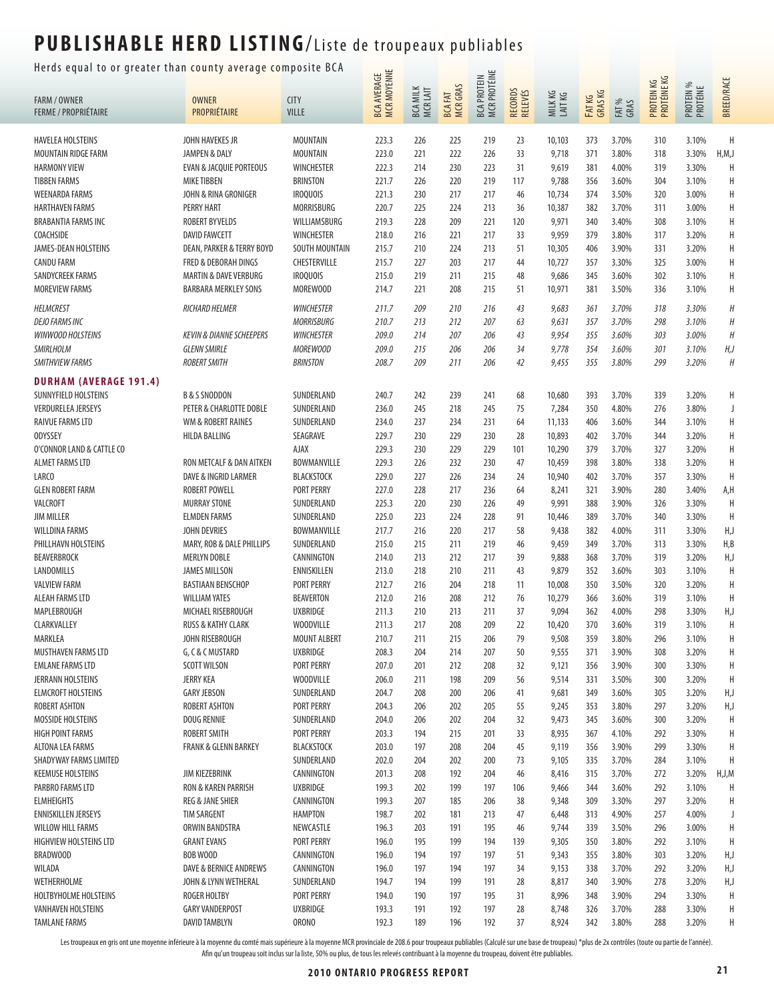#### Herds equal to or greater than county average composite BCA  $\frac{1}{\cdots}$

| nerus equar to or greater than county average compo |                                                  |                           |                            |                             |                     |                             |                    |                  |                  |                |                           |                       |                   |
|-----------------------------------------------------|--------------------------------------------------|---------------------------|----------------------------|-----------------------------|---------------------|-----------------------------|--------------------|------------------|------------------|----------------|---------------------------|-----------------------|-------------------|
| FARM / OWNER                                        | <b>OWNER</b>                                     | <b>CITY</b>               | BCA AVERAGE<br>MCR MOYENNE | <b>BCA MILK</b><br>MCR LAIT | BCA FAT<br>MCR GRAS | BCA PROTEIN<br>MCR PROTÉINE | RECORDS<br>RELEVÉS | MILKKG<br>LAITKG | FATKG<br>GRAS KG | FAT %<br>GRAS  | PROTEIN KG<br>PROTÉINE KG | PROTEIN %<br>PROTÉINE | <b>BREED/RACE</b> |
| <b>FERME / PROPRIÉTAIRE</b>                         | PROPRIÉTAIRE                                     | <b>VILLE</b>              |                            |                             |                     |                             |                    |                  |                  |                |                           |                       |                   |
| <b>HAVELEA HOLSTEINS</b>                            | JOHN HAVEKES JR                                  | <b>MOUNTAIN</b>           | 223.3                      | 226                         | 225                 | 219                         | 23                 | 10,103           | 373              | 3.70%          | 310                       | 3.10%                 | H                 |
| MOUNTAIN RIDGE FARM                                 | JAMPEN & DALY                                    | <b>MOUNTAIN</b>           | 223.0                      | 221                         | 222                 | 226                         | 33                 | 9,718            | 371              | 3.80%          | 318                       | 3.30%                 | H, M, J           |
| <b>HARMONY VIEW</b>                                 | <b>EVAN &amp; JACQUIE PORTEOUS</b>               | <b>WINCHESTER</b>         | 222.3                      | 214                         | 230                 | 223                         | 31                 | 9,619            | 381              | 4.00%          | 319                       | 3.30%                 | H                 |
| <b>TIBBEN FARMS</b>                                 | <b>MIKE TIBBEN</b>                               | <b>BRINSTON</b>           | 221.7                      | 226                         | 220                 | 219                         | 117                | 9,788            | 356              | 3.60%          | 304                       | 3.10%                 | Η                 |
| <b>WEENARDA FARMS</b>                               | JOHN & RINA GRONIGER                             | <b>IROQUOIS</b>           | 221.3                      | 230                         | 217                 | 217                         | 46                 | 10,734           | 374              | 3.50%          | 320                       | 3.00%                 | Н                 |
| <b>HARTHAVEN FARMS</b>                              | <b>PERRY HART</b>                                | MORRISBURG                | 220.7                      | 225                         | 224                 | 213                         | 36                 | 10,387           | 382              | 3.70%          | 311                       | 3.00%                 | Η                 |
| <b>BRABANTIA FARMS INC</b>                          | <b>ROBERT BYVELDS</b>                            | WILLIAMSBURG              | 219.3                      | 228                         | 209                 | 221                         | 120                | 9,971            | 340              | 3.40%          | 308                       | 3.10%                 | Н                 |
| COACHSIDE                                           | <b>DAVID FAWCETT</b>                             | <b>WINCHESTER</b>         | 218.0                      | 216                         | 221                 | 217                         | 33                 | 9,959            | 379              | 3.80%          | 317                       | 3.20%                 | Η                 |
| JAMES-DEAN HOLSTEINS                                | DEAN, PARKER & TERRY BOYD                        | SOUTH MOUNTAIN            | 215.7                      | 210                         | 224                 | 213                         | 51                 | 10,305           | 406              | 3.90%          | 331                       | 3.20%                 | Η                 |
| <b>CANDU FARM</b>                                   | FRED & DEBORAH DINGS                             | CHESTERVILLE              | 215.7                      | 227                         | 203                 | 217                         | 44                 | 10,727           | 357              | 3.30%          | 325                       | 3.00%                 | Η                 |
| SANDYCREEK FARMS                                    | <b>MARTIN &amp; DAVE VERBURG</b>                 | <b>IROQUOIS</b>           | 215.0                      | 219                         | 211                 | 215                         | 48                 | 9,686            | 345              | 3.60%          | 302                       | 3.10%                 | Η                 |
| <b>MOREVIEW FARMS</b>                               | <b>BARBARA MERKLEY SONS</b>                      | MOREWOOD                  | 214.7                      | 221                         | 208                 | 215                         | 51                 | 10,971           | 381              | 3.50%          | 336                       | 3.10%                 | Н                 |
| <b>HELMCREST</b>                                    | RICHARD HELMER                                   | <b>WINCHESTER</b>         | 211.7                      | 209                         | 210                 | 216                         | 43                 | 9,683            | 361              | 3.70%          | 318                       | 3.30%                 | Н                 |
| <b>DEJO FARMS INC</b>                               |                                                  | <b>MORRISBURG</b>         | 210.7                      | 213                         | 212                 | 207                         | 63                 | 9,631            | 357              | 3.70%          | 298                       | 3.10%                 | $\boldsymbol{H}$  |
| <b>WINWOOD HOLSTEINS</b>                            | <b>KEVIN &amp; DIANNE SCHEEPERS</b>              | <b>WINCHESTER</b>         | 209.0                      | 214                         | 207                 | 206                         | 43                 | 9,954            | 355              | 3.60%          | 303                       | 3.00%                 | H                 |
| <b>SMIRLHOLM</b>                                    | <b>GLENN SMIRLE</b>                              | <b>MOREWOOD</b>           | 209.0                      | 215                         | 206                 | 206                         | 34                 | 9,778            | 354              | 3.60%          | 301                       | 3.10%                 | H, J              |
| <b>SMITHVIEW FARMS</b>                              | <b>ROBERT SMITH</b>                              | <b>BRINSTON</b>           | 208.7                      | 209                         | 211                 | 206                         | 42                 | 9,455            | 355              | 3.80%          | 299                       | 3.20%                 | $\boldsymbol{H}$  |
| <b>DURHAM (AVERAGE 191.4)</b>                       |                                                  |                           |                            |                             |                     |                             |                    |                  |                  |                |                           |                       |                   |
| SUNNYFIELD HOLSTEINS                                | <b>B &amp; S SNODDON</b>                         | SUNDERLAND                | 240.7                      | 242                         | 239                 | 241                         | 68                 | 10,680           | 393              | 3.70%          | 339                       | 3.20%                 | Η                 |
| <b>VERDURELEA JERSEYS</b>                           | PETER & CHARLOTTE DOBLE                          | SUNDERLAND                | 236.0                      | 245                         | 218                 | 245                         | 75                 | 7,284            | 350              | 4.80%          | 276                       | 3.80%                 | J                 |
| RAIVUE FARMS LTD                                    | WM & ROBERT RAINES                               | SUNDERLAND                | 234.0                      | 237                         | 234                 | 231                         | 64                 | 11,133           | 406              | 3.60%          | 344                       | 3.10%                 | Н                 |
| <b>ODYSSEY</b>                                      | HILDA BALLING                                    | SEAGRAVE                  | 229.7                      | 230                         | 229                 | 230                         | 28                 | 10,893           | 402              | 3.70%          | 344                       | 3.20%                 | Н                 |
| O'CONNOR LAND & CATTLE CO                           |                                                  | <b>AJAX</b>               | 229.3                      | 230                         | 229                 | 229                         | 101                | 10,290           | 379              | 3.70%          | 327                       | 3.20%                 | Н                 |
| ALMET FARMS LTD                                     | RON METCALF & DAN AITKEN                         | BOWMANVILLE               | 229.3                      | 226                         | 232                 | 230                         | 47                 | 10,459           | 398              | 3.80%          | 338                       | 3.20%                 | Η                 |
| LARCO                                               | DAVE & INGRID LARMER                             | <b>BLACKSTOCK</b>         | 229.0                      | 227                         | 226                 | 234                         | 24                 | 10,940           | 402              | 3.70%          | 357                       | 3.30%                 | Η                 |
| <b>GLEN ROBERT FARM</b>                             | ROBERT POWELL                                    | <b>PORT PERRY</b>         | 227.0                      | 228                         | 217                 | 236                         | 64                 | 8,241            | 321              | 3.90%          | 280                       | 3.40%                 | A,H               |
| <b>VALCROFT</b>                                     | <b>MURRAY STONE</b>                              | SUNDERLAND                | 225.3                      | 220                         | 230                 | 226                         | 49                 | 9,991            | 388              | 3.90%          | 326                       | 3.30%                 | H                 |
| <b>JIM MILLER</b>                                   | <b>ELMDEN FARMS</b>                              | SUNDERLAND                | 225.0                      | 223                         | 224                 | 228                         | 91                 | 10,446           | 389              | 3.70%          | 340                       | 3.30%                 | H                 |
| <b>WILLDINA FARMS</b>                               | JOHN DEVRIES                                     | BOWMANVILLE               | 217.7                      | 216                         | 220                 | 217                         | 58                 | 9,438            | 382              | 4.00%          | 311                       | 3.30%                 | H,J               |
| PHILLHAVN HOLSTEINS                                 | MARY, ROB & DALE PHILLIPS                        | SUNDERLAND                | 215.0                      | 215                         | 211                 | 219                         | 46                 | 9,459            | 349              | 3.70%          | 313                       | 3.30%                 | H,B               |
| <b>BEAVERBROCK</b>                                  | <b>MERLYN DOBLE</b>                              | CANNINGTON<br>ENNISKILLEN | 214.0                      | 213                         | 212                 | 217                         | 39                 | 9,888            | 368              | 3.70%          | 319                       | 3.20%                 | H,J<br>H          |
| LANDOMILLS<br><b>VALVIEW FARM</b>                   | <b>JAMES MILLSON</b><br><b>BASTIAAN BENSCHOP</b> | <b>PORT PERRY</b>         | 213.0<br>212.7             | 218<br>216                  | 210<br>204          | 211<br>218                  | 43<br>11           | 9,879<br>10,008  | 352<br>350       | 3.60%<br>3.50% | 303<br>320                | 3.10%<br>3.20%        | Η                 |
| ALEAH FARMS LTD                                     | <b>WILLIAM YATES</b>                             | <b>BEAVERTON</b>          | 212.0                      | 216                         | 208                 | 212                         | 76                 | 10,279           | 366              | 3.60%          | 319                       | 3.10%                 | Η                 |
| MAPLEBROUGH                                         | MICHAEL RISEBROUGH                               | <b>UXBRIDGE</b>           | 211.3                      | 210                         | 213                 | 211                         | 37                 | 9,094            | 362              | 4.00%          | 298                       | 3.30%                 | H,J               |
| CLARKVALLEY                                         | <b>RUSS &amp; KATHY CLARK</b>                    | <b>WOODVILLE</b>          | 211.3                      | 217                         | 208                 | 209                         | 22                 | 10,420           | 370              | 3.60%          | 319                       | 3.10%                 | H                 |
| MARKLEA                                             | JOHN RISEBROUGH                                  | MOUNT ALBERT              | 210.7                      | 211                         | 215                 | 206                         | 79                 | 9,508            | 359              | 3.80%          | 296                       | 3.10%                 | H                 |
| MUSTHAVEN FARMS LTD                                 | G, C & C MUSTARD                                 | <b>UXBRIDGE</b>           | 208.3                      | 204                         | 214                 | 207                         | 50                 | 9,555            | 371              | 3.90%          | 308                       | 3.20%                 | Н                 |
| <b>EMLANE FARMS LTD</b>                             | <b>SCOTT WILSON</b>                              | <b>PORT PERRY</b>         | 207.0                      | 201                         | 212                 | 208                         | 32                 | 9,121            | 356              | 3.90%          | 300                       | 3.30%                 | H                 |
| JERRANN HOLSTEINS                                   | <b>JERRY KEA</b>                                 | <b>WOODVILLE</b>          | 206.0                      | 211                         | 198                 | 209                         | 56                 | 9,514            | 331              | 3.50%          | 300                       | 3.20%                 | Η                 |
| <b>ELMCROFT HOLSTEINS</b>                           | <b>GARY JEBSON</b>                               | SUNDERLAND                | 204.7                      | 208                         | 200                 | 206                         | 41                 | 9,681            | 349              | 3.60%          | 305                       | 3.20%                 | H,J               |
| <b>ROBERT ASHTON</b>                                | ROBERT ASHTON                                    | PORT PERRY                | 204.3                      | 206                         | 202                 | 205                         | 55                 | 9,245            | 353              | 3.80%          | 297                       | 3.20%                 | H,J               |
| MOSSIDE HOLSTEINS                                   | <b>DOUG RENNIE</b>                               | SUNDERLAND                | 204.0                      | 206                         | 202                 | 204                         | 32                 | 9,473            | 345              | 3.60%          | 300                       | 3.20%                 | Η                 |
| <b>HIGH POINT FARMS</b>                             | <b>ROBERT SMITH</b>                              | <b>PORT PERRY</b>         | 203.3                      | 194                         | 215                 | 201                         | 33                 | 8,935            | 367              | 4.10%          | 292                       | 3.30%                 | Η                 |
| ALTONA LEA FARMS                                    | <b>FRANK &amp; GLENN BARKEY</b>                  | <b>BLACKSTOCK</b>         | 203.0                      | 197                         | 208                 | 204                         | 45                 | 9,119            | 356              | 3.90%          | 299                       | 3.30%                 | Η                 |
| SHADYWAY FARMS LIMITED                              |                                                  | SUNDERLAND                | 202.0                      | 204                         | 202                 | 200                         | 73                 | 9,105            | 335              | 3.70%          | 284                       | 3.10%                 | H                 |
| <b>KEEMUSE HOLSTEINS</b>                            | JIM KIEZEBRINK                                   | CANNINGTON                | 201.3                      | 208                         | 192                 | 204                         | 46                 | 8,416            | 315              | 3.70%          | 272                       | 3.20%                 | H,J,M             |
| PARBRO FARMS LTD                                    | RON & KAREN PARRISH                              | <b>UXBRIDGE</b>           | 199.3                      | 202                         | 199                 | 197                         | 106                | 9,466            | 344              | 3.60%          | 292                       | 3.10%                 | Н                 |
| <b>ELMHEIGHTS</b>                                   | <b>REG &amp; JANE SHIER</b>                      | CANNINGTON                | 199.3                      | 207                         | 185                 | 206                         | 38                 | 9,348            | 309              | 3.30%          | 297                       | 3.20%                 | Н                 |
| <b>ENNISKILLEN JERSEYS</b>                          | <b>TIM SARGENT</b>                               | <b>HAMPTON</b>            | 198.7                      | 202                         | 181                 | 213                         | 47                 | 6,448            | 313              | 4.90%          | 257                       | 4.00%                 | J                 |
| <b>WILLOW HILL FARMS</b>                            | ORWIN BANDSTRA                                   | NEWCASTLE                 | 196.3                      | 203                         | 191                 | 195                         | 46                 | 9,744            | 339              | 3.50%          | 296                       | 3.00%                 | Η                 |
| <b>HIGHVIEW HOLSTEINS LTD</b>                       | <b>GRANT EVANS</b>                               | PORT PERRY                | 196.0                      | 195                         | 199                 | 194                         | 139                | 9,305            | 350              | 3.80%          | 292                       | 3.10%                 | Η                 |
| BRADWOOD                                            | BOB WOOD                                         | CANNINGTON                | 196.0<br>196.0             | 194                         | 197                 | 197                         | 51                 | 9,343            | 355              | 3.80%          | 303                       | 3.20%                 | H,J               |
| WILADA<br>WETHERHOLME                               | DAVE & BERNICE ANDREWS<br>JOHN & LYNN WETHERAL   | CANNINGTON<br>SUNDERLAND  | 194.7                      | 197<br>194                  | 194<br>199          | 197<br>191                  | 34<br>28           | 9,153<br>8,817   | 338<br>340       | 3.70%<br>3.90% | 292<br>278                | 3.20%<br>3.20%        | H,J<br>H,J        |
| HOLTBYHOLME HOLSTEINS                               | <b>ROGER HOLTBY</b>                              | PORT PERRY                | 194.0                      | 190                         | 197                 | 195                         | 31                 | 8,996            | 348              | 3.90%          | 294                       | 3.30%                 | Η                 |
| <b>VANHAVEN HOLSTEINS</b>                           | <b>GARY VANDERPOST</b>                           | <b>UXBRIDGE</b>           | 193.3                      | 191                         | 192                 | 197                         | 28                 | 8,748            | 326              | 3.70%          | 288                       | 3.30%                 | Н                 |
| <b>TAMLANE FARMS</b>                                | DAVID TAMBLYN                                    | <b>ORONO</b>              | 192.3                      | 189                         | 196                 | 192                         | 37                 | 8,924            | 342              | 3.80%          | 288                       | 3.20%                 | Η                 |
|                                                     |                                                  |                           |                            |                             |                     |                             |                    |                  |                  |                |                           |                       |                   |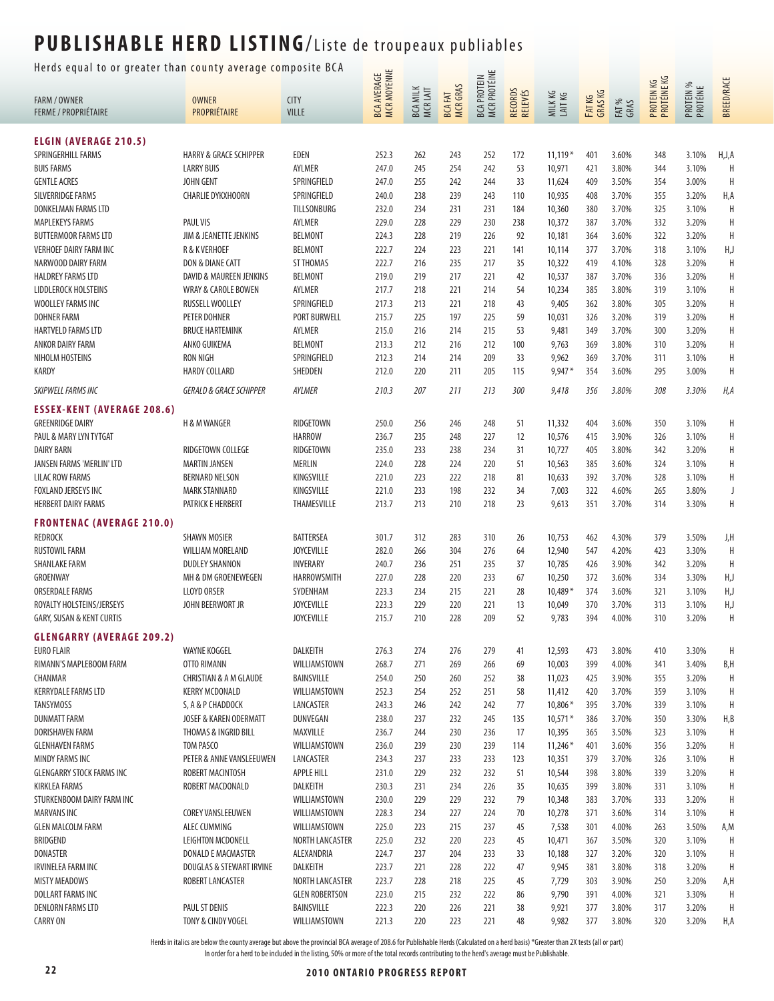Herds equal to or greater than county average composite BCA  $\frac{1}{\sqrt{2}}$ 

| ncius cyuar to or yrcater than county average compo |                                     |                            |                                          |                             |                                 | <b>MCR PROTÉINE</b><br><b>BCA PROTEIN</b> |                    |                    |                  |                | PROTEIN KG<br>PROTÉINE KG |                       |                   |
|-----------------------------------------------------|-------------------------------------|----------------------------|------------------------------------------|-----------------------------|---------------------------------|-------------------------------------------|--------------------|--------------------|------------------|----------------|---------------------------|-----------------------|-------------------|
| <b>FARM / OWNER</b>                                 | <b>OWNER</b>                        | <b>CITY</b>                | <b>MCR MOYENNE</b><br><b>BCA AVERAGE</b> | <b>BCA MILK</b><br>MCR LAIT | <b>MCRGRAS</b><br><b>BCAFAT</b> |                                           | RECORDS<br>RELEVÉS | MILK KG<br>LAIT KG | FATKG<br>GRAS KG | FAT %<br>GRAS  |                           | PROTEIN %<br>PROTÉINE | <b>BREED/RACE</b> |
| <b>FERME / PROPRIÉTAIRE</b>                         | PROPRIÉTAIRE                        | <b>VILLE</b>               |                                          |                             |                                 |                                           |                    |                    |                  |                |                           |                       |                   |
| <b>ELGIN (AVERAGE 210.5)</b>                        |                                     |                            |                                          |                             |                                 |                                           |                    |                    |                  |                |                           |                       |                   |
| SPRINGERHILL FARMS                                  | <b>HARRY &amp; GRACE SCHIPPER</b>   | EDEN                       | 252.3                                    | 262                         | 243                             | 252                                       | 172                | $11,119*$          | 401              | 3.60%          | 348                       | 3.10%                 | H, J, A           |
| <b>BUIS FARMS</b>                                   | <b>LARRY BUIS</b>                   | AYLMER                     | 247.0                                    | 245                         | 254                             | 242                                       | 53                 | 10,971             | 421              | 3.80%          | 344                       | 3.10%                 | H                 |
| <b>GENTLE ACRES</b>                                 | <b>JOHN GENT</b>                    | SPRINGFIELD                | 247.0                                    | 255                         | 242                             | 244                                       | 33                 | 11,624             | 409              | 3.50%          | 354                       | 3.00%                 | H                 |
| SILVERRIDGE FARMS                                   | <b>CHARLIE DYKXHOORN</b>            | SPRINGFIELD                | 240.0                                    | 238                         | 239                             | 243                                       | 110                | 10,935             | 408              | 3.70%          | 355                       | 3.20%                 | H,A               |
| DONKELMAN FARMS LTD                                 |                                     | TILLSONBURG                | 232.0                                    | 234                         | 231                             | 231                                       | 184                | 10,360             | 380              | 3.70%          | 325                       | 3.10%                 | Η                 |
| <b>MAPLEKEYS FARMS</b>                              | PAUL VIS                            | AYLMER                     | 229.0                                    | 228                         | 229                             | 230                                       | 238                | 10,372             | 387              | 3.70%          | 332                       | 3.20%                 | Η                 |
| <b>BUTTERMOOR FARMS LTD</b>                         | JIM & JEANETTE JENKINS              | <b>BELMONT</b>             | 224.3                                    | 228                         | 219                             | 226                                       | 92                 | 10,181             | 364              | 3.60%          | 322                       | 3.20%                 | H                 |
| <b>VERHOEF DAIRY FARM INC</b>                       | R & K VERHOEF                       | <b>BELMONT</b>             | 222.7                                    | 224                         | 223                             | 221                                       | 141                | 10,114             | 377              | 3.70%          | 318                       | 3.10%                 | H,J               |
| NARWOOD DAIRY FARM                                  | DON & DIANE CATT                    | ST THOMAS                  | 222.7                                    | 216                         | 235                             | 217                                       | 35                 | 10,322             | 419              | 4.10%          | 328                       | 3.20%                 | Н                 |
| <b>HALDREY FARMS LTD</b>                            | DAVID & MAUREEN JENKINS             | <b>BELMONT</b>             | 219.0                                    | 219                         | 217                             | 221                                       | 42                 | 10,537             | 387              | 3.70%          | 336                       | 3.20%                 | Н                 |
| LIDDLEROCK HOLSTEINS                                | <b>WRAY &amp; CAROLE BOWEN</b>      | AYLMER                     | 217.7                                    | 218                         | 221                             | 214                                       | 54                 | 10,234             | 385              | 3.80%          | 319                       | 3.10%                 | Н                 |
| WOOLLEY FARMS INC                                   | RUSSELL WOOLLEY                     | SPRINGFIELD                | 217.3                                    | 213                         | 221                             | 218                                       | 43                 | 9,405              | 362              | 3.80%          | 305                       | 3.20%                 | Н                 |
| <b>DOHNER FARM</b>                                  | PETER DOHNER                        | <b>PORT BURWELL</b>        | 215.7                                    | 225                         | 197                             | 225                                       | 59                 | 10,031             | 326              | 3.20%          | 319                       | 3.20%                 | Н                 |
| <b>HARTVELD FARMS LTD</b>                           | <b>BRUCE HARTEMINK</b>              | AYLMER                     | 215.0                                    | 216                         | 214                             | 215                                       | 53                 | 9,481              | 349              | 3.70%          | 300                       | 3.20%                 | Н                 |
| ANKOR DAIRY FARM                                    | ANKO GUIKEMA                        | <b>BELMONT</b>             | 213.3                                    | 212                         | 216                             | 212                                       | 100                | 9,763              | 369              | 3.80%          | 310                       | 3.20%                 | Η                 |
| NIHOLM HOSTEINS                                     | <b>RON NIGH</b>                     | SPRINGFIELD                | 212.3                                    | 214                         | 214                             | 209                                       | 33                 | 9,962              | 369              | 3.70%          | 311                       | 3.10%                 | Η                 |
| KARDY                                               | <b>HARDY COLLARD</b>                | SHEDDEN                    | 212.0                                    | 220                         | 211                             | 205                                       | 115                | $9,947*$           | 354              | 3.60%          | 295                       | 3.00%                 | Η                 |
| SKIPWELL FARMS INC                                  | <b>GERALD &amp; GRACE SCHIPPER</b>  | AYLMER                     | 210.3                                    | 207                         | 211                             | 213                                       | 300                | 9,418              | 356              | 3.80%          | 308                       | 3.30%                 | H, A              |
| <b>ESSEX-KENT (AVERAGE 208.6)</b>                   |                                     |                            |                                          |                             |                                 |                                           |                    |                    |                  |                |                           |                       |                   |
| <b>GREENRIDGE DAIRY</b>                             | <b>H &amp; M WANGER</b>             | RIDGETOWN                  | 250.0                                    | 256                         | 246                             | 248                                       | 51                 | 11,332             | 404              | 3.60%          | 350                       | 3.10%                 | Н                 |
| PAUL & MARY LYN TYTGAT                              |                                     | HARROW                     | 236.7                                    | 235                         | 248                             | 227                                       | 12                 | 10,576             | 415              | 3.90%          | 326                       | 3.10%                 | Η                 |
| <b>DAIRY BARN</b>                                   | RIDGETOWN COLLEGE                   | RIDGETOWN                  | 235.0                                    | 233                         | 238                             | 234                                       | 31                 | 10,727             | 405              | 3.80%          | 342                       | 3.20%                 | Н                 |
| JANSEN FARMS 'MERLIN' LTD                           | <b>MARTIN JANSEN</b>                | <b>MERLIN</b>              | 224.0                                    | 228                         | 224                             | 220                                       | 51                 | 10,563             | 385              | 3.60%          | 324                       | 3.10%                 | Η                 |
| <b>LILAC ROW FARMS</b>                              | <b>BERNARD NELSON</b>               | KINGSVILLE                 | 221.0                                    | 223                         | 222                             | 218                                       | 81                 | 10,633             | 392              | 3.70%          | 328                       | 3.10%                 | Н                 |
| FOXLAND JERSEYS INC                                 | <b>MARK STANNARD</b>                | KINGSVILLE                 | 221.0                                    | 233                         | 198                             | 232                                       | 34                 | 7,003              | 322              | 4.60%          | 265                       | 3.80%                 | J                 |
| <b>HERBERT DAIRY FARMS</b>                          | PATRICK E HERBERT                   | THAMESVILLE                | 213.7                                    | 213                         | 210                             | 218                                       | 23                 | 9,613              | 351              | 3.70%          | 314                       | 3.30%                 | Н                 |
| <b>FRONTENAC (AVERAGE 210.0)</b><br><b>REDROCK</b>  | <b>SHAWN MOSIER</b>                 | <b>BATTERSEA</b>           | 301.7                                    | 312                         |                                 | 310                                       |                    | 10,753             | 462              | 4.30%          | 379                       | 3.50%                 |                   |
| RUSTOWIL FARM                                       | WILLIAM MORELAND                    | <b>JOYCEVILLE</b>          | 282.0                                    | 266                         | 283<br>304                      | 276                                       | 26<br>64           | 12,940             | 547              | 4.20%          | 423                       | 3.30%                 | J,H<br>Η          |
| <b>SHANLAKE FARM</b>                                | <b>DUDLEY SHANNON</b>               | INVERARY                   | 240.7                                    | 236                         | 251                             | 235                                       | 37                 | 10,785             | 426              | 3.90%          | 342                       | 3.20%                 | H                 |
| GROENWAY                                            | MH & DM GROENEWEGEN                 | HARROWSMITH                | 227.0                                    | 228                         | 220                             | 233                                       | 67                 | 10,250             | 372              | 3.60%          | 334                       | 3.30%                 | H,J               |
| <b>ORSERDALE FARMS</b>                              | <b>LLOYD ORSER</b>                  | SYDENHAM                   | 223.3                                    | 234                         | 215                             | 221                                       | 28                 | $10,489*$          | 374              | 3.60%          | 321                       | 3.10%                 | H,J               |
| ROYALTY HOLSTEINS/JERSEYS                           | JOHN BEERWORT JR                    | <b>JOYCEVILLE</b>          | 223.3                                    | 229                         | 220                             | 221                                       | 13                 | 10,049             | 370              | 3.70%          | 313                       | 3.10%                 | H,J               |
| GARY, SUSAN & KENT CURTIS                           |                                     | <b>JOYCEVILLE</b>          | 215.7                                    | 210                         | 228                             | 209                                       | 52                 | 9,783              | 394              | 4.00%          | 310                       | 3.20%                 | Η                 |
| <b>GLENGARRY (AVERAGE 209.2)</b>                    |                                     |                            |                                          |                             |                                 |                                           |                    |                    |                  |                |                           |                       |                   |
| <b>EURO FLAIR</b>                                   | <b>WAYNE KOGGEL</b>                 | DALKEITH                   | 276.3                                    | 274                         | 276                             | 279                                       | 41                 | 12,593             | 473              | 3.80%          | 410                       | 3.30%                 | Η                 |
| RIMANN'S MAPLEBOOM FARM                             | OTTO RIMANN                         | WILLIAMSTOWN               | 268.7                                    | 271                         | 269                             | 266                                       | 69                 | 10,003             | 399              | 4.00%          | 341                       | 3.40%                 | B,H               |
| CHANMAR                                             | <b>CHRISTIAN &amp; A M GLAUDE</b>   | <b>BAINSVILLE</b>          | 254.0                                    | 250                         | 260                             | 252                                       | 38                 | 11,023             | 425              | 3.90%          | 355                       | 3.20%                 | Η                 |
| <b>KERRYDALE FARMS LTD</b>                          | <b>KERRY MCDONALD</b>               | WILLIAMSTOWN               | 252.3                                    | 254                         | 252                             | 251                                       | 58                 | 11,412             | 420              | 3.70%          | 359                       | 3.10%                 | Η                 |
| <b>TANSYMOSS</b>                                    | S, A & P CHADDOCK                   | LANCASTER                  | 243.3                                    | 246                         | 242                             | 242                                       | 77                 | 10,806 *           | 395              | 3.70%          | 339                       | 3.10%                 | Н                 |
| <b>DUNMATT FARM</b>                                 | JOSEF & KAREN ODERMATT              | DUNVEGAN                   | 238.0                                    | 237                         | 232                             | 245                                       | 135                | $10,571*$          | 386              | 3.70%          | 350                       | 3.30%                 | H, B              |
| DORISHAVEN FARM                                     | THOMAS & INGRID BILL                | MAXVILLE                   | 236.7                                    | 244                         | 230                             | 236                                       | 17                 | 10,395             | 365              | 3.50%          | 323                       | 3.10%                 | Н                 |
| <b>GLENHAVEN FARMS</b>                              | TOM PASCO                           | WILLIAMSTOWN               | 236.0                                    | 239                         | 230                             | 239                                       | 114                | $11,246*$          | 401              | 3.60%          | 356                       | 3.20%                 | Н                 |
| MINDY FARMS INC                                     | PETER & ANNE VANSLEEUWEN            | LANCASTER                  | 234.3                                    | 237                         | 233                             | 233                                       | 123                | 10,351             | 379              | 3.70%          | 326                       | 3.10%                 | Н                 |
| <b>GLENGARRY STOCK FARMS INC</b>                    | ROBERT MACINTOSH                    | <b>APPLE HILL</b>          | 231.0                                    | 229                         | 232                             | 232                                       | 51                 | 10,544             | 398              | 3.80%          | 339                       | 3.20%                 | Н                 |
| <b>KIRKLEA FARMS</b>                                | ROBERT MACDONALD                    | DALKEITH                   | 230.3                                    | 231                         | 234                             | 226                                       | 35                 | 10,635             | 399              | 3.80%          | 331                       | 3.10%                 | Н                 |
| STURKENBOOM DAIRY FARM INC                          |                                     | WILLIAMSTOWN               | 230.0                                    | 229                         | 229                             | 232                                       | 79                 | 10,348             | 383              | 3.70%          | 333                       | 3.20%                 | Н                 |
| <b>MARVANS INC</b>                                  | <b>COREY VANSLEEUWEN</b>            | WILLIAMSTOWN               | 228.3                                    | 234                         | 227                             | 224                                       | 70                 | 10,278             | 371              | 3.60%          | 314                       | 3.10%                 | Η                 |
| <b>GLEN MALCOLM FARM</b>                            | ALEC CUMMING                        | WILLIAMSTOWN               | 225.0                                    | 223                         | 215                             | 237                                       | 45                 | 7,538              | 301              | 4.00%          | 263                       | 3.50%                 | A,M               |
| BRIDGEND                                            | <b>LEIGHTON MCDONELL</b>            | NORTH LANCASTER            | 225.0                                    | 232                         | 220                             | 223                                       | 45                 | 10,471             | 367              | 3.50%          | 320                       | 3.10%                 | Н                 |
| <b>DONASTER</b>                                     | DONALD E MACMASTER                  | ALEXANDRIA                 | 224.7                                    | 237                         | 204                             | 233                                       | 33                 | 10,188             | 327              | 3.20%          | 320                       | 3.10%                 | Н                 |
| <b>IRVINELEA FARM INC</b>                           | DOUGLAS & STEWART IRVINE            | DALKEITH                   | 223.7                                    | 221                         | 228                             | 222                                       | 47                 | 9,945              | 381              | 3.80%          | 318                       | 3.20%                 | Η                 |
| <b>MISTY MEADOWS</b>                                | ROBERT LANCASTER                    | NORTH LANCASTER            | 223.7                                    | 228                         | 218                             | 225                                       | 45                 | 7,729              | 303              | 3.90%          | 250                       | 3.20%                 | A,H               |
| DOLLART FARMS INC                                   |                                     | <b>GLEN ROBERTSON</b>      | 223.0                                    | 215                         | 232                             | 222                                       | 86                 | 9,790              | 391              | 4.00%          | 321                       | 3.30%                 | Η                 |
| <b>DENLORN FARMS LTD</b><br><b>CARRY ON</b>         | PAUL ST DENIS<br>TONY & CINDY VOGEL | BAINSVILLE<br>WILLIAMSTOWN | 222.3<br>221.3                           | 220<br>220                  | 226<br>223                      | 221<br>221                                | 38<br>48           | 9,921<br>9,982     | 377<br>377       | 3.80%<br>3.80% | 317<br>320                | 3.20%<br>3.20%        | Η<br>H,A          |
|                                                     |                                     |                            |                                          |                             |                                 |                                           |                    |                    |                  |                |                           |                       |                   |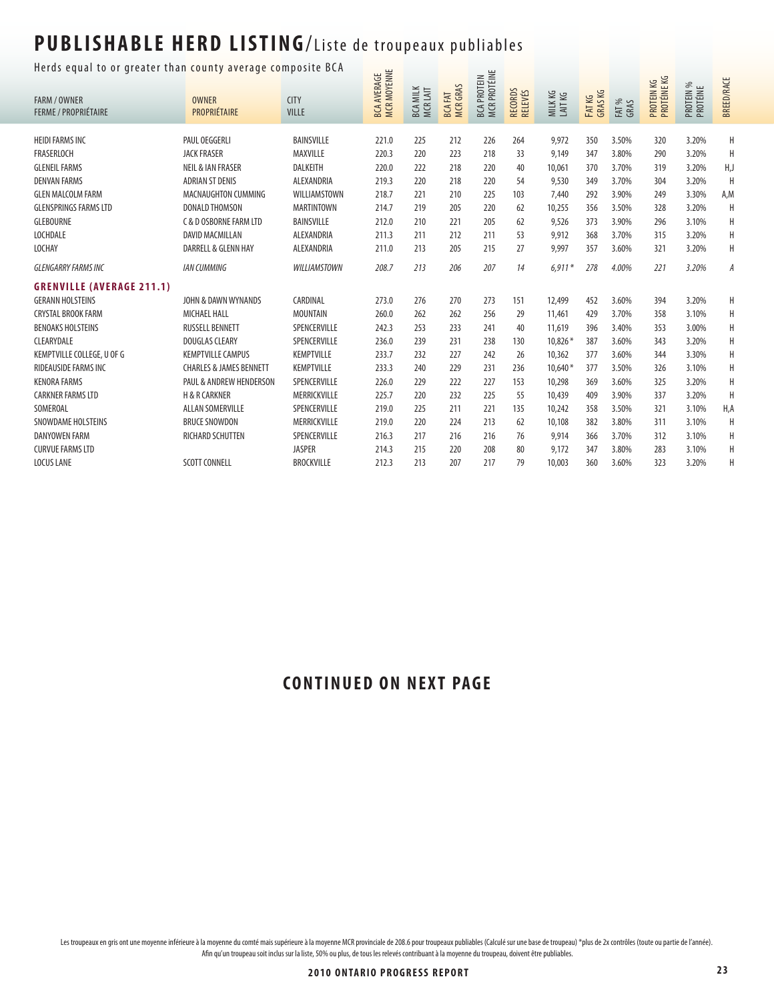#### Herds equal to or greater than county average composite BCA  $\frac{1}{\sqrt{2}}$

| nerus equar to or greater than county average composite ben<br><b>FARM / OWNER</b><br><b>FERME / PROPRIÉTAIRE</b> | <b>OWNER</b><br>PROPRIÉTAIRE       | <b>CITY</b><br><b>VILLE</b> | <b>MCR MOYENNE</b><br><b>BCA AVERAGE</b> | <b>BCA MILK</b><br>MCRLAIT | <b>MCRGRAS</b><br><b>BCAFAT</b> | MCR PROTÉINE<br><b>BCA PROTEIN</b> | <b>RECORDS</b><br><b>RELEVÉS</b> | MILKKG<br>LAITKG | FATKG<br>GRAS KG | FAT %<br>GRAS | PROTÉINE KG<br>5X<br>PROTEIN H | PROTEIN %<br>PROTÉINE | <b>BREED/RACE</b> |
|-------------------------------------------------------------------------------------------------------------------|------------------------------------|-----------------------------|------------------------------------------|----------------------------|---------------------------------|------------------------------------|----------------------------------|------------------|------------------|---------------|--------------------------------|-----------------------|-------------------|
| <b>HEIDI FARMS INC</b>                                                                                            | PAUL OEGGERLI                      | <b>BAINSVILLE</b>           | 221.0                                    | 225                        | 212                             | 226                                | 264                              | 9.972            | 350              | 3.50%         | 320                            | 3.20%                 | H                 |
| FRASERLOCH                                                                                                        | <b>JACK FRASER</b>                 | MAXVILLE                    | 220.3                                    | 220                        | 223                             | 218                                | 33                               | 9,149            | 347              | 3.80%         | 290                            | 3.20%                 | H                 |
| <b>GLENEIL FARMS</b>                                                                                              | <b>NEIL &amp; IAN FRASER</b>       | <b>DALKEITH</b>             | 220.0                                    | 222                        | 218                             | 220                                | 40                               | 10,061           | 370              | 3.70%         | 319                            | 3.20%                 | H,J               |
| <b>DENVAN FARMS</b>                                                                                               | <b>ADRIAN ST DENIS</b>             | ALEXANDRIA                  | 219.3                                    | 220                        | 218                             | 220                                | 54                               | 9,530            | 349              | 3.70%         | 304                            | 3.20%                 | H                 |
| <b>GLEN MALCOLM FARM</b>                                                                                          | MACNAUGHTON CUMMING                | WILLIAMSTOWN                | 218.7                                    | 221                        | 210                             | 225                                | 103                              | 7,440            | 292              | 3.90%         | 249                            | 3.30%                 | A,M               |
| <b>GLENSPRINGS FARMS LTD</b>                                                                                      | <b>DONALD THOMSON</b>              | <b>MARTINTOWN</b>           | 214.7                                    | 219                        | 205                             | 220                                | 62                               | 10,255           | 356              | 3.50%         | 328                            | 3.20%                 | H                 |
| <b>GLEBOURNE</b>                                                                                                  | C & D OSBORNE FARM LTD             | <b>BAINSVILLE</b>           | 212.0                                    | 210                        | 221                             | 205                                | 62                               | 9,526            | 373              | 3.90%         | 296                            | 3.10%                 | H                 |
| <b>LOCHDALE</b>                                                                                                   | <b>DAVID MACMILLAN</b>             | ALEXANDRIA                  | 211.3                                    | 211                        | 212                             | 211                                | 53                               | 9,912            | 368              | 3.70%         | 315                            | 3.20%                 | Н                 |
| LOCHAY                                                                                                            | DARRELL & GLENN HAY                | ALEXANDRIA                  | 211.0                                    | 213                        | 205                             | 215                                | 27                               | 9,997            | 357              | 3.60%         | 321                            | 3.20%                 | Н                 |
| <b>GLENGARRY FARMS INC</b>                                                                                        | <b>IAN CUMMING</b>                 | <b>WILLIAMSTOWN</b>         | 208.7                                    | 213                        | 206                             | 207                                | 14                               | $6.911*$         | 278              | 4.00%         | 221                            | 3.20%                 | A                 |
| <b>GRENVILLE (AVERAGE 211.1)</b>                                                                                  |                                    |                             |                                          |                            |                                 |                                    |                                  |                  |                  |               |                                |                       |                   |
| <b>GERANN HOLSTEINS</b>                                                                                           | JOHN & DAWN WYNANDS                | CARDINAL                    | 273.0                                    | 276                        | 270                             | 273                                | 151                              | 12,499           | 452              | 3.60%         | 394                            | 3.20%                 | Н                 |
| <b>CRYSTAL BROOK FARM</b>                                                                                         | <b>MICHAEL HALL</b>                | <b>MOUNTAIN</b>             | 260.0                                    | 262                        | 262                             | 256                                | 29                               | 11,461           | 429              | 3.70%         | 358                            | 3.10%                 | Н                 |
| <b>BENOAKS HOLSTEINS</b>                                                                                          | <b>RUSSELL BENNETT</b>             | SPENCERVILLE                | 242.3                                    | 253                        | 233                             | 241                                | 40                               | 11,619           | 396              | 3.40%         | 353                            | 3.00%                 | Н                 |
| CLEARYDALE                                                                                                        | <b>DOUGLAS CLEARY</b>              | SPENCERVILLE                | 236.0                                    | 239                        | 231                             | 238                                | 130                              | 10.826*          | 387              | 3.60%         | 343                            | 3.20%                 | Н                 |
| KEMPTVILLE COLLEGE, U OF G                                                                                        | <b>KEMPTVILLE CAMPUS</b>           | <b>KEMPTVILLE</b>           | 233.7                                    | 232                        | 227                             | 242                                | 26                               | 10,362           | 377              | 3.60%         | 344                            | 3.30%                 | Н                 |
| RIDEAUSIDE FARMS INC                                                                                              | <b>CHARLES &amp; JAMES BENNETT</b> | <b>KEMPTVILLE</b>           | 233.3                                    | 240                        | 229                             | 231                                | 236                              | $10,640*$        | 377              | 3.50%         | 326                            | 3.10%                 | Н                 |
| <b>KENORA FARMS</b>                                                                                               | PAUL & ANDREW HENDERSON            | SPENCERVILLE                | 226.0                                    | 229                        | 222                             | 227                                | 153                              | 10,298           | 369              | 3.60%         | 325                            | 3.20%                 | H                 |
| <b>CARKNER FARMS LTD</b>                                                                                          | <b>H &amp; R CARKNER</b>           | MERRICKVILLE                | 225.7                                    | 220                        | 232                             | 225                                | 55                               | 10.439           | 409              | 3.90%         | 337                            | 3.20%                 | H                 |
| SOMEROAL                                                                                                          | <b>ALLAN SOMERVILLE</b>            | SPENCERVILLE                | 219.0                                    | 225                        | 211                             | 221                                | 135                              | 10,242           | 358              | 3.50%         | 321                            | 3.10%                 | H,A               |
| SNOWDAME HOLSTEINS                                                                                                | <b>BRUCE SNOWDON</b>               | MERRICKVILLE                | 219.0                                    | 220                        | 224                             | 213                                | 62                               | 10,108           | 382              | 3.80%         | 311                            | 3.10%                 | H                 |
| DANYOWEN FARM                                                                                                     | RICHARD SCHUTTEN                   | SPENCERVILLE                | 216.3                                    | 217                        | 216                             | 216                                | 76                               | 9,914            | 366              | 3.70%         | 312                            | 3.10%                 | Н                 |
| <b>CURVUE FARMS LTD</b>                                                                                           |                                    | <b>JASPER</b>               | 214.3                                    | 215                        | 220                             | 208                                | 80                               | 9.172            | 347              | 3.80%         | 283                            | 3.10%                 | H                 |
| <b>LOCUS LANE</b>                                                                                                 | <b>SCOTT CONNELL</b>               | <b>BROCKVILLE</b>           | 212.3                                    | 213                        | 207                             | 217                                | 79                               | 10,003           | 360              | 3.60%         | 323                            | 3.20%                 | $\sf H$           |

#### **CONTINUED ON NEXT PAGE**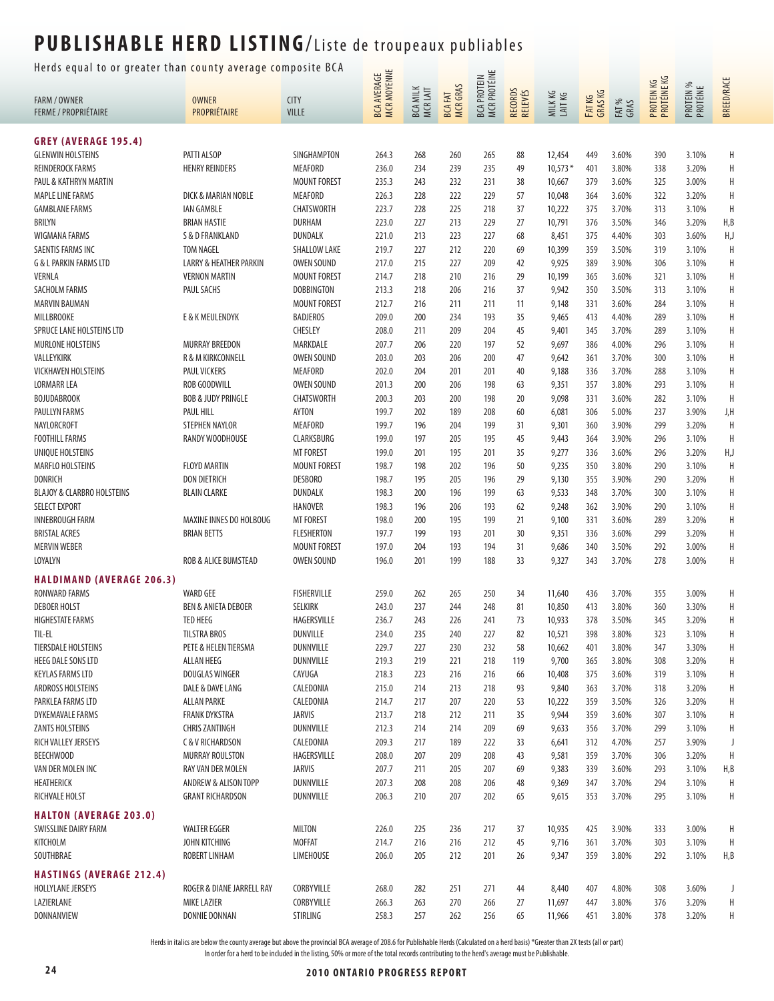Herds equal to or greater than county average composite BCA  $\frac{1}{\sqrt{2}}$ 

| ncias equal to or greater than county average comp |                                      |                         | <b>MCR MOYENNE</b><br><b>BCA AVERAGE</b> |                            |                     | BCA PROTEIN<br>MCR PROTÉINE |                    |                    |                  |                |                           |                       |                   |
|----------------------------------------------------|--------------------------------------|-------------------------|------------------------------------------|----------------------------|---------------------|-----------------------------|--------------------|--------------------|------------------|----------------|---------------------------|-----------------------|-------------------|
| <b>FARM / OWNER</b><br><b>FERME / PROPRIÉTAIRE</b> | <b>OWNER</b><br>PROPRIÉTAIRE         | <b>CITY</b><br>VILLE    |                                          | <b>BCA MILK</b><br>MCRLAIT | BCA FAT<br>MCR GRAS |                             | RECORDS<br>RELEVÉS | MILK KG<br>LAIT KG | FATKG<br>GRAS KG | FAT %<br>GRAS  | PROTEIN KG<br>PROTÉINE KG | PROTEIN %<br>PROTÉINE | <b>BREED/RACE</b> |
| <b>GREY (AVERAGE 195.4)</b>                        |                                      |                         |                                          |                            |                     |                             |                    |                    |                  |                |                           |                       |                   |
| <b>GLENWIN HOLSTEINS</b>                           | PATTI ALSOP                          | SINGHAMPTON             | 264.3                                    | 268                        | 260                 | 265                         | 88                 | 12,454             | 449              | 3.60%          | 390                       | 3.10%                 | Η                 |
| <b>REINDEROCK FARMS</b>                            | <b>HENRY REINDERS</b>                | <b>MEAFORD</b>          | 236.0                                    | 234                        | 239                 | 235                         | 49                 | $10,573*$          | 401              | 3.80%          | 338                       | 3.20%                 | H                 |
| PAUL & KATHRYN MARTIN                              |                                      | <b>MOUNT FOREST</b>     | 235.3                                    | 243                        | 232                 | 231                         | 38                 | 10,667             | 379              | 3.60%          | 325                       | 3.00%                 | Η                 |
| <b>MAPLE LINE FARMS</b>                            | DICK & MARIAN NOBLE                  | MEAFORD                 | 226.3                                    | 228                        | 222                 | 229                         | 57                 | 10,048             | 364              | 3.60%          | 322                       | 3.20%                 | Н                 |
| <b>GAMBLANE FARMS</b>                              | <b>IAN GAMBLE</b>                    | CHATSWORTH              | 223.7                                    | 228                        | 225                 | 218                         | 37                 | 10,222             | 375              | 3.70%          | 313                       | 3.10%                 | H                 |
| BRILYN                                             | <b>BRIAN HASTIE</b>                  | DURHAM                  | 223.0                                    | 227                        | 213                 | 229                         | 27                 | 10,791             | 376              | 3.50%          | 346                       | 3.20%                 | H, B              |
| WIGMANA FARMS                                      | S & D FRANKLAND                      | DUNDALK                 | 221.0                                    | 213                        | 223                 | 227                         | 68                 | 8,451              | 375              | 4.40%          | 303                       | 3.60%                 | H,J               |
| <b>SAENTIS FARMS INC</b>                           | <b>TOM NAGEL</b>                     | <b>SHALLOW LAKE</b>     | 219.7                                    | 227                        | 212                 | 220                         | 69                 | 10,399             | 359              | 3.50%          | 319                       | 3.10%                 | H                 |
| <b>G &amp; L PARKIN FARMS LTD</b>                  | LARRY & HEATHER PARKIN               | <b>OWEN SOUND</b>       | 217.0                                    | 215                        | 227                 | 209                         | 42                 | 9,925              | 389              | 3.90%          | 306                       | 3.10%                 | Η                 |
| <b>VERNLA</b>                                      | <b>VERNON MARTIN</b>                 | <b>MOUNT FOREST</b>     | 214.7                                    | 218                        | 210                 | 216                         | 29                 | 10,199             | 365              | 3.60%          | 321                       | 3.10%                 | Η                 |
| SACHOLM FARMS                                      | PAUL SACHS                           | <b>DOBBINGTON</b>       | 213.3                                    | 218                        | 206                 | 216                         | 37                 | 9,942              | 350              | 3.50%          | 313                       | 3.10%                 | Н                 |
| <b>MARVIN BAUMAN</b>                               |                                      | <b>MOUNT FOREST</b>     | 212.7                                    | 216                        | 211                 | 211                         | 11                 | 9,148              | 331              | 3.60%          | 284                       | 3.10%                 | Н                 |
| MILLBROOKE                                         | E & K MEULENDYK                      | <b>BADJEROS</b>         | 209.0                                    | 200                        | 234                 | 193                         | 35                 | 9,465              | 413              | 4.40%          | 289                       | 3.10%                 | Н                 |
| SPRUCE LANE HOLSTEINS LTD                          |                                      | CHESLEY                 | 208.0                                    | 211                        | 209                 | 204                         | 45                 | 9,401              | 345              | 3.70%          | 289                       | 3.10%                 | Н                 |
| MURLONE HOLSTEINS                                  | <b>MURRAY BREEDON</b>                | MARKDALE                | 207.7                                    | 206                        | 220                 | 197                         | 52                 | 9,697              | 386              | 4.00%          | 296                       | 3.10%                 | Н                 |
| VALLEYKIRK                                         | R & M KIRKCONNELL                    | <b>OWEN SOUND</b>       | 203.0                                    | 203                        | 206                 | 200                         | 47                 | 9,642              | 361              | 3.70%          | 300                       | 3.10%                 | H                 |
| <b>VICKHAVEN HOLSTEINS</b>                         | <b>PAUL VICKERS</b>                  | MEAFORD                 | 202.0                                    | 204                        | 201                 | 201                         | 40                 | 9,188              | 336              | 3.70%          | 288                       | 3.10%                 | Н                 |
| <b>LORMARR LEA</b>                                 | ROB GOODWILL                         | <b>OWEN SOUND</b>       | 201.3                                    | 200                        | 206                 | 198                         | 63                 | 9,351              | 357              | 3.80%          | 293                       | 3.10%                 | Н                 |
| <b>BOJUDABROOK</b>                                 | <b>BOB &amp; JUDY PRINGLE</b>        | <b>CHATSWORTH</b>       | 200.3                                    | 203                        | 200                 | 198                         | 20                 | 9,098              | 331              | 3.60%          | 282                       | 3.10%                 | H                 |
| PAULLYN FARMS                                      | PAUL HILL                            | <b>AYTON</b>            | 199.7                                    | 202                        | 189                 | 208                         | 60                 | 6,081              | 306              | 5.00%          | 237                       | 3.90%                 | J,H               |
| NAYLORCROFT                                        | STEPHEN NAYLOR                       | MEAFORD                 | 199.7                                    | 196                        | 204                 | 199                         | 31                 | 9,301              | 360              | 3.90%          | 299                       | 3.20%                 | H                 |
| <b>FOOTHILL FARMS</b>                              | RANDY WOODHOUSE                      | CLARKSBURG              | 199.0                                    | 197                        | 205                 | 195                         | 45                 | 9,443              | 364              | 3.90%          | 296                       | 3.10%                 | H                 |
| UNIQUE HOLSTEINS                                   |                                      | <b>MT FOREST</b>        | 199.0                                    | 201                        | 195                 | 201                         | 35                 | 9,277              | 336              | 3.60%          | 296                       | 3.20%                 | H,J               |
| MARFLO HOLSTEINS                                   | <b>FLOYD MARTIN</b>                  | <b>MOUNT FOREST</b>     | 198.7                                    | 198                        | 202                 | 196                         | 50                 | 9,235              | 350              | 3.80%          | 290                       | 3.10%                 | H                 |
| <b>DONRICH</b>                                     | DON DIETRICH                         | DESBORO                 | 198.7                                    | 195                        | 205                 | 196                         | 29                 | 9,130              | 355              | 3.90%          | 290                       | 3.20%                 | H                 |
| <b>BLAJOY &amp; CLARBRO HOLSTEINS</b>              | <b>BLAIN CLARKE</b>                  | DUNDALK                 | 198.3                                    | 200                        | 196                 | 199                         | 63                 | 9,533              | 348              | 3.70%          | 300                       | 3.10%                 | Н                 |
| <b>SELECT EXPORT</b>                               |                                      | <b>HANOVER</b>          | 198.3                                    | 196                        | 206                 | 193                         | 62                 | 9,248              | 362              | 3.90%          | 290                       | 3.10%                 | Н                 |
| <b>INNEBROUGH FARM</b>                             | MAXINE INNES DO HOLBOUG              | <b>MT FOREST</b>        | 198.0                                    | 200                        | 195                 | 199                         | 21                 | 9,100              | 331              | 3.60%          | 289                       | 3.20%                 | Η                 |
| <b>BRISTAL ACRES</b>                               | <b>BRIAN BETTS</b>                   | <b>FLESHERTON</b>       | 197.7                                    | 199                        | 193                 | 201                         | 30                 | 9,351              | 336              | 3.60%          | 299                       | 3.20%                 | Н                 |
| <b>MERVIN WEBER</b>                                | ROB & ALICE BUMSTEAD                 | <b>MOUNT FOREST</b>     | 197.0                                    | 204                        | 193                 | 194                         | 31                 | 9,686              | 340              | 3.50%          | 292                       | 3.00%                 | Н                 |
| LOYALYN                                            |                                      | <b>OWEN SOUND</b>       | 196.0                                    | 201                        | 199                 | 188                         | 33                 | 9,327              | 343              | 3.70%          | 278                       | 3.00%                 | Н                 |
| <b>HALDIMAND (AVERAGE 206.3)</b>                   |                                      |                         |                                          |                            |                     |                             |                    |                    |                  |                |                           |                       |                   |
| <b>RONWARD FARMS</b>                               | <b>WARD GEE</b>                      | <b>FISHERVILLE</b>      | 259.0                                    | 262                        | 265                 | 250                         | 34                 | 11,640             | 436              | 3.70%          | 355                       | 3.00%                 | H                 |
| <b>DEBOER HOLST</b>                                | <b>BEN &amp; ANIETA DEBOER</b>       | SELKIRK                 | 243.0                                    | 237                        | 244                 | 248                         | 81                 | 10,850             | 413              | 3.80%          | 360                       | 3.30%                 | Η                 |
| <b>HIGHESTATE FARMS</b>                            | TED HEEG                             | HAGERSVILLE             | 236.7                                    | 243                        | 226                 | 241                         | 73                 | 10,933             | 378              | 3.50%          | 345                       | 3.20%                 | Н                 |
| TIL-EL                                             | <b>TILSTRA BROS</b>                  | DUNVILLE                | 234.0                                    | 235                        | 240                 | 227                         | 82                 | 10,521             | 398              | 3.80%          | 323                       | 3.10%                 | Η                 |
| TIERSDALE HOLSTEINS                                | PETE & HELEN TIERSMA                 | DUNNVILLE               | 229.7                                    | 227                        | 230                 | 232                         | 58                 | 10,662             | 401              | 3.80%          | 347                       | 3.30%                 | H                 |
| <b>HEEG DALE SONS LTD</b>                          | <b>ALLAN HEEG</b>                    | DUNNVILLE               | 219.3                                    | 219                        | 221                 | 218                         | 119                | 9,700              | 365              | 3.80%          | 308                       | 3.20%                 | Η                 |
| <b>KEYLAS FARMS LTD</b><br>ARDROSS HOLSTEINS       | DOUGLAS WINGER<br>DALE & DAVE LANG   | CAYUGA                  | 218.3                                    | 223<br>214                 | 216<br>213          | 216                         | 66                 | 10,408             | 375              | 3.60%<br>3.70% | 319                       | 3.10%                 | Н<br>Η            |
| PARKLEA FARMS LTD                                  | <b>ALLAN PARKE</b>                   | CALEDONIA<br>CALEDONIA  | 215.0<br>214.7                           | 217                        | 207                 | 218<br>220                  | 93<br>53           | 9,840<br>10,222    | 363<br>359       | 3.50%          | 318<br>326                | 3.20%<br>3.20%        | Η                 |
| <b>DYKEMAVALE FARMS</b>                            | <b>FRANK DYKSTRA</b>                 | <b>JARVIS</b>           | 213.7                                    | 218                        | 212                 | 211                         | 35                 | 9,944              | 359              | 3.60%          | 307                       | 3.10%                 | Η                 |
| <b>ZANTS HOLSTEINS</b>                             | <b>CHRIS ZANTINGH</b>                | DUNNVILLE               | 212.3                                    | 214                        | 214                 | 209                         | 69                 | 9,633              | 356              | 3.70%          | 299                       | 3.10%                 | Η                 |
| <b>RICH VALLEY JERSEYS</b>                         | <b>C &amp; V RICHARDSON</b>          | CALEDONIA               | 209.3                                    | 217                        | 189                 | 222                         | 33                 | 6,641              | 312              | 4.70%          | 257                       | 3.90%                 | J                 |
| BEECHWOOD                                          | MURRAY ROULSTON                      | HAGERSVILLE             | 208.0                                    | 207                        | 209                 | 208                         | 43                 | 9,581              | 359              | 3.70%          | 306                       | 3.20%                 | Η                 |
| VAN DER MOLEN INC                                  | RAY VAN DER MOLEN                    | <b>JARVIS</b>           | 207.7                                    | 211                        | 205                 | 207                         | 69                 | 9,383              | 339              | 3.60%          | 293                       | 3.10%                 | H, B              |
| HEATHERICK                                         | ANDREW & ALISON TOPP                 | DUNNVILLE               | 207.3                                    | 208                        | 208                 | 206                         | 48                 | 9,369              | 347              | 3.70%          | 294                       | 3.10%                 | H                 |
| RICHVALE HOLST                                     | <b>GRANT RICHARDSON</b>              | DUNNVILLE               | 206.3                                    | 210                        | 207                 | 202                         | 65                 | 9,615              | 353              | 3.70%          | 295                       | 3.10%                 | Η                 |
| <b>HALTON (AVERAGE 203.0)</b>                      |                                      |                         |                                          |                            |                     |                             |                    |                    |                  |                |                           |                       |                   |
|                                                    |                                      |                         |                                          |                            |                     |                             |                    |                    | 425              |                |                           |                       | Η                 |
| SWISSLINE DAIRY FARM<br>KITCHOLM                   | <b>WALTER EGGER</b><br>JOHN KITCHING | MILTON<br><b>MOFFAT</b> | 226.0<br>214.7                           | 225<br>216                 | 236<br>216          | 217<br>212                  | 37<br>45           | 10,935<br>9,716    | 361              | 3.90%<br>3.70% | 333<br>303                | 3.00%<br>3.10%        | Η                 |
| SOUTHBRAE                                          | ROBERT LINHAM                        | <b>LIMEHOUSE</b>        | 206.0                                    | 205                        | 212                 | 201                         | 26                 | 9,347              | 359              | 3.80%          | 292                       | 3.10%                 | H, B              |
|                                                    |                                      |                         |                                          |                            |                     |                             |                    |                    |                  |                |                           |                       |                   |
| <b>HASTINGS (AVERAGE 212.4)</b>                    |                                      |                         |                                          |                            |                     |                             |                    |                    |                  |                |                           |                       |                   |
| HOLLYLANE JERSEYS                                  | ROGER & DIANE JARRELL RAY            | CORBYVILLE              | 268.0                                    | 282                        | 251                 | 271                         | 44                 | 8,440              | 407              | 4.80%          | 308                       | 3.60%                 | J                 |
| LAZIERLANE                                         | <b>MIKE LAZIER</b>                   | CORBYVILLE              | 266.3                                    | 263                        | 270                 | 266                         | 27                 | 11,697             | 447              | 3.80%          | 376                       | 3.20%                 | Η                 |
| DONNANVIEW                                         | DONNIE DONNAN                        | STIRLING                | 258.3                                    | 257                        | 262                 | 256                         | 65                 | 11,966             | 451              | 3.80%          | 378                       | 3.20%                 | Н                 |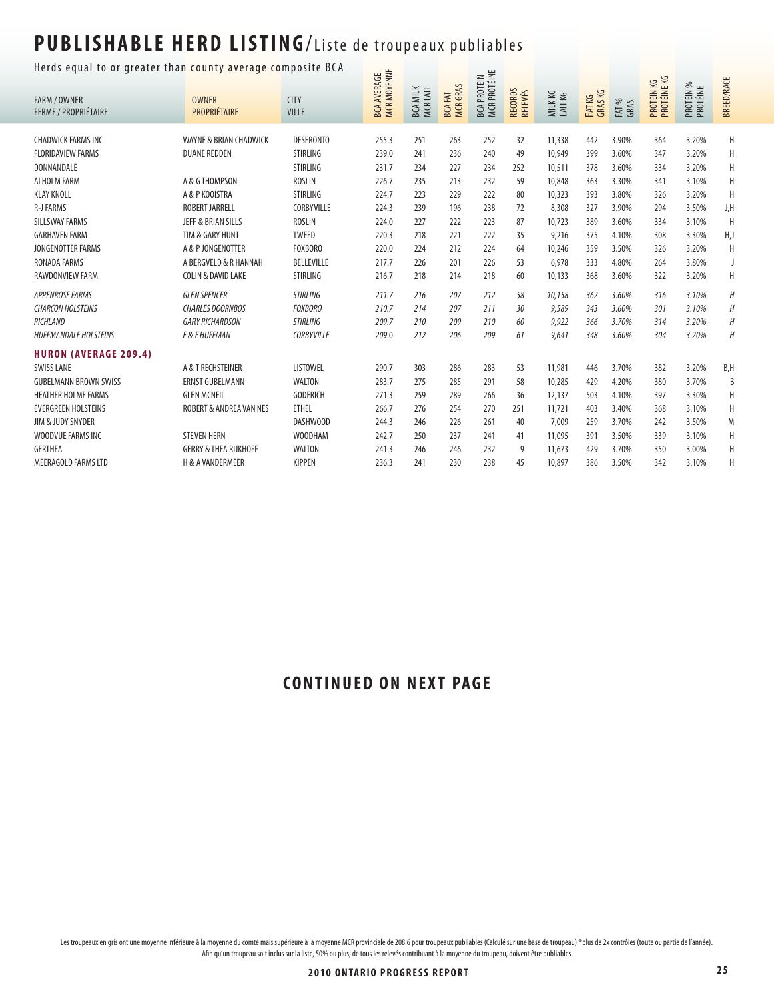#### Herds equal to or greater than county average composite BCA  $\Box$

| nerus equar to or greater than county average composite ben<br><b>FARM / OWNER</b><br><b>FERME / PROPRIÉTAIRE</b> | <b>OWNER</b><br>PROPRIÉTAIRE                  | <b>CITY</b><br><b>VILLE</b>         | <b>MCR MOYENNE</b><br>AVERAGE<br>BCA. | <b>BCA MILK</b><br>MCRLAIT | <b>MCRGRAS</b><br><b>BCA FAT</b> | MCR PROTÉINE<br><b>BCA PROTEIN</b> | <b>RECORDS</b><br><b>RELEVÉS</b> | MILK KG<br>LAIT KG | <b>GRASKG</b><br><b>FATKG</b> | FAT %<br>GRAS  | PROTÉINE KG<br>УX<br>PROTEIN H | PROTEIN %<br>PROTÉINE | <b>BREED/RACE</b> |
|-------------------------------------------------------------------------------------------------------------------|-----------------------------------------------|-------------------------------------|---------------------------------------|----------------------------|----------------------------------|------------------------------------|----------------------------------|--------------------|-------------------------------|----------------|--------------------------------|-----------------------|-------------------|
|                                                                                                                   |                                               |                                     |                                       | 251                        |                                  | 252                                | 32                               |                    | 442                           |                |                                | 3.20%                 |                   |
| <b>CHADWICK FARMS INC</b><br><b>FLORIDAVIEW FARMS</b>                                                             | WAYNE & BRIAN CHADWICK<br><b>DUANE REDDEN</b> | <b>DESERONTO</b><br><b>STIRLING</b> | 255.3<br>239.0                        | 241                        | 263<br>236                       | 240                                | 49                               | 11,338<br>10,949   | 399                           | 3.90%<br>3.60% | 364<br>347                     | 3.20%                 | Η<br>Н            |
| DONNANDALE                                                                                                        |                                               | <b>STIRLING</b>                     | 231.7                                 | 234                        | 227                              | 234                                | 252                              | 10,511             | 378                           | 3.60%          | 334                            | 3.20%                 | Н                 |
| <b>ALHOLM FARM</b>                                                                                                | A & G THOMPSON                                | <b>ROSLIN</b>                       | 226.7                                 | 235                        | 213                              | 232                                | 59                               | 10,848             | 363                           | 3.30%          | 341                            | 3.10%                 | H                 |
| <b>KLAY KNOLL</b>                                                                                                 | A & P KOOISTRA                                | <b>STIRLING</b>                     | 224.7                                 | 223                        | 229                              | 222                                | 80                               | 10,323             | 393                           | 3.80%          | 326                            | 3.20%                 | H                 |
| <b>R-J FARMS</b>                                                                                                  | <b>ROBERT JARRELL</b>                         | CORBYVILLE                          | 224.3                                 | 239                        | 196                              | 238                                | 72                               | 8,308              | 327                           | 3.90%          | 294                            | 3.50%                 | J,H               |
| <b>SILLSWAY FARMS</b>                                                                                             | JEFF & BRIAN SILLS                            | <b>ROSLIN</b>                       | 224.0                                 | 227                        | 222                              | 223                                | 87                               | 10,723             | 389                           | 3.60%          | 334                            | 3.10%                 | H                 |
| <b>GARHAVEN FARM</b>                                                                                              | TIM & GARY HUNT                               | <b>TWEED</b>                        | 220.3                                 | 218                        | 221                              | 222                                | 35                               | 9,216              | 375                           | 4.10%          | 308                            | 3.30%                 | H,J               |
| JONGENOTTER FARMS                                                                                                 | A & P JONGENOTTER                             | <b>FOXBORO</b>                      | 220.0                                 | 224                        | 212                              | 224                                | 64                               | 10,246             | 359                           | 3.50%          | 326                            | 3.20%                 | Н                 |
| RONADA FARMS                                                                                                      | A BERGVELD & R HANNAH                         | BELLEVILLE                          | 217.7                                 | 226                        | 201                              | 226                                | 53                               | 6,978              | 333                           | 4.80%          | 264                            | 3.80%                 | J                 |
| RAWDONVIEW FARM                                                                                                   | COLIN & DAVID LAKE                            | STIRLING                            | 216.7                                 | 218                        | 214                              | 218                                | 60                               | 10,133             | 368                           | 3.60%          | 322                            | 3.20%                 | Н                 |
| <b>APPENROSE FARMS</b>                                                                                            | <b>GLEN SPENCER</b>                           | <b>STIRLING</b>                     | 211.7                                 | 216                        | 207                              | 212                                | 58                               | 10,158             | 362                           | 3.60%          | 316                            | 3.10%                 | $\boldsymbol{H}$  |
| <b>CHARCON HOLSTEINS</b>                                                                                          | <b>CHARLES DOORNBOS</b>                       | <b>FOXBORO</b>                      | 210.7                                 | 214                        | 207                              | 211                                | 30                               | 9,589              | 343                           | 3.60%          | 301                            | 3.10%                 | Н                 |
| RICHLAND                                                                                                          | <b>GARY RICHARDSON</b>                        | <b>STIRLING</b>                     | 209.7                                 | 210                        | 209                              | 210                                | 60                               | 9,922              | 366                           | 3.70%          | 314                            | 3.20%                 | Η                 |
| <b>HUFFMANDALE HOLSTEINS</b>                                                                                      | E & E HUFFMAN                                 | <b>CORBYVILLE</b>                   | 209.0                                 | 212                        | 206                              | 209                                | 61                               | 9,641              | 348                           | 3.60%          | 304                            | 3.20%                 | Н                 |
|                                                                                                                   |                                               |                                     |                                       |                            |                                  |                                    |                                  |                    |                               |                |                                |                       |                   |
| <b>HURON (AVERAGE 209.4)</b>                                                                                      |                                               |                                     |                                       |                            |                                  |                                    |                                  |                    |                               |                |                                |                       |                   |
| <b>SWISS LANE</b>                                                                                                 | A & T RECHSTEINER                             | <b>LISTOWEL</b>                     | 290.7                                 | 303                        | 286                              | 283                                | 53                               | 11,981             | 446                           | 3.70%          | 382                            | 3.20%                 | B,H               |
| <b>GUBELMANN BROWN SWISS</b>                                                                                      | <b>ERNST GUBELMANN</b>                        | <b>WALTON</b>                       | 283.7                                 | 275                        | 285                              | 291                                | 58                               | 10,285             | 429                           | 4.20%          | 380                            | 3.70%                 | B                 |
| <b>HEATHER HOLME FARMS</b>                                                                                        | <b>GLEN MCNEIL</b>                            | <b>GODERICH</b>                     | 271.3                                 | 259                        | 289                              | 266                                | 36                               | 12,137             | 503                           | 4.10%          | 397                            | 3.30%                 | H                 |
| <b>EVERGREEN HOLSTEINS</b>                                                                                        | <b>ROBERT &amp; ANDREA VAN NES</b>            | <b>ETHEL</b>                        | 266.7                                 | 276                        | 254                              | 270                                | 251                              | 11,721             | 403                           | 3.40%          | 368                            | 3.10%                 | Н                 |
| JIM & JUDY SNYDER                                                                                                 |                                               | DASHWOOD                            | 244.3                                 | 246                        | 226                              | 261                                | 40                               | 7.009              | 259                           | 3.70%          | 242                            | 3.50%                 | M                 |
| WOODVUE FARMS INC                                                                                                 | <b>STEVEN HERN</b>                            | <b>WOODHAM</b>                      | 242.7                                 | 250                        | 237                              | 241                                | 41                               | 11,095             | 391                           | 3.50%          | 339                            | 3.10%                 | Н                 |
| <b>GERTHEA</b>                                                                                                    | <b>GERRY &amp; THEA RIJKHOFF</b>              | <b>WALTON</b>                       | 241.3                                 | 246                        | 246                              | 232                                | 9                                | 11,673             | 429                           | 3.70%          | 350                            | 3.00%                 | H                 |
| MEERAGOLD FARMS LTD                                                                                               | <b>H &amp; A VANDERMEER</b>                   | <b>KIPPEN</b>                       | 236.3                                 | 241                        | 230                              | 238                                | 45                               | 10,897             | 386                           | 3.50%          | 342                            | 3.10%                 | H                 |

#### **CONTINUED ON NEXT PAGE**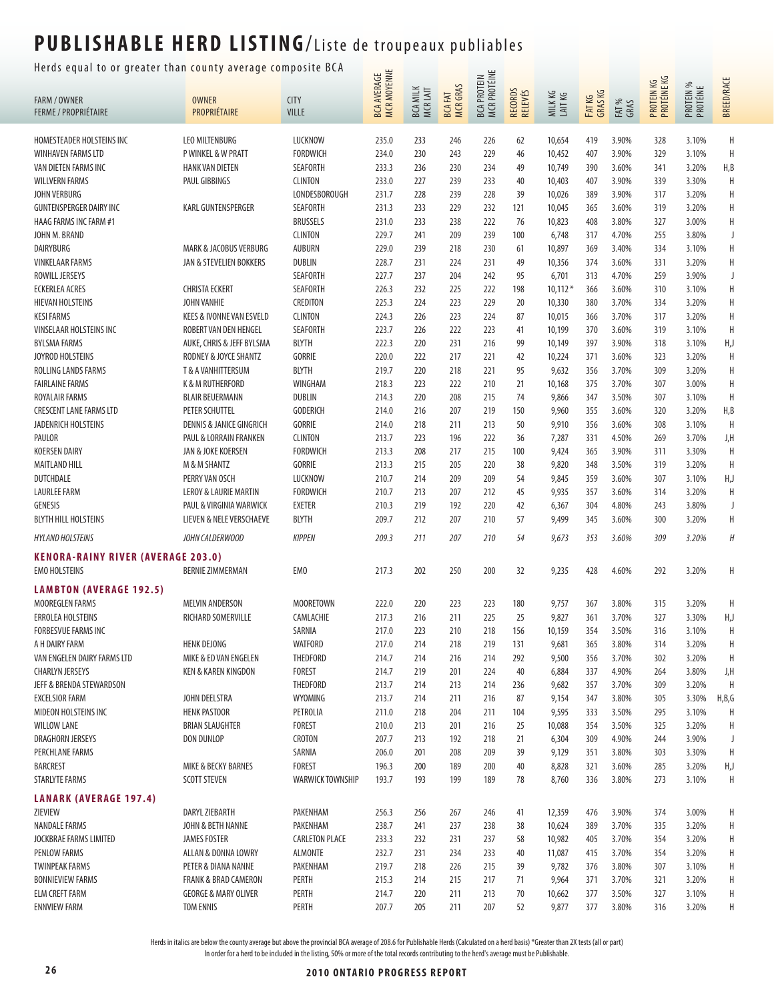### Herds equal to or greater than county average composite BCA  $\frac{u}{u}$   $\equiv$

| uur to or greater thun county average compo                       |                                                                    |                         |                                          |                             |                                  |                                           |                    |                    |                   |                |                           |                       |                   |
|-------------------------------------------------------------------|--------------------------------------------------------------------|-------------------------|------------------------------------------|-----------------------------|----------------------------------|-------------------------------------------|--------------------|--------------------|-------------------|----------------|---------------------------|-----------------------|-------------------|
| <b>FARM / OWNER</b>                                               | <b>OWNER</b>                                                       | <b>CITY</b>             | <b>MCR MOYENNE</b><br><b>BCA AVERAGE</b> | <b>BCA MILK</b><br>MCR LAIT | <b>MCRGRAS</b><br><b>BCA FAT</b> | <b>MCR PROTÉINE</b><br><b>BCA PROTEIN</b> | RECORDS<br>RELEVÉS | MILK KG<br>LAIT KG | FAT KG<br>GRAS KG | FAT %<br>GRAS  | PROTEIN KG<br>PROTÉINE KG | PROTEIN %<br>PROTÉINE | <b>BREED/RACE</b> |
| <b>FERME / PROPRIÉTAIRE</b>                                       | PROPRIÉTAIRE                                                       | <b>VILLE</b>            |                                          |                             |                                  |                                           |                    |                    |                   |                |                           |                       |                   |
| HOMESTEADER HOLSTEINS INC                                         | <b>LEO MILTENBURG</b>                                              | <b>LUCKNOW</b>          | 235.0                                    | 233                         | 246                              | 226                                       | 62                 | 10,654             | 419               | 3.90%          | 328                       | 3.10%                 | H                 |
| WINHAVEN FARMS LTD                                                | <b>P WINKEL &amp; W PRATT</b>                                      | <b>FORDWICH</b>         | 234.0                                    | 230                         | 243                              | 229                                       | 46                 | 10,452             | 407               | 3.90%          | 329                       | 3.10%                 | H                 |
| VAN DIETEN FARMS INC                                              | <b>HANK VAN DIETEN</b>                                             | SEAFORTH                | 233.3                                    | 236                         | 230                              | 234                                       | 49                 | 10,749             | 390               | 3.60%          | 341                       | 3.20%                 | H, B              |
| <b>WILLVERN FARMS</b>                                             | PAUL GIBBINGS                                                      | <b>CLINTON</b>          | 233.0                                    | 227                         | 239                              | 233                                       | 40                 | 10,403             | 407               | 3.90%          | 339                       | 3.30%                 | H                 |
| JOHN VERBURG                                                      |                                                                    | <b>LONDESBOROUGH</b>    | 231.7                                    | 228                         | 239                              | 228                                       | 39                 | 10,026             | 389               | 3.90%          | 317                       | 3.20%                 | Η                 |
| <b>GUNTENSPERGER DAIRY INC</b>                                    | <b>KARL GUNTENSPERGER</b>                                          | SEAFORTH                | 231.3                                    | 233                         | 229                              | 232                                       | 121                | 10,045             | 365               | 3.60%          | 319                       | 3.20%                 | Н                 |
| <b>HAAG FARMS INC FARM #1</b>                                     |                                                                    | <b>BRUSSELS</b>         | 231.0                                    | 233                         | 238                              | 222                                       | 76                 | 10,823             | 408               | 3.80%          | 327                       | 3.00%                 | Н                 |
| JOHN M. BRAND                                                     |                                                                    | <b>CLINTON</b>          | 229.7                                    | 241                         | 209                              | 239                                       | 100                | 6,748              | 317               | 4.70%          | 255                       | 3.80%                 | J                 |
| <b>DAIRYBURG</b>                                                  | <b>MARK &amp; JACOBUS VERBURG</b>                                  | <b>AUBURN</b>           | 229.0                                    | 239                         | 218                              | 230                                       | 61                 | 10,897             | 369               | 3.40%          | 334                       | 3.10%                 | Н                 |
| <b>VINKELAAR FARMS</b>                                            | JAN & STEVELIEN BOKKERS                                            | <b>DUBLIN</b>           | 228.7                                    | 231                         | 224                              | 231                                       | 49                 | 10,356             | 374               | 3.60%          | 331                       | 3.20%                 | Н                 |
| ROWILL JERSEYS                                                    |                                                                    | SEAFORTH                | 227.7                                    | 237                         | 204                              | 242                                       | 95                 | 6,701              | 313               | 4.70%          | 259                       | 3.90%                 | J                 |
| <b>ECKERLEA ACRES</b>                                             | <b>CHRISTA ECKERT</b>                                              | SEAFORTH                | 226.3                                    | 232                         | 225                              | 222                                       | 198                | $10,112*$          | 366               | 3.60%          | 310                       | 3.10%                 | H                 |
| <b>HIEVAN HOLSTEINS</b>                                           | <b>JOHN VANHIE</b>                                                 | CREDITON                | 225.3                                    | 224                         | 223                              | 229                                       | 20                 | 10,330             | 380               | 3.70%          | 334                       | 3.20%                 | H                 |
| <b>KESI FARMS</b>                                                 | KEES & IVONNE VAN ESVELD                                           | <b>CLINTON</b>          | 224.3                                    | 226                         | 223                              | 224                                       | 87                 | 10,015             | 366               | 3.70%          | 317                       | 3.20%                 | Н                 |
| <b>VINSELAAR HOLSTEINS INC</b>                                    | ROBERT VAN DEN HENGEL                                              | SEAFORTH                | 223.7                                    | 226                         | 222                              | 223                                       | 41                 | 10,199             | 370               | 3.60%          | 319                       | 3.10%                 | $\sf H$           |
| <b>BYLSMA FARMS</b>                                               | AUKE, CHRIS & JEFF BYLSMA                                          | <b>BLYTH</b>            | 222.3                                    | 220                         | 231                              | 216                                       | 99                 | 10,149             | 397               | 3.90%          | 318                       | 3.10%                 | H,J               |
| JOYROD HOLSTEINS                                                  | RODNEY & JOYCE SHANTZ                                              | <b>GORRIE</b>           | 220.0                                    | 222                         | 217                              | 221                                       | 42                 | 10,224             | 371               | 3.60%          | 323                       | 3.20%                 | H                 |
| ROLLING LANDS FARMS                                               | <b>T &amp; A VANHITTERSUM</b>                                      | <b>BLYTH</b>            | 219.7                                    | 220                         | 218                              | 221                                       | 95                 | 9,632              | 356               | 3.70%          | 309                       | 3.20%                 | Н                 |
| <b>FAIRLAINE FARMS</b>                                            | K & M RUTHERFORD                                                   | WINGHAM                 | 218.3                                    | 223                         | 222                              | 210                                       | 21                 | 10,168             | 375               | 3.70%          | 307                       | 3.00%                 | Η                 |
| ROYALAIR FARMS                                                    | <b>BLAIR BEUERMANN</b>                                             | <b>DUBLIN</b>           | 214.3                                    | 220                         | 208                              | 215                                       | 74                 | 9,866              | 347               | 3.50%          | 307                       | 3.10%                 | $\mathsf H$       |
| <b>CRESCENT LANE FARMS LTD</b>                                    | PETER SCHUTTEL                                                     | <b>GODERICH</b>         | 214.0                                    | 216                         | 207                              | 219                                       | 150                | 9,960              | 355               | 3.60%          | 320                       | 3.20%                 | H,B               |
| JADENRICH HOLSTEINS                                               | <b>DENNIS &amp; JANICE GINGRICH</b>                                | <b>GORRIE</b>           | 214.0                                    | 218                         | 211                              | 213                                       | 50                 | 9,910              | 356               | 3.60%          | 308                       | 3.10%                 | H                 |
| PAULOR                                                            | PAUL & LORRAIN FRANKEN                                             | <b>CLINTON</b>          | 213.7                                    | 223                         | 196                              | 222                                       | 36                 | 7,287              | 331               | 4.50%          | 269                       | 3.70%                 | J,H               |
| <b>KOERSEN DAIRY</b>                                              | JAN & JOKE KOERSEN                                                 | <b>FORDWICH</b>         | 213.3                                    | 208                         | 217                              | 215                                       | 100                | 9,424              | 365               | 3.90%          | 311                       | 3.30%                 | H                 |
| <b>MAITLAND HILL</b>                                              | <b>M &amp; M SHANTZ</b>                                            | GORRIE                  | 213.3                                    | 215                         | 205                              | 220                                       | 38                 | 9,820              | 348               | 3.50%          | 319                       | 3.20%                 | H                 |
| DUTCHDALE                                                         | PERRY VAN OSCH                                                     | <b>LUCKNOW</b>          | 210.7                                    | 214                         | 209                              | 209                                       | 54                 | 9,845              | 359               | 3.60%          | 307                       | 3.10%                 | H,J               |
| <b>LAURLEE FARM</b>                                               | LEROY & LAURIE MARTIN                                              | <b>FORDWICH</b>         | 210.7                                    | 213                         | 207                              | 212                                       | 45                 | 9,935              | 357               | 3.60%          | 314                       | 3.20%                 | H                 |
| <b>GENESIS</b>                                                    | PAUL & VIRGINIA WARWICK                                            | <b>EXETER</b>           | 210.3                                    | 219                         | 192                              | 220                                       | 42                 | 6,367              | 304               | 4.80%          | 243                       | 3.80%                 | J                 |
| <b>BLYTH HILL HOLSTEINS</b>                                       | LIEVEN & NELE VERSCHAEVE                                           | <b>BLYTH</b>            | 209.7                                    | 212                         | 207                              | 210                                       | 57                 | 9,499              | 345               | 3.60%          | 300                       | 3.20%                 | Н                 |
| <b>HYLAND HOLSTEINS</b>                                           | JOHN CALDERWOOD                                                    | <b>KIPPEN</b>           | 209.3                                    | 211                         | 207                              | 210                                       | 54                 | 9,673              | 353               | 3.60%          | 309                       | 3.20%                 | Н                 |
| <b>KENORA-RAINY RIVER (AVERAGE 203.0)</b><br><b>EMO HOLSTEINS</b> | <b>BERNIE ZIMMERMAN</b>                                            | EM <sub>0</sub>         | 217.3                                    | 202                         | 250                              | 200                                       | 32                 | 9,235              | 428               | 4.60%          | 292                       | 3.20%                 | Η                 |
| <b>LAMBTON (AVERAGE 192.5)</b>                                    |                                                                    |                         |                                          |                             |                                  |                                           |                    |                    |                   |                |                           |                       |                   |
| MOOREGLEN FARMS                                                   | <b>MELVIN ANDERSON</b>                                             | MOORETOWN               | 222.0                                    | 220                         | 223                              | 223                                       | 180                | 9,757              | 367               | 3.80%          | 315                       | 3.20%                 | Η                 |
| ERROLEA HOLSTEINS                                                 | RICHARD SOMERVILLE                                                 | CAMLACHIE               | 217.3                                    | 216                         | 211                              | 225                                       | 25                 | 9,827              | 361               | 3.70%          | 327                       | 3.30%                 | H,J               |
| <b>FORBESVUE FARMS INC</b>                                        |                                                                    | SARNIA                  | 217.0                                    | 223                         | 210                              | 218                                       | 156                | 10,159             | 354               | 3.50%          | 316                       | 3.10%                 | Η                 |
| A H DAIRY FARM                                                    | <b>HENK DEJONG</b>                                                 | <b>WATFORD</b>          | 217.0                                    | 214                         | 218                              | 219                                       | 131                | 9,681              | 365               | 3.80%          | 314                       | 3.20%                 | Н                 |
| VAN ENGELEN DAIRY FARMS LTD                                       | MIKE & ED VAN ENGELEN                                              | THEDFORD                | 214.7                                    | 214                         | 216                              | 214                                       | 292                | 9,500              | 356               | 3.70%          | 302                       | 3.20%                 | Η                 |
| <b>CHARLYN JERSEYS</b>                                            | KEN & KAREN KINGDON                                                | <b>FOREST</b>           | 214.7                                    | 219                         | 201                              | 224                                       | 40                 | 6,884              | 337               | 4.90%          | 264                       | 3.80%                 | J,H               |
| JEFF & BRENDA STEWARDSON                                          |                                                                    | THEDFORD                | 213.7                                    | 214                         | 213                              | 214                                       | 236                | 9,682              | 357               | 3.70%          | 309                       | 3.20%                 | H                 |
| <b>EXCELSIOR FARM</b>                                             | JOHN DEELSTRA                                                      | WYOMING                 | 213.7                                    | 214                         | 211                              | 216                                       | 87                 | 9,154              | 347               | 3.80%          | 305                       | 3.30%                 | H,B,G             |
| MIDEON HOLSTEINS INC                                              | <b>HENK PASTOOR</b>                                                | PETROLIA                | 211.0                                    | 218                         | 204                              | 211                                       | 104                | 9,595              | 333               | 3.50%          | 295                       | 3.10%                 | H                 |
| <b>WILLOW LANE</b>                                                | <b>BRIAN SLAUGHTER</b>                                             | FOREST                  | 210.0                                    | 213                         | 201                              | 216                                       | 25                 | 10,088             | 354               | 3.50%          | 325                       | 3.20%                 | Н                 |
| DRAGHORN JERSEYS                                                  | DON DUNLOP                                                         | CROTON                  | 207.7                                    | 213                         | 192                              | 218                                       | 21                 | 6,304              | 309               | 4.90%          | 244                       | 3.90%                 | J                 |
| PERCHLANE FARMS                                                   |                                                                    | SARNIA                  | 206.0                                    | 201                         | 208                              | 209                                       | 39                 | 9,129              | 351               | 3.80%          | 303                       | 3.30%                 | H                 |
| <b>BARCREST</b>                                                   | MIKE & BECKY BARNES                                                | <b>FOREST</b>           | 196.3                                    | 200                         | 189                              | 200                                       | 40                 | 8,828              | 321               | 3.60%          | 285                       | 3.20%                 | H,J               |
| <b>STARLYTE FARMS</b>                                             | <b>SCOTT STEVEN</b>                                                | <b>WARWICK TOWNSHIP</b> | 193.7                                    | 193                         | 199                              | 189                                       | 78                 | 8,760              | 336               | 3.80%          | 273                       | 3.10%                 | H                 |
| <b>LANARK (AVERAGE 197.4)</b>                                     |                                                                    |                         |                                          |                             |                                  |                                           |                    |                    |                   |                |                           |                       |                   |
| ZIEVIEW                                                           | DARYL ZIEBARTH                                                     | PAKENHAM                | 256.3                                    | 256                         | 267                              | 246                                       | 41                 | 12,359             | 476               | 3.90%          | 374                       | 3.00%                 | Н                 |
| <b>NANDALE FARMS</b>                                              | JOHN & BETH NANNE                                                  | PAKENHAM                | 238.7                                    | 241                         | 237                              | 238                                       | 38                 | 10,624             | 389               | 3.70%          | 335                       | 3.20%                 | H                 |
| <b>JOCKBRAE FARMS LIMITED</b>                                     | <b>JAMES FOSTER</b>                                                | <b>CARLETON PLACE</b>   | 233.3                                    | 232                         | 231                              | 237                                       | 58                 | 10,982             | 405               | 3.70%          | 354                       | 3.20%                 | Н                 |
| <b>PENLOW FARMS</b>                                               | ALLAN & DONNA LOWRY                                                | ALMONTE                 | 232.7                                    | 231                         | 234                              | 233                                       | 40                 | 11,087             | 415               | 3.70%          | 354                       | 3.20%                 | Н                 |
| <b>TWINPEAK FARMS</b>                                             | PETER & DIANA NANNE                                                | PAKENHAM                | 219.7                                    | 218                         | 226                              | 215                                       | 39                 | 9,782              | 376               | 3.80%          | 307                       | 3.10%                 | Н                 |
| <b>BONNIEVIEW FARMS</b><br><b>ELM CREFT FARM</b>                  | <b>FRANK &amp; BRAD CAMERON</b><br><b>GEORGE &amp; MARY OLIVER</b> | PERTH<br>PERTH          | 215.3<br>214.7                           | 214<br>220                  | 215<br>211                       | 217<br>213                                | 71<br>70           | 9,964<br>10,662    | 371<br>377        | 3.70%<br>3.50% | 321<br>327                | 3.20%<br>3.10%        | H<br>Н            |
| <b>ENNVIEW FARM</b>                                               | <b>TOM ENNIS</b>                                                   | PERTH                   | 207.7                                    | 205                         | 211                              | 207                                       | 52                 | 9,877              | 377               | 3.80%          | 316                       | 3.20%                 | Н                 |
|                                                                   |                                                                    |                         |                                          |                             |                                  |                                           |                    |                    |                   |                |                           |                       |                   |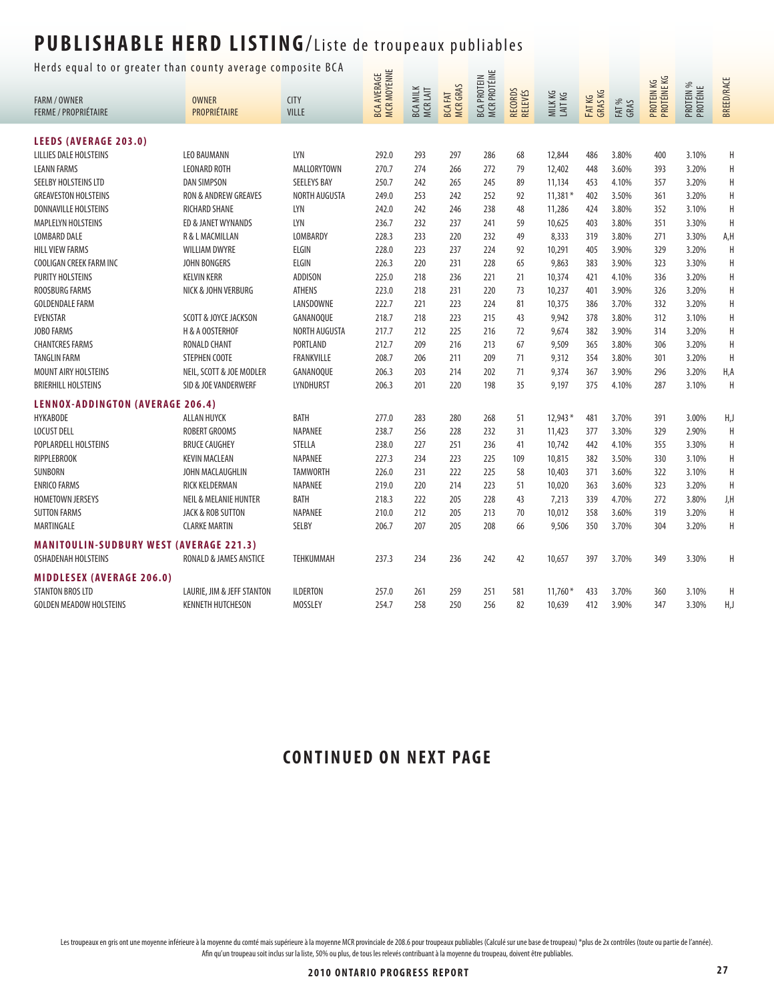Herds equal to or greater than county average composite BCA  $\frac{1}{\sqrt{2}}$ 

| neras equar to or greater than county average composite |                                  | <b>MCR MOYENNE</b><br><b>BCA AVERAGE</b> |       |                            | MCR PROTÉINE<br><b>BCA PROTEIN</b> |     |                    |                  |                   |               |                           |                       |                   |
|---------------------------------------------------------|----------------------------------|------------------------------------------|-------|----------------------------|------------------------------------|-----|--------------------|------------------|-------------------|---------------|---------------------------|-----------------------|-------------------|
| <b>FARM / OWNER</b>                                     | <b>OWNER</b>                     | <b>CITY</b>                              |       |                            |                                    |     |                    |                  |                   |               |                           |                       | <b>BREED/RACE</b> |
| <b>FERME / PROPRIÉTAIRE</b>                             | PROPRIÉTAIRE                     | VILLE                                    |       | <b>BCA MILK</b><br>MCRLAIT | <b>MCRGRAS</b><br><b>BCAFAT</b>    |     | RECORDS<br>RELEVÉS | MILKKG<br>LAITKG | FAT KG<br>GRAS KG | FAT %<br>GRAS | PROTEIN KG<br>PROTÉINE KG | PROTEIN %<br>PROTÉINE |                   |
| <b>LEEDS (AVERAGE 203.0)</b>                            |                                  |                                          |       |                            |                                    |     |                    |                  |                   |               |                           |                       |                   |
| <b>LILLIES DALE HOLSTEINS</b>                           | <b>LEO BAUMANN</b>               | LYN                                      | 292.0 | 293                        | 297                                | 286 | 68                 | 12,844           | 486               | 3.80%         | 400                       | 3.10%                 | H                 |
| <b>LEANN FARMS</b>                                      | <b>LEONARD ROTH</b>              | MALLORYTOWN                              | 270.7 | 274                        | 266                                | 272 | 79                 | 12,402           | 448               | 3.60%         | 393                       | 3.20%                 | $\overline{H}$    |
| SEELBY HOLSTEINS LTD                                    | <b>DAN SIMPSON</b>               | <b>SEELEYS BAY</b>                       | 250.7 | 242                        | 265                                | 245 | 89                 | 11,134           | 453               | 4.10%         | 357                       | 3.20%                 | H                 |
| <b>GREAVESTON HOLSTEINS</b>                             | RON & ANDREW GREAVES             | <b>NORTH AUGUSTA</b>                     | 249.0 | 253                        | 242                                | 252 | 92                 | $11,381*$        | 402               | 3.50%         | 361                       | 3.20%                 | $\overline{H}$    |
| <b>DONNAVILLE HOLSTEINS</b>                             | <b>RICHARD SHANE</b>             | LYN                                      | 242.0 | 242                        | 246                                | 238 | 48                 | 11,286           | 424               | 3.80%         | 352                       | 3.10%                 | H                 |
| MAPLELYN HOLSTEINS                                      | ED & JANET WYNANDS               | LYN                                      | 236.7 | 232                        | 237                                | 241 | 59                 | 10,625           | 403               | 3.80%         | 351                       | 3.30%                 | H                 |
| <b>LOMBARD DALE</b>                                     | R & L MACMILLAN                  | <b>LOMBARDY</b>                          | 228.3 | 233                        | 220                                | 232 | 49                 | 8,333            | 319               | 3.80%         | 271                       | 3.30%                 | A,H               |
| <b>HILL VIEW FARMS</b>                                  | WILLIAM DWYRE                    | ELGIN                                    | 228.0 | 223                        | 237                                | 224 | 92                 | 10,291           | 405               | 3.90%         | 329                       | 3.20%                 | H                 |
| COOLIGAN CREEK FARM INC                                 | <b>JOHN BONGERS</b>              | <b>ELGIN</b>                             | 226.3 | 220                        | 231                                | 228 | 65                 | 9,863            | 383               | 3.90%         | 323                       | 3.30%                 | H                 |
| PURITY HOLSTEINS                                        | <b>KELVIN KERR</b>               | ADDISON                                  | 225.0 | 218                        | 236                                | 221 | 21                 | 10,374           | 421               | 4.10%         | 336                       | 3.20%                 | H                 |
| <b>ROOSBURG FARMS</b>                                   | NICK & JOHN VERBURG              | <b>ATHENS</b>                            | 223.0 | 218                        | 231                                | 220 | 73                 | 10,237           | 401               | 3.90%         | 326                       | 3.20%                 | $\overline{H}$    |
| <b>GOLDENDALE FARM</b>                                  |                                  | LANSDOWNE                                | 222.7 | 221                        | 223                                | 224 | 81                 | 10,375           | 386               | 3.70%         | 332                       | 3.20%                 | H                 |
| <b>EVENSTAR</b>                                         | SCOTT & JOYCE JACKSON            | GANANOQUE                                | 218.7 | 218                        | 223                                | 215 | 43                 | 9,942            | 378               | 3.80%         | 312                       | 3.10%                 | $\overline{H}$    |
| <b>JOBO FARMS</b>                                       | H & A OOSTERHOF                  | NORTH AUGUSTA                            | 217.7 | 212                        | 225                                | 216 | 72                 | 9,674            | 382               | 3.90%         | 314                       | 3.20%                 | H                 |
| <b>CHANTCRES FARMS</b>                                  | <b>RONALD CHANT</b>              | PORTLAND                                 | 212.7 | 209                        | 216                                | 213 | 67                 | 9,509            | 365               | 3.80%         | 306                       | 3.20%                 | H                 |
| <b>TANGLIN FARM</b>                                     | <b>STEPHEN COOTE</b>             | <b>FRANKVILLE</b>                        | 208.7 | 206                        | 211                                | 209 | 71                 | 9,312            | 354               | 3.80%         | 301                       | 3.20%                 | H                 |
| MOUNT AIRY HOLSTEINS                                    | NEIL, SCOTT & JOE MODLER         | GANANOQUE                                | 206.3 | 203                        | 214                                | 202 | 71                 | 9,374            | 367               | 3.90%         | 296                       | 3.20%                 | H,A               |
| <b>BRIERHILL HOLSTEINS</b>                              | SID & JOE VANDERWERF             | <b>LYNDHURST</b>                         | 206.3 | 201                        | 220                                | 198 | 35                 | 9,197            | 375               | 4.10%         | 287                       | 3.10%                 | H                 |
| <b>LENNOX-ADDINGTON (AVERAGE 206.4)</b>                 |                                  |                                          |       |                            |                                    |     |                    |                  |                   |               |                           |                       |                   |
| <b>HYKABODE</b>                                         | ALLAN HUYCK                      | <b>BATH</b>                              | 277.0 | 283                        | 280                                | 268 | 51                 | 12,943 *         | 481               | 3.70%         | 391                       | 3.00%                 | H,J               |
| <b>LOCUST DELL</b>                                      | <b>ROBERT GROOMS</b>             | <b>NAPANEE</b>                           | 238.7 | 256                        | 228                                | 232 | 31                 | 11,423           | 377               | 3.30%         | 329                       | 2.90%                 | H                 |
| POPLARDELL HOLSTEINS                                    | <b>BRUCE CAUGHEY</b>             | STELLA                                   | 238.0 | 227                        | 251                                | 236 | 41                 | 10,742           | 442               | 4.10%         | 355                       | 3.30%                 | H                 |
| <b>RIPPLEBROOK</b>                                      | <b>KEVIN MACLEAN</b>             | <b>NAPANEE</b>                           | 227.3 | 234                        | 223                                | 225 | 109                | 10,815           | 382               | 3.50%         | 330                       | 3.10%                 | H                 |
| SUNBORN                                                 | JOHN MACLAUGHLIN                 | <b>TAMWORTH</b>                          | 226.0 | 231                        | 222                                | 225 | 58                 | 10,403           | 371               | 3.60%         | 322                       | 3.10%                 | $\mathsf H$       |
| <b>ENRICO FARMS</b>                                     | RICK KELDERMAN                   | NAPANEE                                  | 219.0 | 220                        | 214                                | 223 | 51                 | 10,020           | 363               | 3.60%         | 323                       | 3.20%                 | $\overline{H}$    |
| <b>HOMETOWN JERSEYS</b>                                 | <b>NEIL &amp; MELANIE HUNTER</b> | <b>BATH</b>                              | 218.3 | 222                        | 205                                | 228 | 43                 | 7,213            | 339               | 4.70%         | 272                       | 3.80%                 | J,H               |
| <b>SUTTON FARMS</b>                                     | JACK & ROB SUTTON                | NAPANEE                                  | 210.0 | 212                        | 205                                | 213 | 70                 | 10,012           | 358               | 3.60%         | 319                       | 3.20%                 | H                 |
| MARTINGALE                                              | <b>CLARKE MARTIN</b>             | SELBY                                    | 206.7 | 207                        | 205                                | 208 | 66                 | 9,506            | 350               | 3.70%         | 304                       | 3.20%                 | H                 |
| <b>MANITOULIN-SUDBURY WEST (AVERAGE 221.3)</b>          |                                  |                                          |       |                            |                                    |     |                    |                  |                   |               |                           |                       |                   |
| <b>OSHADENAH HOLSTEINS</b>                              | RONALD & JAMES ANSTICE           | TEHKUMMAH                                | 237.3 | 234                        | 236                                | 242 | 42                 | 10,657           | 397               | 3.70%         | 349                       | 3.30%                 | H                 |
| <b>MIDDLESEX (AVERAGE 206.0)</b>                        |                                  |                                          |       |                            |                                    |     |                    |                  |                   |               |                           |                       |                   |
| <b>STANTON BROS LTD</b>                                 | LAURIE, JIM & JEFF STANTON       | <b>ILDERTON</b>                          | 257.0 | 261                        | 259                                | 251 | 581                | $11,760*$        | 433               | 3.70%         | 360                       | 3.10%                 | H                 |
| <b>GOLDEN MEADOW HOLSTEINS</b>                          | <b>KENNETH HUTCHESON</b>         | <b>MOSSLEY</b>                           | 254.7 | 258                        | 250                                | 256 | 82                 | 10,639           | 412               | 3.90%         | 347                       | 3.30%                 | H,J               |

#### **CONTINUED ON NEXT PAGE**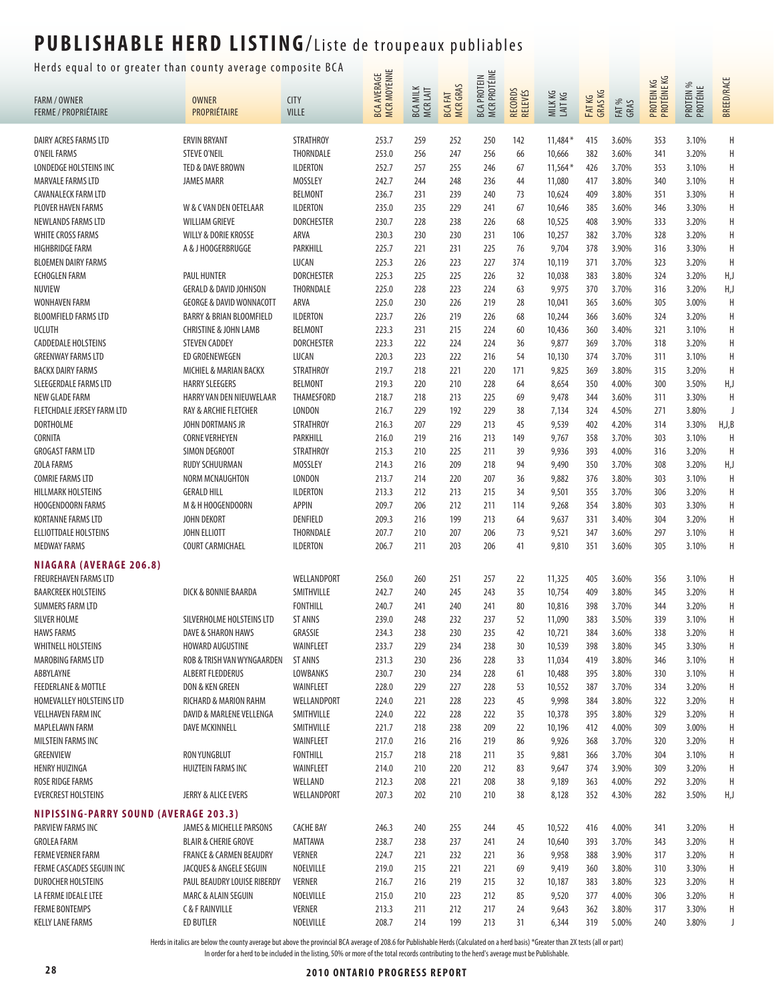#### Herds equal to or greater than county average composite BCA  $\frac{1}{\cdots}$

|                                       | nerus equar to or greater than county average compo |                       |                            |                             |                                   | <b>MCR PROTÉINE</b> |                    |                    |                   |                |                           |                       |                   |
|---------------------------------------|-----------------------------------------------------|-----------------------|----------------------------|-----------------------------|-----------------------------------|---------------------|--------------------|--------------------|-------------------|----------------|---------------------------|-----------------------|-------------------|
| FARM / OWNER                          | <b>OWNER</b>                                        | <b>CITY</b>           | BCA AVERAGE<br>MCR MOYENNE | <b>BCA MILK</b><br>MCR LAIT | <b>MCR GRAS</b><br><b>BCA FAT</b> | <b>BCA PROTEIN</b>  | RECORDS<br>RELEVÉS | MILK KG<br>LAIT KG | FAT KG<br>GRAS KG |                | PROTEIN KG<br>PROTÉINE KG | PROTEIN %<br>PROTÉINE | <b>BREED/RACE</b> |
| <b>FERME / PROPRIÉTAIRE</b>           | PROPRIÉTAIRE                                        | <b>VILLE</b>          |                            |                             |                                   |                     |                    |                    |                   | FAT %<br>GRAS  |                           |                       |                   |
| DAIRY ACRES FARMS LTD                 | <b>ERVIN BRYANT</b>                                 | <b>STRATHROY</b>      | 253.7                      | 259                         | 252                               | 250                 | 142                | $11,484*$          | 415               | 3.60%          | 353                       | 3.10%                 | Н                 |
| O'NEIL FARMS                          | <b>STEVE O'NEIL</b>                                 | THORNDALE             | 253.0                      | 256                         | 247                               | 256                 | 66                 | 10,666             | 382               | 3.60%          | 341                       | 3.20%                 | Η                 |
| LONDEDGE HOLSTEINS INC                | TED & DAVE BROWN                                    | <b>ILDERTON</b>       | 252.7                      | 257                         | 255                               | 246                 | 67                 | $11,564*$          | 426               | 3.70%          | 353                       | 3.10%                 | H                 |
| <b>MARVALE FARMS LTD</b>              | <b>JAMES MARR</b>                                   | MOSSLEY               | 242.7                      | 244                         | 248                               | 236                 | 44                 | 11,080             | 417               | 3.80%          | 340                       | 3.10%                 | H                 |
| <b>CAVANALECK FARM LTD</b>            |                                                     | <b>BELMONT</b>        | 236.7                      | 231                         | 239                               | 240                 | 73                 | 10,624             | 409               | 3.80%          | 351                       | 3.30%                 | Н                 |
| PLOVER HAVEN FARMS                    | W & C VAN DEN OETELAAR                              | <b>ILDERTON</b>       | 235.0                      | 235                         | 229                               | 241                 | 67                 | 10,646             | 385               | 3.60%          | 346                       | 3.30%                 | Н                 |
| NEWLANDS FARMS LTD                    | <b>WILLIAM GRIEVE</b>                               | <b>DORCHESTER</b>     | 230.7                      | 228                         | 238                               | 226                 | 68                 | 10,525             | 408               | 3.90%          | 333                       | 3.20%                 | Н                 |
| <b>WHITE CROSS FARMS</b>              | WILLY & DORIE KROSSE                                | ARVA                  | 230.3                      | 230                         | 230                               | 231                 | 106                | 10,257             | 382               | 3.70%          | 328                       | 3.20%                 | H                 |
| <b>HIGHBRIDGE FARM</b>                | A & J HOOGERBRUGGE                                  | PARKHILL              | 225.7                      | 221                         | 231                               | 225                 | 76                 | 9,704              | 378               | 3.90%          | 316                       | 3.30%                 | Н                 |
| <b>BLOEMEN DAIRY FARMS</b>            |                                                     | LUCAN                 | 225.3                      | 226                         | 223                               | 227                 | 374                | 10,119             | 371               | 3.70%          | 323                       | 3.20%                 | H                 |
| <b>ECHOGLEN FARM</b>                  | PAUL HUNTER                                         | <b>DORCHESTER</b>     | 225.3                      | 225                         | 225                               | 226                 | 32                 | 10,038             | 383               | 3.80%          | 324                       | 3.20%                 | H,J               |
| NUVIEW                                | <b>GERALD &amp; DAVID JOHNSON</b>                   | THORNDALE             | 225.0                      | 228                         | 223                               | 224                 | 63                 | 9,975              | 370               | 3.70%          | 316                       | 3.20%                 | H,J               |
| <b>WONHAVEN FARM</b>                  | <b>GEORGE &amp; DAVID WONNACOTT</b>                 | ARVA                  | 225.0                      | 230                         | 226                               | 219                 | 28                 | 10,041             | 365               | 3.60%          | 305                       | 3.00%                 | H                 |
| <b>BLOOMFIELD FARMS LTD</b>           | <b>BARRY &amp; BRIAN BLOOMFIELD</b>                 | <b>ILDERTON</b>       | 223.7                      | 226                         | 219                               | 226                 | 68                 | 10,244             | 366               | 3.60%          | 324                       | 3.20%                 | Н                 |
| <b>UCLUTH</b>                         | <b>CHRISTINE &amp; JOHN LAMB</b>                    | <b>BELMONT</b>        | 223.3                      | 231                         | 215                               | 224                 | 60                 | 10,436             | 360               | 3.40%          | 321                       | 3.10%                 | Н                 |
| <b>CADDEDALE HOLSTEINS</b>            | <b>STEVEN CADDEY</b>                                | <b>DORCHESTER</b>     | 223.3                      | 222                         | 224                               | 224                 | 36                 | 9,877              | 369               | 3.70%          | 318                       | 3.20%                 | Н                 |
| <b>GREENWAY FARMS LTD</b>             | ED GROENEWEGEN                                      | LUCAN                 | 220.3                      | 223                         | 222                               | 216                 | 54                 | 10,130             | 374               | 3.70%          | 311                       | 3.10%                 | H                 |
| <b>BACKX DAIRY FARMS</b>              | MICHIEL & MARIAN BACKX                              | <b>STRATHROY</b>      | 219.7                      | 218                         | 221                               | 220                 | 171                | 9,825              | 369               | 3.80%          | 315                       | 3.20%                 | H                 |
| SLEEGERDALE FARMS LTD                 | <b>HARRY SLEEGERS</b>                               | <b>BELMONT</b>        | 219.3                      | 220                         | 210                               | 228                 | 64                 | 8,654              | 350               | 4.00%          | 300                       | 3.50%                 | H,J               |
| <b>NEW GLADE FARM</b>                 | HARRY VAN DEN NIEUWELAAR                            | THAMESFORD            | 218.7                      | 218                         | 213                               | 225                 | 69                 | 9,478              | 344               | 3.60%          | 311                       | 3.30%                 | Η                 |
| FLETCHDALE JERSEY FARM LTD            | RAY & ARCHIE FLETCHER                               | LONDON                | 216.7                      | 229                         | 192                               | 229                 | 38                 | 7,134              | 324               | 4.50%          | 271                       | 3.80%                 | $\mathsf{I}$      |
| <b>DORTHOLME</b>                      | JOHN DORTMANS JR                                    | <b>STRATHROY</b>      | 216.3                      | 207                         | 229                               | 213                 | 45                 | 9,539              | 402               | 4.20%          | 314                       | 3.30%                 | H,J,B             |
| CORNITA                               | <b>CORNE VERHEYEN</b>                               | PARKHILL              | 216.0                      | 219                         | 216                               | 213                 | 149                | 9,767              | 358               | 3.70%          | 303                       | 3.10%                 | Η                 |
| <b>GROGAST FARM LTD</b>               | SIMON DEGROOT                                       | <b>STRATHROY</b>      | 215.3                      | 210                         | 225                               | 211                 | 39                 | 9,936              | 393               | 4.00%          | 316                       | 3.20%                 | H                 |
| <b>ZOLA FARMS</b>                     | RUDY SCHUURMAN                                      | <b>MOSSLEY</b>        | 214.3                      | 216                         | 209                               | 218                 | 94                 | 9,490              | 350               | 3.70%          | 308                       | 3.20%                 | H,J               |
| <b>COMRIE FARMS LTD</b>               | NORM MCNAUGHTON                                     | LONDON                | 213.7                      | 214                         | 220                               | 207                 | 36                 | 9,882              | 376               | 3.80%          | 303                       | 3.10%                 | H                 |
| HILLMARK HOLSTEINS                    | <b>GERALD HILL</b>                                  | <b>ILDERTON</b>       | 213.3                      | 212                         | 213                               | 215                 | 34                 | 9,501              | 355               | 3.70%          | 306                       | 3.20%                 | H                 |
| <b>HOOGENDOORN FARMS</b>              | M & H HOOGENDOORN                                   | <b>APPIN</b>          | 209.7                      | 206                         | 212                               | 211                 | 114                | 9,268              | 354               | 3.80%          | 303                       | 3.30%                 | Н                 |
| KORTANNE FARMS LTD                    | JOHN DEKORT                                         | DENFIELD              | 209.3                      | 216                         | 199                               | 213                 | 64                 | 9,637              | 331               | 3.40%          | 304                       | 3.20%                 | Н                 |
| ELLIOTTDALE HOLSTEINS                 | JOHN ELLIOTT                                        | THORNDALE             | 207.7                      | 210                         | 207                               | 206                 | 73                 | 9,521              | 347               | 3.60%          | 297                       | 3.10%                 | Н                 |
| <b>MEDWAY FARMS</b>                   | <b>COURT CARMICHAEL</b>                             | <b>ILDERTON</b>       | 206.7                      | 211                         | 203                               | 206                 | 41                 | 9,810              | 351               | 3.60%          | 305                       | 3.10%                 | H                 |
| <b>NIAGARA (AVERAGE 206.8)</b>        |                                                     |                       |                            |                             |                                   |                     |                    |                    |                   |                |                           |                       |                   |
| <b>FREUREHAVEN FARMS LTD</b>          |                                                     | WELLANDPORT           | 256.0                      | 260                         | 251                               | 257                 | 22                 | 11,325             | 405               | 3.60%          | 356                       | 3.10%                 | Н                 |
| <b>BAARCREEK HOLSTEINS</b>            | DICK & BONNIE BAARDA                                | SMITHVILLE            | 242.7                      | 240                         | 245                               | 243                 | 35                 | 10,754             | 409               | 3.80%          | 345                       | 3.20%                 | H                 |
| SUMMERS FARM LTD                      |                                                     | <b>FONTHILL</b>       | 240.7                      | 241                         | 240                               | 241                 | 80                 | 10,816             | 398               | 3.70%          | 344                       | 3.20%                 | H                 |
| <b>SILVER HOLME</b>                   | SILVERHOLME HOLSTEINS LTD                           | <b>ST ANNS</b>        | 239.0                      | 248                         | 232                               | 237                 | 52                 | 11,090             | 383               | 3.50%          | 339                       | 3.10%                 | Н                 |
| <b>HAWS FARMS</b>                     | DAVE & SHARON HAWS                                  | GRASSIE               | 234.3                      | 238                         | 230                               | 235                 | 42                 | 10,721             | 384               | 3.60%          | 338                       | 3.20%                 | Н                 |
| <b>WHITNELL HOLSTEINS</b>             | HOWARD AUGUSTINE                                    | WAINFLEET             | 233.7                      | 229                         | 234                               | 238                 | 30                 | 10,539             | 398               | 3.80%          | 345                       | 3.30%                 | Η                 |
| MAROBING FARMS LTD<br>ABBYLAYNE       | ROB & TRISH VAN WYNGAARDEN<br>ALBERT FLEDDERUS      | <b>ST ANNS</b>        | 231.3<br>230.7             | 230<br>230                  | 236                               | 228                 | 33                 | 11,034             | 419               | 3.80%<br>3.80% | 346                       | 3.10%<br>3.10%        | H                 |
| <b>FEEDERLANE &amp; MOTTLE</b>        | DON & KEN GREEN                                     | LOWBANKS<br>WAINFLEET | 228.0                      | 229                         | 234<br>227                        | 228<br>228          | 61<br>53           | 10,488<br>10,552   | 395<br>387        | 3.70%          | 330<br>334                | 3.20%                 | H<br>Н            |
| HOMEVALLEY HOLSTEINS LTD              | RICHARD & MARION RAHM                               | WELLANDPORT           | 224.0                      | 221                         | 228                               | 223                 | 45                 | 9,998              | 384               | 3.80%          | 322                       | 3.20%                 | Н                 |
| <b>VELLHAVEN FARM INC</b>             | DAVID & MARLENE VELLENGA                            | SMITHVILLE            | 224.0                      | 222                         | 228                               | 222                 | 35                 | 10,378             | 395               | 3.80%          | 329                       | 3.20%                 | Н                 |
| MAPLELAWN FARM                        | <b>DAVE MCKINNELL</b>                               | SMITHVILLE            | 221.7                      | 218                         | 238                               | 209                 | 22                 | 10,196             | 412               | 4.00%          | 309                       | 3.00%                 | H                 |
| MILSTEIN FARMS INC                    |                                                     | WAINFLEET             | 217.0                      | 216                         | 216                               | 219                 | 86                 | 9,926              | 368               | 3.70%          | 320                       | 3.20%                 | Н                 |
| <b>GREENVIEW</b>                      | <b>RON YUNGBLUT</b>                                 | <b>FONTHILL</b>       | 215.7                      | 218                         | 218                               | 211                 | 35                 | 9,881              | 366               | 3.70%          | 304                       | 3.10%                 | Н                 |
| <b>HENRY HUIZINGA</b>                 | HUIZTEIN FARMS INC                                  | WAINFLEET             | 214.0                      | 210                         | 220                               | 212                 | 83                 | 9,647              | 374               | 3.90%          | 309                       | 3.20%                 | Η                 |
| ROSE RIDGE FARMS                      |                                                     | WELLAND               | 212.3                      | 208                         | 221                               | 208                 | 38                 | 9,189              | 363               | 4.00%          | 292                       | 3.20%                 | H                 |
| <b>EVERCREST HOLSTEINS</b>            | <b>JERRY &amp; ALICE EVERS</b>                      | WELLANDPORT           | 207.3                      | 202                         | 210                               | 210                 | 38                 | 8,128              | 352               | 4.30%          | 282                       | 3.50%                 | H,J               |
| NIPISSING-PARRY SOUND (AVERAGE 203.3) |                                                     |                       |                            |                             |                                   |                     |                    |                    |                   |                |                           |                       |                   |
| PARVIEW FARMS INC                     | JAMES & MICHELLE PARSONS                            | <b>CACHE BAY</b>      | 246.3                      | 240                         | 255                               | 244                 | 45                 | 10,522             | 416               | 4.00%          | 341                       | 3.20%                 | Н                 |
| <b>GROLEA FARM</b>                    | <b>BLAIR &amp; CHERIE GROVE</b>                     | MATTAWA               | 238.7                      | 238                         | 237                               | 241                 | 24                 | 10,640             | 393               | 3.70%          | 343                       | 3.20%                 | H                 |
| <b>FERME VERNER FARM</b>              | <b>FRANCE &amp; CARMEN BEAUDRY</b>                  | VERNER                | 224.7                      | 221                         | 232                               | 221                 | 36                 | 9,958              | 388               | 3.90%          | 317                       | 3.20%                 | H                 |
| FERME CASCADES SEGUIN INC             | JACQUES & ANGELE SEGUIN                             | NOELVILLE             | 219.0                      | 215                         | 221                               | 221                 | 69                 | 9,419              | 360               | 3.80%          | 310                       | 3.30%                 | Н                 |
| <b>DUROCHER HOLSTEINS</b>             | PAUL BEAUDRY LOUISE RIBERDY                         | <b>VERNER</b>         | 216.7                      | 216                         | 219                               | 215                 | 32                 | 10,187             | 383               | 3.80%          | 323                       | 3.20%                 | Н                 |
| LA FERME IDEALE LTEE                  | MARC & ALAIN SEGUIN                                 | NOELVILLE             | 215.0                      | 210                         | 223                               | 212                 | 85                 | 9,520              | 377               | 4.00%          | 306                       | 3.20%                 | H                 |
| <b>FERME BONTEMPS</b>                 | <b>C&amp;FRAINVILLE</b>                             | <b>VERNER</b>         | 213.3                      | 211                         | 212                               | 217                 | 24                 | 9,643              | 362               | 3.80%          | 317                       | 3.30%                 | Н                 |
| <b>KELLY LANE FARMS</b>               | ED BUTLER                                           | NOELVILLE             | 208.7                      | 214                         | 199                               | 213                 | 31                 | 6,344              | 319               | 5.00%          | 240                       | 3.80%                 | J                 |
|                                       |                                                     |                       |                            |                             |                                   |                     |                    |                    |                   |                |                           |                       |                   |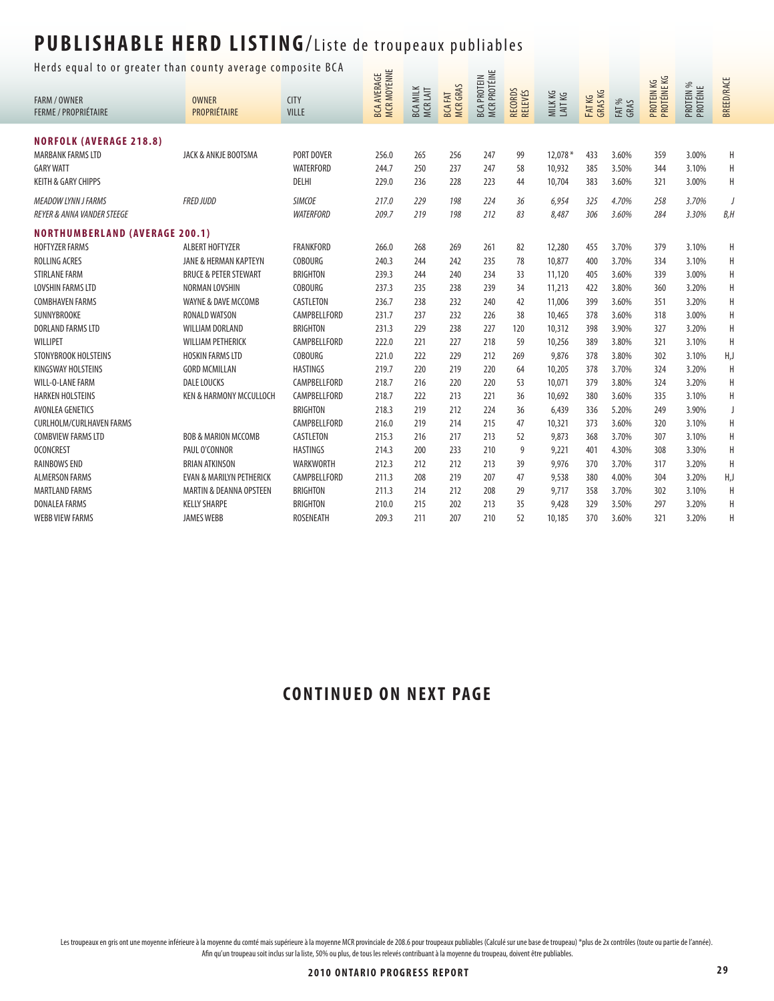Herds equal to or greater than county average composite BCA  $\frac{1}{\sqrt{2}}$ 

|                                                    | ncias equal to or greater than county average composite ben |                             |                                   |                            |                                 |                                    |                                  |                  |                   |               |                           |                       |                   |
|----------------------------------------------------|-------------------------------------------------------------|-----------------------------|-----------------------------------|----------------------------|---------------------------------|------------------------------------|----------------------------------|------------------|-------------------|---------------|---------------------------|-----------------------|-------------------|
| <b>FARM / OWNER</b><br><b>FERME / PROPRIÉTAIRE</b> | <b>OWNER</b><br>PROPRIÉTAIRE                                | <b>CITY</b><br><b>VILLE</b> | MCR MOYENNE<br><b>BCA AVERAGE</b> | <b>BCA MILK</b><br>MCRLAIT | <b>MCRGRAS</b><br><b>BCAFAT</b> | MCR PROTÉINE<br><b>BCA PROTEIN</b> | <b>RECORDS</b><br><b>RELEVÉS</b> | MILKKG<br>LAITKG | FAT KG<br>GRAS KG | FAT %<br>GRAS | PROTÉINE KG<br>PROTEIN KG | PROTEIN %<br>PROTÉINE | <b>BREED/RACE</b> |
| <b>NORFOLK (AVERAGE 218.8)</b>                     |                                                             |                             |                                   |                            |                                 |                                    |                                  |                  |                   |               |                           |                       |                   |
| <b>MARBANK FARMS LTD</b>                           | JACK & ANKJE BOOTSMA                                        | PORT DOVER                  | 256.0                             | 265                        | 256                             | 247                                | 99                               | 12,078 *         | 433               | 3.60%         | 359                       | 3.00%                 | H                 |
| <b>GARY WATT</b>                                   |                                                             | WATERFORD                   | 244.7                             | 250                        | 237                             | 247                                | 58                               | 10,932           | 385               | 3.50%         | 344                       | 3.10%                 | Η                 |
| <b>KEITH &amp; GARY CHIPPS</b>                     |                                                             | DELHI                       | 229.0                             | 236                        | 228                             | 223                                | 44                               | 10,704           | 383               | 3.60%         | 321                       | 3.00%                 | Н                 |
| <b>MEADOW LYNN J FARMS</b>                         | <b>FRED JUDD</b>                                            | <b>SIMCOE</b>               | 217.0                             | 229                        | 198                             | 224                                | 36                               | 6,954            | 325               | 4.70%         | 258                       | 3.70%                 | J                 |
| <b>REYER &amp; ANNA VANDER STEEGE</b>              |                                                             | <b>WATERFORD</b>            | 209.7                             | 219                        | 198                             | 212                                | 83                               | 8,487            | 306               | 3.60%         | 284                       | 3.30%                 | B, H              |
| <b>NORTHUMBERLAND (AVERAGE 200.1)</b>              |                                                             |                             |                                   |                            |                                 |                                    |                                  |                  |                   |               |                           |                       |                   |
| <b>HOFTYZER FARMS</b>                              | ALBERT HOFTYZER                                             | <b>FRANKFORD</b>            | 266.0                             | 268                        | 269                             | 261                                | 82                               | 12,280           | 455               | 3.70%         | 379                       | 3.10%                 | H                 |
| ROLLING ACRES                                      | JANE & HERMAN KAPTEYN                                       | <b>COBOURG</b>              | 240.3                             | 244                        | 242                             | 235                                | 78                               | 10,877           | 400               | 3.70%         | 334                       | 3.10%                 | Н                 |
| <b>STIRLANE FARM</b>                               | <b>BRUCE &amp; PETER STEWART</b>                            | <b>BRIGHTON</b>             | 239.3                             | 244                        | 240                             | 234                                | 33                               | 11,120           | 405               | 3.60%         | 339                       | 3.00%                 | H                 |
| <b>LOVSHIN FARMS LTD</b>                           | NORMAN LOVSHIN                                              | <b>COBOURG</b>              | 237.3                             | 235                        | 238                             | 239                                | 34                               | 11,213           | 422               | 3.80%         | 360                       | 3.20%                 | H                 |
| <b>COMBHAVEN FARMS</b>                             | WAYNE & DAVE MCCOMB                                         | CASTLETON                   | 236.7                             | 238                        | 232                             | 240                                | 42                               | 11,006           | 399               | 3.60%         | 351                       | 3.20%                 | H                 |
| SUNNYBROOKE                                        | <b>RONALD WATSON</b>                                        | CAMPBELLFORD                | 231.7                             | 237                        | 232                             | 226                                | 38                               | 10,465           | 378               | 3.60%         | 318                       | 3.00%                 | H                 |
| <b>DORLAND FARMS LTD</b>                           | <b>WILLIAM DORLAND</b>                                      | <b>BRIGHTON</b>             | 231.3                             | 229                        | 238                             | 227                                | 120                              | 10,312           | 398               | 3.90%         | 327                       | 3.20%                 | H                 |
| WILLIPET                                           | <b>WILLIAM PETHERICK</b>                                    | CAMPBELLFORD                | 222.0                             | 221                        | 227                             | 218                                | 59                               | 10,256           | 389               | 3.80%         | 321                       | 3.10%                 | H                 |
| STONYBROOK HOLSTEINS                               | <b>HOSKIN FARMS LTD</b>                                     | <b>COBOURG</b>              | 221.0                             | 222                        | 229                             | 212                                | 269                              | 9,876            | 378               | 3.80%         | 302                       | 3.10%                 | H,J               |
| KINGSWAY HOLSTEINS                                 | <b>GORD MCMILLAN</b>                                        | <b>HASTINGS</b>             | 219.7                             | 220                        | 219                             | 220                                | 64                               | 10,205           | 378               | 3.70%         | 324                       | 3.20%                 | H                 |
| <b>WILL-O-LANE FARM</b>                            | <b>DALE LOUCKS</b>                                          | CAMPBELLFORD                | 218.7                             | 216                        | 220                             | 220                                | 53                               | 10.071           | 379               | 3.80%         | 324                       | 3.20%                 | H                 |
| <b>HARKEN HOLSTEINS</b>                            | <b>KEN &amp; HARMONY MCCULLOCH</b>                          | CAMPBELLFORD                | 218.7                             | 222                        | 213                             | 221                                | 36                               | 10,692           | 380               | 3.60%         | 335                       | 3.10%                 | Н                 |
| AVONLEA GENETICS                                   |                                                             | <b>BRIGHTON</b>             | 218.3                             | 219                        | 212                             | 224                                | 36                               | 6,439            | 336               | 5.20%         | 249                       | 3.90%                 | J                 |
| <b>CURLHOLM/CURLHAVEN FARMS</b>                    |                                                             | CAMPBELLFORD                | 216.0                             | 219                        | 214                             | 215                                | 47                               | 10,321           | 373               | 3.60%         | 320                       | 3.10%                 | H                 |
| <b>COMBVIEW FARMS LTD</b>                          | <b>BOB &amp; MARION MCCOMB</b>                              | CASTLETON                   | 215.3                             | 216                        | 217                             | 213                                | 52                               | 9,873            | 368               | 3.70%         | 307                       | 3.10%                 | H                 |
| <b>OCONCREST</b>                                   | PAUL O'CONNOR                                               | <b>HASTINGS</b>             | 214.3                             | 200                        | 233                             | 210                                | 9                                | 9,221            | 401               | 4.30%         | 308                       | 3.30%                 | H                 |
| <b>RAINBOWS END</b>                                | <b>BRIAN ATKINSON</b>                                       | WARKWORTH                   | 212.3                             | 212                        | 212                             | 213                                | 39                               | 9,976            | 370               | 3.70%         | 317                       | 3.20%                 | H                 |
| <b>ALMERSON FARMS</b>                              | <b>EVAN &amp; MARILYN PETHERICK</b>                         | CAMPBELLFORD                | 211.3                             | 208                        | 219                             | 207                                | 47                               | 9,538            | 380               | 4.00%         | 304                       | 3.20%                 | H,J               |
| <b>MARTLAND FARMS</b>                              | <b>MARTIN &amp; DEANNA OPSTEEN</b>                          | <b>BRIGHTON</b>             | 211.3                             | 214                        | 212                             | 208                                | 29                               | 9,717            | 358               | 3.70%         | 302                       | 3.10%                 | H                 |
| <b>DONALEA FARMS</b>                               | <b>KELLY SHARPE</b>                                         | <b>BRIGHTON</b>             | 210.0                             | 215                        | 202                             | 213                                | 35                               | 9,428            | 329               | 3.50%         | 297                       | 3.20%                 | H                 |
| <b>WEBB VIEW FARMS</b>                             | <b>JAMES WEBB</b>                                           | <b>ROSENEATH</b>            | 209.3                             | 211                        | 207                             | 210                                | 52                               | 10.185           | 370               | 3.60%         | 321                       | 3.20%                 | H                 |

### **CONTINUED ON NEXT PAGE**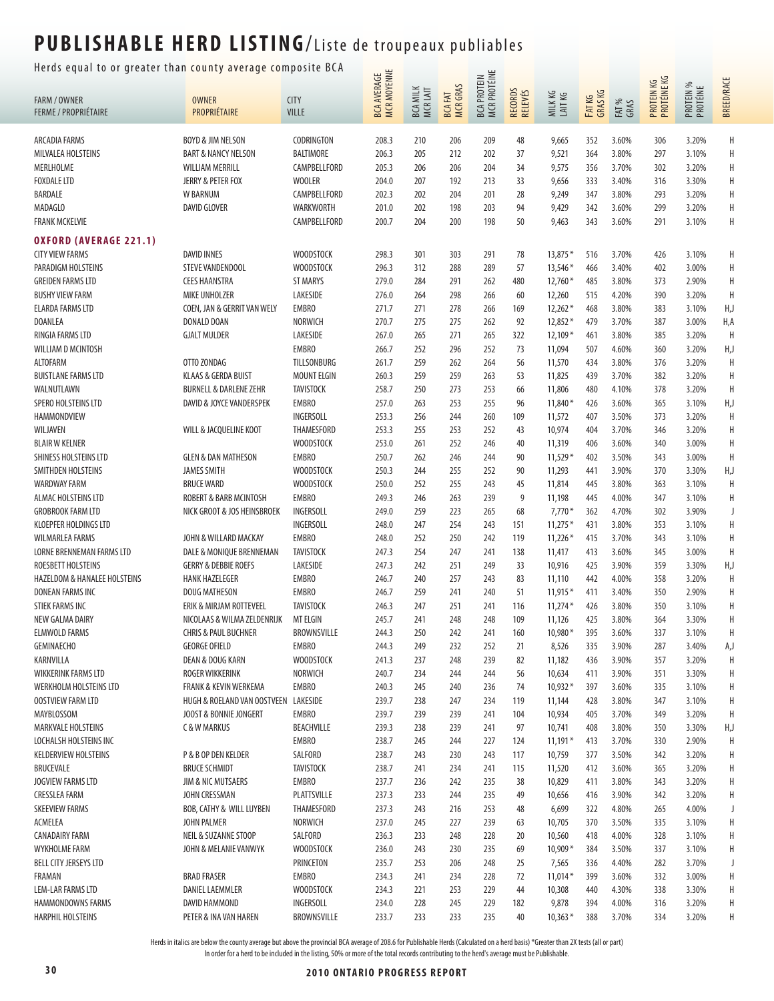### Herds equal to or greater than county average composite BCA  $\frac{u}{u}$   $\equiv$

| BCA AVERAGE<br>MCR MOYENNE<br><b>MCR PROTÉINE</b><br><b>BCA PROTEIN</b><br>PROTEIN KG<br>PROTÉINE KG<br><b>MCR GRAS</b><br><b>BCA MILK</b><br>MCR LAIT<br>RECORDS<br>RELEVÉS<br>FAT KG<br>GRAS KG<br>MILKKG<br>LAITKG<br><b>BCA FAT</b><br><b>OWNER</b><br><b>CITY</b><br>FARM / OWNER<br>FAT %<br>GRAS<br>PROPRIÉTAIRE<br><b>FERME / PROPRIÉTAIRE</b><br><b>VILLE</b><br>ARCADIA FARMS<br><b>BOYD &amp; JIM NELSON</b><br>CODRINGTON<br>208.3<br>210<br>209<br>48<br>9,665<br>352<br>3.60%<br>306<br>206<br>BALTIMORE<br>206.3<br>202<br>37<br>9,521<br>364<br>MILVALEA HOLSTEINS<br><b>BART &amp; NANCY NELSON</b><br>205<br>212<br>3.80%<br>297 | <b>BREED/RACE</b><br>PROTEIN %<br>PROTÉINE<br>Н<br>3.20%<br>Η<br>3.10%<br>Н<br>3.20%<br>Н<br>3.30%<br>Η<br>3.20% |
|----------------------------------------------------------------------------------------------------------------------------------------------------------------------------------------------------------------------------------------------------------------------------------------------------------------------------------------------------------------------------------------------------------------------------------------------------------------------------------------------------------------------------------------------------------------------------------------------------------------------------------------------------|------------------------------------------------------------------------------------------------------------------|
|                                                                                                                                                                                                                                                                                                                                                                                                                                                                                                                                                                                                                                                    |                                                                                                                  |
|                                                                                                                                                                                                                                                                                                                                                                                                                                                                                                                                                                                                                                                    |                                                                                                                  |
|                                                                                                                                                                                                                                                                                                                                                                                                                                                                                                                                                                                                                                                    |                                                                                                                  |
| MERLHOLME<br>CAMPBELLFORD<br>205.3<br>206<br>206<br>204<br>9,575<br>356<br><b>WILLIAM MERRILL</b><br>34<br>3.70%<br>302                                                                                                                                                                                                                                                                                                                                                                                                                                                                                                                            |                                                                                                                  |
| <b>FOXDALE LTD</b><br><b>WOOLER</b><br><b>JERRY &amp; PETER FOX</b><br>204.0<br>207<br>192<br>213<br>33<br>9,656<br>333<br>3.40%<br>316                                                                                                                                                                                                                                                                                                                                                                                                                                                                                                            |                                                                                                                  |
| BARDALE<br>W BARNUM<br>CAMPBELLFORD<br>202.3<br>202<br>204<br>201<br>28<br>9,249<br>347<br>3.80%<br>293                                                                                                                                                                                                                                                                                                                                                                                                                                                                                                                                            |                                                                                                                  |
| <b>DAVID GLOVER</b><br>WARKWORTH<br>202<br>MADAGLO<br>201.0<br>198<br>203<br>94<br>9,429<br>342<br>3.60%<br>299                                                                                                                                                                                                                                                                                                                                                                                                                                                                                                                                    | Н<br>3.20%                                                                                                       |
| 200.7<br><b>FRANK MCKELVIE</b><br>CAMPBELLFORD<br>204<br>200<br>198<br>50<br>9,463<br>343<br>3.60%<br>291                                                                                                                                                                                                                                                                                                                                                                                                                                                                                                                                          | Η<br>3.10%                                                                                                       |
| <b>OXFORD (AVERAGE 221.1)</b>                                                                                                                                                                                                                                                                                                                                                                                                                                                                                                                                                                                                                      |                                                                                                                  |
| 78<br>13,875 *<br><b>CITY VIEW FARMS</b><br><b>DAVID INNES</b><br><b>WOODSTOCK</b><br>298.3<br>301<br>303<br>291<br>516<br>3.70%<br>426                                                                                                                                                                                                                                                                                                                                                                                                                                                                                                            | Η<br>3.10%                                                                                                       |
| <b>WOODSTOCK</b><br>312<br>57<br>13,546 *<br>PARADIGM HOLSTEINS<br>STEVE VANDENDOOL<br>296.3<br>288<br>289<br>466<br>3.40%<br>402                                                                                                                                                                                                                                                                                                                                                                                                                                                                                                                  | Η<br>3.00%                                                                                                       |
| 279.0<br>284<br>$12,760*$<br><b>GREIDEN FARMS LTD</b><br><b>CEES HAANSTRA</b><br><b>ST MARYS</b><br>291<br>262<br>480<br>485<br>3.80%<br>373                                                                                                                                                                                                                                                                                                                                                                                                                                                                                                       | Η<br>2.90%                                                                                                       |
| LAKESIDE<br>276.0<br><b>BUSHY VIEW FARM</b><br>MIKE UNHOLZER<br>264<br>298<br>266<br>12,260<br>515<br>4.20%<br>390<br>60                                                                                                                                                                                                                                                                                                                                                                                                                                                                                                                           | H<br>3.20%                                                                                                       |
| <b>ELARDA FARMS LTD</b><br>COEN, JAN & GERRIT VAN WELY<br><b>EMBRO</b><br>271.7<br>$12,262*$<br>271<br>278<br>468<br>3.80%<br>266<br>169<br>383                                                                                                                                                                                                                                                                                                                                                                                                                                                                                                    | H,J<br>3.10%                                                                                                     |
| DOANLEA<br>DONALD DOAN<br>NORWICH<br>270.7<br>275<br>275<br>262<br>92<br>$12,852*$<br>479<br>3.70%<br>387                                                                                                                                                                                                                                                                                                                                                                                                                                                                                                                                          | H,A<br>3.00%                                                                                                     |
| LAKESIDE<br>271<br>322<br>RINGIA FARMS LTD<br><b>GJALT MULDER</b><br>267.0<br>265<br>265<br>$12,109*$<br>461<br>3.80%<br>385                                                                                                                                                                                                                                                                                                                                                                                                                                                                                                                       | H<br>3.20%                                                                                                       |
| <b>EMBRO</b><br>73<br>WILLIAM D MCINTOSH<br>266.7<br>252<br>296<br>252<br>11,094<br>507<br>4.60%<br>360                                                                                                                                                                                                                                                                                                                                                                                                                                                                                                                                            | H,J<br>3.20%                                                                                                     |
| TILLSONBURG<br>259<br>ALTOFARM<br>OTTO ZONDAG<br>261.7<br>262<br>264<br>56<br>11,570<br>434<br>3.80%<br>376                                                                                                                                                                                                                                                                                                                                                                                                                                                                                                                                        | Η<br>3.20%                                                                                                       |
| <b>MOUNT ELGIN</b><br>259<br><b>BUISTLANE FARMS LTD</b><br><b>KLAAS &amp; GERDA BUIST</b><br>260.3<br>259<br>263<br>53<br>11,825<br>439<br>3.70%<br>382                                                                                                                                                                                                                                                                                                                                                                                                                                                                                            | Н<br>3.20%                                                                                                       |
| TAVISTOCK<br>WALNUTLAWN<br><b>BURNELL &amp; DARLENE ZEHR</b><br>258.7<br>250<br>273<br>253<br>66<br>11,806<br>480<br>4.10%<br>378                                                                                                                                                                                                                                                                                                                                                                                                                                                                                                                  | H<br>3.20%                                                                                                       |
| SPERO HOLSTEINS LTD<br>DAVID & JOYCE VANDERSPEK<br><b>EMBRO</b><br>257.0<br>253<br>255<br>11,840 *<br>426<br>263<br>96<br>3.60%<br>365                                                                                                                                                                                                                                                                                                                                                                                                                                                                                                             | H,J<br>3.10%                                                                                                     |
| HAMMONDVIEW<br>INGERSOLL<br>253.3<br>256<br>244<br>260<br>109<br>11,572<br>407<br>3.50%<br>373                                                                                                                                                                                                                                                                                                                                                                                                                                                                                                                                                     | Η<br>3.20%                                                                                                       |
| WILJAVEN<br>WILL & JACQUELINE KOOT<br>THAMESFORD<br>253.3<br>255<br>253<br>252<br>10,974<br>404<br>3.70%<br>43<br>346                                                                                                                                                                                                                                                                                                                                                                                                                                                                                                                              | Η<br>3.20%                                                                                                       |
| <b>BLAIR W KELNER</b><br><b>WOODSTOCK</b><br>253.0<br>261<br>252<br>246<br>40<br>11,319<br>406<br>3.60%<br>340                                                                                                                                                                                                                                                                                                                                                                                                                                                                                                                                     | Н<br>3.00%                                                                                                       |
| <b>EMBRO</b><br>SHINESS HOLSTEINS LTD<br><b>GLEN &amp; DAN MATHESON</b><br>250.7<br>262<br>246<br>244<br>90<br>$11,529*$<br>402<br>3.50%<br>343                                                                                                                                                                                                                                                                                                                                                                                                                                                                                                    | H<br>3.00%                                                                                                       |
| SMITHDEN HOLSTEINS<br><b>JAMES SMITH</b><br><b>WOODSTOCK</b><br>250.3<br>244<br>255<br>252<br>90<br>11,293<br>441<br>3.90%<br>370                                                                                                                                                                                                                                                                                                                                                                                                                                                                                                                  | H,J<br>3.30%                                                                                                     |
| <b>WARDWAY FARM</b><br><b>BRUCE WARD</b><br><b>WOODSTOCK</b><br>250.0<br>252<br>255<br>243<br>45<br>11,814<br>445<br>3.80%<br>363                                                                                                                                                                                                                                                                                                                                                                                                                                                                                                                  | Η<br>3.10%                                                                                                       |
| <b>EMBRO</b><br>249.3<br>9<br>ALMAC HOLSTEINS LTD<br>ROBERT & BARB MCINTOSH<br>246<br>263<br>239<br>11,198<br>445<br>4.00%<br>347                                                                                                                                                                                                                                                                                                                                                                                                                                                                                                                  | Н<br>3.10%                                                                                                       |
| INGERSOLL<br>249.0<br>259<br>223<br>265<br>68<br>$7,770*$<br><b>GROBROOK FARM LTD</b><br>NICK GROOT & JOS HEINSBROEK<br>362<br>4.70%<br>302                                                                                                                                                                                                                                                                                                                                                                                                                                                                                                        | 3.90%<br>J                                                                                                       |
| INGERSOLL<br>KLOEPFER HOLDINGS LTD<br>248.0<br>247<br>254<br>243<br>151<br>$11,275*$<br>431<br>3.80%<br>353                                                                                                                                                                                                                                                                                                                                                                                                                                                                                                                                        | Η<br>3.10%                                                                                                       |
| <b>EMBRO</b><br><b>WILMARLEA FARMS</b><br>JOHN & WILLARD MACKAY<br>248.0<br>252<br>250<br>242<br>119<br>$11,226*$<br>415<br>3.70%<br>343                                                                                                                                                                                                                                                                                                                                                                                                                                                                                                           | Η<br>3.10%                                                                                                       |
| 247.3<br>254<br>LORNE BRENNEMAN FARMS LTD<br>DALE & MONIQUE BRENNEMAN<br><b>TAVISTOCK</b><br>247<br>241<br>138<br>11,417<br>413<br>3.60%<br>345                                                                                                                                                                                                                                                                                                                                                                                                                                                                                                    | Η<br>3.00%                                                                                                       |
| ROESBETT HOLSTEINS<br><b>GERRY &amp; DEBBIE ROEFS</b><br>LAKESIDE<br>247.3<br>242<br>251<br>249<br>33<br>10,916<br>425<br>3.90%<br>359                                                                                                                                                                                                                                                                                                                                                                                                                                                                                                             | H,J<br>3.30%                                                                                                     |
| <b>EMBRO</b><br><b>HAZELDOM &amp; HANALEE HOLSTEINS</b><br><b>HANK HAZELEGER</b><br>246.7<br>240<br>257<br>243<br>83<br>11,110<br>442<br>4.00%<br>358                                                                                                                                                                                                                                                                                                                                                                                                                                                                                              | H<br>3.20%                                                                                                       |
| <b>EMBRO</b><br>$11,915*$<br><b>DONEAN FARMS INC</b><br>DOUG MATHESON<br>246.7<br>259<br>241<br>240<br>51<br>411<br>3.40%<br>350<br><b>STIEK FARMS INC</b>                                                                                                                                                                                                                                                                                                                                                                                                                                                                                         | Н<br>2.90%                                                                                                       |
| <b>TAVISTOCK</b><br>ERIK & MIRJAM ROTTEVEEL<br>246.3<br>247<br>251<br>241<br>116<br>$11,274*$<br>426<br>3.80%<br>350<br>NICOLAAS & WILMA ZELDENRIJK<br><b>MT ELGIN</b><br>245.7<br>NEW GALMA DAIRY<br>241<br>248<br>248<br>109<br>11,126<br>425<br>3.80%<br>364                                                                                                                                                                                                                                                                                                                                                                                    | Н<br>3.10%<br>Η<br>3.30%                                                                                         |
| 10,980*<br><b>ELMWOLD FARMS</b><br><b>CHRIS &amp; PAUL BUCHNER</b><br>BROWNSVILLE<br>244.3<br>250<br>242<br>241<br>160<br>395<br>3.60%<br>337                                                                                                                                                                                                                                                                                                                                                                                                                                                                                                      | Η<br>3.10%                                                                                                       |
| <b>EMBRO</b><br><b>GEMINAECHO</b><br><b>GEORGE OFIELD</b><br>244.3<br>21<br>8,526<br>249<br>232<br>252<br>335<br>3.90%<br>287                                                                                                                                                                                                                                                                                                                                                                                                                                                                                                                      | 3.40%<br>A,J                                                                                                     |
| KARNVILLA<br>DEAN & DOUG KARN<br><b>WOODSTOCK</b><br>241.3<br>237<br>248<br>239<br>82<br>11,182<br>436<br>3.90%<br>357                                                                                                                                                                                                                                                                                                                                                                                                                                                                                                                             | Н<br>3.20%                                                                                                       |
| <b>WIKKERINK FARMS LTD</b><br><b>ROGER WIKKERINK</b><br>NORWICH<br>240.7<br>234<br>244<br>244<br>56<br>10,634<br>411<br>3.90%<br>351                                                                                                                                                                                                                                                                                                                                                                                                                                                                                                               | 3.30%<br>Н                                                                                                       |
| <b>EMBRO</b><br>WERKHOLM HOLSTEINS LTD<br><b>FRANK &amp; KEVIN WERKEMA</b><br>240.3<br>245<br>236<br>74<br>$10,932*$<br>397<br>335<br>240<br>3.60%                                                                                                                                                                                                                                                                                                                                                                                                                                                                                                 | 3.10%<br>Н                                                                                                       |
| LAKESIDE<br><b>OOSTVIEW FARM LTD</b><br>HUGH & ROELAND VAN OOSTVEEN<br>239.7<br>238<br>247<br>234<br>119<br>428<br>3.80%<br>347<br>11,144                                                                                                                                                                                                                                                                                                                                                                                                                                                                                                          | Н<br>3.10%                                                                                                       |
| MAYBLOSSOM<br><b>EMBRO</b><br>JOOST & BONNIE JONGERT<br>239.7<br>239<br>239<br>241<br>104<br>405<br>3.70%<br>10,934<br>349                                                                                                                                                                                                                                                                                                                                                                                                                                                                                                                         | Η<br>3.20%                                                                                                       |
| BEACHVILLE<br><b>MARKVALE HOLSTEINS</b><br>C & W MARKUS<br>239.3<br>238<br>239<br>241<br>97<br>10,741<br>408<br>3.80%<br>350                                                                                                                                                                                                                                                                                                                                                                                                                                                                                                                       | H,J<br>3.30%                                                                                                     |
| <b>EMBRO</b><br>LOCHALSH HOLSTEINS INC<br>238.7<br>227<br>413<br>245<br>244<br>124<br>$11,191*$<br>3.70%<br>330                                                                                                                                                                                                                                                                                                                                                                                                                                                                                                                                    | 2.90%<br>Н                                                                                                       |
| <b>KELDERVIEW HOLSTEINS</b><br>P & B OP DEN KELDER<br>SALFORD<br>238.7<br>243<br>342<br>243<br>230<br>117<br>10,759<br>377<br>3.50%                                                                                                                                                                                                                                                                                                                                                                                                                                                                                                                | 3.20%<br>Н                                                                                                       |
| <b>BRUCEVALE</b><br><b>BRUCE SCHMIDT</b><br><b>TAVISTOCK</b><br>238.7<br>234<br>241<br>115<br>11,520<br>412<br>3.60%<br>365<br>241                                                                                                                                                                                                                                                                                                                                                                                                                                                                                                                 | 3.20%<br>Н                                                                                                       |
| <b>EMBRO</b><br><b>JOGVIEW FARMS LTD</b><br>JIM & NIC MUTSAERS<br>237.7<br>236<br>242<br>235<br>38<br>10,829<br>411<br>3.80%<br>343                                                                                                                                                                                                                                                                                                                                                                                                                                                                                                                | Н<br>3.20%                                                                                                       |
| <b>CRESSLEA FARM</b><br>PLATTSVILLE<br>JOHN CRESSMAN<br>237.3<br>233<br>244<br>235<br>49<br>416<br>3.90%<br>10,656<br>342                                                                                                                                                                                                                                                                                                                                                                                                                                                                                                                          | 3.20%<br>Н                                                                                                       |
| <b>SKEEVIEW FARMS</b><br>THAMESFORD<br>BOB, CATHY & WILL LUYBEN<br>237.3<br>243<br>253<br>6,699<br>322<br>4.80%<br>265<br>216<br>48                                                                                                                                                                                                                                                                                                                                                                                                                                                                                                                | J<br>4.00%                                                                                                       |
| ACMELEA<br>JOHN PALMER<br>NORWICH<br>237.0<br>245<br>227<br>239<br>10,705<br>370<br>3.50%<br>335<br>63                                                                                                                                                                                                                                                                                                                                                                                                                                                                                                                                             | Н<br>3.10%                                                                                                       |
| <b>CANADAIRY FARM</b><br>NEIL & SUZANNE STOOP<br>SALFORD<br>236.3<br>233<br>248<br>228<br>20<br>10,560<br>418<br>4.00%<br>328                                                                                                                                                                                                                                                                                                                                                                                                                                                                                                                      | Н<br>3.10%                                                                                                       |
| WYKHOLME FARM<br><b>WOODSTOCK</b><br>243<br>235<br>69<br>$10,909*$<br>384<br>JOHN & MELANIE VANWYK<br>236.0<br>230<br>3.50%<br>337                                                                                                                                                                                                                                                                                                                                                                                                                                                                                                                 | Н<br>3.10%                                                                                                       |
| <b>BELL CITY JERSEYS LTD</b><br>PRINCETON<br>235.7<br>248<br>253<br>206<br>25<br>7,565<br>336<br>4.40%<br>282                                                                                                                                                                                                                                                                                                                                                                                                                                                                                                                                      | 3.70%<br>J                                                                                                       |
| FRAMAN<br><b>BRAD FRASER</b><br><b>EMBRO</b><br>234.3<br>228<br>72<br>$11,014*$<br>399<br>332<br>241<br>234<br>3.60%                                                                                                                                                                                                                                                                                                                                                                                                                                                                                                                               | 3.00%<br>Н                                                                                                       |
| <b>LEM-LAR FARMS LTD</b><br><b>DANIEL LAEMMLER</b><br><b>WOODSTOCK</b><br>234.3<br>221<br>253<br>229<br>44<br>10,308<br>440<br>4.30%<br>338                                                                                                                                                                                                                                                                                                                                                                                                                                                                                                        | Н<br>3.30%                                                                                                       |
| INGERSOLL<br>HAMMONDOWNS FARMS<br>DAVID HAMMOND<br>234.0<br>228<br>245<br>229<br>182<br>9,878<br>394<br>4.00%<br>316                                                                                                                                                                                                                                                                                                                                                                                                                                                                                                                               | Н<br>3.20%                                                                                                       |
| <b>HARPHIL HOLSTEINS</b><br>BROWNSVILLE<br>233.7<br>235<br>PETER & INA VAN HAREN<br>233<br>233<br>40<br>388<br>3.70%<br>334<br>$10,363*$                                                                                                                                                                                                                                                                                                                                                                                                                                                                                                           | Н<br>3.20%                                                                                                       |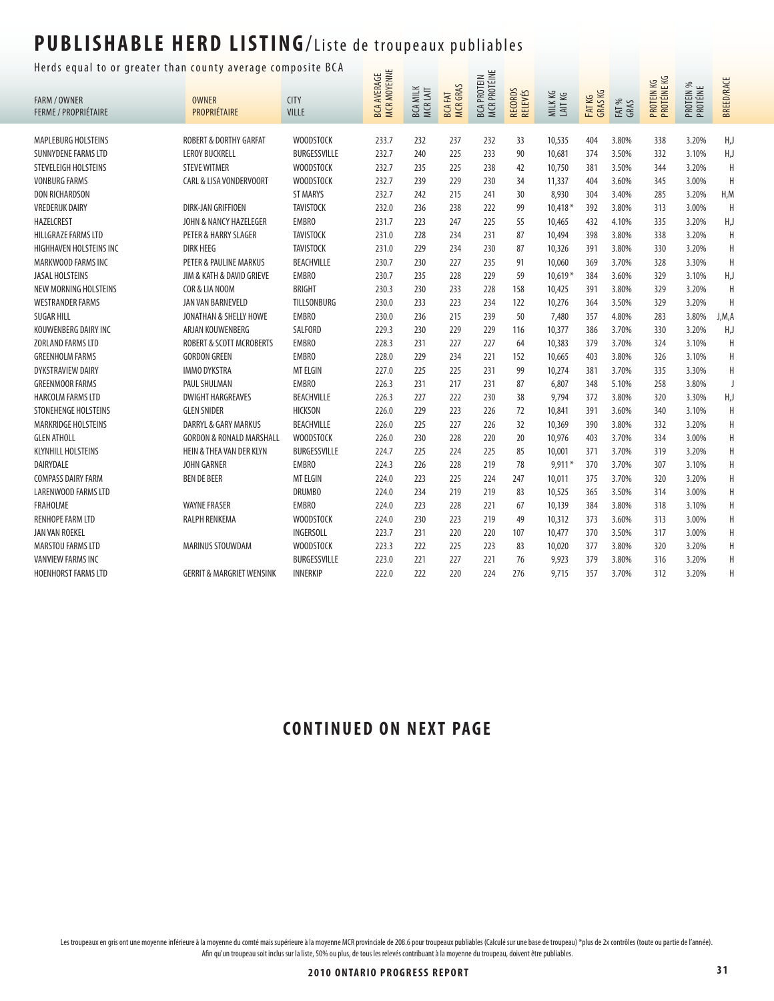#### Herds equal to or greater than county average composite BCA  $\Box$

| ncias equal to or greater than county average composite |                                      |                   | MCR MOYENNE<br><b>BCA AVERAGE</b> |                            |                                  | <b>MCR PROTÉINE</b><br><b>BCA PROTEIN</b> |                    |                  |                   |               | PROTEIN KG<br>PROTÉINE KG |                       | <b>BREED/RACE</b> |
|---------------------------------------------------------|--------------------------------------|-------------------|-----------------------------------|----------------------------|----------------------------------|-------------------------------------------|--------------------|------------------|-------------------|---------------|---------------------------|-----------------------|-------------------|
| <b>FARM / OWNER</b>                                     | <b>OWNER</b>                         | <b>CITY</b>       |                                   |                            |                                  |                                           |                    |                  |                   |               |                           |                       |                   |
| <b>FERME / PROPRIÉTAIRE</b>                             | PROPRIÉTAIRE                         | VILLE             |                                   | <b>BCA MILK</b><br>MCRLAIT | <b>MCRGRAS</b><br><b>BCA FAT</b> |                                           | RECORDS<br>RELEVÉS | MILKKG<br>LAITKG | FAT KG<br>GRAS KG | FAT %<br>GRAS |                           | PROTEIN %<br>PROTÉINE |                   |
|                                                         |                                      |                   |                                   |                            |                                  |                                           |                    |                  |                   |               |                           |                       |                   |
| <b>MAPLEBURG HOLSTEINS</b>                              | <b>ROBERT &amp; DORTHY GARFAT</b>    | <b>WOODSTOCK</b>  | 233.7                             | 232                        | 237                              | 232                                       | 33                 | 10,535           | 404               | 3.80%         | 338                       | 3.20%                 | H,J               |
| SUNNYDENE FARMS LTD                                     | <b>LEROY BUCKRELL</b>                | BURGESSVILLE      | 232.7                             | 240                        | 225                              | 233                                       | 90                 | 10,681           | 374               | 3.50%         | 332                       | 3.10%                 | H,J               |
| STEVELEIGH HOLSTEINS                                    | <b>STEVE WITMER</b>                  | <b>WOODSTOCK</b>  | 232.7                             | 235                        | 225                              | 238                                       | 42                 | 10,750           | 381               | 3.50%         | 344                       | 3.20%                 | H                 |
| <b>VONBURG FARMS</b>                                    | CARL & LISA VONDERVOORT              | <b>WOODSTOCK</b>  | 232.7                             | 239                        | 229                              | 230                                       | 34                 | 11,337           | 404               | 3.60%         | 345                       | 3.00%                 | H                 |
| DON RICHARDSON                                          |                                      | <b>ST MARYS</b>   | 232.7                             | 242                        | 215                              | 241                                       | 30                 | 8,930            | 304               | 3.40%         | 285                       | 3.20%                 | H,M               |
| <b>VREDERIJK DAIRY</b>                                  | DIRK-JAN GRIFFIOEN                   | <b>TAVISTOCK</b>  | 232.0                             | 236                        | 238                              | 222                                       | 99                 | $10,418*$        | 392               | 3.80%         | 313                       | 3.00%                 | H                 |
| HAZELCREST                                              | JOHN & NANCY HAZELEGER               | <b>EMBRO</b>      | 231.7                             | 223                        | 247                              | 225                                       | 55                 | 10,465           | 432               | 4.10%         | 335                       | 3.20%                 | H,J               |
| <b>HILLGRAZE FARMS LTD</b>                              | PETER & HARRY SLAGER                 | <b>TAVISTOCK</b>  | 231.0                             | 228                        | 234                              | 231                                       | 87                 | 10,494           | 398               | 3.80%         | 338                       | 3.20%                 | H                 |
| HIGHHAVEN HOLSTEINS INC                                 | <b>DIRK HEEG</b>                     | <b>TAVISTOCK</b>  | 231.0                             | 229                        | 234                              | 230                                       | 87                 | 10,326           | 391               | 3.80%         | 330                       | 3.20%                 | H                 |
| MARKWOOD FARMS INC                                      | PETER & PAULINE MARKUS               | <b>BEACHVILLE</b> | 230.7                             | 230                        | 227                              | 235                                       | 91                 | 10,060           | 369               | 3.70%         | 328                       | 3.30%                 | H                 |
| <b>JASAL HOLSTEINS</b>                                  | JIM & KATH & DAVID GRIEVE            | <b>EMBRO</b>      | 230.7                             | 235                        | 228                              | 229                                       | 59                 | $10.619*$        | 384               | 3.60%         | 329                       | 3.10%                 | H,J               |
| NEW MORNING HOLSTEINS                                   | COR & LIA NOOM                       | <b>BRIGHT</b>     | 230.3                             | 230                        | 233                              | 228                                       | 158                | 10,425           | 391               | 3.80%         | 329                       | 3.20%                 | H                 |
| <b>WESTRANDER FARMS</b>                                 | JAN VAN BARNEVELD                    | TILLSONBURG       | 230.0                             | 233                        | 223                              | 234                                       | 122                | 10,276           | 364               | 3.50%         | 329                       | 3.20%                 | H                 |
| <b>SUGAR HILL</b>                                       | JONATHAN & SHELLY HOWE               | <b>EMBRO</b>      | 230.0                             | 236                        | 215                              | 239                                       | 50                 | 7,480            | 357               | 4.80%         | 283                       | 3.80%                 | J,M,A             |
| KOUWENBERG DAIRY INC                                    | ARJAN KOUWENBERG                     | SALFORD           | 229.3                             | 230                        | 229                              | 229                                       | 116                | 10,377           | 386               | 3.70%         | 330                       | 3.20%                 | H,J               |
| ZORLAND FARMS LTD                                       | <b>ROBERT &amp; SCOTT MCROBERTS</b>  | <b>EMBRO</b>      | 228.3                             | 231                        | 227                              | 227                                       | 64                 | 10,383           | 379               | 3.70%         | 324                       | 3.10%                 | H                 |
| <b>GREENHOLM FARMS</b>                                  | <b>GORDON GREEN</b>                  | <b>EMBRO</b>      | 228.0                             | 229                        | 234                              | 221                                       | 152                | 10,665           | 403               | 3.80%         | 326                       | 3.10%                 | H                 |
| <b>DYKSTRAVIEW DAIRY</b>                                | <b>IMMO DYKSTRA</b>                  | <b>MT ELGIN</b>   | 227.0                             | 225                        | 225                              | 231                                       | 99                 | 10,274           | 381               | 3.70%         | 335                       | 3.30%                 | H                 |
| <b>GREENMOOR FARMS</b>                                  | PAUL SHULMAN                         | <b>EMBRO</b>      | 226.3                             | 231                        | 217                              | 231                                       | 87                 | 6,807            | 348               | 5.10%         | 258                       | 3.80%                 | J                 |
| <b>HARCOLM FARMS LTD</b>                                | <b>DWIGHT HARGREAVES</b>             | BEACHVILLE        | 226.3                             | 227                        | 222                              | 230                                       | 38                 | 9,794            | 372               | 3.80%         | 320                       | 3.30%                 | H,J               |
| <b>STONEHENGE HOLSTEINS</b>                             | <b>GLEN SNIDER</b>                   | <b>HICKSON</b>    | 226.0                             | 229                        | 223                              | 226                                       | 72                 | 10,841           | 391               | 3.60%         | 340                       | 3.10%                 | H                 |
| <b>MARKRIDGE HOLSTEINS</b>                              | <b>DARRYL &amp; GARY MARKUS</b>      | BEACHVILLE        | 226.0                             | 225                        | 227                              | 226                                       | 32                 | 10,369           | 390               | 3.80%         | 332                       | 3.20%                 | H                 |
| <b>GLEN ATHOLL</b>                                      | <b>GORDON &amp; RONALD MARSHALL</b>  | <b>WOODSTOCK</b>  | 226.0                             | 230                        | 228                              | 220                                       | 20                 | 10.976           | 403               | 3.70%         | 334                       | 3.00%                 | H                 |
| <b>KLYNHILL HOLSTEINS</b>                               | HEIN & THEA VAN DER KLYN             | BURGESSVILLE      | 224.7                             | 225                        | 224                              | 225                                       | 85                 | 10,001           | 371               | 3.70%         | 319                       | 3.20%                 | H                 |
| DAIRYDALE                                               | JOHN GARNER                          | <b>EMBRO</b>      | 224.3                             | 226                        | 228                              | 219                                       | 78                 | $9,911*$         | 370               | 3.70%         | 307                       | 3.10%                 | H                 |
| <b>COMPASS DAIRY FARM</b>                               | <b>BEN DE BEER</b>                   | <b>MT ELGIN</b>   | 224.0                             | 223                        | 225                              | 224                                       | 247                | 10,011           | 375               | 3.70%         | 320                       | 3.20%                 | H                 |
| <b>LARENWOOD FARMS LTD</b>                              |                                      | <b>DRUMBO</b>     | 224.0                             | 234                        | 219                              | 219                                       | 83                 | 10,525           | 365               | 3.50%         | 314                       | 3.00%                 | H                 |
| <b>FRAHOLME</b>                                         | <b>WAYNE FRASER</b>                  | <b>EMBRO</b>      | 224.0                             | 223                        | 228                              | 221                                       | 67                 | 10,139           | 384               | 3.80%         | 318                       | 3.10%                 | H                 |
| <b>RENHOPE FARM LTD</b>                                 | <b>RALPH RENKEMA</b>                 | <b>WOODSTOCK</b>  | 224.0                             | 230                        | 223                              | 219                                       | 49                 | 10,312           | 373               | 3.60%         | 313                       | 3.00%                 | H                 |
| JAN VAN ROEKEL                                          |                                      | INGERSOLL         | 223.7                             | 231                        | 220                              | 220                                       | 107                | 10,477           | 370               | 3.50%         | 317                       | 3.00%                 | H                 |
| MARSTOU FARMS LTD                                       | MARINUS STOUWDAM                     | <b>WOODSTOCK</b>  | 223.3                             | 222                        | 225                              | 223                                       | 83                 | 10,020           | 377               | 3.80%         | 320                       | 3.20%                 | H                 |
| <b>VANVIEW FARMS INC</b>                                |                                      | BURGESSVILLE      | 223.0                             | 221                        | 227                              | 221                                       | 76                 | 9,923            | 379               | 3.80%         | 316                       | 3.20%                 | H                 |
| <b>HOENHORST FARMS LTD</b>                              | <b>GERRIT &amp; MARGRIET WENSINK</b> | <b>INNERKIP</b>   | 222.0                             | 222                        | 220                              | 224                                       | 276                | 9,715            | 357               | 3.70%         | 312                       | 3.20%                 | H                 |
|                                                         |                                      |                   |                                   |                            |                                  |                                           |                    |                  |                   |               |                           |                       |                   |

#### **CONTINUED ON NEXT PAGE**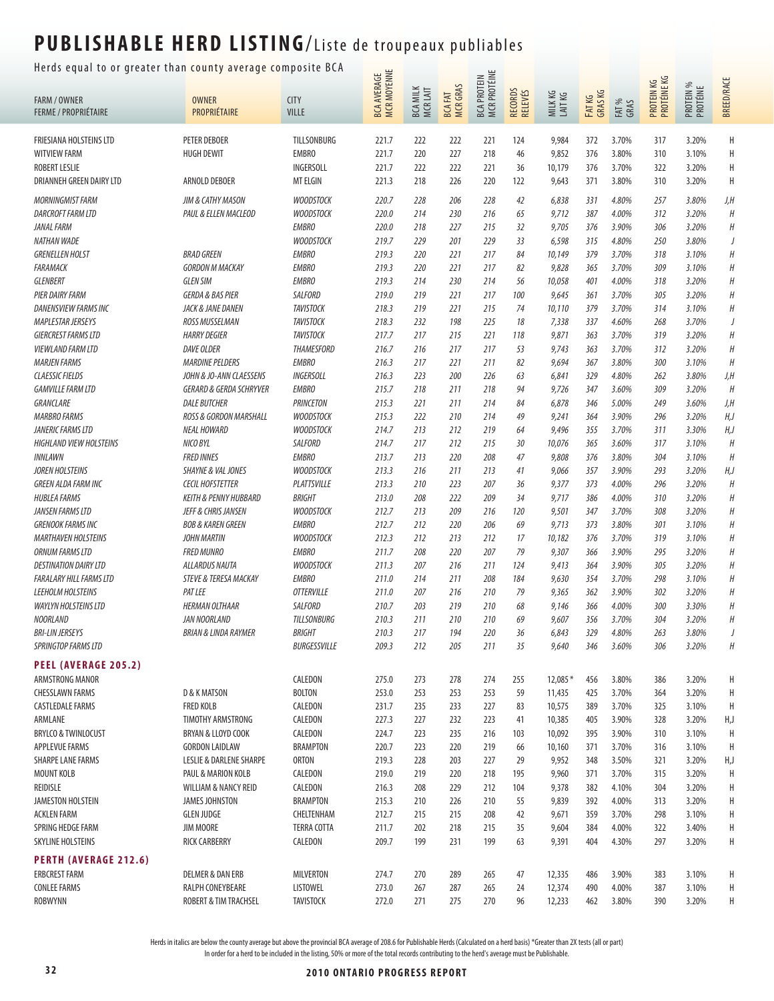Herds equal to or greater than county average composite BCA  $\frac{1}{\cdots}$ 

| neras equar to or greater than county average comp     |                                       |                                      |                                   |                                            |                     |                                           |                    |                  |                   |                |                           |                       |                   |
|--------------------------------------------------------|---------------------------------------|--------------------------------------|-----------------------------------|--------------------------------------------|---------------------|-------------------------------------------|--------------------|------------------|-------------------|----------------|---------------------------|-----------------------|-------------------|
| <b>FARM / OWNER</b><br><b>FERME / PROPRIÉTAIRE</b>     | <b>OWNER</b><br>PROPRIÉTAIRE          | <b>CITY</b><br><b>VILLE</b>          | MCR MOYENNE<br><b>BCA AVERAGE</b> | <b>MILK</b><br><b>BCA MILK</b><br>MCR LAIT | BCA FAT<br>MCR GRAS | <b>MCR PROTÉINE</b><br><b>BCA PROTEIN</b> | RECORDS<br>RELEVÉS | MILKKG<br>LAITKG | FAT KG<br>GRAS KG | FAT %<br>GRAS  | PROTEIN KG<br>PROTÉINE KG | PROTEIN %<br>PROTÉINE | <b>BREED/RACE</b> |
| FRIESIANA HOLSTEINS LTD                                | <b>PETER DEBOER</b>                   | TILLSONBURG                          | 221.7                             | 222                                        | 222                 | 221                                       | 124                | 9,984            | 372               | 3.70%          | 317                       | 3.20%                 | Н                 |
| <b>WITVIEW FARM</b>                                    | <b>HUGH DEWIT</b>                     | <b>EMBRO</b>                         | 221.7                             | 220                                        | 227                 | 218                                       | 46                 | 9,852            | 376               | 3.80%          | 310                       | 3.10%                 | Η                 |
| <b>ROBERT LESLIE</b>                                   |                                       | INGERSOLL                            | 221.7                             | 222                                        | 222                 | 221                                       | 36                 | 10,179           | 376               | 3.70%          | 322                       | 3.20%                 | H                 |
| DRIANNEH GREEN DAIRY LTD                               | ARNOLD DEBOER                         | <b>MT ELGIN</b>                      | 221.3                             | 218                                        | 226                 | 220                                       | 122                | 9,643            | 371               | 3.80%          | 310                       | 3.20%                 | Н                 |
| <b>MORNINGMIST FARM</b>                                | JIM & CATHY MASON                     | <b>WOODSTOCK</b>                     | 220.7                             | 228                                        | 206                 | 228                                       | 42                 | 6,838            | 331               | 4.80%          | 257                       | 3.80%                 | J,H               |
| <b>DARCROFT FARM LTD</b>                               | PAUL & ELLEN MACLEOD                  | <b>WOODSTOCK</b>                     | 220.0                             | 214                                        | 230                 | 216                                       | 65                 | 9,712            | 387               | 4.00%          | 312                       | 3.20%                 | H                 |
| JANAL FARM                                             |                                       | <b>EMBRO</b>                         | 220.0                             | 218                                        | 227                 | 215                                       | 32                 | 9,705            | 376               | 3.90%          | 306                       | 3.20%                 | $\boldsymbol{H}$  |
| NATHAN WADE                                            |                                       | <b>WOODSTOCK</b>                     | 219.7                             | 229                                        | 201                 | 229                                       | 33                 | 6,598            | 315               | 4.80%          | 250                       | 3.80%                 | J                 |
| <b>GRENELLEN HOLST</b>                                 | <b>BRAD GREEN</b>                     | <b>EMBRO</b>                         | 219.3                             | 220                                        | 221                 | 217                                       | 84                 | 10,149           | 379               | 3.70%          | 318                       | 3.10%                 | Н                 |
| <b>FARAMACK</b>                                        | <b>GORDON M MACKAY</b>                | <b>EMBRO</b>                         | 219.3                             | 220                                        | 221                 | 217                                       | 82                 | 9,828            | 365               | 3.70%          | 309                       | 3.10%                 | $\boldsymbol{H}$  |
| <b>GLENBERT</b>                                        | <b>GLEN SIM</b>                       | <b>EMBRO</b>                         | 219.3                             | 214                                        | 230                 | 214                                       | 56                 | 10,058           | 401               | 4.00%          | 318                       | 3.20%                 | H                 |
| PIER DAIRY FARM                                        | <b>GERDA &amp; BAS PIER</b>           | SALFORD                              | 219.0                             | 219                                        | 221                 | 217                                       | 100                | 9,645            | 361               | 3.70%          | 305                       | 3.20%                 | $\boldsymbol{H}$  |
| <b>DANENSVIEW FARMS INC</b>                            | JACK & JANE DANEN                     | <b>TAVISTOCK</b>                     | 218.3                             | 219                                        | 221                 | 215                                       | 74                 | 10,110           | 379               | 3.70%          | 314                       | 3.10%                 | Н                 |
| <b>MAPLESTAR JERSEYS</b>                               | ROSS MUSSELMAN<br><b>HARRY DEGIER</b> | <b>TAVISTOCK</b><br><b>TAVISTOCK</b> | 218.3<br>217.7                    | 232<br>217                                 | 198                 | 225                                       | 18                 | 7,338            | 337               | 4.60%          | 268                       | 3.70%                 | J<br>Н            |
| <b>GIERCREST FARMS LTD</b><br><b>VIEWLAND FARM LTD</b> | <b>DAVE OLDER</b>                     | <b>THAMESFORD</b>                    | 216.7                             | 216                                        | 215<br>217          | 221<br>217                                | 118<br>53          | 9,871<br>9,743   | 363<br>363        | 3.70%<br>3.70% | 319<br>312                | 3.20%<br>3.20%        | H                 |
| <b>MARJEN FARMS</b>                                    | <b>MARDINE PELDERS</b>                | <b>EMBRO</b>                         | 216.3                             | 217                                        | 221                 | 211                                       | 82                 | 9,694            | 367               | 3.80%          | 300                       | 3.10%                 | $\boldsymbol{H}$  |
| <b>CLAESSIC FIELDS</b>                                 | JOHN & JO-ANN CLAESSENS               | INGERSOLL                            | 216.3                             | 223                                        | 200                 | 226                                       | 63                 | 6,841            | 329               | 4.80%          | 262                       | 3.80%                 | J,H               |
| <b>GAMVILLE FARM LTD</b>                               | <b>GERARD &amp; GERDA SCHRYVER</b>    | <b>EMBRO</b>                         | 215.7                             | 218                                        | 211                 | 218                                       | 94                 | 9,726            | 347               | 3.60%          | 309                       | 3.20%                 | $\boldsymbol{H}$  |
| GRANCLARE                                              | <b>DALE BUTCHER</b>                   | <b>PRINCETON</b>                     | 215.3                             | 221                                        | 211                 | 214                                       | 84                 | 6,878            | 346               | 5.00%          | 249                       | 3.60%                 | J,H               |
| <b>MARBRO FARMS</b>                                    | ROSS & GORDON MARSHALL                | <b>WOODSTOCK</b>                     | 215.3                             | 222                                        | 210                 | 214                                       | 49                 | 9,241            | 364               | 3.90%          | 296                       | 3.20%                 | H,J               |
| JANERIC FARMS LTD                                      | <b>NEAL HOWARD</b>                    | <b>WOODSTOCK</b>                     | 214.7                             | 213                                        | 212                 | 219                                       | 64                 | 9,496            | 355               | 3.70%          | 311                       | 3.30%                 | H,J               |
| <b>HIGHLAND VIEW HOLSTEINS</b>                         | NICO BYL                              | SALFORD                              | 214.7                             | 217                                        | 212                 | 215                                       | 30                 | 10,076           | 365               | 3.60%          | 317                       | 3.10%                 | $\boldsymbol{H}$  |
| INNLAWN                                                | <b>FRED INNES</b>                     | <b>EMBRO</b>                         | 213.7                             | 213                                        | 220                 | 208                                       | 47                 | 9,808            | 376               | 3.80%          | 304                       | 3.10%                 | $\boldsymbol{H}$  |
| <b>JOREN HOLSTEINS</b>                                 | <b>SHAYNE &amp; VAL JONES</b>         | <b>WOODSTOCK</b>                     | 213.3                             | 216                                        | 211                 | 213                                       | 41                 | 9,066            | 357               | 3.90%          | 293                       | 3.20%                 | H, J              |
| <b>GREEN ALDA FARM INC</b>                             | <b>CECIL HOFSTETTER</b>               | PLATTSVILLE                          | 213.3                             | 210                                        | 223                 | 207                                       | 36                 | 9,377            | 373               | 4.00%          | 296                       | 3.20%                 | $\boldsymbol{H}$  |
| <b>HUBLEA FARMS</b>                                    | <b>KEITH &amp; PENNY HUBBARD</b>      | <b>BRIGHT</b>                        | 213.0                             | 208                                        | 222                 | 209                                       | 34                 | 9,717            | 386               | 4.00%          | 310                       | 3.20%                 | $\boldsymbol{H}$  |
| JANSEN FARMS LTD                                       | JEFF & CHRIS JANSEN                   | <b>WOODSTOCK</b>                     | 212.7                             | 213                                        | 209                 | 216                                       | 120                | 9,501            | 347               | 3.70%          | 308                       | 3.20%                 | Н                 |
| <b>GRENOOK FARMS INC</b>                               | <b>BOB &amp; KAREN GREEN</b>          | <b>EMBRO</b>                         | 212.7                             | 212                                        | 220                 | 206                                       | 69                 | 9,713            | 373               | 3.80%          | 301                       | 3.10%                 | $\boldsymbol{H}$  |
| <b>MARTHAVEN HOLSTEINS</b>                             | <b>JOHN MARTIN</b>                    | <b>WOODSTOCK</b>                     | 212.3                             | 212                                        | 213                 | 212                                       | 17                 | 10,182           | 376               | 3.70%          | 319                       | 3.10%                 | $\boldsymbol{H}$  |
| <b>ORNUM FARMS LTD</b>                                 | <b>FRED MUNRO</b>                     | <b>EMBRO</b>                         | 211.7                             | 208                                        | 220                 | 207                                       | 79                 | 9,307            | 366               | 3.90%          | 295                       | 3.20%                 | $\boldsymbol{H}$  |
| <b>DESTINATION DAIRY LTD</b>                           | ALLARDUS NAUTA                        | <b>WOODSTOCK</b>                     | 211.3                             | 207                                        | 216                 | 211                                       | 124                | 9,413            | 364               | 3.90%          | 305                       | 3.20%                 | Н                 |
| <b>FARALARY HILL FARMS LTD</b>                         | <b>STEVE &amp; TERESA MACKAY</b>      | <b>EMBRO</b>                         | 211.0                             | 214                                        | 211                 | 208                                       | 184                | 9,630            | 354               | 3.70%          | 298                       | 3.10%                 | Н                 |
| <b>LEEHOLM HOLSTEINS</b>                               | <b>PAT LEE</b>                        | <b>OTTERVILLE</b>                    | 211.0                             | 207                                        | 216                 | 210                                       | 79                 | 9,365            | 362               | 3.90%          | 302                       | 3.20%                 | $\boldsymbol{H}$  |
| <b>WAYLYN HOLSTEINS LTD</b>                            | <b>HERMAN OLTHAAR</b>                 | SALFORD                              | 210.7                             | 203                                        | 219                 | 210                                       | 68                 | 9,146            | 366               | 4.00%          | 300                       | 3.30%                 | $\boldsymbol{H}$  |
| <b>NOORLAND</b>                                        | JAN NOORLAND                          | <b>TILLSONBURG</b>                   | 210.3                             | 211                                        | 210                 | 210                                       | 69                 | 9,607            | 356               | 3.70%          | 304                       | 3.20%                 | $\boldsymbol{H}$  |
| <b>BRI-LIN JERSEYS</b>                                 | <b>BRIAN &amp; LINDA RAYMER</b>       | <b>BRIGHT</b>                        | 210.3                             | 217                                        | 194                 | 220                                       | 36                 | 6,843            | 329               | 4.80%          | 263                       | 3.80%                 |                   |
| <b>SPRINGTOP FARMS LTD</b>                             |                                       | BURGESSVILLE                         | 209.3                             | 212                                        | 205                 | 211                                       | 35                 | 9,640            | 346               | 3.60%          | 306                       | 3.20%                 | Н                 |
| <b>PEEL (AVERAGE 205.2)</b><br>ARMSTRONG MANOR         |                                       | CALEDON                              | 275.0                             | 273                                        | 278                 | 274                                       | 255                | $12,085*$        | 456               | 3.80%          | 386                       | 3.20%                 | Н                 |
| <b>CHESSLAWN FARMS</b>                                 | <b>D &amp; K MATSON</b>               | <b>BOLTON</b>                        | 253.0                             | 253                                        | 253                 | 253                                       | 59                 | 11,435           | 425               | 3.70%          | 364                       | 3.20%                 | Η                 |
| <b>CASTLEDALE FARMS</b>                                | <b>FRED KOLB</b>                      | CALEDON                              | 231.7                             | 235                                        | 233                 | 227                                       | 83                 | 10,575           | 389               | 3.70%          | 325                       | 3.10%                 | H                 |
| ARMLANE                                                | TIMOTHY ARMSTRONG                     | CALEDON                              | 227.3                             | 227                                        | 232                 | 223                                       | 41                 | 10,385           | 405               | 3.90%          | 328                       | 3.20%                 | H,J               |
| <b>BRYLCO &amp; TWINLOCUST</b>                         | BRYAN & LLOYD COOK                    | CALEDON                              | 224.7                             | 223                                        | 235                 | 216                                       | 103                | 10,092           | 395               | 3.90%          | 310                       | 3.10%                 | H                 |
| APPLEVUE FARMS                                         | <b>GORDON LAIDLAW</b>                 | <b>BRAMPTON</b>                      | 220.7                             | 223                                        | 220                 | 219                                       | 66                 | 10,160           | 371               | 3.70%          | 316                       | 3.10%                 | H                 |
| <b>SHARPE LANE FARMS</b>                               | <b>LESLIE &amp; DARLENE SHARPE</b>    | <b>ORTON</b>                         | 219.3                             | 228                                        | 203                 | 227                                       | 29                 | 9,952            | 348               | 3.50%          | 321                       | 3.20%                 | H,J               |
| <b>MOUNT KOLB</b>                                      | PAUL & MARION KOLB                    | CALEDON                              | 219.0                             | 219                                        | 220                 | 218                                       | 195                | 9,960            | 371               | 3.70%          | 315                       | 3.20%                 | H                 |
| REIDISLE                                               | WILLIAM & NANCY REID                  | CALEDON                              | 216.3                             | 208                                        | 229                 | 212                                       | 104                | 9,378            | 382               | 4.10%          | 304                       | 3.20%                 | Н                 |
| <b>JAMESTON HOLSTEIN</b>                               | <b>JAMES JOHNSTON</b>                 | <b>BRAMPTON</b>                      | 215.3                             | 210                                        | 226                 | 210                                       | 55                 | 9,839            | 392               | 4.00%          | 313                       | 3.20%                 | Н                 |
| <b>ACKLEN FARM</b>                                     | <b>GLEN JUDGE</b>                     | CHELTENHAM                           | 212.7                             | 215                                        | 215                 | 208                                       | 42                 | 9,671            | 359               | 3.70%          | 298                       | 3.10%                 | Н                 |
| SPRING HEDGE FARM                                      | JIM MOORE                             | <b>TERRA COTTA</b>                   | 211.7                             | 202                                        | 218                 | 215                                       | 35                 | 9,604            | 384               | 4.00%          | 322                       | 3.40%                 | Н                 |
| <b>SKYLINE HOLSTEINS</b>                               | <b>RICK CARBERRY</b>                  | CALEDON                              | 209.7                             | 199                                        | 231                 | 199                                       | 63                 | 9,391            | 404               | 4.30%          | 297                       | 3.20%                 | H                 |
| <b>PERTH (AVERAGE 212.6)</b>                           |                                       |                                      |                                   |                                            |                     |                                           |                    |                  |                   |                |                           |                       |                   |
| <b>ERBCREST FARM</b>                                   | <b>DELMER &amp; DAN ERB</b>           | MILVERTON                            | 274.7                             | 270                                        | 289                 | 265                                       | 47                 | 12,335           | 486               | 3.90%          | 383                       | 3.10%                 | Н                 |
| <b>CONLEE FARMS</b>                                    | RALPH CONEYBEARE                      | LISTOWEL                             | 273.0                             | 267                                        | 287                 | 265                                       | 24                 | 12,374           | 490               | 4.00%          | 387                       | 3.10%                 | H                 |
| <b>ROBWYNN</b>                                         | ROBERT & TIM TRACHSEL                 | <b>TAVISTOCK</b>                     | 272.0                             | 271                                        | 275                 | 270                                       | 96                 | 12,233           | 462               | 3.80%          | 390                       | 3.20%                 | Н                 |
|                                                        |                                       |                                      |                                   |                                            |                     |                                           |                    |                  |                   |                |                           |                       |                   |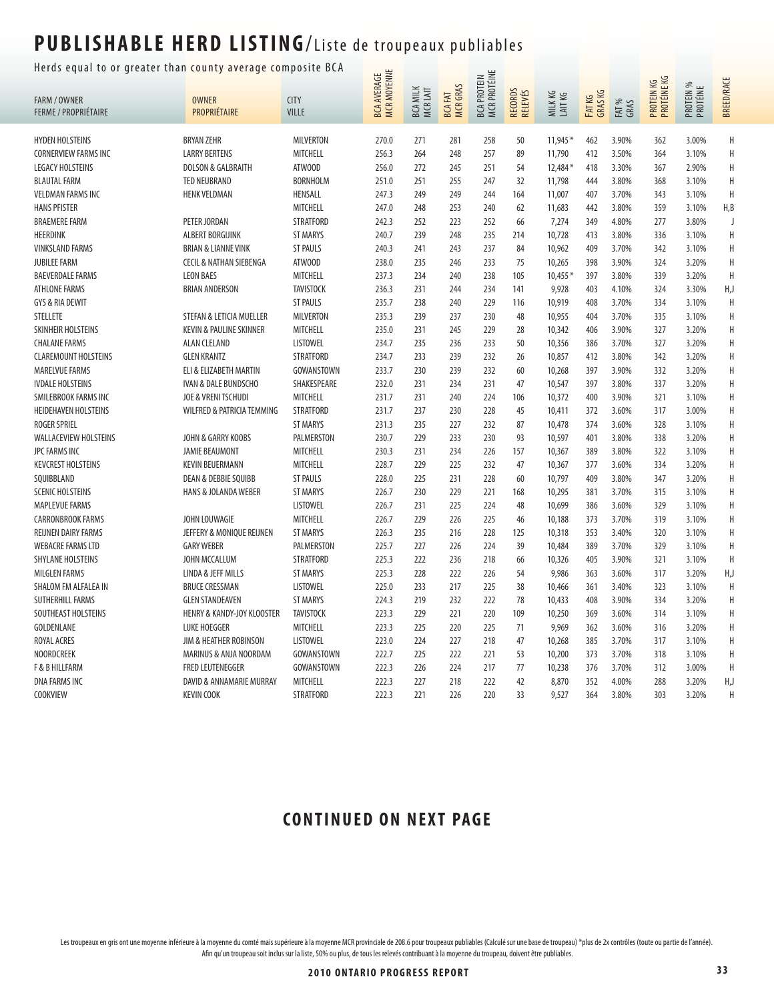### Herds equal to or greater than county average composite BCA  $\frac{1}{\mu}$

| uur to or greuter thun county uveruge co |                                       |                  | <b>MCR MOYENNE</b><br><b>BCA AVERAGE</b> |                             |                                  | BCA PROTEIN<br>MCR PROTÉINE |                    |                  |                   |               | PROTEIN KG<br>PROTÉINE KG |                       | <b>BREED/RACE</b> |
|------------------------------------------|---------------------------------------|------------------|------------------------------------------|-----------------------------|----------------------------------|-----------------------------|--------------------|------------------|-------------------|---------------|---------------------------|-----------------------|-------------------|
| <b>FARM / OWNER</b>                      | <b>OWNER</b>                          | <b>CITY</b>      |                                          |                             |                                  |                             |                    |                  |                   |               |                           |                       |                   |
| <b>FERME / PROPRIÉTAIRE</b>              | PROPRIÉTAIRE                          | <b>VILLE</b>     |                                          | <b>BCA MILK</b><br>MCR LAIT | <b>MCR GRAS</b><br><b>BCAFAT</b> |                             | RECORDS<br>RELEVÉS | MILKKG<br>LAITKG | FAT KG<br>GRAS KG | FAT %<br>GRAS |                           | PROTEIN %<br>PROTÉINE |                   |
| <b>HYDEN HOLSTEINS</b>                   | <b>BRYAN ZEHR</b>                     | <b>MILVERTON</b> | 270.0                                    | 271                         | 281                              | 258                         | 50                 | $11,945*$        | 462               | 3.90%         | 362                       | 3.00%                 | Н                 |
| CORNERVIEW FARMS INC                     | <b>LARRY BERTENS</b>                  | MITCHELL         | 256.3                                    | 264                         | 248                              | 257                         | 89                 | 11,790           | 412               | 3.50%         | 364                       | 3.10%                 | Н                 |
| <b>LEGACY HOLSTEINS</b>                  | <b>DOLSON &amp; GALBRAITH</b>         | ATWOOD           | 256.0                                    | 272                         | 245                              | 251                         | 54                 | 12,484*          | 418               | 3.30%         | 367                       | 2.90%                 | H                 |
| <b>BLAUTAL FARM</b>                      | <b>TED NEUBRAND</b>                   | <b>BORNHOLM</b>  | 251.0                                    | 251                         | 255                              | 247                         | 32                 | 11,798           | 444               | 3.80%         | 368                       | 3.10%                 | H                 |
| <b>VELDMAN FARMS INC</b>                 | <b>HENK VELDMAN</b>                   | HENSALL          | 247.3                                    | 249                         | 249                              | 244                         | 164                | 11,007           | 407               | 3.70%         | 343                       | 3.10%                 | H                 |
| <b>HANS PFISTER</b>                      |                                       | MITCHELL         | 247.0                                    | 248                         | 253                              | 240                         | 62                 | 11,683           | 442               | 3.80%         | 359                       | 3.10%                 | H, B              |
| <b>BRAEMERE FARM</b>                     | PETER JORDAN                          | <b>STRATFORD</b> | 242.3                                    | 252                         | 223                              | 252                         | 66                 | 7,274            | 349               | 4.80%         | 277                       | 3.80%                 | J                 |
| HEERDINK                                 | ALBERT BORGIJINK                      | <b>ST MARYS</b>  | 240.7                                    | 239                         | 248                              | 235                         | 214                | 10,728           | 413               | 3.80%         | 336                       | 3.10%                 | Н                 |
| <b>VINKSLAND FARMS</b>                   | <b>BRIAN &amp; LIANNE VINK</b>        | <b>ST PAULS</b>  | 240.3                                    | 241                         | 243                              | 237                         | 84                 | 10,962           | 409               | 3.70%         | 342                       | 3.10%                 | H                 |
| <b>JUBILEE FARM</b>                      | <b>CECIL &amp; NATHAN SIEBENGA</b>    | ATWOOD           | 238.0                                    | 235                         | 246                              | 233                         | 75                 | 10,265           | 398               | 3.90%         | 324                       | 3.20%                 | H                 |
| <b>BAEVERDALE FARMS</b>                  | <b>LEON BAES</b>                      | <b>MITCHELL</b>  | 237.3                                    | 234                         | 240                              | 238                         | 105                | 10,455*          | 397               | 3.80%         | 339                       | 3.20%                 | H                 |
| <b>ATHLONE FARMS</b>                     | <b>BRIAN ANDERSON</b>                 | <b>TAVISTOCK</b> | 236.3                                    | 231                         | 244                              | 234                         | 141                | 9,928            | 403               | 4.10%         | 324                       | 3.30%                 | H,J               |
| GYS & RIA DEWIT                          |                                       | <b>ST PAULS</b>  | 235.7                                    | 238                         | 240                              | 229                         | 116                | 10,919           | 408               | 3.70%         | 334                       | 3.10%                 | Н                 |
| <b>STELLETE</b>                          | STEFAN & LETICIA MUELLER              | <b>MILVERTON</b> | 235.3                                    | 239                         | 237                              | 230                         | 48                 | 10,955           | 404               | 3.70%         | 335                       | 3.10%                 | Н                 |
| SKINHEIR HOLSTEINS                       | KEVIN & PAULINE SKINNER               | <b>MITCHELL</b>  | 235.0                                    | 231                         | 245                              | 229                         | 28                 | 10,342           | 406               | 3.90%         | 327                       | 3.20%                 | Н                 |
| <b>CHALANE FARMS</b>                     | <b>ALAN CLELAND</b>                   | <b>LISTOWEL</b>  | 234.7                                    | 235                         | 236                              | 233                         | 50                 | 10,356           | 386               | 3.70%         | 327                       | 3.20%                 | Н                 |
| <b>CLAREMOUNT HOLSTEINS</b>              | <b>GLEN KRANTZ</b>                    | <b>STRATFORD</b> | 234.7                                    | 233                         | 239                              | 232                         | 26                 | 10,857           | 412               | 3.80%         | 342                       | 3.20%                 | Н                 |
| MARELVUE FARMS                           | ELI & ELIZABETH MARTIN                | GOWANSTOWN       | 233.7                                    | 230                         | 239                              | 232                         | 60                 | 10,268           | 397               | 3.90%         | 332                       | 3.20%                 | Н                 |
| <b>IVDALE HOLSTEINS</b>                  | <b>IVAN &amp; DALE BUNDSCHO</b>       | SHAKESPEARE      | 232.0                                    | 231                         | 234                              | 231                         | 47                 | 10,547           | 397               | 3.80%         | 337                       | 3.20%                 | Н                 |
| SMILEBROOK FARMS INC                     | JOE & VRENI TSCHUDI                   | <b>MITCHELL</b>  | 231.7                                    | 231                         | 240                              | 224                         | 106                | 10,372           | 400               | 3.90%         | 321                       | 3.10%                 | Н                 |
|                                          |                                       | <b>STRATFORD</b> | 231.7                                    | 237                         | 230                              |                             | 45                 |                  | 372               | 3.60%         | 317                       | 3.00%                 | H                 |
| HEIDEHAVEN HOLSTEINS                     | <b>WILFRED &amp; PATRICIA TEMMING</b> |                  |                                          |                             |                                  | 228                         |                    | 10,411           |                   |               |                           |                       |                   |
| <b>ROGER SPRIEL</b>                      |                                       | <b>ST MARYS</b>  | 231.3                                    | 235                         | 227                              | 232<br>230                  | 87                 | 10,478           | 374               | 3.60%         | 328                       | 3.10%                 | Н<br>Н            |
| WALLACEVIEW HOLSTEINS                    | JOHN & GARRY KOOBS                    | PALMERSTON       | 230.7                                    | 229                         | 233                              |                             | 93                 | 10,597           | 401               | 3.80%         | 338                       | 3.20%                 |                   |
| JPC FARMS INC                            | <b>JAMIE BEAUMONT</b>                 | <b>MITCHELL</b>  | 230.3                                    | 231                         | 234                              | 226                         | 157                | 10,367           | 389               | 3.80%         | 322                       | 3.10%                 | Н                 |
| <b>KEVCREST HOLSTEINS</b>                | <b>KEVIN BEUERMANN</b>                | MITCHELL         | 228.7                                    | 229                         | 225                              | 232                         | 47                 | 10,367           | 377               | 3.60%         | 334                       | 3.20%                 | Н                 |
| SQUIBBLAND                               | <b>DEAN &amp; DEBBIE SQUIBB</b>       | <b>ST PAULS</b>  | 228.0                                    | 225                         | 231                              | 228                         | 60                 | 10,797           | 409               | 3.80%         | 347                       | 3.20%                 | Н                 |
| <b>SCENIC HOLSTEINS</b>                  | <b>HANS &amp; JOLANDA WEBER</b>       | <b>ST MARYS</b>  | 226.7                                    | 230                         | 229                              | 221                         | 168                | 10,295           | 381               | 3.70%         | 315                       | 3.10%                 | Н                 |
| <b>MAPLEVUE FARMS</b>                    |                                       | <b>LISTOWEL</b>  | 226.7                                    | 231                         | 225                              | 224                         | 48                 | 10,699           | 386               | 3.60%         | 329                       | 3.10%                 | Н                 |
| <b>CARRONBROOK FARMS</b>                 | JOHN LOUWAGIE                         | MITCHELL         | 226.7                                    | 229                         | 226                              | 225                         | 46                 | 10,188           | 373               | 3.70%         | 319                       | 3.10%                 | Н                 |
| REIJNEN DAIRY FARMS                      | JEFFERY & MONIQUE REIJNEN             | <b>ST MARYS</b>  | 226.3                                    | 235                         | 216                              | 228                         | 125                | 10,318           | 353               | 3.40%         | 320                       | 3.10%                 | Н                 |
| <b>WEBACRE FARMS LTD</b>                 | <b>GARY WEBER</b>                     | PALMERSTON       | 225.7                                    | 227                         | 226                              | 224                         | 39                 | 10,484           | 389               | 3.70%         | 329                       | 3.10%                 | H                 |
| SHYLANE HOLSTEINS                        | JOHN MCCALLUM                         | <b>STRATFORD</b> | 225.3                                    | 222                         | 236                              | 218                         | 66                 | 10,326           | 405               | 3.90%         | 321                       | 3.10%                 | H                 |
| <b>MILGLEN FARMS</b>                     | <b>LINDA &amp; JEFF MILLS</b>         | <b>ST MARYS</b>  | 225.3                                    | 228                         | 222                              | 226                         | 54                 | 9,986            | 363               | 3.60%         | 317                       | 3.20%                 | H,J               |
| SHALOM FM ALFALEA IN                     | <b>BRUCE CRESSMAN</b>                 | <b>LISTOWEL</b>  | 225.0                                    | 233                         | 217                              | 225                         | 38                 | 10,466           | 361               | 3.40%         | 323                       | 3.10%                 | Н                 |
| SUTHERHILL FARMS                         | <b>GLEN STANDEAVEN</b>                | <b>ST MARYS</b>  | 224.3                                    | 219                         | 232                              | 222                         | 78                 | 10,433           | 408               | 3.90%         | 334                       | 3.20%                 | Н                 |
| SOUTHEAST HOLSTEINS                      | <b>HENRY &amp; KANDY-JOY KLOOSTER</b> | <b>TAVISTOCK</b> | 223.3                                    | 229                         | 221                              | 220                         | 109                | 10,250           | 369               | 3.60%         | 314                       | 3.10%                 | Н                 |
| GOLDENLANE                               | <b>LUKE HOEGGER</b>                   | <b>MITCHELL</b>  | 223.3                                    | 225                         | 220                              | 225                         | 71                 | 9,969            | 362               | 3.60%         | 316                       | 3.20%                 | Η                 |
| ROYAL ACRES                              | JIM & HEATHER ROBINSON                | <b>LISTOWEL</b>  | 223.0                                    | 224                         | 227                              | 218                         | 47                 | 10,268           | 385               | 3.70%         | 317                       | 3.10%                 | Н                 |
| <b>NOORDCREEK</b>                        | MARINUS & ANJA NOORDAM                | GOWANSTOWN       | 222.7                                    | 225                         | 222                              | 221                         | 53                 | 10,200           | 373               | 3.70%         | 318                       | 3.10%                 | Н                 |
| F & B HILLFARM                           | FRED LEUTENEGGER                      | GOWANSTOWN       | 222.3                                    | 226                         | 224                              | 217                         | 77                 | 10,238           | 376               | 3.70%         | 312                       | 3.00%                 | H                 |
| <b>DNA FARMS INC</b>                     | DAVID & ANNAMARIE MURRAY              | MITCHELL         | 222.3                                    | 227                         | 218                              | 222                         | 42                 | 8,870            | 352               | 4.00%         | 288                       | 3.20%                 | H,J               |
| <b>COOKVIEW</b>                          | <b>KEVIN COOK</b>                     | <b>STRATFORD</b> | 222.3                                    | 221                         | 226                              | 220                         | 33                 | 9,527            | 364               | 3.80%         | 303                       | 3.20%                 | H                 |

#### **CONTINUED ON NEXT PAGE**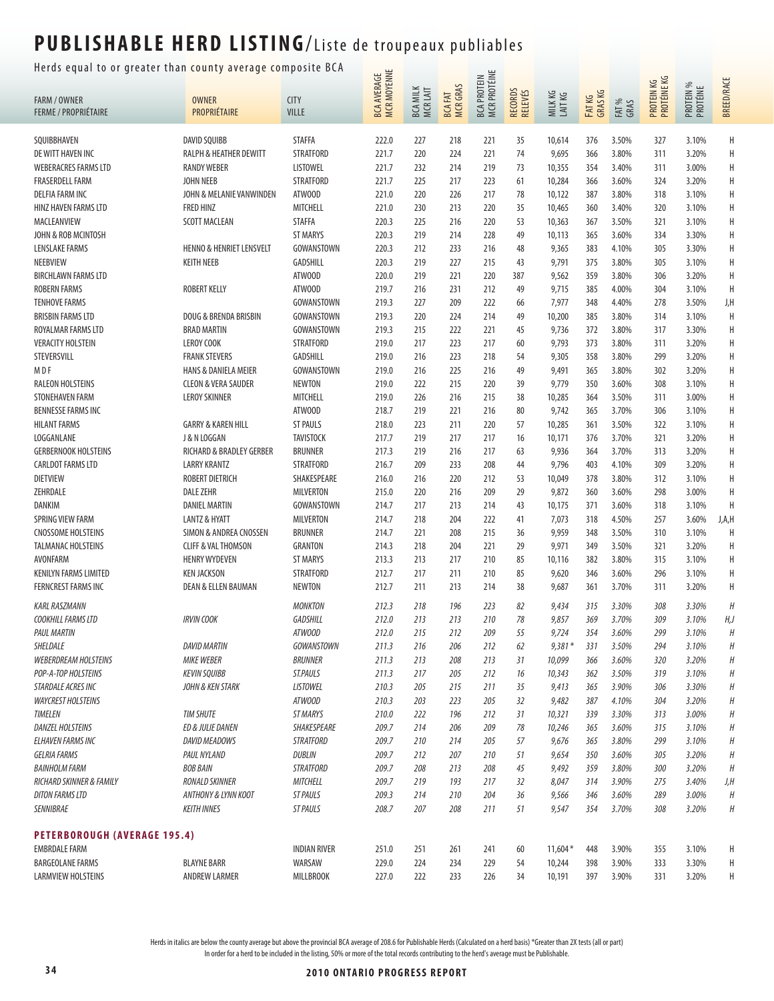#### Herds equal to or greater than county average composite BCA  $\frac{1}{\cdots}$

|                                             | aar to or greater than county average co |                                 | <b>MCR MOYENNE</b> |                             |                                  | MCR PROTÉINE       |                    |                  |                   |                |                           |                       |                   |
|---------------------------------------------|------------------------------------------|---------------------------------|--------------------|-----------------------------|----------------------------------|--------------------|--------------------|------------------|-------------------|----------------|---------------------------|-----------------------|-------------------|
| <b>FARM / OWNER</b>                         | <b>OWNER</b>                             | <b>CITY</b>                     | <b>BCA AVERAGE</b> | <b>BCA MILK</b><br>MCR LAIT | <b>MCRGRAS</b><br><b>BCA FAT</b> | <b>BCA PROTEIN</b> | RECORDS<br>RELEVÉS | MILKKG<br>LAITKG | FAT KG<br>GRAS KG |                | PROTEIN KG<br>PROTÉINE KG | PROTEIN %<br>PROTÉINE | <b>BREED/RACE</b> |
| <b>FERME / PROPRIÉTAIRE</b>                 | PROPRIÉTAIRE                             | <b>VILLE</b>                    |                    |                             |                                  |                    |                    |                  |                   | FAT %<br>GRAS  |                           |                       |                   |
|                                             |                                          |                                 |                    |                             |                                  |                    |                    |                  |                   |                |                           |                       |                   |
| SQUIBBHAVEN                                 | DAVID SQUIBB                             | <b>STAFFA</b>                   | 222.0              | 227                         | 218                              | 221                | 35                 | 10,614           | 376               | 3.50%          | 327                       | 3.10%                 | H                 |
| DE WITT HAVEN INC                           | <b>RALPH &amp; HEATHER DEWITT</b>        | <b>STRATFORD</b>                | 221.7              | 220                         | 224                              | 221                | 74                 | 9,695            | 366               | 3.80%          | 311                       | 3.20%                 | H                 |
| <b>WEBERACRES FARMS LTD</b>                 | <b>RANDY WEBER</b>                       | <b>LISTOWEL</b>                 | 221.7              | 232                         | 214                              | 219                | 73                 | 10,355           | 354               | 3.40%          | 311                       | 3.00%                 | H                 |
| <b>FRASERDELL FARM</b>                      | <b>JOHN NEEB</b>                         | <b>STRATFORD</b>                | 221.7              | 225                         | 217                              | 223                | 61                 | 10,284           | 366               | 3.60%          | 324                       | 3.20%                 | Н                 |
| DELFIA FARM INC                             | JOHN & MELANIE VANWINDEN                 | ATWOOD                          | 221.0              | 220                         | 226                              | 217                | 78                 | 10,122           | 387               | 3.80%          | 318                       | 3.10%                 | H                 |
| <b>HINZ HAVEN FARMS LTD</b>                 | FRED HINZ                                | <b>MITCHELL</b>                 | 221.0              | 230                         | 213                              | 220                | 35                 | 10,465           | 360               | 3.40%          | 320                       | 3.10%                 | $\mathsf H$       |
| MACLEANVIEW                                 | <b>SCOTT MACLEAN</b>                     | <b>STAFFA</b>                   | 220.3              | 225                         | 216                              | 220                | 53                 | 10,363           | 367               | 3.50%          | 321                       | 3.10%                 | H                 |
| JOHN & ROB MCINTOSH                         |                                          | <b>ST MARYS</b>                 | 220.3              | 219                         | 214                              | 228                | 49                 | 10,113           | 365               | 3.60%          | 334                       | 3.30%                 | $\mathsf H$       |
| <b>LENSLAKE FARMS</b>                       | <b>HENNO &amp; HENRIET LENSVELT</b>      | GOWANSTOWN                      | 220.3              | 212                         | 233                              | 216                | 48                 | 9,365            | 383               | 4.10%          | 305                       | 3.30%                 | $\mathsf H$       |
| NEEBVIEW                                    | <b>KEITH NEEB</b>                        | GADSHILL                        | 220.3              | 219                         | 227                              | 215                | 43                 | 9,791            | 375               | 3.80%          | 305                       | 3.10%                 | H                 |
| <b>BIRCHLAWN FARMS LTD</b>                  |                                          | ATWOOD                          | 220.0              | 219                         | 221                              | 220                | 387                | 9,562            | 359               | 3.80%          | 306                       | 3.20%                 | H                 |
| <b>ROBERN FARMS</b>                         | <b>ROBERT KELLY</b>                      | ATWOOD                          | 219.7              | 216                         | 231                              | 212                | 49                 | 9,715            | 385               | 4.00%          | 304                       | 3.10%                 | $\overline{H}$    |
| <b>TENHOVE FARMS</b>                        |                                          | GOWANSTOWN                      | 219.3              | 227                         | 209                              | 222                | 66                 | 7,977            | 348               | 4.40%          | 278                       | 3.50%                 | J,H               |
| <b>BRISBIN FARMS LTD</b>                    | DOUG & BRENDA BRISBIN                    | GOWANSTOWN                      | 219.3              | 220                         | 224                              | 214                | 49                 | 10,200           | 385               | 3.80%          | 314                       | 3.10%                 | $\mathsf H$       |
| ROYALMAR FARMS LTD                          | <b>BRAD MARTIN</b>                       | GOWANSTOWN                      | 219.3              | 215                         | 222                              | 221                | 45                 | 9,736            | 372               | 3.80%          | 317                       | 3.30%                 | $\mathsf H$       |
| <b>VERACITY HOLSTEIN</b>                    | <b>LEROY COOK</b>                        | <b>STRATFORD</b>                | 219.0              | 217                         | 223                              | 217                | 60                 | 9,793            | 373               | 3.80%          | 311                       | 3.20%                 | H                 |
| STEVERSVILL                                 | <b>FRANK STEVERS</b>                     | GADSHILL                        | 219.0              | 216                         | 223                              | 218                | 54                 | 9,305            | 358               | 3.80%          | 299                       | 3.20%                 | H                 |
| M D F                                       | <b>HANS &amp; DANIELA MEIER</b>          | GOWANSTOWN                      | 219.0              | 216                         | 225                              | 216                | 49                 | 9,491            | 365               | 3.80%          | 302                       | 3.20%                 | $\mathsf H$       |
| <b>RALEON HOLSTEINS</b>                     | <b>CLEON &amp; VERA SAUDER</b>           | <b>NEWTON</b>                   | 219.0              | 222                         | 215                              | 220                | 39                 | 9,779            | 350               | 3.60%          | 308                       | 3.10%                 | H                 |
| STONEHAVEN FARM                             | <b>LEROY SKINNER</b>                     | <b>MITCHELL</b>                 | 219.0              | 226                         | 216                              | 215                | 38                 | 10,285           | 364               | 3.50%          | 311                       | 3.00%                 | $\mathsf H$       |
| <b>BENNESSE FARMS INC</b>                   |                                          | ATWOOD                          | 218.7              | 219                         | 221                              | 216                | 80                 | 9,742            | 365               | 3.70%          | 306                       | 3.10%                 | H                 |
| <b>HILANT FARMS</b>                         | <b>GARRY &amp; KAREN HILL</b>            | <b>ST PAULS</b>                 | 218.0              | 223                         | 211                              | 220                | 57                 | 10,285           | 361               | 3.50%          | 322                       | 3.10%                 | Н                 |
| LOGGANLANE                                  | J & N LOGGAN                             | <b>TAVISTOCK</b>                | 217.7              | 219                         | 217                              | 217                | 16                 | 10,171           | 376               | 3.70%          | 321                       | 3.20%                 | Н                 |
| <b>GERBERNOOK HOLSTEINS</b>                 | RICHARD & BRADLEY GERBER                 | <b>BRUNNER</b>                  | 217.3              | 219                         | 216                              | 217                | 63                 | 9,936            | 364               | 3.70%          | 313                       | 3.20%                 | H<br>H            |
| <b>CARLDOT FARMS LTD</b>                    | <b>LARRY KRANTZ</b>                      | <b>STRATFORD</b>                | 216.7              | 209                         | 233                              | 208                | 44<br>53           | 9,796            | 403               | 4.10%          | 309                       | 3.20%                 | H                 |
| <b>DIETVIEW</b><br>ZEHRDALE                 | ROBERT DIETRICH<br><b>DALE ZEHR</b>      | SHAKESPEARE<br><b>MILVERTON</b> | 216.0<br>215.0     | 216<br>220                  | 220<br>216                       | 212<br>209         | 29                 | 10,049           | 378<br>360        | 3.80%<br>3.60% | 312<br>298                | 3.10%<br>3.00%        | $\mathsf H$       |
| DANKIM                                      | <b>DANIEL MARTIN</b>                     | GOWANSTOWN                      | 214.7              | 217                         | 213                              | 214                | 43                 | 9,872<br>10,175  | 371               | 3.60%          | 318                       | 3.10%                 | H                 |
| SPRING VIEW FARM                            | <b>LANTZ &amp; HYATT</b>                 | MILVERTON                       | 214.7              | 218                         | 204                              |                    | 41                 |                  | 318               | 4.50%          | 257                       |                       | J,A,H             |
| <b>CNOSSOME HOLSTEINS</b>                   | SIMON & ANDREA CNOSSEN                   | <b>BRUNNER</b>                  | 214.7              | 221                         | 208                              | 222<br>215         | 36                 | 7,073<br>9,959   | 348               | 3.50%          | 310                       | 3.60%<br>3.10%        | H                 |
| <b>TALMANAC HOLSTEINS</b>                   | <b>CLIFF &amp; VAL THOMSON</b>           | <b>GRANTON</b>                  | 214.3              | 218                         | 204                              | 221                | 29                 | 9,971            | 349               | 3.50%          | 321                       | 3.20%                 | H                 |
| AVONFARM                                    | <b>HENRY WYDEVEN</b>                     | <b>ST MARYS</b>                 | 213.3              | 213                         | 217                              | 210                | 85                 | 10,116           | 382               | 3.80%          | 315                       | 3.10%                 | $\mathsf H$       |
| <b>KENILYN FARMS LIMITED</b>                | <b>KEN JACKSON</b>                       | <b>STRATFORD</b>                | 212.7              | 217                         | 211                              | 210                | 85                 | 9,620            | 346               | 3.60%          | 296                       | 3.10%                 | H                 |
| <b>FERNCREST FARMS INC</b>                  | <b>DEAN &amp; ELLEN BAUMAN</b>           | NEWTON                          | 212.7              | 211                         | 213                              | 214                | 38                 | 9,687            | 361               | 3.70%          | 311                       | 3.20%                 | H                 |
|                                             |                                          |                                 |                    |                             |                                  |                    |                    |                  |                   |                |                           |                       |                   |
| <b>KARL RASZMANN</b>                        |                                          | <b>MONKTON</b>                  | 212.3              | 218                         | 196                              | 223                | 82                 | 9,434            | 315               | 3.30%          | 308                       | 3.30%                 | $\boldsymbol{H}$  |
| COOKHILL FARMS LTD                          | <b>IRVIN COOK</b>                        | GADSHILL                        | 212.0              | 213                         | 213                              | 210                | 78                 | 9,857            | 369               | 3.70%          | 309                       | 3.10%                 | H, J              |
| <b>PAUL MARTIN</b>                          |                                          | ATWOOD                          | 212.0              | 215                         | 212                              | 209                | 55                 | 9,724            | 354               | 3.60%          | 299                       | 3.10%                 | Н                 |
| SHELDALE                                    | <b>DAVID MARTIN</b>                      | GOWANSTOWN                      | 211.3              | 216                         | 206                              | 212                | 62                 | $9,381*$         | 331               | 3.50%          | 294                       | 3.10%                 | H                 |
| <b>WEBERDREAM HOLSTEINS</b>                 | <b>MIKE WEBER</b>                        | BRUNNER                         | 211.3              | 213                         | 208                              | 213                | 31                 | 10,099           | 366               | 3.60%          | 320                       | 3.20%                 | H                 |
| POP-A-TOP HOLSTEINS                         | <b>KEVIN SQUIBB</b>                      | ST.PAULS                        | 211.3              | 217                         | 205                              | 212                | 16                 | 10,343           | 362               | 3.50%          | 319                       | 3.10%                 | Н                 |
| STARDALE ACRES INC                          | <b>JOHN &amp; KEN STARK</b>              | <b>LISTOWEL</b>                 | 210.3              | 205                         | 215                              | 211                | 35                 | 9,413            | 365               | 3.90%          | 306                       | 3.30%                 | Н                 |
| <b>WAYCREST HOLSTEINS</b>                   |                                          | ATWOOD                          | 210.3              | 203                         | 223                              | 205                | 32                 | 9,482            | 387               | 4.10%          | 304                       | 3.20%                 | H                 |
| <b>TIMELEN</b>                              | <b>TIM SHUTE</b>                         | ST MARYS                        | 210.0              | 222                         | 196                              | 212                | 31                 | 10,321           | 339               | 3.30%          | 313                       | 3.00%                 | H                 |
| <b>DANZEL HOLSTEINS</b>                     | <b>ED &amp; JULIE DANEN</b>              | SHAKESPEARE                     | 209.7              | 214                         | 206                              | 209                | 78                 | 10,246           | 365               | 3.60%          | 315                       | 3.10%                 | Н                 |
| <b>ELHAVEN FARMS INC</b>                    | DAVID MEADOWS                            | <b>STRATFORD</b>                | 209.7              | 210                         | 214                              | 205                | 57                 | 9,676            | 365               | 3.80%          | 299                       | 3.10%                 | Н                 |
| <b>GELRIA FARMS</b><br><b>BAINHOLM FARM</b> | PAUL NYLAND<br><b>BOB BAIN</b>           | DUBLIN<br><b>STRATFORD</b>      | 209.7<br>209.7     | 212                         | 207<br>213                       | 210<br>208         | 51                 | 9,654            | 350<br>359        | 3.60%<br>3.80% | 305                       | 3.20%                 | H<br>H            |
| RICHARD SKINNER & FAMILY                    | <b>RONALD SKINNER</b>                    | MITCHELL                        | 209.7              | 208<br>219                  | 193                              | 217                | 45<br>32           | 9,492<br>8,047   | 314               | 3.90%          | 300<br>275                | 3.20%<br>3.40%        | J,H               |
| <b>DITON FARMS LTD</b>                      | <b>ANTHONY &amp; LYNN KOOT</b>           | ST PAULS                        | 209.3              | 214                         | 210                              | 204                | 36                 | 9,566            | 346               | 3.60%          | 289                       | 3.00%                 | $\boldsymbol{H}$  |
| SENNIBRAE                                   | <b>KEITH INNES</b>                       | ST PAULS                        | 208.7              | 207                         | 208                              | 211                | 51                 | 9,547            |                   |                | 308                       |                       | Н                 |
|                                             |                                          |                                 |                    |                             |                                  |                    |                    |                  | 354               | 3.70%          |                           | 3.20%                 |                   |
| <b>PETERBOROUGH (AVERAGE 195.4)</b>         |                                          |                                 |                    |                             |                                  |                    |                    |                  |                   |                |                           |                       |                   |
| <b>EMBRDALE FARM</b>                        |                                          | <b>INDIAN RIVER</b>             | 251.0              | 251                         | 261                              | 241                | 60                 | $11,604*$        | 448               | 3.90%          | 355                       | 3.10%                 | Η                 |
| <b>BARGEOLANE FARMS</b>                     | <b>BLAYNE BARR</b>                       | WARSAW                          | 229.0              | 224                         | 234                              | 229                | 54                 | 10,244           | 398               | 3.90%          | 333                       | 3.30%                 | H                 |
| <b>LARMVIEW HOLSTEINS</b>                   | ANDREW LARMER                            | MILLBROOK                       | 227.0              | 222                         | 233                              | 226                | 34                 | 10,191           | 397               | 3.90%          | 331                       | 3.20%                 | Н                 |
|                                             |                                          |                                 |                    |                             |                                  |                    |                    |                  |                   |                |                           |                       |                   |

Herds in italics are below the county average but above the provincial BCA average of 208.6 for Publishable Herds (Calculated on a herd basis) \*Greater than 2X tests (all or part)

In order for a herd to be included in the listing, 50% or more of the total records contributing to the herd's average must be Publishable.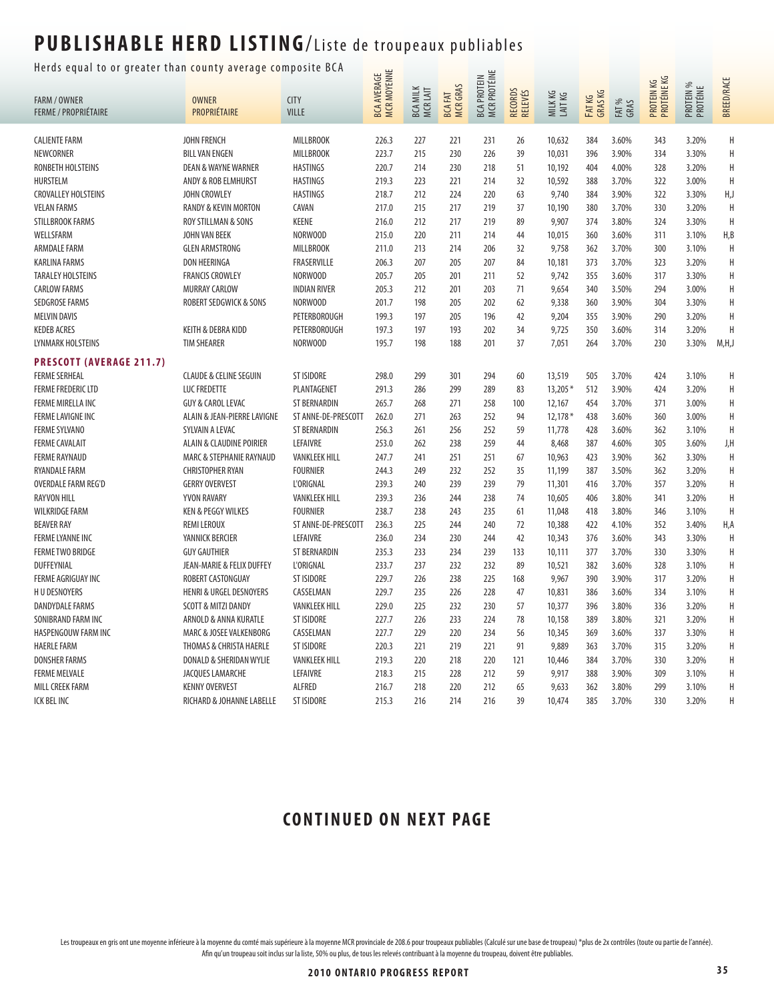#### Herds equal to or greater than county average composite BCA  $\Box$

|                                 | uur to or greuter thun county uverage co |                      | <b>MCR MOYENNE</b><br><b>BCA AVERAGE</b> |                             |                                  | <b>MCR PROTÉINE</b><br><b>BCA PROTEIN</b> |                    |                   |                  |               | PROTEIN KG<br>PROTÉINE KG |                       | <b>BREED/RACE</b> |
|---------------------------------|------------------------------------------|----------------------|------------------------------------------|-----------------------------|----------------------------------|-------------------------------------------|--------------------|-------------------|------------------|---------------|---------------------------|-----------------------|-------------------|
| <b>FARM / OWNER</b>             | <b>OWNER</b>                             | <b>CITY</b>          |                                          | <b>MILK</b>                 | <b>MCR GRAS</b><br><b>BCAFAT</b> |                                           |                    | MILKKG<br>LAIT KG |                  |               |                           |                       |                   |
| <b>FERME / PROPRIÉTAIRE</b>     | PROPRIÉTAIRE                             | <b>VILLE</b>         |                                          | <b>BCA MILK</b><br>MCR LAIT |                                  |                                           | RECORDS<br>RELEVÉS |                   | FATKG<br>GRAS KG | FAT %<br>GRAS |                           | PROTEIN %<br>PROTÉINE |                   |
|                                 |                                          |                      |                                          |                             |                                  |                                           |                    |                   |                  |               |                           |                       |                   |
| <b>CALIENTE FARM</b>            | <b>JOHN FRENCH</b>                       | <b>MILLBROOK</b>     | 226.3                                    | 227                         | 221                              | 231                                       | 26                 | 10,632            | 384              | 3.60%         | 343                       | 3.20%                 | Н                 |
| NEWCORNER                       | <b>BILL VAN ENGEN</b>                    | <b>MILLBROOK</b>     | 223.7                                    | 215                         | 230                              | 226                                       | 39                 | 10,031            | 396              | 3.90%         | 334                       | 3.30%                 | Н                 |
| RONBETH HOLSTEINS               | <b>DEAN &amp; WAYNE WARNER</b>           | <b>HASTINGS</b>      | 220.7                                    | 214                         | 230                              | 218                                       | 51                 | 10,192            | 404              | 4.00%         | 328                       | 3.20%                 | H                 |
| <b>HURSTELM</b>                 | ANDY & ROB ELMHURST                      | <b>HASTINGS</b>      | 219.3                                    | 223                         | 221                              | 214                                       | 32                 | 10,592            | 388              | 3.70%         | 322                       | 3.00%                 | H                 |
| <b>CROVALLEY HOLSTEINS</b>      | JOHN CROWLEY                             | <b>HASTINGS</b>      | 218.7                                    | 212                         | 224                              | 220                                       | 63                 | 9,740             | 384              | 3.90%         | 322                       | 3.30%                 | H,J               |
| <b>VELAN FARMS</b>              | RANDY & KEVIN MORTON                     | CAVAN                | 217.0                                    | 215                         | 217                              | 219                                       | 37                 | 10,190            | 380              | 3.70%         | 330                       | 3.20%                 | H                 |
| <b>STILLBROOK FARMS</b>         | ROY STILLMAN & SONS                      | <b>KEENE</b>         | 216.0                                    | 212                         | 217                              | 219                                       | 89                 | 9,907             | 374              | 3.80%         | 324                       | 3.30%                 | Η                 |
| WELLSFARM                       | JOHN VAN BEEK                            | NORWOOD              | 215.0                                    | 220                         | 211                              | 214                                       | 44                 | 10,015            | 360              | 3.60%         | 311                       | 3.10%                 | H, B              |
| <b>ARMDALE FARM</b>             | <b>GLEN ARMSTRONG</b>                    | <b>MILLBROOK</b>     | 211.0                                    | 213                         | 214                              | 206                                       | 32                 | 9,758             | 362              | 3.70%         | 300                       | 3.10%                 | H                 |
| <b>KARLINA FARMS</b>            | <b>DON HEERINGA</b>                      | FRASERVILLE          | 206.3                                    | 207                         | 205                              | 207                                       | 84                 | 10,181            | 373              | 3.70%         | 323                       | 3.20%                 | H                 |
| <b>TARALEY HOLSTEINS</b>        | <b>FRANCIS CROWLEY</b>                   | NORWOOD              | 205.7                                    | 205                         | 201                              | 211                                       | 52                 | 9,742             | 355              | 3.60%         | 317                       | 3.30%                 | H                 |
| <b>CARLOW FARMS</b>             | <b>MURRAY CARLOW</b>                     | <b>INDIAN RIVER</b>  | 205.3                                    | 212                         | 201                              | 203                                       | 71                 | 9,654             | 340              | 3.50%         | 294                       | 3.00%                 | Н                 |
| <b>SEDGROSE FARMS</b>           | ROBERT SEDGWICK & SONS                   | NORWOOD              | 201.7                                    | 198                         | 205                              | 202                                       | 62                 | 9,338             | 360              | 3.90%         | 304                       | 3.30%                 | H                 |
| <b>MELVIN DAVIS</b>             |                                          | PETERBOROUGH         | 199.3                                    | 197                         | 205                              | 196                                       | 42                 | 9,204             | 355              | 3.90%         | 290                       | 3.20%                 | Н                 |
| <b>KEDEB ACRES</b>              | KEITH & DEBRA KIDD                       | PETERBOROUGH         | 197.3                                    | 197                         | 193                              | 202                                       | 34                 | 9,725             | 350              | 3.60%         | 314                       | 3.20%                 | H                 |
| LYNMARK HOLSTEINS               | <b>TIM SHEARER</b>                       | NORWOOD              | 195.7                                    | 198                         | 188                              | 201                                       | 37                 | 7.051             | 264              | 3.70%         | 230                       | 3.30%                 | M,H,J             |
| <b>PRESCOTT (AVERAGE 211.7)</b> |                                          |                      |                                          |                             |                                  |                                           |                    |                   |                  |               |                           |                       |                   |
| <b>FERME SERHEAL</b>            | <b>CLAUDE &amp; CELINE SEGUIN</b>        | <b>ST ISIDORE</b>    | 298.0                                    | 299                         | 301                              | 294                                       | 60                 | 13,519            | 505              | 3.70%         | 424                       | 3.10%                 | Н                 |
| <b>FERME FREDERIC LTD</b>       | LUC FREDETTE                             | PLANTAGENET          | 291.3                                    | 286                         | 299                              | 289                                       | 83                 | $13,205*$         | 512              | 3.90%         | 424                       | 3.20%                 | Η                 |
| FERME MIRELLA INC               | <b>GUY &amp; CAROL LEVAC</b>             | ST BERNARDIN         | 265.7                                    | 268                         | 271                              | 258                                       | 100                | 12,167            | 454              | 3.70%         | 371                       | 3.00%                 | Н                 |
| <b>FERME LAVIGNE INC</b>        | ALAIN & JEAN-PIERRE LAVIGNE              | ST ANNE-DE-PRESCOTT  | 262.0                                    | 271                         | 263                              | 252                                       | 94                 | $12,178*$         | 438              | 3.60%         | 360                       | 3.00%                 | H                 |
| <b>FERME SYLVANO</b>            | SYLVAIN A LEVAC                          | <b>ST BERNARDIN</b>  | 256.3                                    | 261                         | 256                              | 252                                       | 59                 | 11,778            | 428              | 3.60%         | 362                       | 3.10%                 | H                 |
| <b>FERME CAVALAIT</b>           | ALAIN & CLAUDINE POIRIER                 | LEFAIVRE             | 253.0                                    | 262                         | 238                              | 259                                       | 44                 | 8,468             | 387              | 4.60%         | 305                       | 3.60%                 | J,H               |
| <b>FERME RAYNAUD</b>            | MARC & STEPHANIE RAYNAUD                 | <b>VANKLEEK HILL</b> | 247.7                                    | 241                         | 251                              | 251                                       | 67                 | 10,963            | 423              | 3.90%         | 362                       | 3.30%                 | H                 |
| RYANDALE FARM                   | <b>CHRISTOPHER RYAN</b>                  | <b>FOURNIER</b>      | 244.3                                    | 249                         | 232                              | 252                                       | 35                 | 11,199            | 387              | 3.50%         | 362                       | 3.20%                 | H                 |
| <b>OVERDALE FARM REG'D</b>      | <b>GERRY OVERVEST</b>                    | <b>L'ORIGNAL</b>     | 239.3                                    | 240                         | 239                              | 239                                       | 79                 | 11,301            | 416              | 3.70%         | 357                       | 3.20%                 | Η                 |
| <b>RAYVON HILL</b>              | YVON RAVARY                              | <b>VANKLEEK HILL</b> | 239.3                                    | 236                         | 244                              | 238                                       | 74                 | 10,605            | 406              | 3.80%         | 341                       | 3.20%                 | Н                 |
| <b>WILKRIDGE FARM</b>           | <b>KEN &amp; PEGGY WILKES</b>            | <b>FOURNIER</b>      | 238.7                                    | 238                         | 243                              | 235                                       | 61                 | 11,048            | 418              | 3.80%         | 346                       | 3.10%                 | H                 |
| <b>BEAVER RAY</b>               | <b>REMI LEROUX</b>                       | ST ANNE-DE-PRESCOTT  | 236.3                                    | 225                         | 244                              | 240                                       | 72                 | 10,388            | 422              | 4.10%         | 352                       | 3.40%                 | H,A               |
| <b>FERME LYANNE INC</b>         | YANNICK BERCIER                          | LEFAIVRE             | 236.0                                    | 234                         | 230                              | 244                                       | 42                 | 10,343            | 376              | 3.60%         | 343                       | 3.30%                 | Η                 |
| <b>FERME TWO BRIDGE</b>         | <b>GUY GAUTHIER</b>                      | ST BERNARDIN         | 235.3                                    | 233                         | 234                              | 239                                       | 133                | 10,111            | 377              | 3.70%         | 330                       | 3.30%                 | H                 |
| <b>DUFFEYNIAL</b>               | JEAN-MARIE & FELIX DUFFEY                | <b>L'ORIGNAL</b>     | 233.7                                    | 237                         | 232                              | 232                                       | 89                 | 10,521            | 382              | 3.60%         | 328                       | 3.10%                 | Н                 |
| FERME AGRIGUAY INC              | ROBERT CASTONGUAY                        | <b>ST ISIDORE</b>    | 229.7                                    | 226                         | 238                              | 225                                       | 168                | 9,967             | 390              | 3.90%         | 317                       | 3.20%                 | Η                 |
| <b>HUDESNOYERS</b>              | <b>HENRI &amp; URGEL DESNOYERS</b>       | CASSELMAN            | 229.7                                    | 235                         | 226                              | 228                                       | 47                 | 10,831            | 386              | 3.60%         | 334                       | 3.10%                 | Н                 |
| DANDYDALE FARMS                 | SCOTT & MITZI DANDY                      | <b>VANKLEEK HILL</b> | 229.0                                    | 225                         | 232                              | 230                                       | 57                 | 10,377            | 396              | 3.80%         | 336                       | 3.20%                 | H                 |
| SONIBRAND FARM INC              | ARNOLD & ANNA KURATLE                    | <b>ST ISIDORE</b>    | 227.7                                    | 226                         | 233                              | 224                                       | 78                 | 10,158            | 389              | 3.80%         | 321                       | 3.20%                 | H                 |
| HASPENGOUW FARM INC             | MARC & JOSEE VALKENBORG                  | CASSELMAN            | 227.7                                    | 229                         | 220                              | 234                                       | 56                 | 10,345            | 369              | 3.60%         | 337                       | 3.30%                 | Η                 |
| <b>HAERLE FARM</b>              | THOMAS & CHRISTA HAERLE                  | <b>ST ISIDORE</b>    | 220.3                                    | 221                         | 219                              | 221                                       | 91                 | 9,889             | 363              | 3.70%         | 315                       | 3.20%                 | H                 |
| <b>DONSHER FARMS</b>            | DONALD & SHERIDAN WYLIE                  | <b>VANKLEEK HILL</b> | 219.3                                    | 220                         | 218                              | 220                                       | 121                | 10,446            | 384              | 3.70%         | 330                       | 3.20%                 | Η                 |
| <b>FERME MELVALE</b>            | JACQUES LAMARCHE                         | LEFAIVRE             | 218.3                                    | 215                         | 228                              | 212                                       | 59                 | 9,917             | 388              | 3.90%         | 309                       | 3.10%                 | Η                 |
| <b>MILL CREEK FARM</b>          | <b>KENNY OVERVEST</b>                    | <b>ALFRED</b>        | 216.7                                    | 218                         | 220                              | 212                                       | 65                 | 9,633             | 362              | 3.80%         | 299                       | 3.10%                 | H                 |
| ICK BEL INC                     | RICHARD & JOHANNE LABELLE                | ST ISIDORE           | 215.3                                    | 216                         | 214                              | 216                                       | 39                 | 10,474            | 385              | 3.70%         | 330                       | 3.20%                 | H                 |
|                                 |                                          |                      |                                          |                             |                                  |                                           |                    |                   |                  |               |                           |                       |                   |

#### **CONTINUED ON NEXT PAGE**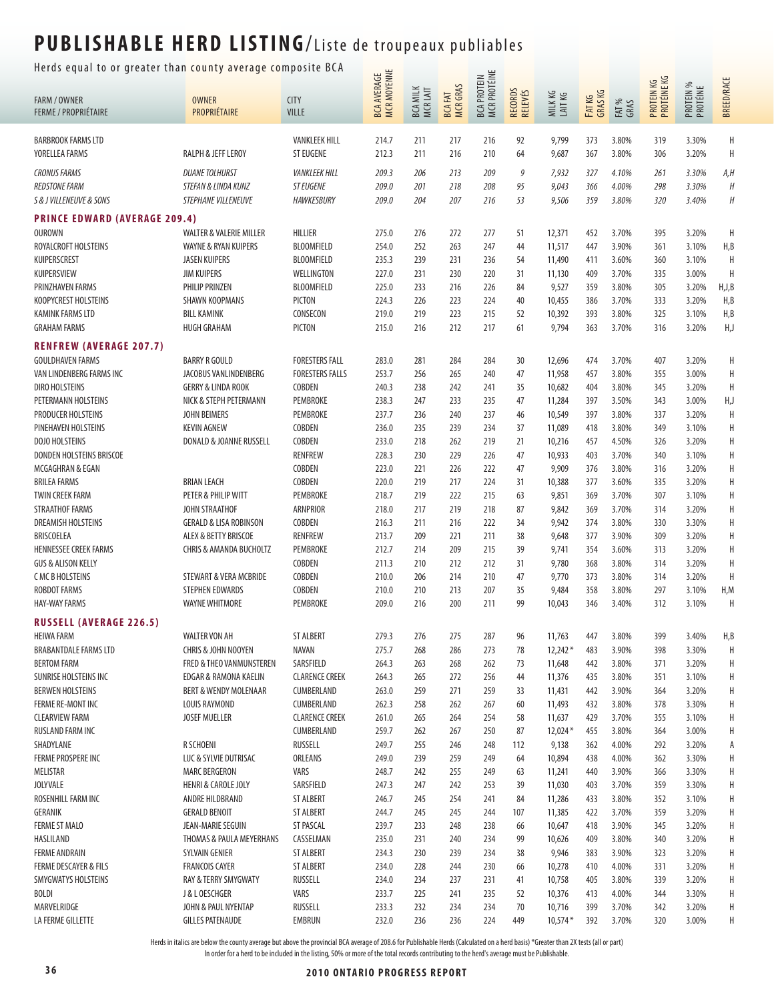#### Herds equal to or greater than county average composite BCA  $\frac{1}{\cdots}$

| ncias equal to or greater than county average composite ben |                                         |                                      |                                    |                             |                                  |                                    |                    |                    |                  |                |                           |                       |                   |
|-------------------------------------------------------------|-----------------------------------------|--------------------------------------|------------------------------------|-----------------------------|----------------------------------|------------------------------------|--------------------|--------------------|------------------|----------------|---------------------------|-----------------------|-------------------|
| <b>FARM / OWNER</b><br><b>FERME / PROPRIÉTAIRE</b>          | <b>OWNER</b><br>PROPRIÉTAIRE            | <b>CITY</b><br><b>VILLE</b>          | <b>BCA AVERAGE<br/>MCR MOYENNE</b> | <b>BCA MILK</b><br>MCR LAIT | <b>MCRGRAS</b><br><b>BCA FAT</b> | MCR PROTÉINE<br><b>BCA PROTEIN</b> | RECORDS<br>RELEVÉS | MILKKG<br>LAITKG   | FATKG<br>GRAS KG | FAT %<br>GRAS  | PROTEIN KG<br>PROTÉINE KG | PROTEIN %<br>PROTÉINE | <b>BREED/RACE</b> |
| <b>BARBROOK FARMS LTD</b>                                   |                                         | <b>VANKLEEK HILL</b>                 | 214.7                              | 211                         | 217                              | 216                                | 92                 | 9,799              | 373              | 3.80%          | 319                       | 3.30%                 | Η                 |
| YORELLEA FARMS                                              | RALPH & JEFF LEROY                      | <b>ST EUGENE</b>                     | 212.3                              | 211                         | 216                              | 210                                | 64                 | 9,687              | 367              | 3.80%          | 306                       | 3.20%                 | H                 |
| <b>CRONUS FARMS</b>                                         | <b>DUANE TOLHURST</b>                   | <b>VANKLEEK HILL</b>                 | 209.3                              | 206                         | 213                              | 209                                | 9                  | 7,932              | 327              | 4.10%          | 261                       | 3.30%                 | A,H               |
| <b>REDSTONE FARM</b>                                        | STEFAN & LINDA KUNZ                     | <b>ST EUGENE</b>                     | 209.0                              | 201                         | 218                              | 208                                | 95                 | 9,043              | 366              | 4.00%          | 298                       | 3.30%                 | H                 |
| S & J VILLENEUVE & SONS                                     | STEPHANE VILLENEUVE                     | <b>HAWKESBURY</b>                    | 209.0                              | 204                         | 207                              | 216                                | 53                 | 9,506              | 359              | 3.80%          | 320                       | 3.40%                 | H                 |
| <b>PRINCE EDWARD (AVERAGE 209.4)</b>                        |                                         |                                      |                                    |                             |                                  |                                    |                    |                    |                  |                |                           |                       |                   |
| OUROWN                                                      | <b>WALTER &amp; VALERIE MILLER</b>      | <b>HILLIER</b>                       | 275.0                              | 276                         | 272                              | 277                                | 51                 | 12,371             | 452              | 3.70%          | 395                       | 3.20%                 | H                 |
| ROYALCROFT HOLSTEINS                                        | WAYNE & RYAN KUIPERS                    | <b>BLOOMFIELD</b>                    | 254.0                              | 252                         | 263                              | 247                                | 44                 | 11,517             | 447              | 3.90%          | 361                       | 3.10%                 | H, B              |
| KUIPERSCREST                                                | <b>JASEN KUIPERS</b>                    | <b>BLOOMFIELD</b>                    | 235.3                              | 239                         | 231                              | 236                                | 54                 | 11,490             | 411              | 3.60%          | 360                       | 3.10%                 | H                 |
| KUIPERSVIEW                                                 | <b>JIM KUIPERS</b>                      | WELLINGTON                           | 227.0                              | 231                         | 230                              | 220                                | 31                 | 11,130             | 409              | 3.70%          | 335                       | 3.00%                 | H                 |
| <b>PRINZHAVEN FARMS</b><br>KOOPYCREST HOLSTEINS             | PHILIP PRINZEN<br><b>SHAWN KOOPMANS</b> | <b>BLOOMFIELD</b><br><b>PICTON</b>   | 225.0<br>224.3                     | 233<br>226                  | 216<br>223                       | 226<br>224                         | 84<br>40           | 9,527<br>10,455    | 359<br>386       | 3.80%<br>3.70% | 305<br>333                | 3.20%<br>3.20%        | H, J, B<br>H, B   |
| <b>KAMINK FARMS LTD</b>                                     | <b>BILL KAMINK</b>                      | CONSECON                             | 219.0                              | 219                         | 223                              | 215                                | 52                 | 10,392             | 393              | 3.80%          | 325                       | 3.10%                 | H, B              |
| <b>GRAHAM FARMS</b>                                         | <b>HUGH GRAHAM</b>                      | <b>PICTON</b>                        | 215.0                              | 216                         | 212                              | 217                                | 61                 | 9,794              | 363              | 3.70%          | 316                       | 3.20%                 | H,J               |
| <b>RENFREW (AVERAGE 207.7)</b>                              |                                         |                                      |                                    |                             |                                  |                                    |                    |                    |                  |                |                           |                       |                   |
| <b>GOULDHAVEN FARMS</b>                                     | <b>BARRY R GOULD</b>                    | <b>FORESTERS FALL</b>                | 283.0                              | 281                         | 284                              | 284                                | 30                 | 12,696             | 474              | 3.70%          | 407                       | 3.20%                 | Η                 |
| VAN LINDENBERG FARMS INC                                    | JACOBUS VANLINDENBERG                   | <b>FORESTERS FALLS</b>               | 253.7                              | 256                         | 265                              | 240                                | 47                 | 11,958             | 457              | 3.80%          | 355                       | 3.00%                 | H                 |
| <b>DIRO HOLSTEINS</b>                                       | <b>GERRY &amp; LINDA ROOK</b>           | COBDEN                               | 240.3                              | 238                         | 242                              | 241                                | 35                 | 10,682             | 404              | 3.80%          | 345                       | 3.20%                 | Η                 |
| PETERMANN HOLSTEINS                                         | NICK & STEPH PETERMANN                  | PEMBROKE                             | 238.3                              | 247                         | 233                              | 235                                | 47                 | 11,284             | 397              | 3.50%          | 343                       | 3.00%                 | H,J               |
| PRODUCER HOLSTEINS                                          | <b>JOHN BEIMERS</b>                     | PEMBROKE                             | 237.7                              | 236                         | 240                              | 237                                | 46                 | 10,549             | 397              | 3.80%          | 337                       | 3.20%                 | Η                 |
| PINEHAVEN HOLSTEINS                                         | <b>KEVIN AGNEW</b>                      | COBDEN                               | 236.0                              | 235                         | 239                              | 234                                | 37                 | 11,089             | 418              | 3.80%          | 349                       | 3.10%                 | Η                 |
| DOJO HOLSTEINS                                              | DONALD & JOANNE RUSSELL                 | COBDEN                               | 233.0                              | 218                         | 262                              | 219                                | 21                 | 10,216             | 457              | 4.50%          | 326                       | 3.20%                 | Н                 |
| DONDEN HOLSTEINS BRISCOE<br>MCGAGHRAN & EGAN                |                                         | <b>RENFREW</b><br>COBDEN             | 228.3<br>223.0                     | 230<br>221                  | 229<br>226                       | 226<br>222                         | 47<br>47           | 10,933<br>9,909    | 403<br>376       | 3.70%<br>3.80% | 340<br>316                | 3.10%<br>3.20%        | Н<br>Η            |
| <b>BRILEA FARMS</b>                                         | <b>BRIAN LEACH</b>                      | COBDEN                               | 220.0                              | 219                         | 217                              | 224                                | 31                 | 10,388             | 377              | 3.60%          | 335                       | 3.20%                 | Η                 |
| <b>TWIN CREEK FARM</b>                                      | PETER & PHILIP WITT                     | PEMBROKE                             | 218.7                              | 219                         | 222                              | 215                                | 63                 | 9,851              | 369              | 3.70%          | 307                       | 3.10%                 | Η                 |
| <b>STRAATHOF FARMS</b>                                      | JOHN STRAATHOF                          | <b>ARNPRIOR</b>                      | 218.0                              | 217                         | 219                              | 218                                | 87                 | 9,842              | 369              | 3.70%          | 314                       | 3.20%                 | Η                 |
| <b>DREAMISH HOLSTEINS</b>                                   | <b>GERALD &amp; LISA ROBINSON</b>       | COBDEN                               | 216.3                              | 211                         | 216                              | 222                                | 34                 | 9,942              | 374              | 3.80%          | 330                       | 3.30%                 | Η                 |
| BRISCOELEA                                                  | ALEX & BETTY BRISCOE                    | RENFREW                              | 213.7                              | 209                         | 221                              | 211                                | 38                 | 9,648              | 377              | 3.90%          | 309                       | 3.20%                 | Η                 |
| <b>HENNESSEE CREEK FARMS</b>                                | <b>CHRIS &amp; AMANDA BUCHOLTZ</b>      | PEMBROKE                             | 212.7                              | 214                         | 209                              | 215                                | 39                 | 9,741              | 354              | 3.60%          | 313                       | 3.20%                 | Η                 |
| <b>GUS &amp; ALISON KELLY</b><br><b>CMCBHOLSTEINS</b>       | STEWART & VERA MCBRIDE                  | COBDEN                               | 211.3<br>210.0                     | 210<br>206                  | 212<br>214                       | 212<br>210                         | 31<br>47           | 9,780              | 368<br>373       | 3.80%<br>3.80% | 314<br>314                | 3.20%<br>3.20%        | H<br>H            |
| <b>ROBDOT FARMS</b>                                         | STEPHEN EDWARDS                         | COBDEN<br>COBDEN                     | 210.0                              | 210                         | 213                              | 207                                | 35                 | 9,770<br>9,484     | 358              | 3.80%          | 297                       | 3.10%                 | H,M               |
| <b>HAY-WAY FARMS</b>                                        | <b>WAYNE WHITMORE</b>                   | PEMBROKE                             | 209.0                              | 216                         | 200                              | 211                                | 99                 | 10,043             | 346              | 3.40%          | 312                       | 3.10%                 | H                 |
| <b>RUSSELL (AVERAGE 226.5)</b>                              |                                         |                                      |                                    |                             |                                  |                                    |                    |                    |                  |                |                           |                       |                   |
| <b>HEIWA FARM</b>                                           | <b>WALTER VON AH</b>                    | <b>ST ALBERT</b>                     | 279.3                              | 276                         | 275                              | 287                                | 96                 | 11,763             | 447              | 3.80%          | 399                       | 3.40%                 | H, B              |
| BRABANTDALE FARMS LTD                                       | <b>CHRIS &amp; JOHN NOOYEN</b>          | NAVAN                                | 275.7                              | 268                         | 286                              | 273                                | 78                 | $12,242*$          | 483              | 3.90%          | 398                       | 3.30%                 | H                 |
| <b>BERTOM FARM</b>                                          | FRED & THEO VANMUNSTEREN                | SARSFIELD                            | 264.3                              | 263                         | 268                              | 262                                | 73                 | 11,648             | 442              | 3.80%          | 371                       | 3.20%                 | Н                 |
| SUNRISE HOLSTEINS INC                                       | EDGAR & RAMONA KAELIN                   | <b>CLARENCE CREEK</b>                | 264.3                              | 265                         | 272                              | 256                                | 44                 | 11,376             | 435              | 3.80%          | 351                       | 3.10%                 | Η                 |
| <b>BERWEN HOLSTEINS</b>                                     | <b>BERT &amp; WENDY MOLENAAR</b>        | CUMBERLAND                           | 263.0                              | 259                         | 271                              | 259                                | 33                 | 11,431             | 442              | 3.90%          | 364                       | 3.20%                 | Η                 |
| <b>FERME RE-MONT INC</b>                                    | LOUIS RAYMOND                           | CUMBERLAND                           | 262.3                              | 258                         | 262                              | 267                                | 60                 | 11,493             | 432              | 3.80%          | 378                       | 3.30%                 | Н                 |
| <b>CLEARVIEW FARM</b>                                       | <b>JOSEF MUELLER</b>                    | <b>CLARENCE CREEK</b>                | 261.0                              | 265                         | 264                              | 254                                | 58                 | 11,637             | 429              | 3.70%          | 355                       | 3.10%                 | Η                 |
| RUSLAND FARM INC<br>SHADYLANE                               | R SCHOENI                               | CUMBERLAND<br>RUSSELL                | 259.7<br>249.7                     | 262<br>255                  | 267<br>246                       | 250<br>248                         | 87<br>112          | $12,024*$<br>9,138 | 455<br>362       | 3.80%<br>4.00% | 364<br>292                | 3.00%<br>3.20%        | Η<br>А            |
| <b>FERME PROSPERE INC</b>                                   | LUC & SYLVIE DUTRISAC                   | ORLEANS                              | 249.0                              | 239                         | 259                              | 249                                | 64                 | 10,894             | 438              | 4.00%          | 362                       | 3.30%                 | Η                 |
| MELISTAR                                                    | <b>MARC BERGERON</b>                    | VARS                                 | 248.7                              | 242                         | 255                              | 249                                | 63                 | 11,241             | 440              | 3.90%          | 366                       | 3.30%                 | Н                 |
| <b>JOLYVALE</b>                                             | <b>HENRI &amp; CAROLE JOLY</b>          | SARSFIELD                            | 247.3                              | 247                         | 242                              | 253                                | 39                 | 11,030             | 403              | 3.70%          | 359                       | 3.30%                 | Н                 |
| ROSENHILL FARM INC                                          | ANDRE HILDBRAND                         | <b>ST ALBERT</b>                     | 246.7                              | 245                         | 254                              | 241                                | 84                 | 11,286             | 433              | 3.80%          | 352                       | 3.10%                 | Η                 |
| <b>GERANIK</b>                                              | <b>GERALD BENOIT</b>                    | <b>ST ALBERT</b>                     | 244.7                              | 245                         | 245                              | 244                                | 107                | 11,385             | 422              | 3.70%          | 359                       | 3.20%                 | Η                 |
| <b>FERME ST MALO</b>                                        | JEAN-MARIE SEGUIN                       | <b>ST PASCAL</b>                     | 239.7                              | 233                         | 248                              | 238                                | 66                 | 10,647             | 418              | 3.90%          | 345                       | 3.20%                 | Η                 |
| HASLILAND                                                   | THOMAS & PAULA MEYERHANS                | CASSELMAN                            | 235.0                              | 231                         | 240                              | 234                                | 99                 | 10,626             | 409              | 3.80%          | 340                       | 3.20%                 | Η                 |
| <b>FERME ANDRAIN</b><br><b>FERME DESCAYER &amp; FILS</b>    | SYLVAIN GENIER<br><b>FRANCOIS CAYER</b> | <b>ST ALBERT</b><br><b>ST ALBERT</b> | 234.3<br>234.0                     | 230<br>228                  | 239<br>244                       | 234<br>230                         | 38<br>66           | 9,946<br>10,278    | 383<br>410       | 3.90%<br>4.00% | 323<br>331                | 3.20%<br>3.20%        | Η<br>H            |
| SMYGWATYS HOLSTEINS                                         | <b>RAY &amp; TERRY SMYGWATY</b>         | RUSSELL                              | 234.0                              | 234                         | 237                              | 231                                | 41                 | 10,758             | 405              | 3.80%          | 339                       | 3.20%                 | Η                 |
| <b>BOLDI</b>                                                | J & L OESCHGER                          | VARS                                 | 233.7                              | 225                         | 241                              | 235                                | 52                 | 10,376             | 413              | 4.00%          | 344                       | 3.30%                 | Н                 |
| MARVELRIDGE                                                 | JOHN & PAUL NYENTAP                     | RUSSELL                              | 233.3                              | 232                         | 234                              | 234                                | 70                 | 10,716             | 399              | 3.70%          | 342                       | 3.20%                 | Η                 |
| LA FERME GILLETTE                                           | <b>GILLES PATENAUDE</b>                 | EMBRUN                               | 232.0                              | 236                         | 236                              | 224                                | 449                | $10,574*$          | 392              | 3.70%          | 320                       | 3.00%                 | Η                 |
|                                                             |                                         |                                      |                                    |                             |                                  |                                    |                    |                    |                  |                |                           |                       |                   |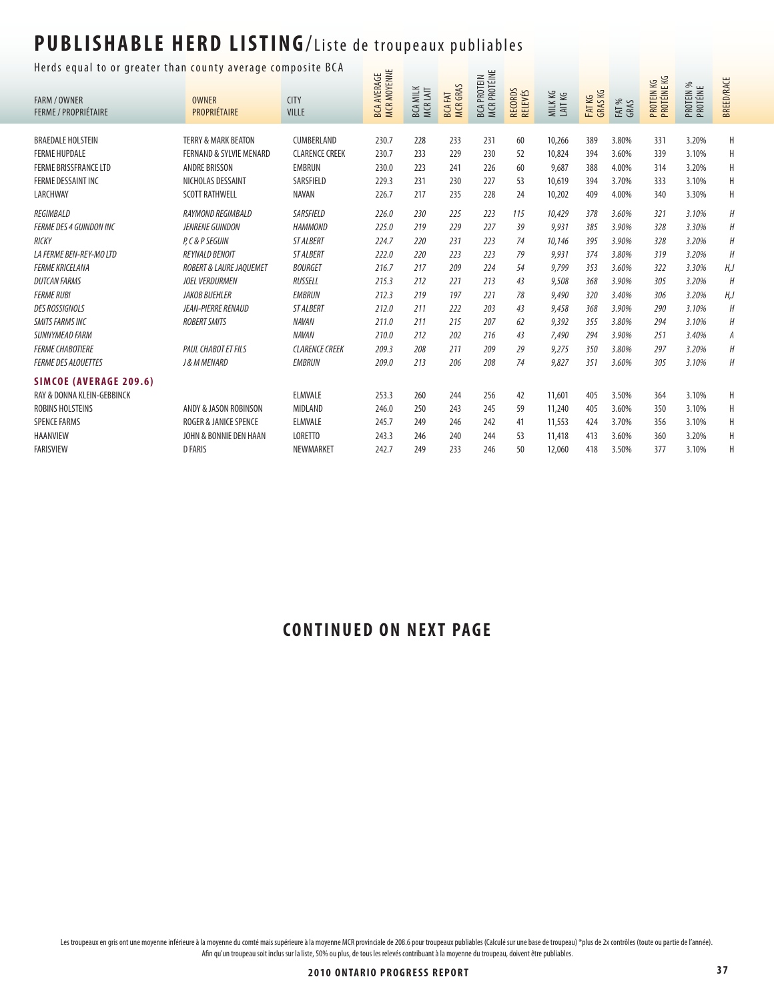#### Herds equal to or greater than county average composite BCA  $\frac{1}{\sqrt{2}}$

| nerus equar to or greater than county average composite ben<br><b>FARM / OWNER</b><br><b>FERME / PROPRIÉTAIRE</b> | <b>OWNER</b><br>PROPRIÉTAIRE       | <b>CITY</b><br><b>VILLE</b> | <b>MCR MOYENNE</b><br><b>BCA AVERAGE</b> | <b>BCA MILK</b><br>MCRLAIT | <b>MCRGRAS</b><br><b>BCAFAT</b> | MCR PROTÉINE<br><b>BCA PROTEIN</b> | <b>RECORDS</b><br><b>RELEVÉS</b> | MILK KG<br><b>LAITKG</b> | FAT KG<br>GRAS KG | FAT %<br>GRAS | PROTÉINE KG<br>PROTEIN KG | PROTEIN %<br>PROTÉINE | <b>BREED/RACE</b> |
|-------------------------------------------------------------------------------------------------------------------|------------------------------------|-----------------------------|------------------------------------------|----------------------------|---------------------------------|------------------------------------|----------------------------------|--------------------------|-------------------|---------------|---------------------------|-----------------------|-------------------|
|                                                                                                                   |                                    |                             |                                          |                            |                                 |                                    |                                  |                          |                   |               |                           |                       |                   |
| <b>BRAEDALE HOLSTEIN</b>                                                                                          | <b>TERRY &amp; MARK BEATON</b>     | CUMBERLAND                  | 230.7                                    | 228                        | 233                             | 231                                | 60                               | 10,266                   | 389               | 3.80%         | 331                       | 3.20%                 | H                 |
| <b>FERME HUPDALE</b>                                                                                              | <b>FERNAND &amp; SYLVIE MENARD</b> | <b>CLARENCE CREEK</b>       | 230.7                                    | 233                        | 229                             | 230                                | 52                               | 10,824                   | 394               | 3.60%         | 339                       | 3.10%                 | Н                 |
| <b>FERME BRISSFRANCE LTD</b>                                                                                      | <b>ANDRE BRISSON</b>               | <b>EMBRUN</b>               | 230.0                                    | 223                        | 241                             | 226                                | 60                               | 9,687                    | 388               | 4.00%         | 314                       | 3.20%                 | H                 |
| <b>FERME DESSAINT INC</b>                                                                                         | NICHOLAS DESSAINT                  | SARSFIELD                   | 229.3                                    | 231                        | 230                             | 227                                | 53                               | 10.619                   | 394               | 3.70%         | 333                       | 3.10%                 | Н                 |
| LARCHWAY                                                                                                          | <b>SCOTT RATHWELL</b>              | <b>NAVAN</b>                | 226.7                                    | 217                        | 235                             | 228                                | 24                               | 10,202                   | 409               | 4.00%         | 340                       | 3.30%                 | Н                 |
| REGIMBALD                                                                                                         | RAYMOND REGIMBALD                  | SARSFIELD                   | 226.0                                    | 230                        | 225                             | 223                                | 115                              | 10,429                   | 378               | 3.60%         | 321                       | 3.10%                 | $\boldsymbol{H}$  |
| <b>FERME DES 4 GUINDON INC</b>                                                                                    | JENRENE GUINDON                    | <b>HAMMOND</b>              | 225.0                                    | 219                        | 229                             | 227                                | 39                               | 9,931                    | 385               | 3.90%         | 328                       | 3.30%                 | Н                 |
| <b>RICKY</b>                                                                                                      | P. C & P SEGUIN                    | <b>ST ALBERT</b>            | 224.7                                    | 220                        | 231                             | 223                                | 74                               | 10,146                   | 395               | 3.90%         | 328                       | 3.20%                 | $\boldsymbol{H}$  |
| <b>LA FERME BEN-REY-MO LTD</b>                                                                                    | <b>REYNALD BENOIT</b>              | <b>ST ALBERT</b>            | 222.0                                    | 220                        | 223                             | 223                                | 79                               | 9,931                    | 374               | 3.80%         | 319                       | 3.20%                 | H                 |
| <b>FERME KRICELANA</b>                                                                                            | ROBERT & LAURE JAQUEMET            | <b>BOURGET</b>              | 216.7                                    | 217                        | 209                             | 224                                | 54                               | 9,799                    | 353               | 3.60%         | 322                       | 3.30%                 | H, J              |
| <b>DUTCAN FARMS</b>                                                                                               | JOEL VERDURMEN                     | RUSSELL                     | 215.3                                    | 212                        | 221                             | 213                                | 43                               | 9,508                    | 368               | 3.90%         | 305                       | 3.20%                 | H                 |
| <b>FERME RUBI</b>                                                                                                 | <b>JAKOB BUEHLER</b>               | <b>EMBRUN</b>               | 212.3                                    | 219                        | 197                             | 221                                | 78                               | 9,490                    | 320               | 3.40%         | 306                       | 3.20%                 | H, J              |
| <b>DES ROSSIGNOLS</b>                                                                                             | <b>JEAN-PIERRE RENAUD</b>          | <b>ST ALBERT</b>            | 212.0                                    | 211                        | 222                             | 203                                | 43                               | 9,458                    | 368               | 3.90%         | 290                       | 3.10%                 | H                 |
| <b>SMITS FARMS INC</b>                                                                                            | <b>ROBERT SMITS</b>                | <b>NAVAN</b>                | 211.0                                    | 211                        | 215                             | 207                                | 62                               | 9,392                    | 355               | 3.80%         | 294                       | 3.10%                 | Н                 |
| SUNNYMEAD FARM                                                                                                    |                                    | <b>NAVAN</b>                | 210.0                                    | 212                        | 202                             | 216                                | 43                               | 7,490                    | 294               | 3.90%         | 251                       | 3.40%                 | A                 |
| <b>FERME CHABOTIERE</b>                                                                                           | PAUL CHABOT ET FILS                | <b>CLARENCE CREEK</b>       | 209.3                                    | 208                        | 211                             | 209                                | 29                               | 9,275                    | 350               | 3.80%         | 297                       | 3.20%                 | $\boldsymbol{H}$  |
| <b>FERME DES ALOUETTES</b>                                                                                        | J & M MENARD                       | <b>EMBRUN</b>               | 209.0                                    | 213                        | 206                             | 208                                | 74                               | 9,827                    | 351               | 3.60%         | 305                       | 3.10%                 | $\boldsymbol{H}$  |
| <b>SIMCOE (AVERAGE 209.6)</b>                                                                                     |                                    |                             |                                          |                            |                                 |                                    |                                  |                          |                   |               |                           |                       |                   |
| <b>RAY &amp; DONNA KLEIN-GEBBINCK</b>                                                                             |                                    | <b>ELMVALE</b>              | 253.3                                    | 260                        | 244                             | 256                                | 42                               | 11,601                   | 405               | 3.50%         | 364                       | 3.10%                 | H                 |
| <b>ROBINS HOLSTEINS</b>                                                                                           | ANDY & JASON ROBINSON              | <b>MIDLAND</b>              | 246.0                                    | 250                        | 243                             | 245                                | 59                               | 11,240                   | 405               | 3.60%         | 350                       | 3.10%                 | Н                 |
| <b>SPENCE FARMS</b>                                                                                               | <b>ROGER &amp; JANICE SPENCE</b>   | <b>ELMVALE</b>              | 245.7                                    | 249                        | 246                             | 242                                | 41                               | 11,553                   | 424               | 3.70%         | 356                       | 3.10%                 | H                 |
| <b>HAANVIEW</b>                                                                                                   | JOHN & BONNIE DEN HAAN             | LORETTO                     | 243.3                                    | 246                        | 240                             | 244                                | 53                               | 11,418                   | 413               | 3.60%         | 360                       | 3.20%                 | Η                 |
| <b>FARISVIEW</b>                                                                                                  | <b>D FARIS</b>                     | NEWMARKET                   | 242.7                                    | 249                        | 233                             | 246                                | 50                               | 12,060                   | 418               | 3.50%         | 377                       | 3.10%                 | H                 |
|                                                                                                                   |                                    |                             |                                          |                            |                                 |                                    |                                  |                          |                   |               |                           |                       |                   |

#### **CONTINUED ON NEXT PAGE**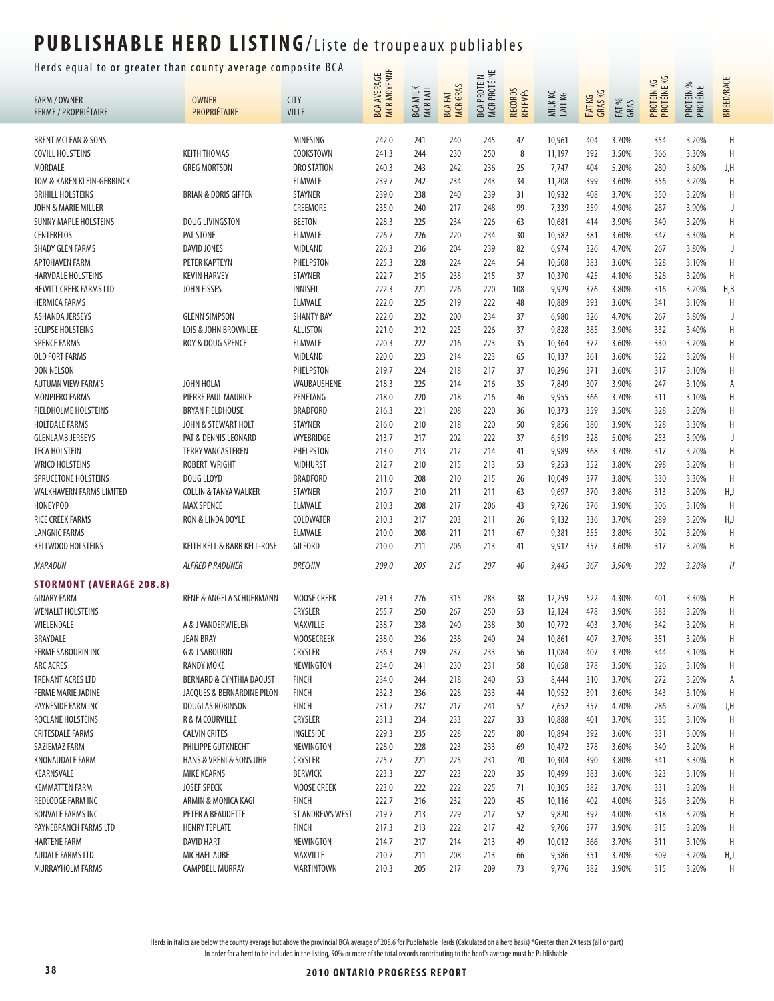### Herds equal to or greater than county average composite BCA  $\frac{u}{u}$   $\equiv$

| ncias equal to bi gicater than county average compo. |                                  |                        | BCA AVERAGE<br>MCR MOYENNE |                             |                                 | BCA PROTEIN<br>MCR PROTÉINE |                    |                  |                  |               | PROTEIN KG<br>PROTÉINE KG |                       | <b>BREED/RACE</b> |
|------------------------------------------------------|----------------------------------|------------------------|----------------------------|-----------------------------|---------------------------------|-----------------------------|--------------------|------------------|------------------|---------------|---------------------------|-----------------------|-------------------|
| <b>FARM / OWNER</b>                                  | <b>OWNER</b>                     | <b>CITY</b>            |                            | <b>BCA MILK</b><br>MCR LAIT | <b>MCRGRAS</b><br><b>BCAFAT</b> |                             | RECORDS<br>RELEVÉS | MILKKG<br>LAITKG | FATKG<br>GRAS KG |               |                           | PROTEIN %<br>PROTÉINE |                   |
| <b>FERME / PROPRIÉTAIRE</b>                          | PROPRIÉTAIRE                     | <b>VILLE</b>           |                            |                             |                                 |                             |                    |                  |                  | FAT %<br>GRAS |                           |                       |                   |
|                                                      |                                  |                        |                            |                             |                                 |                             |                    |                  |                  |               |                           |                       |                   |
| <b>BRENT MCLEAN &amp; SONS</b>                       |                                  | MINESING               | 242.0                      | 241                         | 240                             | 245                         | 47                 | 10,961           | 404              | 3.70%         | 354                       | 3.20%                 | H                 |
| <b>COVILL HOLSTEINS</b>                              | <b>KEITH THOMAS</b>              | COOKSTOWN              | 241.3                      | 244                         | 230                             | 250                         | 8                  | 11,197           | 392              | 3.50%         | 366                       | 3.30%                 | H                 |
| <b>MORDALE</b>                                       | <b>GREG MORTSON</b>              | ORO STATION            | 240.3                      | 243                         | 242                             | 236                         | 25                 | 7,747            | 404              | 5.20%         | 280                       | 3.60%                 | J,H               |
| TOM & KAREN KLEIN-GEBBINCK                           |                                  | <b>ELMVALE</b>         | 239.7                      | 242                         | 234                             | 243                         | 34                 | 11,208           | 399              | 3.60%         | 356                       | 3.20%                 | H                 |
| <b>BRIHILL HOLSTEINS</b>                             | <b>BRIAN &amp; DORIS GIFFEN</b>  | <b>STAYNER</b>         | 239.0                      | 238                         | 240                             | 239                         | 31                 | 10,932           | 408              | 3.70%         | 350                       | 3.20%                 | Η                 |
| JOHN & MARIE MILLER                                  |                                  | CREEMORE               | 235.0                      | 240                         | 217                             | 248                         | 99                 | 7,339            | 359              | 4.90%         | 287                       | 3.90%                 | J                 |
| <b>SUNNY MAPLE HOLSTEINS</b>                         | DOUG LIVINGSTON                  | <b>BEETON</b>          | 228.3                      | 225                         | 234                             | 226                         | 63                 | 10,681           | 414              | 3.90%         | 340                       | 3.20%                 | H                 |
| <b>CENTERFLOS</b>                                    | PAT STONE                        | <b>ELMVALE</b>         | 226.7                      | 226                         | 220                             | 234                         | 30                 | 10,582           | 381              | 3.60%         | 347                       | 3.30%                 | Η                 |
| <b>SHADY GLEN FARMS</b>                              | DAVID JONES                      | MIDLAND                | 226.3                      | 236                         | 204                             | 239                         | 82                 | 6,974            | 326              | 4.70%         | 267                       | 3.80%                 | J                 |
| APTOHAVEN FARM                                       | PETER KAPTEYN                    | PHELPSTON              | 225.3                      | 228                         | 224                             | 224                         | 54                 | 10,508           | 383              | 3.60%         | 328                       | 3.10%                 | Η                 |
| <b>HARVDALE HOLSTEINS</b>                            | <b>KEVIN HARVEY</b>              | STAYNER                | 222.7                      | 215                         | 238                             | 215                         | 37                 | 10,370           | 425              | 4.10%         | 328                       | 3.20%                 | H                 |
| <b>HEWITT CREEK FARMS LTD</b>                        | <b>JOHN EISSES</b>               | <b>INNISFIL</b>        | 222.3                      | 221                         | 226                             | 220                         | 108                | 9,929            | 376              | 3.80%         | 316                       | 3.20%                 | H, B              |
| <b>HERMICA FARMS</b>                                 |                                  | <b>ELMVALE</b>         | 222.0                      | 225                         | 219                             | 222                         | 48                 | 10,889           | 393              | 3.60%         | 341                       | 3.10%                 | Н                 |
| ASHANDA JERSEYS                                      | <b>GLENN SIMPSON</b>             | <b>SHANTY BAY</b>      | 222.0                      | 232                         | 200                             | 234                         | 37                 | 6,980            | 326              | 4.70%         | 267                       | 3.80%                 | J                 |
| <b>ECLIPSE HOLSTEINS</b>                             | LOIS & JOHN BROWNLEE             | ALLISTON               | 221.0                      | 212                         | 225                             | 226                         | 37                 | 9,828            | 385              | 3.90%         | 332                       | 3.40%                 | Η                 |
| <b>SPENCE FARMS</b>                                  | ROY & DOUG SPENCE                | ELMVALE                | 220.3                      | 222                         | 216                             | 223                         | 35                 | 10,364           | 372              | 3.60%         | 330                       | 3.20%                 | H                 |
| <b>OLD FORT FARMS</b>                                |                                  | <b>MIDLAND</b>         | 220.0                      | 223                         | 214                             | 223                         | 65                 | 10,137           | 361              | 3.60%         | 322                       | 3.20%                 | Η                 |
| <b>DON NELSON</b>                                    |                                  | PHELPSTON              | 219.7                      | 224                         | 218                             | 217                         | 37                 | 10,296           | 371              | 3.60%         | 317                       | 3.10%                 | Η                 |
| <b>AUTUMN VIEW FARM'S</b>                            | JOHN HOLM                        | WAUBAUSHENE            | 218.3                      | 225                         | 214                             | 216                         | 35                 | 7,849            | 307              | 3.90%         | 247                       | 3.10%                 | А                 |
| <b>MONPIERO FARMS</b>                                | PIERRE PAUL MAURICE              | PENETANG               | 218.0                      | 220                         | 218                             | 216                         | 46                 | 9,955            | 366              | 3.70%         | 311                       | 3.10%                 | H                 |
| <b>FIELDHOLME HOLSTEINS</b>                          | <b>BRYAN FIELDHOUSE</b>          | <b>BRADFORD</b>        | 216.3                      | 221                         | 208                             | 220                         | 36                 | 10,373           | 359              | 3.50%         | 328                       | 3.20%                 | Η                 |
| <b>HOLTDALE FARMS</b>                                | JOHN & STEWART HOLT              | STAYNER                | 216.0                      | 210                         | 218                             | 220                         | 50                 | 9,856            | 380              | 3.90%         | 328                       | 3.30%                 | Η                 |
| <b>GLENLAMB JERSEYS</b>                              | PAT & DENNIS LEONARD             | WYEBRIDGE              | 213.7                      | 217                         | 202                             | 222                         | 37                 | 6,519            | 328              | 5.00%         | 253                       | 3.90%                 | J                 |
| <b>TECA HOLSTEIN</b>                                 | <b>TERRY VANCASTEREN</b>         | PHELPSTON              | 213.0                      | 213                         | 212                             | 214                         | 41                 | 9,989            | 368              | 3.70%         | 317                       | 3.20%                 | Η                 |
| <b>WRICO HOLSTEINS</b>                               | ROBERT WRIGHT                    | <b>MIDHURST</b>        | 212.7                      | 210                         | 215                             | 213                         | 53                 | 9,253            | 352              | 3.80%         | 298                       | 3.20%                 | H                 |
|                                                      |                                  |                        |                            |                             |                                 |                             |                    |                  |                  |               |                           |                       | H                 |
| <b>SPRUCETONE HOLSTEINS</b>                          | DOUG LLOYD                       | <b>BRADFORD</b>        | 211.0                      | 208                         | 210                             | 215                         | 26                 | 10,049           | 377              | 3.80%         | 330                       | 3.30%                 |                   |
| WALKHAVERN FARMS LIMITED                             | <b>COLLIN &amp; TANYA WALKER</b> | <b>STAYNER</b>         | 210.7                      | 210                         | 211                             | 211                         | 63                 | 9,697            | 370              | 3.80%         | 313                       | 3.20%                 | H,J               |
| <b>HONEYPOD</b>                                      | <b>MAX SPENCE</b>                | <b>ELMVALE</b>         | 210.3                      | 208                         | 217                             | 206                         | 43                 | 9,726            | 376              | 3.90%         | 306                       | 3.10%                 | H                 |
| RICE CREEK FARMS                                     | RON & LINDA DOYLE                | <b>COLDWATER</b>       | 210.3                      | 217                         | 203                             | 211                         | 26                 | 9,132            | 336              | 3.70%         | 289                       | 3.20%                 | H,J               |
| <b>LANGNIC FARMS</b>                                 |                                  | <b>ELMVALE</b>         | 210.0                      | 208                         | 211                             | 211                         | 67                 | 9,381            | 355              | 3.80%         | 302                       | 3.20%                 | H                 |
| KELLWOOD HOLSTEINS                                   | KEITH KELL & BARB KELL-ROSE      | GILFORD                | 210.0                      | 211                         | 206                             | 213                         | 41                 | 9,917            | 357              | 3.60%         | 317                       | 3.20%                 | Η                 |
| <b>MARADUN</b>                                       | <b>ALFRED P RADUNER</b>          | <b>BRECHIN</b>         | 209.0                      | 205                         | 215                             | 207                         | 40                 | 9,445            | 367              | 3.90%         | 302                       | 3.20%                 | H                 |
| <b>STORMONT (AVERAGE 208.8)</b>                      |                                  |                        |                            |                             |                                 |                             |                    |                  |                  |               |                           |                       |                   |
| <b>GINARY FARM</b>                                   | RENE & ANGELA SCHUERMANN         | <b>MOOSE CREEK</b>     | 291.3                      | 276                         | 315                             | 283                         | 38                 | 12,259           | 522              | 4.30%         | 401                       | 3.30%                 | Η                 |
| <b>WENALLT HOLSTEINS</b>                             |                                  | <b>CRYSLER</b>         | 255.7                      | 250                         | 267                             | 250                         | 53                 | 12,124           | 478              | 3.90%         | 383                       | 3.20%                 | H                 |
| WIELENDALE                                           | A & J VANDERWIELEN               | MAXVILLE               | 238.7                      | 238                         | 240                             | 238                         | 30                 | 10,772           | 403              | 3.70%         | 342                       | 3.20%                 | H                 |
| BRAYDALE                                             | <b>JEAN BRAY</b>                 | <b>MOOSECREEK</b>      | 238.0                      | 236                         | 238                             | 240                         | 24                 | 10,861           | 407              | 3.70%         | 351                       | 3.20%                 |                   |
| FERME SABOURIN INC                                   | <b>G &amp; J SABOURIN</b>        | CRYSLER                | 236.3                      | 239                         | 237                             | 233                         | 56                 | 11,084           | 407              | 3.70%         | 344                       | 3.10%                 | Η                 |
| <b>ARC ACRES</b>                                     | <b>RANDY MOKE</b>                | NEWINGTON              | 234.0                      | 241                         | 230                             | 231                         | 58                 | 10,658           | 378              | 3.50%         | 326                       | 3.10%                 | Η                 |
| <b>TRENANT ACRES LTD</b>                             | BERNARD & CYNTHIA DAOUST         | <b>FINCH</b>           | 234.0                      | 244                         | 218                             | 240                         | 53                 | 8,444            | 310              | 3.70%         | 272                       | 3.20%                 | А                 |
| <b>FERME MARIE JADINE</b>                            | JACQUES & BERNARDINE PILON       | <b>FINCH</b>           | 232.3                      | 236                         | 228                             | 233                         | 44                 | 10,952           | 391              | 3.60%         | 343                       | 3.10%                 | H                 |
| PAYNESIDE FARM INC                                   | DOUGLAS ROBINSON                 | <b>FINCH</b>           | 231.7                      | 237                         | 217                             | 241                         | 57                 | 7,652            | 357              | 4.70%         | 286                       | 3.70%                 | J,H               |
| ROCLANE HOLSTEINS                                    | R & M COURVILLE                  | CRYSLER                | 231.3                      | 234                         | 233                             | 227                         | 33                 | 10,888           | 401              | 3.70%         | 335                       | 3.10%                 | H                 |
| <b>CRITESDALE FARMS</b>                              | <b>CALVIN CRITES</b>             | INGLESIDE              | 229.3                      | 235                         | 228                             | 225                         | 80                 | 10,894           | 392              | 3.60%         | 331                       | 3.00%                 | Η                 |
| SAZIEMAZ FARM                                        | PHILIPPE GUTKNECHT               | NEWINGTON              | 228.0                      | 228                         | 223                             | 233                         | 69                 | 10,472           | 378              | 3.60%         | 340                       | 3.20%                 | Η                 |
| <b>KNONAUDALE FARM</b>                               | HANS & VRENI & SONS UHR          | CRYSLER                | 225.7                      | 221                         | 225                             | 231                         | 70                 | 10,304           | 390              | 3.80%         | 341                       | 3.30%                 | Η                 |
| KEARNSVALE                                           | <b>MIKE KEARNS</b>               | <b>BERWICK</b>         | 223.3                      | 227                         | 223                             | 220                         | 35                 | 10,499           | 383              | 3.60%         | 323                       | 3.10%                 | Η                 |
| <b>KEMMATTEN FARM</b>                                | <b>JOSEF SPECK</b>               | <b>MOOSE CREEK</b>     | 223.0                      | 222                         | 222                             | 225                         | 71                 | 10,305           | 382              | 3.70%         | 331                       | 3.20%                 | Η                 |
| REDLODGE FARM INC                                    | ARMIN & MONICA KAGI              | <b>FINCH</b>           | 222.7                      | 216                         | 232                             | 220                         | 45                 | 10,116           | 402              | 4.00%         | 326                       | 3.20%                 | Η                 |
| <b>BONVALE FARMS INC</b>                             | PETER A BEAUDETTE                | <b>ST ANDREWS WEST</b> | 219.7                      | 213                         | 229                             | 217                         | 52                 | 9,820            | 392              | 4.00%         | 318                       | 3.20%                 | Η                 |
| PAYNEBRANCH FARMS LTD                                | <b>HENRY TEPLATE</b>             | <b>FINCH</b>           | 217.3                      | 213                         | 222                             | 217                         | 42                 | 9,706            | 377              | 3.90%         | 315                       | 3.20%                 | Η                 |
| <b>HARTENE FARM</b>                                  | <b>DAVID HART</b>                | NEWINGTON              | 214.7                      | 217                         | 214                             | 213                         | 49                 | 10,012           | 366              | 3.70%         | 311                       | 3.10%                 | H                 |
| <b>AUDALE FARMS LTD</b>                              | MICHAEL AUBE                     | MAXVILLE               | 210.7                      | 211                         | 208                             | 213                         | 66                 | 9,586            | 351              | 3.70%         | 309                       | 3.20%                 | H,J               |
| MURRAYHOLM FARMS                                     | CAMPBELL MURRAY                  | MARTINTOWN             | 210.3                      | 205                         | 217                             | 209                         | 73                 | 9,776            | 382              | 3.90%         | 315                       | 3.20%                 | Η                 |
|                                                      |                                  |                        |                            |                             |                                 |                             |                    |                  |                  |               |                           |                       |                   |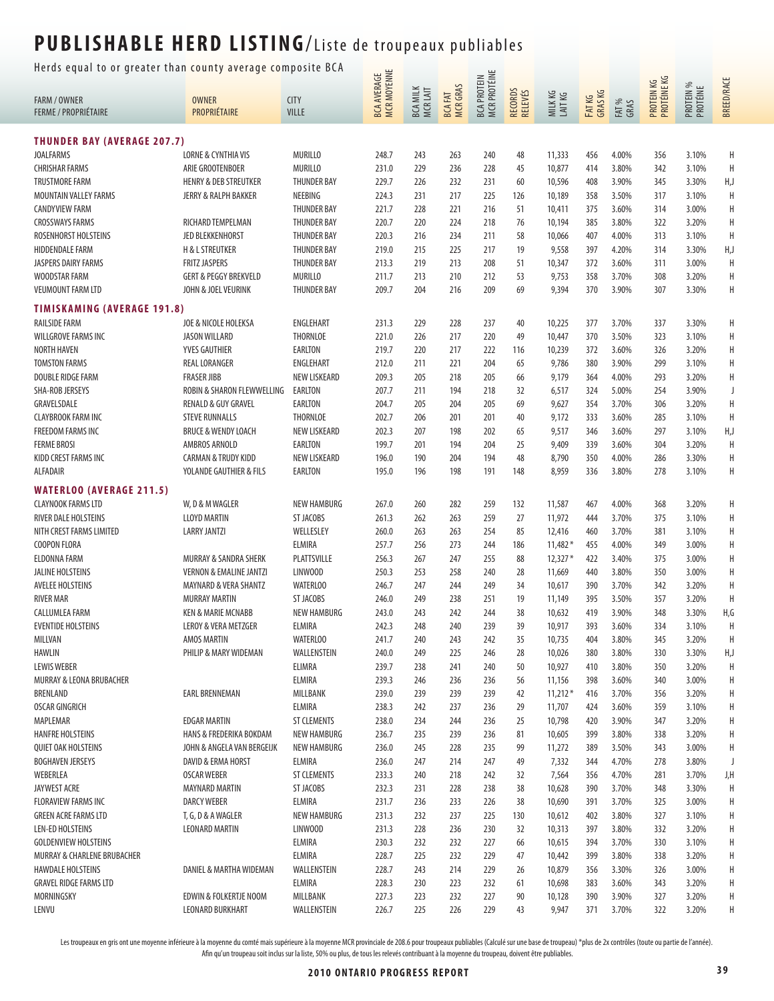Herds equal to or greater than county average composite BCA  $\frac{1}{\sqrt{2}}$ 

| nerus equar to or greater than county average composite ben |                                                         |                               |                            |                             |                                 |                                           |                    |                  |                   |               |                           |                       |                   |
|-------------------------------------------------------------|---------------------------------------------------------|-------------------------------|----------------------------|-----------------------------|---------------------------------|-------------------------------------------|--------------------|------------------|-------------------|---------------|---------------------------|-----------------------|-------------------|
| <b>FARM / OWNER</b><br><b>FERME / PROPRIÉTAIRE</b>          | <b>OWNER</b><br>PROPRIÉTAIRE                            | <b>CITY</b><br>VILLE          | BCA AVERAGE<br>MCR MOYENNE | <b>BCA MILK</b><br>MCR LAIT | <b>MCRGRAS</b><br><b>BCAFAT</b> | <b>MCR PROTÉINE</b><br><b>BCA PROTEIN</b> | RECORDS<br>RELEVÉS | MILKKG<br>LAITKG | FAT KG<br>GRAS KG | FAT %<br>GRAS | PROTEIN KG<br>PROTÉINE KG | PROTEIN %<br>PROTÉINE | <b>BREED/RACE</b> |
| <b>THUNDER BAY (AVERAGE 207.7)</b>                          |                                                         |                               |                            |                             |                                 |                                           |                    |                  |                   |               |                           |                       |                   |
| <b>JOALFARMS</b>                                            | <b>LORNE &amp; CYNTHIA VIS</b>                          | <b>MURILLO</b>                | 248.7                      | 243                         | 263                             | 240                                       | 48                 | 11,333           | 456               | 4.00%         | 356                       | 3.10%                 | Η                 |
| <b>CHRISHAR FARMS</b>                                       | ARIE GROOTENBOER                                        | <b>MURILLO</b>                | 231.0                      | 229                         | 236                             | 228                                       | 45                 | 10,877           | 414               | 3.80%         | 342                       | 3.10%                 | Η                 |
| <b>TRUSTMORE FARM</b>                                       | <b>HENRY &amp; DEB STREUTKER</b>                        | <b>THUNDER BAY</b>            | 229.7                      | 226                         | 232                             | 231                                       | 60                 | 10,596           | 408               | 3.90%         | 345                       | 3.30%                 | H,J               |
| MOUNTAIN VALLEY FARMS                                       | JERRY & RALPH BAKKER                                    | NEEBING                       | 224.3                      | 231                         | 217                             | 225                                       | 126                | 10,189           | 358               | 3.50%         | 317                       | 3.10%                 | Н                 |
| <b>CANDYVIEW FARM</b>                                       |                                                         | <b>THUNDER BAY</b>            | 221.7                      | 228                         | 221                             | 216                                       | 51                 | 10,411           | 375               | 3.60%         | 314                       | 3.00%                 | Η                 |
| <b>CROSSWAYS FARMS</b>                                      | RICHARD TEMPELMAN                                       | <b>THUNDER BAY</b>            | 220.7                      | 220                         | 224                             | 218                                       | 76                 | 10,194           | 385               | 3.80%         | 322                       | 3.20%                 | Η                 |
| ROSENHORST HOLSTEINS                                        | JED BLEKKENHORST                                        | <b>THUNDER BAY</b>            | 220.3                      | 216                         | 234                             | 211                                       | 58                 | 10,066           | 407               | 4.00%         | 313                       | 3.10%                 | H                 |
| <b>HIDDENDALE FARM</b>                                      | <b>H &amp; L STREUTKER</b>                              | <b>THUNDER BAY</b>            | 219.0                      | 215                         | 225                             | 217                                       | 19                 | 9,558            | 397               | 4.20%         | 314                       | 3.30%                 | H,J               |
| JASPERS DAIRY FARMS                                         | <b>FRITZ JASPERS</b>                                    | <b>THUNDER BAY</b>            | 213.3                      | 219                         | 213                             | 208                                       | 51                 | 10,347           | 372               | 3.60%         | 311                       | 3.00%                 | Н                 |
|                                                             |                                                         |                               |                            |                             |                                 |                                           |                    |                  |                   |               |                           |                       | Н                 |
| WOODSTAR FARM                                               | <b>GERT &amp; PEGGY BREKVELD</b><br>JOHN & JOEL VEURINK | MURILLO<br><b>THUNDER BAY</b> | 211.7                      | 213                         | 210                             | 212<br>209                                | 53<br>69           | 9,753            | 358               | 3.70%         | 308                       | 3.20%                 | Н                 |
| <b>VEUMOUNT FARM LTD</b>                                    |                                                         |                               | 209.7                      | 204                         | 216                             |                                           |                    | 9,394            | 370               | 3.90%         | 307                       | 3.30%                 |                   |
| <b>TIMISKAMING (AVERAGE 191.8)</b>                          |                                                         |                               |                            |                             |                                 |                                           |                    |                  |                   |               |                           |                       |                   |
| <b>RAILSIDE FARM</b>                                        | JOE & NICOLE HOLEKSA                                    | ENGLEHART                     | 231.3                      | 229                         | 228                             | 237                                       | 40                 | 10,225           | 377               | 3.70%         | 337                       | 3.30%                 | Η                 |
| <b>WILLGROVE FARMS INC</b>                                  | <b>JASON WILLARD</b>                                    | <b>THORNLOE</b>               | 221.0                      | 226                         | 217                             | 220                                       | 49                 | 10,447           | 370               | 3.50%         | 323                       | 3.10%                 | Н                 |
| <b>NORTH HAVEN</b>                                          | YVES GAUTHIER                                           | EARLTON                       | 219.7                      | 220                         | 217                             | 222                                       | 116                | 10,239           | 372               | 3.60%         | 326                       | 3.20%                 | Н                 |
| <b>TOMSTON FARMS</b>                                        | REAL LORANGER                                           | ENGLEHART                     | 212.0                      | 211                         | 221                             | 204                                       | 65                 | 9,786            | 380               | 3.90%         | 299                       | 3.10%                 | Н                 |
| <b>DOUBLE RIDGE FARM</b>                                    | <b>FRASER JIBB</b>                                      | NEW LISKEARD                  | 209.3                      | 205                         | 218                             | 205                                       | 66                 | 9,179            | 364               | 4.00%         | 293                       | 3.20%                 | Η                 |
| SHA-ROB JERSEYS                                             | ROBIN & SHARON FLEWWELLING                              | EARLTON                       | 207.7                      | 211                         | 194                             | 218                                       | 32                 | 6,517            | 324               | 5.00%         | 254                       | 3.90%                 | J                 |
| GRAVELSDALE                                                 | <b>RENALD &amp; GUY GRAVEL</b>                          | EARLTON                       | 204.7                      | 205                         | 204                             | 205                                       | 69                 | 9,627            | 354               | 3.70%         | 306                       | 3.20%                 | Η                 |
| <b>CLAYBROOK FARM INC</b>                                   | <b>STEVE RUNNALLS</b>                                   | THORNLOE                      | 202.7                      | 206                         | 201                             | 201                                       | 40                 | 9,172            | 333               | 3.60%         | 285                       | 3.10%                 | H                 |
| <b>FREEDOM FARMS INC</b>                                    | <b>BRUCE &amp; WENDY LOACH</b>                          | <b>NEW LISKEARD</b>           | 202.3                      | 207                         | 198                             | 202                                       | 65                 | 9,517            | 346               | 3.60%         | 297                       | 3.10%                 | H,J               |
| <b>FERME BROSI</b>                                          | AMBROS ARNOLD                                           | EARLTON                       | 199.7                      | 201                         | 194                             | 204                                       | 25                 | 9,409            | 339               | 3.60%         | 304                       | 3.20%                 | Н                 |
| KIDD CREST FARMS INC                                        | <b>CARMAN &amp; TRUDY KIDD</b>                          | NEW LISKEARD                  | 196.0                      | 190                         | 204                             | 194                                       | 48                 | 8,790            | 350               | 4.00%         | 286                       | 3.30%                 | Η                 |
| ALFADAIR                                                    | YOLANDE GAUTHIER & FILS                                 | EARLTON                       | 195.0                      | 196                         | 198                             | 191                                       | 148                | 8,959            | 336               | 3.80%         | 278                       | 3.10%                 | Η                 |
| <b>WATERLOO (AVERAGE 211.5)</b>                             |                                                         |                               |                            |                             |                                 |                                           |                    |                  |                   |               |                           |                       |                   |
| <b>CLAYNOOK FARMS LTD</b>                                   | W, D & M WAGLER                                         | <b>NEW HAMBURG</b>            | 267.0                      | 260                         | 282                             | 259                                       | 132                | 11,587           | 467               | 4.00%         | 368                       | 3.20%                 | Н                 |
| RIVER DALE HOLSTEINS                                        | <b>LLOYD MARTIN</b>                                     | ST JACOBS                     | 261.3                      | 262                         | 263                             | 259                                       | 27                 | 11,972           | 444               | 3.70%         | 375                       | 3.10%                 | Н                 |
| NITH CREST FARMS LIMITED                                    | <b>LARRY JANTZI</b>                                     | WELLESLEY                     | 260.0                      | 263                         | 263                             | 254                                       | 85                 | 12,416           | 460               | 3.70%         | 381                       | 3.10%                 | Н                 |
| <b>COOPON FLORA</b>                                         |                                                         | <b>ELMIRA</b>                 | 257.7                      | 256                         | 273                             | 244                                       | 186                | $11,482*$        | 455               | 4.00%         | 349                       | 3.00%                 | Н                 |
| ELDONNA FARM                                                | MURRAY & SANDRA SHERK                                   | PLATTSVILLE                   | 256.3                      | 267                         | 247                             | 255                                       | 88                 | $12,327*$        | 422               | 3.40%         | 375                       | 3.00%                 | Η                 |
| JALINE HOLSTEINS                                            | <b>VERNON &amp; EMALINE JANTZI</b>                      | LINWOOD                       | 250.3                      | 253                         | 258                             | 240                                       | 28                 | 11,669           | 440               | 3.80%         | 350                       | 3.00%                 | Η                 |
| AVELEE HOLSTEINS                                            | MAYNARD & VERA SHANTZ                                   | <b>WATERLOO</b>               | 246.7                      | 247                         | 244                             | 249                                       | 34                 | 10,617           | 390               | 3.70%         | 342                       | 3.20%                 | Η                 |
| <b>RIVER MAR</b>                                            | <b>MURRAY MARTIN</b>                                    | ST JACOBS                     | 246.0                      | 249                         | 238                             | 251                                       | 19                 | 11,149           | 395               | 3.50%         | 357                       | 3.20%                 | H                 |
| <b>CALLUMLEA FARM</b>                                       | <b>KEN &amp; MARIE MCNABB</b>                           | <b>NEW HAMBURG</b>            | 243.0                      | 243                         | 242                             | 244                                       | 38                 | 10,632           | 419               | 3.90%         | 348                       | 3.30%                 | H,G               |
| <b>EVENTIDE HOLSTEINS</b>                                   | LEROY & VERA METZGER                                    | ELMIRA                        | 242.3                      | 248                         | 240                             | 239                                       | 39                 | 10,917           | 393               | 3.60%         | 334                       | 3.10%                 | Η                 |
| MILLVAN                                                     | AMOS MARTIN                                             | <b>WATERLOO</b>               | 241.7                      | 240                         | 243                             | 242                                       | 35                 | 10,735           | 404               | 3.80%         | 345                       | 3.20%                 | Η                 |
| HAWLIN                                                      | PHILIP & MARY WIDEMAN                                   | WALLENSTEIN                   | 240.0                      | 249                         | 225                             | 246                                       | 28                 | 10,026           | 380               | 3.80%         | 330                       | 3.30%                 | H,J               |
| <b>LEWIS WEBER</b>                                          |                                                         | <b>ELIMRA</b>                 | 239.7                      | 238                         | 241                             | 240                                       | 50                 | 10,927           | 410               | 3.80%         | 350                       | 3.20%                 | Н                 |
| MURRAY & LEONA BRUBACHER                                    |                                                         | <b>ELMIRA</b>                 | 239.3                      | 246                         | 236                             | 236                                       | 56                 | 11,156           | 398               | 3.60%         | 340                       | 3.00%                 | Н                 |
| BRENLAND                                                    | <b>EARL BRENNEMAN</b>                                   | MILLBANK                      | 239.0                      | 239                         | 239                             | 239                                       | 42                 | $11,212*$        | 416               | 3.70%         | 356                       | 3.20%                 | Н                 |
| <b>OSCAR GINGRICH</b>                                       |                                                         | <b>ELMIRA</b>                 | 238.3                      | 242                         | 237                             | 236                                       | 29                 | 11,707           | 424               | 3.60%         | 359                       | 3.10%                 | Н                 |
| MAPLEMAR                                                    | <b>EDGAR MARTIN</b>                                     | <b>ST CLEMENTS</b>            | 238.0                      | 234                         | 244                             | 236                                       | 25                 | 10,798           | 420               | 3.90%         | 347                       | 3.20%                 | Н                 |
| <b>HANFRE HOLSTEINS</b>                                     | HANS & FREDERIKA BOKDAM                                 | <b>NEW HAMBURG</b>            | 236.7                      | 235                         | 239                             | 236                                       | 81                 | 10,605           | 399               | 3.80%         | 338                       | 3.20%                 | Н                 |
| <b>QUIET OAK HOLSTEINS</b>                                  | JOHN & ANGELA VAN BERGEIJK                              | <b>NEW HAMBURG</b>            | 236.0                      | 245                         | 228                             | 235                                       | 99                 | 11,272           | 389               | 3.50%         | 343                       | 3.00%                 | Η                 |
| <b>BOGHAVEN JERSEYS</b>                                     | DAVID & ERMA HORST                                      | ELMIRA                        | 236.0                      | 247                         | 214                             | 247                                       | 49                 | 7,332            | 344               | 4.70%         | 278                       | 3.80%                 | J                 |
| WEBERLEA                                                    | <b>OSCAR WEBER</b>                                      | <b>ST CLEMENTS</b>            | 233.3                      | 240                         | 218                             | 242                                       | 32                 | 7,564            | 356               | 4.70%         | 281                       | 3.70%                 | J,H               |
| JAYWEST ACRE                                                | <b>MAYNARD MARTIN</b>                                   | ST JACOBS                     | 232.3                      | 231                         | 228                             | 238                                       | 38                 | 10,628           | 390               | 3.70%         | 348                       | 3.30%                 | Η                 |
| <b>FLORAVIEW FARMS INC</b>                                  | <b>DARCY WEBER</b>                                      | <b>ELMIRA</b>                 | 231.7                      | 236                         | 233                             | 226                                       | 38                 | 10,690           | 391               | 3.70%         | 325                       | 3.00%                 | Н                 |
| <b>GREEN ACRE FARMS LTD</b>                                 | T, G, D & A WAGLER                                      | <b>NEW HAMBURG</b>            | 231.3                      | 232                         | 237                             | 225                                       | 130                | 10,612           | 402               | 3.80%         | 327                       | 3.10%                 | Н                 |
| <b>LEN-ED HOLSTEINS</b>                                     | <b>LEONARD MARTIN</b>                                   | LINWOOD                       | 231.3                      | 228                         | 236                             | 230                                       | 32                 | 10,313           | 397               | 3.80%         | 332                       | 3.20%                 | Н                 |
| <b>GOLDENVIEW HOLSTEINS</b>                                 |                                                         | ELMIRA                        | 230.3                      | 232                         | 232                             | 227                                       | 66                 | 10,615           | 394               | 3.70%         | 330                       | 3.10%                 | Н                 |
| MURRAY & CHARLENE BRUBACHER                                 |                                                         | <b>ELMIRA</b>                 | 228.7                      | 225                         | 232                             | 229                                       | 47                 | 10,442           | 399               | 3.80%         | 338                       | 3.20%                 | Н                 |
| <b>HAWDALE HOLSTEINS</b>                                    | DANIEL & MARTHA WIDEMAN                                 | WALLENSTEIN                   | 228.7                      | 243                         | 214                             | 229                                       | 26                 | 10,879           | 356               | 3.30%         | 326                       | 3.00%                 | Η                 |
| <b>GRAVEL RIDGE FARMS LTD</b>                               |                                                         | ELMIRA                        | 228.3                      | 230                         | 223                             | 232                                       | 61                 | 10,698           | 383               | 3.60%         | 343                       | 3.20%                 | Н                 |
| MORNINGSKY                                                  | EDWIN & FOLKERTJE NOOM                                  | MILLBANK                      | 227.3                      | 223                         | 232                             | 227                                       | 90                 | 10,128           | 390               | 3.90%         | 327                       | 3.20%                 | Н                 |
| LENVU                                                       | <b>LEONARD BURKHART</b>                                 | WALLENSTEIN                   | 226.7                      | 225                         | 226                             | 229                                       | 43                 | 9,947            | 371               | 3.70%         | 322                       | 3.20%                 | Н                 |
|                                                             |                                                         |                               |                            |                             |                                 |                                           |                    |                  |                   |               |                           |                       |                   |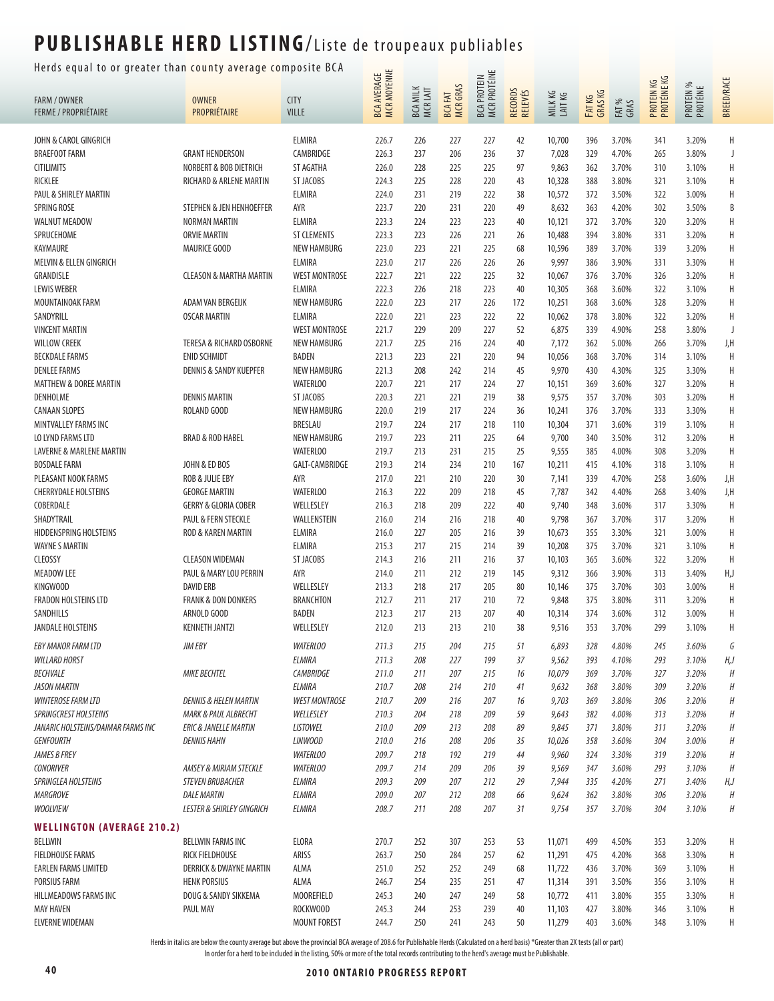Herds equal to or greater than county average composite BCA  $\frac{u}{u}$   $\equiv$ 

| neras equar to brightater than county average comp  |                                                          |                                    | BCA AVERAGE<br>MCR MOYENNE |                                           |                                  | MCR PROTÉINE       |                    |                   |                   |                | PROTEIN KG<br>PROTÉINE KG |                       |                   |
|-----------------------------------------------------|----------------------------------------------------------|------------------------------------|----------------------------|-------------------------------------------|----------------------------------|--------------------|--------------------|-------------------|-------------------|----------------|---------------------------|-----------------------|-------------------|
| <b>FARM / OWNER</b>                                 | <b>OWNER</b>                                             | <b>CITY</b>                        |                            | <b>MILK</b><br><b>BCA MILK</b><br>MCRLAIT | <b>MCRGRAS</b><br><b>BCA FAT</b> | <b>BCA PROTEIN</b> | RECORDS<br>RELEVÉS | MILKKG<br>LAIT KG | FAT KG<br>GRAS KG | FAT %<br>GRAS  |                           | PROTEIN %<br>PROTÉINE | <b>BREED/RACE</b> |
| <b>FERME / PROPRIÉTAIRE</b>                         | PROPRIÉTAIRE                                             | <b>VILLE</b>                       |                            |                                           |                                  |                    |                    |                   |                   |                |                           |                       |                   |
| JOHN & CAROL GINGRICH                               |                                                          | ELMIRA                             | 226.7                      | 226                                       | 227                              | 227                | 42                 | 10,700            | 396               | 3.70%          | 341                       | 3.20%                 | Н                 |
| <b>BRAEFOOT FARM</b>                                | <b>GRANT HENDERSON</b>                                   | CAMBRIDGE                          | 226.3                      | 237                                       | 206                              | 236                | 37                 | 7,028             | 329               | 4.70%          | 265                       | 3.80%                 | J                 |
| <b>CITILIMITS</b>                                   | NORBERT & BOB DIETRICH                                   | ST AGATHA                          | 226.0                      | 228                                       | 225                              | 225                | 97                 | 9,863             | 362               | 3.70%          | 310                       | 3.10%                 | H                 |
| <b>RICKLEE</b>                                      | RICHARD & ARLENE MARTIN                                  | ST JACOBS                          | 224.3                      | 225                                       | 228                              | 220                | 43                 | 10,328            | 388               | 3.80%          | 321                       | 3.10%                 | Н                 |
| PAUL & SHIRLEY MARTIN                               |                                                          | <b>ELMIRA</b>                      | 224.0                      | 231                                       | 219                              | 222                | 38                 | 10,572            | 372               | 3.50%          | 322                       | 3.00%                 | Н                 |
| SPRING ROSE                                         | STEPHEN & JEN HENHOEFFER                                 | AYR                                | 223.7                      | 220                                       | 231                              | 220                | 49                 | 8,632             | 363               | 4.20%          | 302                       | 3.50%                 | B                 |
| <b>WALNUT MEADOW</b>                                | NORMAN MARTIN                                            | ELMIRA                             | 223.3                      | 224                                       | 223                              | 223                | 40                 | 10,121            | 372               | 3.70%          | 320                       | 3.20%                 | Н                 |
| SPRUCEHOME                                          | <b>ORVIE MARTIN</b>                                      | <b>ST CLEMENTS</b>                 | 223.3                      | 223                                       | 226                              | 221                | 26                 | 10,488            | 394               | 3.80%          | 331                       | 3.20%                 | H                 |
| KAYMAURE                                            | <b>MAURICE GOOD</b>                                      | <b>NEW HAMBURG</b>                 | 223.0                      | 223                                       | 221                              | 225                | 68                 | 10,596            | 389               | 3.70%          | 339                       | 3.20%                 | Н                 |
| MELVIN & ELLEN GINGRICH                             |                                                          | ELMIRA                             | 223.0                      | 217                                       | 226                              | 226                | 26                 | 9,997             | 386               | 3.90%          | 331                       | 3.30%                 | Н                 |
| GRANDISLE                                           | <b>CLEASON &amp; MARTHA MARTIN</b>                       | <b>WEST MONTROSE</b>               | 222.7                      | 221                                       | 222                              | 225                | 32                 | 10,067            | 376               | 3.70%          | 326                       | 3.20%                 | Н                 |
| <b>LEWIS WEBER</b>                                  |                                                          | <b>ELMIRA</b>                      | 222.3                      | 226                                       | 218                              | 223                | 40                 | 10,305            | 368               | 3.60%          | 322                       | 3.10%                 | H                 |
| MOUNTAINOAK FARM                                    | ADAM VAN BERGEIJK                                        | <b>NEW HAMBURG</b>                 | 222.0                      | 223                                       | 217                              | 226                | 172                | 10,251            | 368               | 3.60%          | 328                       | 3.20%                 | H                 |
| SANDYRILL                                           | <b>OSCAR MARTIN</b>                                      | ELMIRA                             | 222.0                      | 221                                       | 223                              | 222                | 22                 | 10,062            | 378               | 3.80%          | 322                       | 3.20%                 | Н                 |
| <b>VINCENT MARTIN</b>                               |                                                          | <b>WEST MONTROSE</b>               | 221.7                      | 229                                       | 209                              | 227                | 52                 | 6,875             | 339               | 4.90%          | 258                       | 3.80%                 | J                 |
| <b>WILLOW CREEK</b>                                 | <b>TERESA &amp; RICHARD OSBORNE</b>                      | <b>NEW HAMBURG</b>                 | 221.7                      | 225                                       | 216                              | 224                | 40                 | 7,172             | 362               | 5.00%          | 266                       | 3.70%                 | J,H               |
| <b>BECKDALE FARMS</b><br><b>DENLEE FARMS</b>        | <b>ENID SCHMIDT</b><br><b>DENNIS &amp; SANDY KUEPFER</b> | <b>BADEN</b><br><b>NEW HAMBURG</b> | 221.3<br>221.3             | 223                                       | 221                              | 220<br>214         | 94                 | 10,056<br>9,970   | 368               | 3.70%          | 314                       | 3.10%                 | H                 |
| <b>MATTHEW &amp; DOREE MARTIN</b>                   |                                                          | <b>WATERLOO</b>                    | 220.7                      | 208<br>221                                | 242<br>217                       | 224                | 45<br>27           | 10,151            | 430<br>369        | 4.30%<br>3.60% | 325<br>327                | 3.30%<br>3.20%        | Н<br>Н            |
| DENHOLME                                            | <b>DENNIS MARTIN</b>                                     | ST JACOBS                          | 220.3                      | 221                                       | 221                              | 219                | 38                 | 9,575             | 357               | 3.70%          | 303                       | 3.20%                 | Н                 |
| <b>CANAAN SLOPES</b>                                | ROLAND GOOD                                              | <b>NEW HAMBURG</b>                 | 220.0                      | 219                                       | 217                              | 224                | 36                 | 10,241            | 376               | 3.70%          | 333                       | 3.30%                 | Н                 |
| MINTVALLEY FARMS INC                                |                                                          | BRESLAU                            | 219.7                      | 224                                       | 217                              | 218                | 110                | 10,304            | 371               | 3.60%          | 319                       | 3.10%                 | H                 |
| LO LYND FARMS LTD                                   | <b>BRAD &amp; ROD HABEL</b>                              | <b>NEW HAMBURG</b>                 | 219.7                      | 223                                       | 211                              | 225                | 64                 | 9,700             | 340               | 3.50%          | 312                       | 3.20%                 | Н                 |
| LAVERNE & MARLENE MARTIN                            |                                                          | <b>WATERLOO</b>                    | 219.7                      | 213                                       | 231                              | 215                | 25                 | 9,555             | 385               | 4.00%          | 308                       | 3.20%                 | H                 |
| <b>BOSDALE FARM</b>                                 | JOHN & ED BOS                                            | GALT-CAMBRIDGE                     | 219.3                      | 214                                       | 234                              | 210                | 167                | 10,211            | 415               | 4.10%          | 318                       | 3.10%                 | H                 |
| PLEASANT NOOK FARMS                                 | <b>ROB &amp; JULIE EBY</b>                               | AYR                                | 217.0                      | 221                                       | 210                              | 220                | 30                 | 7,141             | 339               | 4.70%          | 258                       | 3.60%                 | J,H               |
| <b>CHERRYDALE HOLSTEINS</b>                         | <b>GEORGE MARTIN</b>                                     | <b>WATERLOO</b>                    | 216.3                      | 222                                       | 209                              | 218                | 45                 | 7,787             | 342               | 4.40%          | 268                       | 3.40%                 | J,H               |
| COBERDALE                                           | <b>GERRY &amp; GLORIA COBER</b>                          | WELLESLEY                          | 216.3                      | 218                                       | 209                              | 222                | 40                 | 9,740             | 348               | 3.60%          | 317                       | 3.30%                 | Η                 |
| SHADYTRAIL                                          | PAUL & FERN STECKLE                                      | WALLENSTEIN                        | 216.0                      | 214                                       | 216                              | 218                | 40                 | 9,798             | 367               | 3.70%          | 317                       | 3.20%                 | Н                 |
| HIDDENSPRING HOLSTEINS                              | ROD & KAREN MARTIN                                       | <b>ELMIRA</b>                      | 216.0                      | 227                                       | 205                              | 216                | 39                 | 10,673            | 355               | 3.30%          | 321                       | 3.00%                 | Η                 |
| <b>WAYNE S MARTIN</b>                               |                                                          | ELMIRA                             | 215.3                      | 217                                       | 215                              | 214                | 39                 | 10,208            | 375               | 3.70%          | 321                       | 3.10%                 | H                 |
| <b>CLEOSSY</b>                                      | <b>CLEASON WIDEMAN</b>                                   | ST JACOBS                          | 214.3                      | 216                                       | 211                              | 216                | 37                 | 10,103            | 365               | 3.60%          | 322                       | 3.20%                 | H                 |
| <b>MEADOW LEE</b>                                   | PAUL & MARY LOU PERRIN                                   | AYR                                | 214.0                      | 211                                       | 212                              | 219                | 145                | 9,312             | 366               | 3.90%          | 313                       | 3.40%                 | H,J               |
| KINGWOOD                                            | <b>DAVID ERB</b>                                         | WELLESLEY                          | 213.3                      | 218                                       | 217                              | 205                | 80                 | 10,146            | 375               | 3.70%          | 303                       | 3.00%                 | H                 |
| <b>FRADON HOLSTEINS LTD</b>                         | <b>FRANK &amp; DON DONKERS</b>                           | <b>BRANCHTON</b>                   | 212.7                      | 211                                       | 217                              | 210                | 72                 | 9,848             | 375               | 3.80%          | 311                       | 3.20%                 | Η                 |
| SANDHILLS                                           | ARNOLD GOOD                                              | <b>BADEN</b>                       | 212.3                      | 217                                       | 213                              | 207                | 40                 | 10,314            | 374               | 3.60%          | 312                       | 3.00%                 | Н                 |
| <b>JANDALE HOLSTEINS</b>                            | <b>KENNETH JANTZI</b>                                    | WELLESLEY                          | 212.0                      | 213                                       | 213                              | 210                | 38                 | 9,516             | 353               | 3.70%          | 299                       | 3.10%                 | Н                 |
| <b>EBY MANOR FARM LTD</b>                           | JIM EBY                                                  | <b>WATERLOO</b>                    | 211.3                      | 215                                       | 204                              | 215                | 51                 | 6,893             | 328               | 4.80%          | 245                       | 3.60%                 | G                 |
| <b>WILLARD HORST</b>                                |                                                          | ELMIRA                             | 211.3                      | 208                                       | 227                              | 199                | 37                 | 9,562             | 393               | 4.10%          | 293                       | 3.10%                 | H,J               |
| <b>BECHVALE</b>                                     | <b>MIKE BECHTEL</b>                                      | <b>CAMBRIDGE</b>                   | 211.0                      | 211                                       | 207                              | 215                | 16                 | 10,079            | 369               | 3.70%          | 327                       | 3.20%                 | Н                 |
| <b>JASON MARTIN</b>                                 |                                                          | ELMIRA                             | 210.7                      | 208                                       | 214                              | 210                | 41                 | 9,632             | 368               | 3.80%          | 309                       | 3.20%                 | $\boldsymbol{H}$  |
| <b>WINTEROSE FARM LTD</b>                           | <b>DENNIS &amp; HELEN MARTIN</b>                         | <b>WEST MONTROSE</b>               | 210.7                      | 209                                       | 216                              | 207                | 16                 | 9,703             | 369               | 3.80%          | 306                       | 3.20%                 | $\boldsymbol{H}$  |
| SPRINGCREST HOLSTEINS                               | <b>MARK &amp; PAUL ALBRECHT</b>                          | WELLESLEY                          | 210.3                      | 204                                       | 218                              | 209                | 59                 | 9,643             | 382               | 4.00%          | 313                       | 3.20%                 | $\boldsymbol{H}$  |
| JANARIC HOLSTEINS/DAIMAR FARMS INC                  | <b>ERIC &amp; JANELLE MARTIN</b>                         | <b>LISTOWEL</b>                    | 210.0                      | 209                                       | 213                              | 208                | 89                 | 9,845             | 371               | 3.80%          | 311                       | 3.20%                 | Н                 |
| <b>GENFOURTH</b><br><b>JAMES B FREY</b>             | <b>DENNIS HAHN</b>                                       | LINWOOD<br><b>WATERLOO</b>         | 210.0<br>209.7             | 216                                       | 208                              | 206                | 35                 | 10,026            | 358               | 3.60%          | 304                       | 3.00%                 | $\boldsymbol{H}$  |
| <b>CONORIVER</b>                                    | AMSEY & MIRIAM STECKLE                                   | <b>WATERLOO</b>                    | 209.7                      | 218<br>214                                | 192<br>209                       | 219<br>206         | 44<br>39           | 9,960<br>9,569    | 324<br>347        | 3.30%<br>3.60% | 319<br>293                | 3.20%<br>3.10%        | Η<br>H            |
| SPRINGLEA HOLSTEINS                                 | <b>STEVEN BRUBACHER</b>                                  | ELMIRA                             | 209.3                      | 209                                       | 207                              | 212                | 29                 | 7,944             | 335               | 4.20%          | 271                       | 3.40%                 | H,J               |
| <b>MARGROVE</b>                                     | <b>DALE MARTIN</b>                                       | ELMIRA                             | 209.0                      | 207                                       | 212                              | 208                | 66                 | 9,624             | 362               | 3.80%          | 306                       | 3.20%                 | $\boldsymbol{H}$  |
| <b>WOOLVIEW</b>                                     | <b>LESTER &amp; SHIRLEY GINGRICH</b>                     | ELMIRA                             | 208.7                      | 211                                       | 208                              | 207                | 31                 | 9,754             | 357               | 3.70%          | 304                       | 3.10%                 | Н                 |
|                                                     |                                                          |                                    |                            |                                           |                                  |                    |                    |                   |                   |                |                           |                       |                   |
| <b>WELLINGTON (AVERAGE 210.2)</b><br><b>BELLWIN</b> | <b>BELLWIN FARMS INC</b>                                 | ELORA                              | 270.7                      | 252                                       | 307                              | 253                | 53                 | 11,071            | 499               | 4.50%          | 353                       | 3.20%                 | Н                 |
| <b>FIELDHOUSE FARMS</b>                             | RICK FIELDHOUSE                                          | ARISS                              | 263.7                      | 250                                       | 284                              | 257                | 62                 | 11,291            | 475               | 4.20%          | 368                       | 3.30%                 | Н                 |
| <b>EARLEN FARMS LIMITED</b>                         | <b>DERRICK &amp; DWAYNE MARTIN</b>                       | ALMA                               | 251.0                      | 252                                       | 252                              | 249                | 68                 | 11,722            | 436               | 3.70%          | 369                       | 3.10%                 | Н                 |
| PORSIUS FARM                                        | <b>HENK PORSIUS</b>                                      | ALMA                               | 246.7                      | 254                                       | 235                              | 251                | 47                 | 11,314            | 391               | 3.50%          | 356                       | 3.10%                 | Н                 |
| HILLMEADOWS FARMS INC                               | DOUG & SANDY SIKKEMA                                     | <b>MOOREFIELD</b>                  | 245.3                      | 240                                       | 247                              | 249                | 58                 | 10,772            | 411               | 3.80%          | 355                       | 3.30%                 | H                 |
| <b>MAY HAVEN</b>                                    | PAUL MAY                                                 | ROCKWOOD                           | 245.3                      | 244                                       | 253                              | 239                | 40                 | 11,103            | 427               | 3.80%          | 346                       | 3.10%                 | Н                 |
| <b>ELVERNE WIDEMAN</b>                              |                                                          | <b>MOUNT FOREST</b>                | 244.7                      | 250                                       | 241                              | 243                | 50                 | 11,279            | 403               | 3.60%          | 348                       | 3.10%                 | Н                 |

Herds in italics are below the county average but above the provincial BCA average of 208.6 for Publishable Herds (Calculated on a herd basis) \*Greater than 2X tests (all or part)

In order for a herd to be included in the listing, 50% or more of the total records contributing to the herd's average must be Publishable.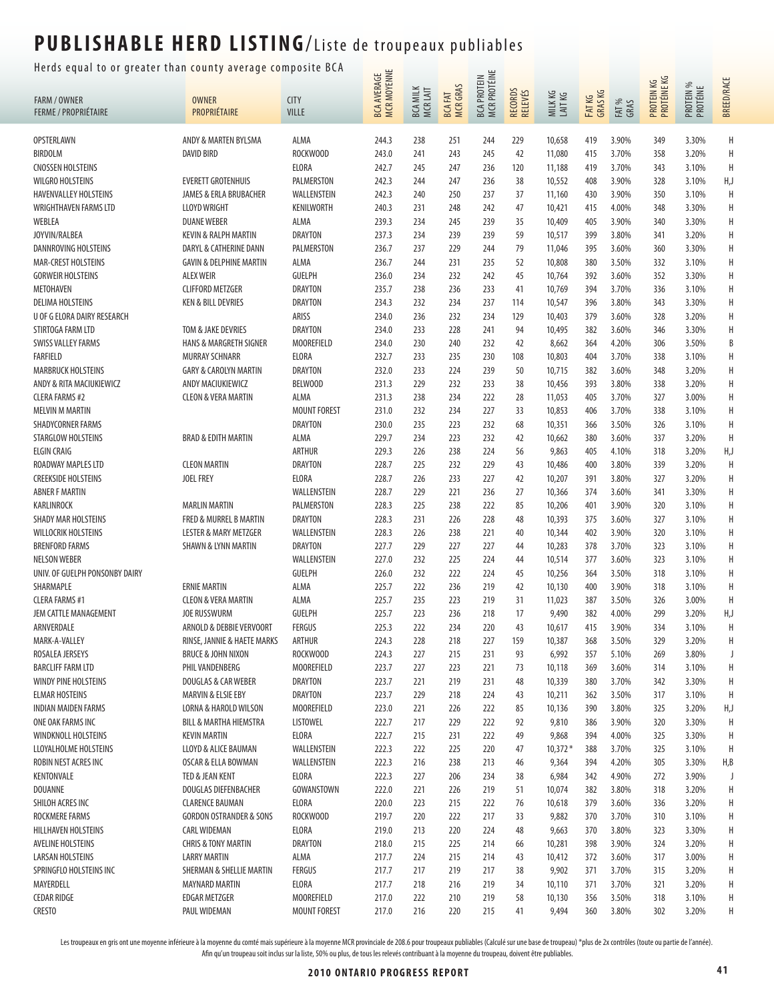Herds equal to or greater than county average composite BCA  $\frac{u}{u}$   $\equiv$ 

| meras equal to be greater than county average comp      |                                                      |                                       |                                          |                                            |                                   |                             |                                  |                    |                   |                |                           |                       |                   |
|---------------------------------------------------------|------------------------------------------------------|---------------------------------------|------------------------------------------|--------------------------------------------|-----------------------------------|-----------------------------|----------------------------------|--------------------|-------------------|----------------|---------------------------|-----------------------|-------------------|
| <b>FARM / OWNER</b><br><b>FERME / PROPRIÉTAIRE</b>      | <b>OWNER</b><br>PROPRIÉTAIRE                         | <b>CITY</b><br><b>VILLE</b>           | <b>MCR MOYENNE</b><br><b>BCA AVERAGE</b> | <b>MILK</b><br><b>BCA MILK</b><br>MCR LAIT | <b>MCR GRAS</b><br><b>BCA FAT</b> | BCA PROTEIN<br>MCR PROTÉINE | <b>RECORDS</b><br><b>RELEVÉS</b> | MILK KG<br>LAIT KG | FAT KG<br>GRAS KG | FAT %<br>GRAS  | PROTEIN KG<br>PROTÉINE KG | PROTEIN %<br>PROTÉINE | <b>BREED/RACE</b> |
| OPSTERLAWN                                              | ANDY & MARTEN BYLSMA                                 | ALMA                                  | 244.3                                    | 238                                        | 251                               | 244                         | 229                              | 10,658             | 419               | 3.90%          | 349                       | 3.30%                 | Η                 |
| <b>BIRDOLM</b>                                          | <b>DAVID BIRD</b>                                    | ROCKWOOD                              | 243.0                                    | 241                                        | 243                               | 245                         | 42                               | 11,080             | 415               | 3.70%          | 358                       | 3.20%                 | H                 |
| <b>CNOSSEN HOLSTEINS</b>                                |                                                      | <b>ELORA</b>                          | 242.7                                    | 245                                        | 247                               | 236                         | 120                              | 11,188             | 419               | 3.70%          | 343                       | 3.10%                 | H                 |
| <b>WILGRO HOLSTEINS</b>                                 | <b>EVERETT GROTENHUIS</b>                            | PALMERSTON                            | 242.3                                    | 244                                        | 247                               | 236                         | 38                               | 10,552             | 408               | 3.90%          | 328                       | 3.10%                 | H,J               |
| HAVENVALLEY HOLSTEINS                                   | JAMES & ERLA BRUBACHER                               | WALLENSTEIN                           | 242.3                                    | 240                                        | 250                               | 237                         | 37                               | 11,160             | 430               | 3.90%          | 350                       | 3.10%                 | H                 |
| WRIGHTHAVEN FARMS LTD                                   | <b>LLOYD WRIGHT</b>                                  | KENILWORTH                            | 240.3                                    | 231                                        | 248                               | 242                         | 47                               | 10,421             | 415               | 4.00%          | 348                       | 3.30%                 | H                 |
| WEBLEA                                                  | <b>DUANE WEBER</b>                                   | ALMA                                  | 239.3                                    | 234                                        | 245                               | 239                         | 35                               | 10,409             | 405               | 3.90%          | 340                       | 3.30%                 | H                 |
| JOYVIN/RALBEA                                           | <b>KEVIN &amp; RALPH MARTIN</b>                      | <b>DRAYTON</b>                        | 237.3                                    | 234                                        | 239                               | 239                         | 59                               | 10,517             | 399               | 3.80%          | 341                       | 3.20%                 | Н                 |
| DANNROVING HOLSTEINS                                    | DARYL & CATHERINE DANN                               | PALMERSTON                            | 236.7                                    | 237                                        | 229                               | 244                         | 79                               | 11,046             | 395               | 3.60%          | 360                       | 3.30%                 | Н                 |
| MAR-CREST HOLSTEINS                                     | <b>GAVIN &amp; DELPHINE MARTIN</b>                   | ALMA                                  | 236.7                                    | 244                                        | 231                               | 235                         | 52                               | 10,808             | 380               | 3.50%          | 332                       | 3.10%                 | Н                 |
| <b>GORWEIR HOLSTEINS</b>                                | <b>ALEX WEIR</b>                                     | <b>GUELPH</b>                         | 236.0                                    | 234                                        | 232                               | 242                         | 45                               | 10,764             | 392               | 3.60%          | 352                       | 3.30%                 | H                 |
| <b>METOHAVEN</b>                                        | <b>CLIFFORD METZGER</b>                              | <b>DRAYTON</b>                        | 235.7                                    | 238                                        | 236                               | 233                         | 41                               | 10,769             | 394               | 3.70%          | 336                       | 3.10%                 | H                 |
| <b>DELIMA HOLSTEINS</b>                                 | <b>KEN &amp; BILL DEVRIES</b>                        | <b>DRAYTON</b>                        | 234.3                                    | 232                                        | 234                               | 237                         | 114                              | 10,547             | 396               | 3.80%          | 343                       | 3.30%                 | Н                 |
| U OF G ELORA DAIRY RESEARCH                             |                                                      | ARISS                                 | 234.0                                    | 236                                        | 232                               | 234                         | 129                              | 10,403             | 379               | 3.60%          | 328                       | 3.20%                 | Н                 |
| STIRTOGA FARM LTD                                       | TOM & JAKE DEVRIES                                   | <b>DRAYTON</b>                        | 234.0                                    | 233                                        | 228                               | 241                         | 94                               | 10,495             | 382               | 3.60%          | 346                       | 3.30%                 | Н                 |
| <b>SWISS VALLEY FARMS</b>                               | <b>HANS &amp; MARGRETH SIGNER</b>                    | <b>MOOREFIELD</b>                     | 234.0                                    | 230                                        | 240                               | 232                         | 42                               | 8,662              | 364               | 4.20%          | 306                       | 3.50%                 | B                 |
| <b>FARFIELD</b>                                         | MURRAY SCHNARR                                       | <b>ELORA</b>                          | 232.7                                    | 233                                        | 235                               | 230                         | 108                              | 10,803             | 404               | 3.70%          | 338                       | 3.10%                 | Н                 |
| <b>MARBRUCK HOLSTEINS</b>                               | <b>GARY &amp; CAROLYN MARTIN</b>                     | <b>DRAYTON</b>                        | 232.0                                    | 233                                        | 224                               | 239                         | 50                               | 10,715             | 382               | 3.60%          | 348                       | 3.20%                 | H                 |
| ANDY & RITA MACIUKIEWICZ                                | ANDY MACIUKIEWICZ                                    | BELWOOD                               | 231.3                                    | 229                                        | 232                               | 233                         | 38                               | 10,456             | 393               | 3.80%          | 338                       | 3.20%                 | Η                 |
| <b>CLERA FARMS #2</b>                                   | <b>CLEON &amp; VERA MARTIN</b>                       | ALMA                                  | 231.3                                    | 238<br>232                                 | 234<br>234                        | 222<br>227                  | 28<br>33                         | 11,053<br>10,853   | 405               | 3.70%          | 327                       | 3.00%                 | H<br>H            |
| <b>MELVIN M MARTIN</b><br><b>SHADYCORNER FARMS</b>      |                                                      | <b>MOUNT FOREST</b><br><b>DRAYTON</b> | 231.0<br>230.0                           | 235                                        | 223                               | 232                         | 68                               |                    | 406               | 3.70%<br>3.50% | 338                       | 3.10%<br>3.10%        | Н                 |
| STARGLOW HOLSTEINS                                      | <b>BRAD &amp; EDITH MARTIN</b>                       | ALMA                                  | 229.7                                    | 234                                        | 223                               | 232                         | 42                               | 10,351<br>10,662   | 366<br>380        | 3.60%          | 326<br>337                | 3.20%                 | H                 |
| <b>ELGIN CRAIG</b>                                      |                                                      | ARTHUR                                | 229.3                                    | 226                                        | 238                               | 224                         | 56                               | 9,863              | 405               | 4.10%          | 318                       | 3.20%                 | H,J               |
| ROADWAY MAPLES LTD                                      | <b>CLEON MARTIN</b>                                  | <b>DRAYTON</b>                        | 228.7                                    | 225                                        | 232                               | 229                         | 43                               | 10,486             | 400               | 3.80%          | 339                       | 3.20%                 | H                 |
| <b>CREEKSIDE HOLSTEINS</b>                              | <b>JOEL FREY</b>                                     | <b>ELORA</b>                          | 228.7                                    | 226                                        | 233                               | 227                         | 42                               | 10,207             | 391               | 3.80%          | 327                       | 3.20%                 | H                 |
| <b>ABNER F MARTIN</b>                                   |                                                      | WALLENSTEIN                           | 228.7                                    | 229                                        | 221                               | 236                         | 27                               | 10,366             | 374               | 3.60%          | 341                       | 3.30%                 | H                 |
| KARLINROCK                                              | <b>MARLIN MARTIN</b>                                 | PALMERSTON                            | 228.3                                    | 225                                        | 238                               | 222                         | 85                               | 10,206             | 401               | 3.90%          | 320                       | 3.10%                 | Н                 |
| SHADY MAR HOLSTEINS                                     | FRED & MURREL B MARTIN                               | <b>DRAYTON</b>                        | 228.3                                    | 231                                        | 226                               | 228                         | 48                               | 10,393             | 375               | 3.60%          | 327                       | 3.10%                 | Н                 |
| <b>WILLOCRIK HOLSTEINS</b>                              | <b>LESTER &amp; MARY METZGER</b>                     | WALLENSTEIN                           | 228.3                                    | 226                                        | 238                               | 221                         | 40                               | 10,344             | 402               | 3.90%          | 320                       | 3.10%                 | H                 |
| <b>BRENFORD FARMS</b>                                   | <b>SHAWN &amp; LYNN MARTIN</b>                       | <b>DRAYTON</b>                        | 227.7                                    | 229                                        | 227                               | 227                         | 44                               | 10,283             | 378               | 3.70%          | 323                       | 3.10%                 | Н                 |
| <b>NELSON WEBER</b>                                     |                                                      | WALLENSTEIN                           | 227.0                                    | 232                                        | 225                               | 224                         | 44                               | 10,514             | 377               | 3.60%          | 323                       | 3.10%                 | Н                 |
| UNIV. OF GUELPH PONSONBY DAIRY                          |                                                      | <b>GUELPH</b>                         | 226.0                                    | 232                                        | 222                               | 224                         | 45                               | 10,256             | 364               | 3.50%          | 318                       | 3.10%                 | Η                 |
| SHARMAPLE                                               | <b>ERNIE MARTIN</b>                                  | ALMA                                  | 225.7                                    | 222                                        | 236                               | 219                         | 42                               | 10,130             | 400               | 3.90%          | 318                       | 3.10%                 | H                 |
| <b>CLERA FARMS #1</b>                                   | <b>CLEON &amp; VERA MARTIN</b>                       | ALMA                                  | 225.7                                    | 235                                        | 223                               | 219                         | 31                               | 11,023             | 387               | 3.50%          | 326                       | 3.00%                 | H                 |
| JEM CATTLE MANAGEMENT                                   | <b>JOE RUSSWURM</b>                                  | <b>GUELPH</b>                         | 225.7                                    | 223                                        | 236                               | 218                         | 17                               | 9,490              | 382               | 4.00%          | 299                       | 3.20%                 | H,J               |
| ARNVERDALE                                              | ARNOLD & DEBBIE VERVOORT                             | <b>FERGUS</b>                         | 225.3                                    | 222                                        | 234                               | 220                         | 43                               | 10,617             | 415               | 3.90%          | 334                       | 3.10%                 | H                 |
| MARK-A-VALLEY                                           | RINSE, JANNIE & HAETE MARKS                          | ARTHUR                                | 224.3                                    | 228                                        | 218                               | 227                         | 159                              | 10,387             | 368               | 3.50%          | 329                       | 3.20%                 |                   |
| ROSALEA JERSEYS                                         | <b>BRUCE &amp; JOHN NIXON</b>                        | ROCKWOOD                              | 224.3                                    | 227                                        | 215                               | 231                         | 93                               | 6,992              | 357               | 5.10%          | 269                       | 3.80%                 |                   |
| <b>BARCLIFF FARM LTD</b><br><b>WINDY PINE HOLSTEINS</b> | PHIL VANDENBERG                                      | MOOREFIELD                            | 223.7                                    | 227                                        | 223                               | 221                         | 73                               | 10,118             | 369               | 3.60%          | 314                       | 3.10%                 | Η                 |
| <b>ELMAR HOSTEINS</b>                                   | DOUGLAS & CAR WEBER<br><b>MARVIN &amp; ELSIE EBY</b> | <b>DRAYTON</b><br>DRAYTON             | 223.7<br>223.7                           | 221<br>229                                 | 219<br>218                        | 231<br>224                  | 48<br>43                         | 10,339<br>10,211   | 380<br>362        | 3.70%<br>3.50% | 342<br>317                | 3.30%<br>3.10%        | H<br>H            |
| INDIAN MAIDEN FARMS                                     | LORNA & HAROLD WILSON                                | MOOREFIELD                            | 223.0                                    | 221                                        | 226                               | 222                         | 85                               | 10,136             | 390               | 3.80%          | 325                       | 3.20%                 | H,J               |
| ONE OAK FARMS INC                                       | <b>BILL &amp; MARTHA HIEMSTRA</b>                    | LISTOWEL                              | 222.7                                    | 217                                        | 229                               | 222                         | 92                               | 9,810              | 386               | 3.90%          | 320                       | 3.30%                 | H                 |
| <b>WINDKNOLL HOLSTEINS</b>                              | <b>KEVIN MARTIN</b>                                  | ELORA                                 | 222.7                                    | 215                                        | 231                               | 222                         | 49                               | 9,868              | 394               | 4.00%          | 325                       | 3.30%                 | Н                 |
| LLOYALHOLME HOLSTEINS                                   | LLOYD & ALICE BAUMAN                                 | WALLENSTEIN                           | 222.3                                    | 222                                        | 225                               | 220                         | 47                               | $10,372*$          | 388               | 3.70%          | 325                       | 3.10%                 | H                 |
| ROBIN NEST ACRES INC                                    | OSCAR & ELLA BOWMAN                                  | WALLENSTEIN                           | 222.3                                    | 216                                        | 238                               | 213                         | 46                               | 9,364              | 394               | 4.20%          | 305                       | 3.30%                 | H,B               |
| KENTONVALE                                              | TED & JEAN KENT                                      | ELORA                                 | 222.3                                    | 227                                        | 206                               | 234                         | 38                               | 6,984              | 342               | 4.90%          | 272                       | 3.90%                 | J                 |
| <b>DOUANNE</b>                                          | DOUGLAS DIEFENBACHER                                 | GOWANSTOWN                            | 222.0                                    | 221                                        | 226                               | 219                         | 51                               | 10,074             | 382               | 3.80%          | 318                       | 3.20%                 | Η                 |
| SHILOH ACRES INC                                        | <b>CLARENCE BAUMAN</b>                               | <b>ELORA</b>                          | 220.0                                    | 223                                        | 215                               | 222                         | 76                               | 10,618             | 379               | 3.60%          | 336                       | 3.20%                 | Η                 |
| ROCKMERE FARMS                                          | <b>GORDON OSTRANDER &amp; SONS</b>                   | ROCKWOOD                              | 219.7                                    | 220                                        | 222                               | 217                         | 33                               | 9,882              | 370               | 3.70%          | 310                       | 3.10%                 | Η                 |
| HILLHAVEN HOLSTEINS                                     | <b>CARL WIDEMAN</b>                                  | ELORA                                 | 219.0                                    | 213                                        | 220                               | 224                         | 48                               | 9,663              | 370               | 3.80%          | 323                       | 3.30%                 | Η                 |
| AVELINE HOLSTEINS                                       | <b>CHRIS &amp; TONY MARTIN</b>                       | <b>DRAYTON</b>                        | 218.0                                    | 215                                        | 225                               | 214                         | 66                               | 10,281             | 398               | 3.90%          | 324                       | 3.20%                 | Η                 |
| <b>LARSAN HOLSTEINS</b>                                 | <b>LARRY MARTIN</b>                                  | ALMA                                  | 217.7                                    | 224                                        | 215                               | 214                         | 43                               | 10,412             | 372               | 3.60%          | 317                       | 3.00%                 | Η                 |
| SPRINGFLO HOLSTEINS INC                                 | SHERMAN & SHELLIE MARTIN                             | <b>FERGUS</b>                         | 217.7                                    | 217                                        | 219                               | 217                         | 38                               | 9,902              | 371               | 3.70%          | 315                       | 3.20%                 | Н                 |
| MAYERDELL                                               | MAYNARD MARTIN                                       | ELORA                                 | 217.7                                    | 218                                        | 216                               | 219                         | 34                               | 10,110             | 371               | 3.70%          | 321                       | 3.20%                 | Н                 |
| <b>CEDAR RIDGE</b>                                      | <b>EDGAR METZGER</b>                                 | MOOREFIELD                            | 217.0                                    | 222                                        | 210                               | 219                         | 58                               | 10,130             | 356               | 3.50%          | 318                       | 3.10%                 | H                 |
| <b>CRESTO</b>                                           | PAUL WIDEMAN                                         | <b>MOUNT FOREST</b>                   | 217.0                                    | 216                                        | 220                               | 215                         | 41                               | 9,494              | 360               | 3.80%          | 302                       | 3.20%                 | H                 |